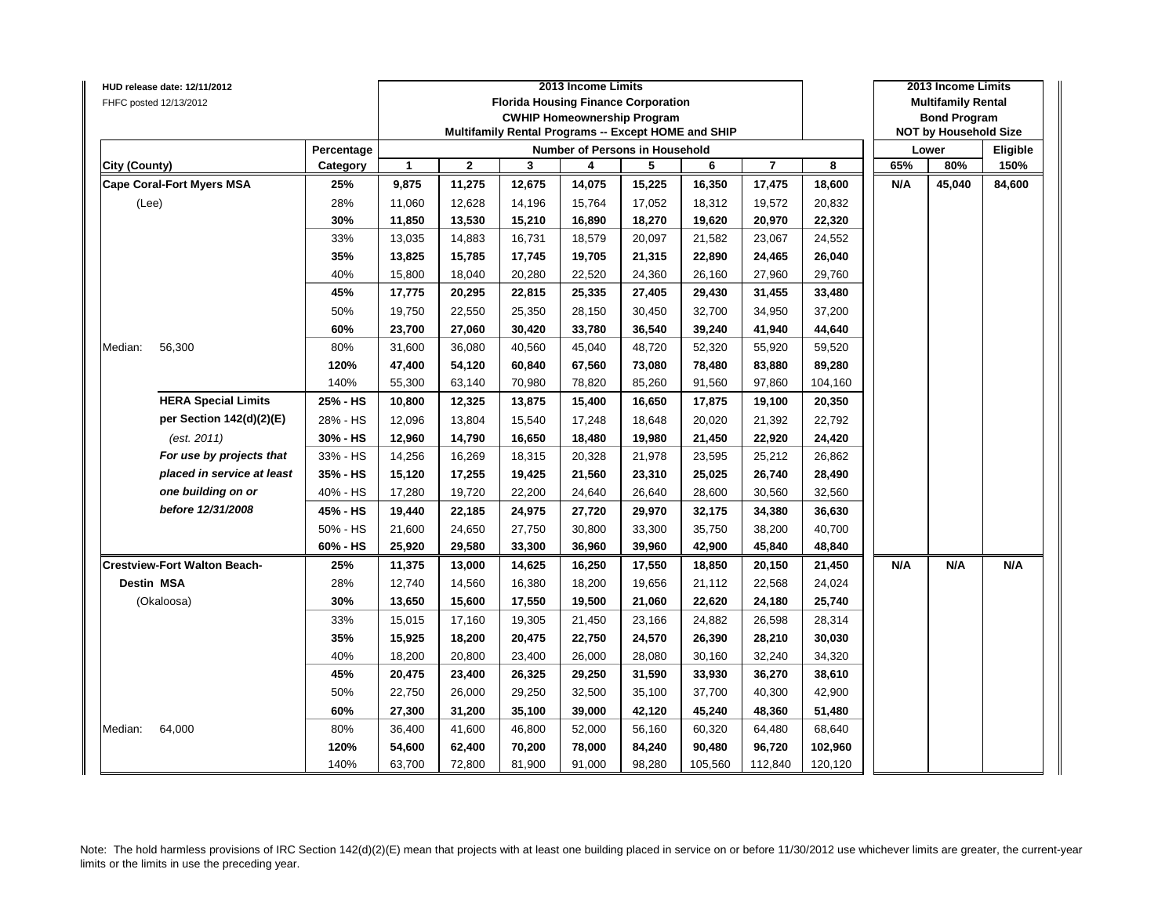| HUD release date: 12/11/2012<br>FHFC posted 12/13/2012 |            |        |             |        | 2013 Income Limits<br><b>Florida Housing Finance Corporation</b> |        |         |                         |         |     | 2013 Income Limits<br><b>Multifamily Rental</b> |          |
|--------------------------------------------------------|------------|--------|-------------|--------|------------------------------------------------------------------|--------|---------|-------------------------|---------|-----|-------------------------------------------------|----------|
|                                                        |            |        |             |        | <b>CWHIP Homeownership Program</b>                               |        |         |                         |         |     | <b>Bond Program</b>                             |          |
|                                                        |            |        |             |        | Multifamily Rental Programs -- Except HOME and SHIP              |        |         |                         |         |     | <b>NOT by Household Size</b>                    |          |
|                                                        | Percentage |        |             |        | <b>Number of Persons in Household</b>                            |        |         |                         |         |     | Lower                                           | Eligible |
| City (County)                                          | Category   | 1      | $\mathbf 2$ | 3      | 4                                                                | 5      | 6       | $\overline{\mathbf{r}}$ | 8       | 65% | 80%                                             | 150%     |
| <b>Cape Coral-Fort Myers MSA</b>                       | 25%        | 9,875  | 11,275      | 12,675 | 14,075                                                           | 15,225 | 16,350  | 17,475                  | 18,600  | N/A | 45,040                                          | 84,600   |
| (Lee)                                                  | 28%        | 11,060 | 12,628      | 14,196 | 15,764                                                           | 17,052 | 18,312  | 19,572                  | 20,832  |     |                                                 |          |
|                                                        | 30%        | 11,850 | 13,530      | 15,210 | 16,890                                                           | 18,270 | 19,620  | 20,970                  | 22,320  |     |                                                 |          |
|                                                        | 33%        | 13,035 | 14,883      | 16,731 | 18,579                                                           | 20,097 | 21,582  | 23,067                  | 24,552  |     |                                                 |          |
|                                                        | 35%        | 13,825 | 15,785      | 17,745 | 19,705                                                           | 21,315 | 22,890  | 24,465                  | 26,040  |     |                                                 |          |
|                                                        | 40%        | 15,800 | 18,040      | 20,280 | 22,520                                                           | 24,360 | 26,160  | 27,960                  | 29,760  |     |                                                 |          |
|                                                        | 45%        | 17,775 | 20,295      | 22,815 | 25,335                                                           | 27,405 | 29,430  | 31,455                  | 33,480  |     |                                                 |          |
|                                                        | 50%        | 19,750 | 22,550      | 25,350 | 28,150                                                           | 30,450 | 32,700  | 34,950                  | 37,200  |     |                                                 |          |
|                                                        | 60%        | 23,700 | 27,060      | 30,420 | 33,780                                                           | 36,540 | 39,240  | 41,940                  | 44,640  |     |                                                 |          |
| Median:<br>56,300                                      | 80%        | 31,600 | 36,080      | 40,560 | 45,040                                                           | 48,720 | 52,320  | 55,920                  | 59,520  |     |                                                 |          |
|                                                        | 120%       | 47,400 | 54,120      | 60,840 | 67,560                                                           | 73,080 | 78,480  | 83,880                  | 89,280  |     |                                                 |          |
|                                                        | 140%       | 55,300 | 63,140      | 70,980 | 78,820                                                           | 85,260 | 91,560  | 97,860                  | 104,160 |     |                                                 |          |
| <b>HERA Special Limits</b>                             | 25% - HS   | 10,800 | 12,325      | 13,875 | 15,400                                                           | 16,650 | 17,875  | 19,100                  | 20,350  |     |                                                 |          |
| per Section 142(d)(2)(E)                               | 28% - HS   | 12,096 | 13,804      | 15,540 | 17,248                                                           | 18,648 | 20,020  | 21,392                  | 22,792  |     |                                                 |          |
| (est. 2011)                                            | 30% - HS   | 12,960 | 14,790      | 16,650 | 18,480                                                           | 19,980 | 21,450  | 22,920                  | 24,420  |     |                                                 |          |
| For use by projects that                               | 33% - HS   | 14,256 | 16,269      | 18,315 | 20,328                                                           | 21,978 | 23,595  | 25,212                  | 26,862  |     |                                                 |          |
| placed in service at least                             | 35% - HS   | 15,120 | 17,255      | 19,425 | 21,560                                                           | 23,310 | 25,025  | 26,740                  | 28,490  |     |                                                 |          |
| one building on or                                     | 40% - HS   | 17,280 | 19,720      | 22,200 | 24,640                                                           | 26,640 | 28,600  | 30,560                  | 32,560  |     |                                                 |          |
| before 12/31/2008                                      | 45% - HS   | 19,440 | 22,185      | 24,975 | 27,720                                                           | 29,970 | 32,175  | 34,380                  | 36,630  |     |                                                 |          |
|                                                        | 50% - HS   | 21,600 | 24,650      | 27,750 | 30,800                                                           | 33,300 | 35,750  | 38,200                  | 40,700  |     |                                                 |          |
|                                                        | 60% - HS   | 25,920 | 29,580      | 33,300 | 36,960                                                           | 39,960 | 42,900  | 45,840                  | 48,840  |     |                                                 |          |
| <b>Crestview-Fort Walton Beach-</b>                    | 25%        | 11,375 | 13,000      | 14,625 | 16,250                                                           | 17,550 | 18,850  | 20,150                  | 21,450  | N/A | N/A                                             | N/A      |
| <b>Destin MSA</b>                                      | 28%        | 12,740 | 14,560      | 16,380 | 18,200                                                           | 19,656 | 21,112  | 22,568                  | 24,024  |     |                                                 |          |
| (Okaloosa)                                             | 30%        | 13,650 | 15,600      | 17,550 | 19,500                                                           | 21,060 | 22,620  | 24,180                  | 25,740  |     |                                                 |          |
|                                                        | 33%        | 15,015 | 17,160      | 19,305 | 21,450                                                           | 23,166 | 24,882  | 26,598                  | 28,314  |     |                                                 |          |
|                                                        | 35%        | 15,925 | 18,200      | 20,475 | 22,750                                                           | 24,570 | 26,390  | 28,210                  | 30,030  |     |                                                 |          |
|                                                        | 40%        | 18,200 | 20,800      | 23,400 | 26,000                                                           | 28,080 | 30,160  | 32,240                  | 34,320  |     |                                                 |          |
|                                                        | 45%        | 20,475 | 23,400      | 26,325 | 29,250                                                           | 31,590 | 33,930  | 36,270                  | 38,610  |     |                                                 |          |
|                                                        | 50%        | 22,750 | 26,000      | 29,250 | 32,500                                                           | 35,100 | 37,700  | 40,300                  | 42,900  |     |                                                 |          |
|                                                        | 60%        | 27,300 | 31,200      | 35,100 | 39,000                                                           | 42,120 | 45,240  | 48,360                  | 51,480  |     |                                                 |          |
| 64,000<br>Median:                                      | 80%        | 36,400 | 41,600      | 46,800 | 52,000                                                           | 56,160 | 60,320  | 64,480                  | 68,640  |     |                                                 |          |
|                                                        | 120%       | 54,600 | 62,400      | 70,200 | 78,000                                                           | 84,240 | 90,480  | 96,720                  | 102,960 |     |                                                 |          |
|                                                        | 140%       | 63,700 | 72,800      | 81,900 | 91,000                                                           | 98,280 | 105,560 | 112,840                 | 120,120 |     |                                                 |          |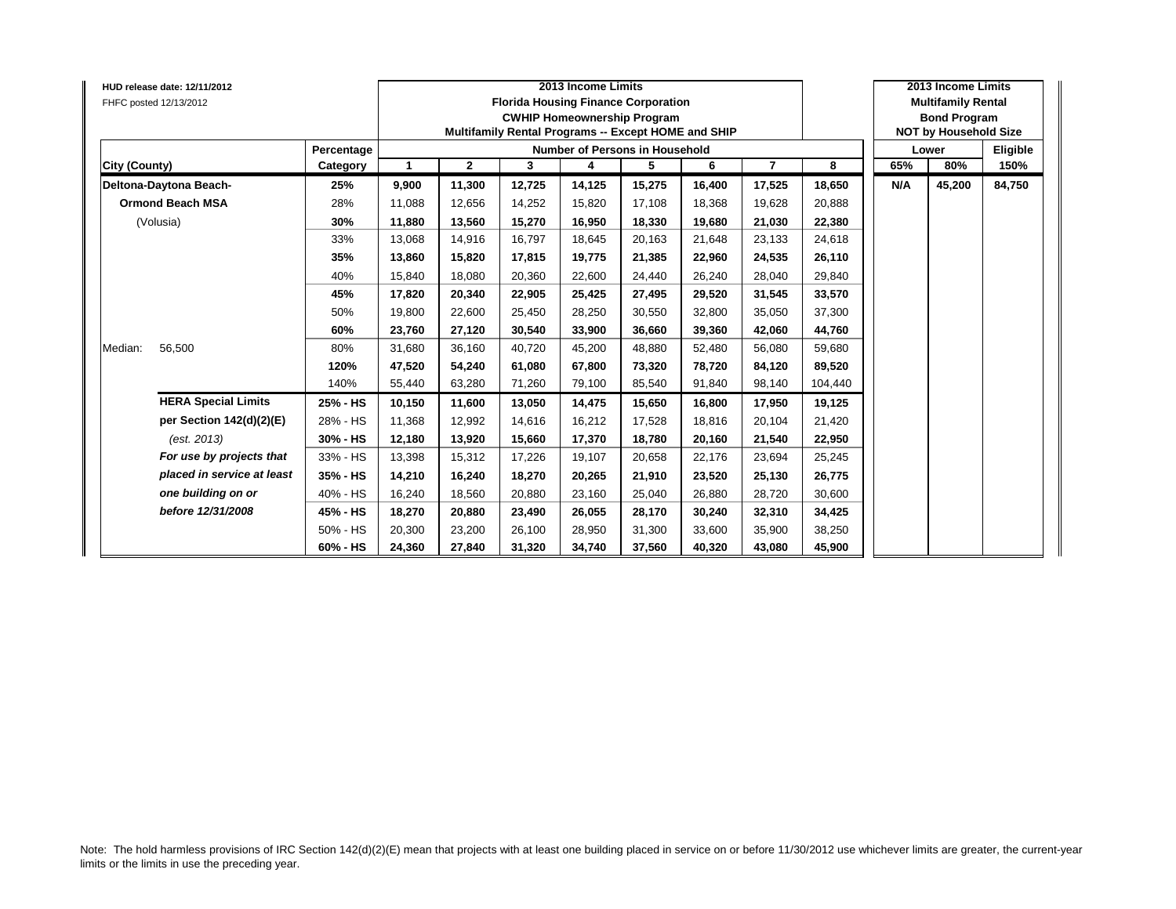| HUD release date: 12/11/2012<br>FHFC posted 12/13/2012 |            |        |              |        | 2013 Income Limits<br><b>Florida Housing Finance Corporation</b><br><b>CWHIP Homeownership Program</b><br>Multifamily Rental Programs -- Except HOME and SHIP |        |        |                |         |     | 2013 Income Limits<br><b>Multifamily Rental</b><br><b>Bond Program</b><br><b>NOT by Household Size</b> |          |
|--------------------------------------------------------|------------|--------|--------------|--------|---------------------------------------------------------------------------------------------------------------------------------------------------------------|--------|--------|----------------|---------|-----|--------------------------------------------------------------------------------------------------------|----------|
|                                                        | Percentage |        |              |        | Number of Persons in Household                                                                                                                                |        |        |                |         |     | Lower                                                                                                  | Eligible |
| <b>City (County)</b>                                   | Category   | 1      | $\mathbf{2}$ | 3      | 4                                                                                                                                                             | 5      | 6      | $\overline{7}$ | 8       | 65% | 80%                                                                                                    | 150%     |
| Deltona-Daytona Beach-                                 | 25%        | 9,900  | 11,300       | 12,725 | 14,125                                                                                                                                                        | 15,275 | 16,400 | 17,525         | 18,650  | N/A | 45,200                                                                                                 | 84,750   |
| <b>Ormond Beach MSA</b>                                | 28%        | 11,088 | 12,656       | 14,252 | 15,820                                                                                                                                                        | 17,108 | 18,368 | 19,628         | 20,888  |     |                                                                                                        |          |
| (Volusia)                                              | 30%        | 11,880 | 13,560       | 15,270 | 16,950                                                                                                                                                        | 18,330 | 19,680 | 21,030         | 22,380  |     |                                                                                                        |          |
|                                                        | 33%        | 13,068 | 14,916       | 16.797 | 18,645                                                                                                                                                        | 20,163 | 21.648 | 23,133         | 24,618  |     |                                                                                                        |          |
|                                                        | 35%        | 13,860 | 15,820       | 17,815 | 19,775                                                                                                                                                        | 21,385 | 22,960 | 24,535         | 26,110  |     |                                                                                                        |          |
|                                                        | 40%        | 15,840 | 18,080       | 20,360 | 22,600                                                                                                                                                        | 24,440 | 26,240 | 28,040         | 29,840  |     |                                                                                                        |          |
|                                                        | 45%        | 17,820 | 20,340       | 22,905 | 25,425                                                                                                                                                        | 27,495 | 29,520 | 31,545         | 33,570  |     |                                                                                                        |          |
|                                                        | 50%        | 19,800 | 22,600       | 25,450 | 28,250                                                                                                                                                        | 30,550 | 32,800 | 35,050         | 37,300  |     |                                                                                                        |          |
|                                                        | 60%        | 23,760 | 27,120       | 30.540 | 33,900                                                                                                                                                        | 36,660 | 39.360 | 42,060         | 44,760  |     |                                                                                                        |          |
| Median:<br>56,500                                      | 80%        | 31,680 | 36,160       | 40,720 | 45,200                                                                                                                                                        | 48,880 | 52,480 | 56,080         | 59,680  |     |                                                                                                        |          |
|                                                        | 120%       | 47,520 | 54,240       | 61,080 | 67,800                                                                                                                                                        | 73,320 | 78,720 | 84,120         | 89,520  |     |                                                                                                        |          |
|                                                        | 140%       | 55,440 | 63,280       | 71,260 | 79,100                                                                                                                                                        | 85,540 | 91,840 | 98,140         | 104,440 |     |                                                                                                        |          |
| <b>HERA Special Limits</b>                             | 25% - HS   | 10,150 | 11,600       | 13,050 | 14,475                                                                                                                                                        | 15,650 | 16,800 | 17,950         | 19,125  |     |                                                                                                        |          |
| per Section 142(d)(2)(E)                               | 28% - HS   | 11,368 | 12,992       | 14.616 | 16,212                                                                                                                                                        | 17,528 | 18.816 | 20,104         | 21,420  |     |                                                                                                        |          |
| (est. 2013)                                            | 30% - HS   | 12,180 | 13,920       | 15,660 | 17,370                                                                                                                                                        | 18,780 | 20,160 | 21,540         | 22,950  |     |                                                                                                        |          |
| For use by projects that                               | 33% - HS   | 13,398 | 15,312       | 17,226 | 19,107                                                                                                                                                        | 20,658 | 22,176 | 23,694         | 25,245  |     |                                                                                                        |          |
| placed in service at least                             | 35% - HS   | 14,210 | 16,240       | 18,270 | 20,265                                                                                                                                                        | 21,910 | 23,520 | 25,130         | 26,775  |     |                                                                                                        |          |
| one building on or                                     | 40% - HS   | 16,240 | 18,560       | 20,880 | 23,160                                                                                                                                                        | 25,040 | 26.880 | 28,720         | 30,600  |     |                                                                                                        |          |
| before 12/31/2008                                      | 45% - HS   | 18,270 | 20,880       | 23,490 | 26,055                                                                                                                                                        | 28,170 | 30,240 | 32,310         | 34,425  |     |                                                                                                        |          |
|                                                        | 50% - HS   | 20,300 | 23.200       | 26.100 | 28,950                                                                                                                                                        | 31,300 | 33.600 | 35,900         | 38,250  |     |                                                                                                        |          |
|                                                        | 60% - HS   | 24,360 | 27,840       | 31,320 | 34,740                                                                                                                                                        | 37,560 | 40,320 | 43,080         | 45,900  |     |                                                                                                        |          |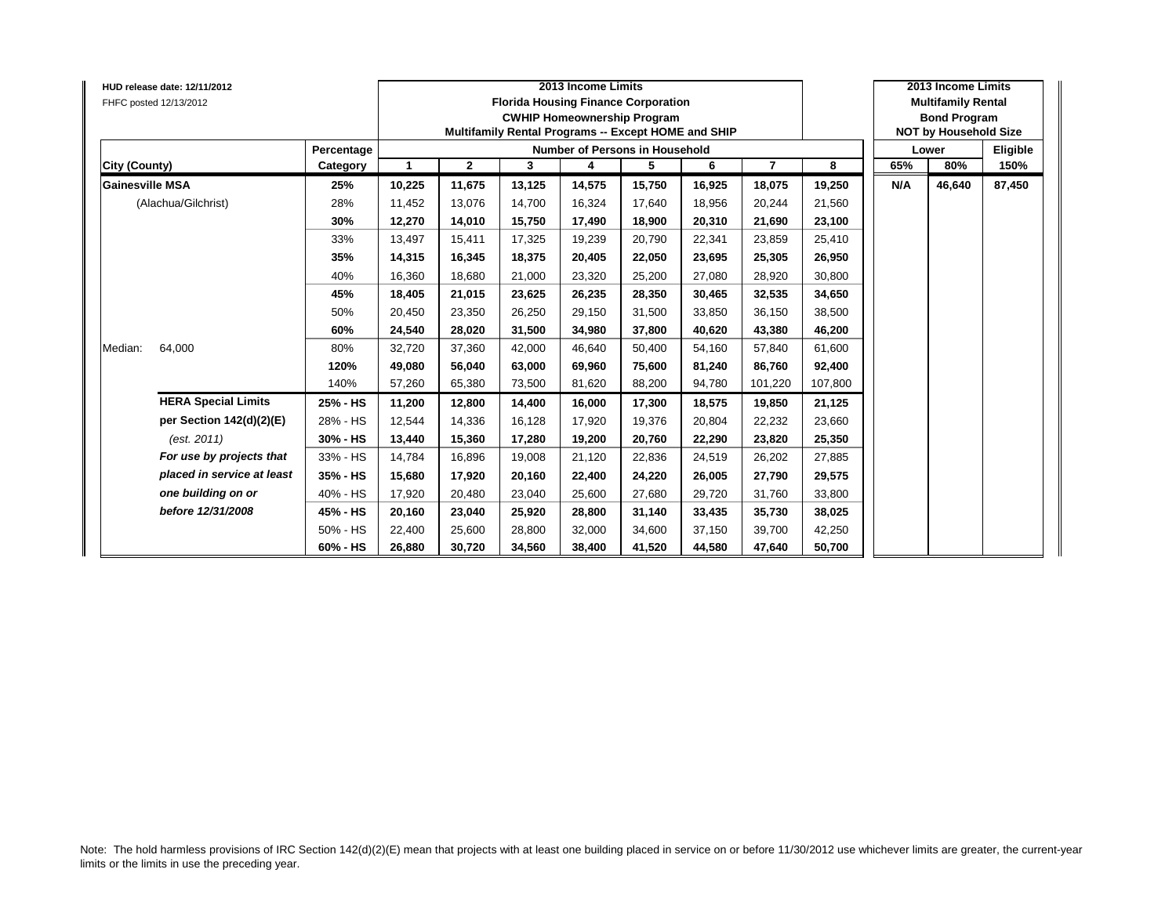| HUD release date: 12/11/2012<br>FHFC posted 12/13/2012 |            |        |              |        | 2013 Income Limits<br><b>Florida Housing Finance Corporation</b><br><b>CWHIP Homeownership Program</b><br>Multifamily Rental Programs -- Except HOME and SHIP |        |        |                |         |     | 2013 Income Limits<br><b>Multifamily Rental</b><br><b>Bond Program</b><br><b>NOT by Household Size</b> |          |
|--------------------------------------------------------|------------|--------|--------------|--------|---------------------------------------------------------------------------------------------------------------------------------------------------------------|--------|--------|----------------|---------|-----|--------------------------------------------------------------------------------------------------------|----------|
|                                                        | Percentage |        |              |        | Number of Persons in Household                                                                                                                                |        |        |                |         |     | Lower                                                                                                  | Eligible |
| <b>City (County)</b>                                   | Category   | 1      | $\mathbf{2}$ | 3      | 4                                                                                                                                                             | 5      | 6      | $\overline{7}$ | 8       | 65% | 80%                                                                                                    | 150%     |
| <b>Gainesville MSA</b>                                 | 25%        | 10,225 | 11,675       | 13,125 | 14,575                                                                                                                                                        | 15,750 | 16,925 | 18,075         | 19,250  | N/A | 46,640                                                                                                 | 87,450   |
| (Alachua/Gilchrist)                                    | 28%        | 11,452 | 13,076       | 14,700 | 16,324                                                                                                                                                        | 17,640 | 18,956 | 20,244         | 21,560  |     |                                                                                                        |          |
|                                                        | 30%        | 12,270 | 14,010       | 15,750 | 17,490                                                                                                                                                        | 18,900 | 20.310 | 21,690         | 23,100  |     |                                                                                                        |          |
|                                                        | 33%        | 13,497 | 15,411       | 17.325 | 19,239                                                                                                                                                        | 20,790 | 22,341 | 23,859         | 25,410  |     |                                                                                                        |          |
|                                                        | 35%        | 14,315 | 16,345       | 18,375 | 20,405                                                                                                                                                        | 22,050 | 23,695 | 25,305         | 26,950  |     |                                                                                                        |          |
|                                                        | 40%        | 16,360 | 18,680       | 21,000 | 23,320                                                                                                                                                        | 25,200 | 27,080 | 28,920         | 30,800  |     |                                                                                                        |          |
|                                                        | 45%        | 18,405 | 21,015       | 23,625 | 26,235                                                                                                                                                        | 28,350 | 30.465 | 32,535         | 34,650  |     |                                                                                                        |          |
|                                                        | 50%        | 20,450 | 23,350       | 26,250 | 29,150                                                                                                                                                        | 31,500 | 33,850 | 36,150         | 38,500  |     |                                                                                                        |          |
|                                                        | 60%        | 24,540 | 28,020       | 31.500 | 34,980                                                                                                                                                        | 37,800 | 40.620 | 43,380         | 46,200  |     |                                                                                                        |          |
| Median:<br>64,000                                      | 80%        | 32,720 | 37,360       | 42,000 | 46,640                                                                                                                                                        | 50,400 | 54,160 | 57,840         | 61,600  |     |                                                                                                        |          |
|                                                        | 120%       | 49,080 | 56,040       | 63,000 | 69,960                                                                                                                                                        | 75,600 | 81,240 | 86,760         | 92,400  |     |                                                                                                        |          |
|                                                        | 140%       | 57,260 | 65,380       | 73,500 | 81,620                                                                                                                                                        | 88,200 | 94,780 | 101,220        | 107,800 |     |                                                                                                        |          |
| <b>HERA Special Limits</b>                             | 25% - HS   | 11,200 | 12,800       | 14,400 | 16,000                                                                                                                                                        | 17,300 | 18,575 | 19,850         | 21,125  |     |                                                                                                        |          |
| per Section 142(d)(2)(E)                               | 28% - HS   | 12,544 | 14,336       | 16,128 | 17,920                                                                                                                                                        | 19,376 | 20.804 | 22,232         | 23,660  |     |                                                                                                        |          |
| (est. 2011)                                            | 30% - HS   | 13,440 | 15,360       | 17,280 | 19,200                                                                                                                                                        | 20,760 | 22,290 | 23,820         | 25,350  |     |                                                                                                        |          |
| For use by projects that                               | 33% - HS   | 14,784 | 16,896       | 19,008 | 21,120                                                                                                                                                        | 22,836 | 24,519 | 26,202         | 27,885  |     |                                                                                                        |          |
| placed in service at least                             | 35% - HS   | 15,680 | 17,920       | 20,160 | 22,400                                                                                                                                                        | 24,220 | 26,005 | 27,790         | 29,575  |     |                                                                                                        |          |
| one building on or                                     | 40% - HS   | 17,920 | 20,480       | 23,040 | 25,600                                                                                                                                                        | 27,680 | 29,720 | 31,760         | 33,800  |     |                                                                                                        |          |
| before 12/31/2008                                      | 45% - HS   | 20,160 | 23,040       | 25,920 | 28,800                                                                                                                                                        | 31,140 | 33,435 | 35,730         | 38,025  |     |                                                                                                        |          |
|                                                        | 50% - HS   | 22,400 | 25,600       | 28.800 | 32,000                                                                                                                                                        | 34,600 | 37.150 | 39,700         | 42,250  |     |                                                                                                        |          |
|                                                        | 60% - HS   | 26,880 | 30,720       | 34,560 | 38,400                                                                                                                                                        | 41,520 | 44,580 | 47,640         | 50,700  |     |                                                                                                        |          |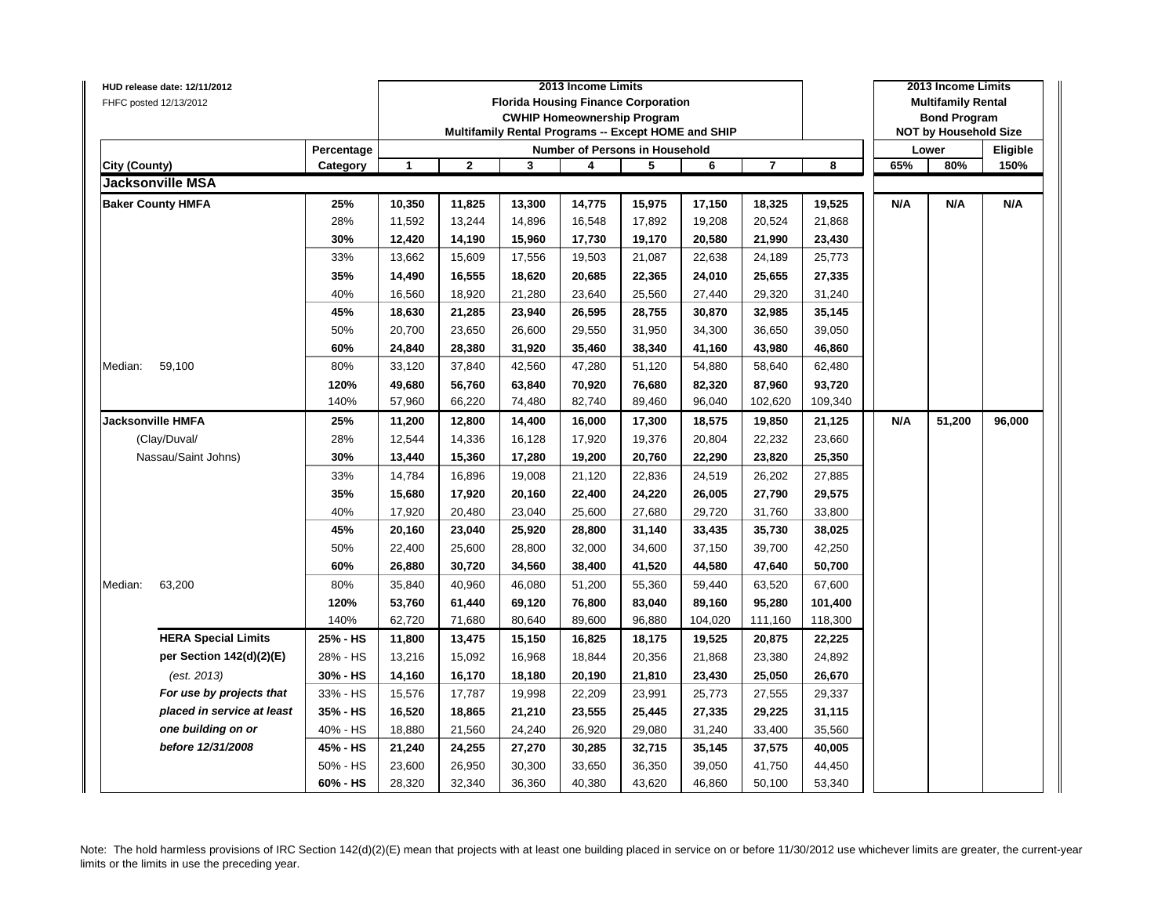|               | HUD release date: 12/11/2012            |            |              |              |        | 2013 Income Limits                                  |        |         |                |         |     | 2013 Income Limits           |          |
|---------------|-----------------------------------------|------------|--------------|--------------|--------|-----------------------------------------------------|--------|---------|----------------|---------|-----|------------------------------|----------|
|               | FHFC posted 12/13/2012                  |            |              |              |        | <b>Florida Housing Finance Corporation</b>          |        |         |                |         |     | <b>Multifamily Rental</b>    |          |
|               |                                         |            |              |              |        | <b>CWHIP Homeownership Program</b>                  |        |         |                |         |     | <b>Bond Program</b>          |          |
|               |                                         |            |              |              |        | Multifamily Rental Programs -- Except HOME and SHIP |        |         |                |         |     | <b>NOT by Household Size</b> |          |
|               |                                         | Percentage |              |              |        | Number of Persons in Household                      |        |         |                |         |     | Lower                        | Eligible |
| City (County) |                                         | Category   | $\mathbf{1}$ | $\mathbf{2}$ | 3      | 4                                                   | 5      | 6       | $\overline{7}$ | 8       | 65% | 80%                          | 150%     |
|               | <b>Jacksonville MSA</b>                 |            |              |              |        |                                                     |        |         |                |         |     |                              |          |
|               | <b>Baker County HMFA</b>                | 25%        | 10,350       | 11,825       | 13,300 | 14,775                                              | 15,975 | 17,150  | 18,325         | 19,525  | N/A | N/A                          | N/A      |
|               |                                         | 28%        | 11,592       | 13,244       | 14,896 | 16,548                                              | 17,892 | 19,208  | 20,524         | 21,868  |     |                              |          |
|               |                                         | 30%        | 12,420       | 14,190       | 15,960 | 17,730                                              | 19,170 | 20,580  | 21,990         | 23,430  |     |                              |          |
|               |                                         | 33%        | 13,662       | 15,609       | 17,556 | 19,503                                              | 21,087 | 22,638  | 24,189         | 25,773  |     |                              |          |
|               |                                         | 35%        | 14,490       | 16,555       | 18,620 | 20,685                                              | 22,365 | 24,010  | 25,655         | 27,335  |     |                              |          |
|               |                                         | 40%        | 16,560       | 18,920       | 21,280 | 23,640                                              | 25,560 | 27,440  | 29,320         | 31,240  |     |                              |          |
|               |                                         | 45%        | 18,630       | 21,285       | 23,940 | 26,595                                              | 28,755 | 30,870  | 32,985         | 35,145  |     |                              |          |
|               |                                         | 50%        | 20,700       | 23,650       | 26,600 | 29,550                                              | 31,950 | 34,300  | 36,650         | 39,050  |     |                              |          |
|               |                                         | 60%        | 24,840       | 28,380       | 31,920 | 35,460                                              | 38,340 | 41,160  | 43,980         | 46,860  |     |                              |          |
| Median:       | 59,100                                  | 80%        | 33,120       | 37,840       | 42,560 | 47,280                                              | 51,120 | 54,880  | 58,640         | 62,480  |     |                              |          |
|               |                                         | 120%       | 49,680       | 56,760       | 63,840 | 70,920                                              | 76,680 | 82,320  | 87,960         | 93,720  |     |                              |          |
|               |                                         | 140%       | 57,960       | 66,220       | 74,480 | 82,740                                              | 89,460 | 96,040  | 102,620        | 109,340 |     |                              |          |
|               | <b>Jacksonville HMFA</b>                | 25%        | 11,200       | 12,800       | 14,400 | 16,000                                              | 17,300 | 18,575  | 19,850         | 21,125  | N/A | 51,200                       | 96,000   |
|               | (Clay/Duval/                            | 28%        | 12,544       | 14,336       | 16,128 | 17,920                                              | 19,376 | 20,804  | 22,232         | 23,660  |     |                              |          |
|               | Nassau/Saint Johns)                     | 30%        | 13,440       | 15,360       | 17,280 | 19,200                                              | 20,760 | 22,290  | 23,820         | 25,350  |     |                              |          |
|               |                                         | 33%        | 14,784       | 16,896       | 19,008 | 21,120                                              | 22,836 | 24,519  | 26,202         | 27,885  |     |                              |          |
|               |                                         | 35%        | 15,680       | 17,920       | 20,160 | 22,400                                              | 24,220 | 26,005  | 27,790         | 29,575  |     |                              |          |
|               |                                         | 40%        | 17,920       | 20,480       | 23,040 | 25,600                                              | 27,680 | 29,720  | 31,760         | 33,800  |     |                              |          |
|               |                                         | 45%        | 20,160       | 23,040       | 25,920 | 28,800                                              | 31,140 | 33,435  | 35,730         | 38,025  |     |                              |          |
|               |                                         | 50%        | 22,400       | 25,600       | 28,800 | 32,000                                              | 34,600 | 37,150  | 39,700         | 42,250  |     |                              |          |
|               |                                         | 60%        | 26,880       | 30,720       | 34,560 | 38,400                                              | 41,520 | 44,580  | 47,640         | 50,700  |     |                              |          |
| Median:       | 63,200                                  | 80%        | 35,840       | 40,960       | 46,080 | 51,200                                              | 55,360 | 59,440  | 63,520         | 67,600  |     |                              |          |
|               |                                         | 120%       | 53,760       | 61,440       | 69,120 | 76,800                                              | 83,040 | 89,160  | 95,280         | 101,400 |     |                              |          |
|               |                                         | 140%       | 62,720       | 71,680       | 80,640 | 89,600                                              | 96,880 | 104,020 | 111,160        | 118,300 |     |                              |          |
|               | <b>HERA Special Limits</b>              | 25% - HS   | 11,800       | 13,475       | 15,150 | 16,825                                              | 18,175 | 19,525  | 20,875         | 22,225  |     |                              |          |
|               | per Section 142(d)(2)(E)                | 28% - HS   | 13,216       | 15,092       | 16,968 | 18,844                                              | 20,356 | 21,868  |                | 24,892  |     |                              |          |
|               |                                         | 30% - HS   |              |              |        |                                                     |        |         | 23,380         |         |     |                              |          |
|               | (est. 2013)<br>For use by projects that | 33% - HS   | 14,160       | 16,170       | 18,180 | 20,190                                              | 21,810 | 23,430  | 25,050         | 26,670  |     |                              |          |
|               | placed in service at least              |            | 15,576       | 17,787       | 19,998 | 22,209                                              | 23,991 | 25,773  | 27,555         | 29,337  |     |                              |          |
|               |                                         | 35% - HS   | 16,520       | 18,865       | 21,210 | 23,555                                              | 25,445 | 27,335  | 29,225         | 31,115  |     |                              |          |
|               | one building on or                      | 40% - HS   | 18,880       | 21,560       | 24,240 | 26,920                                              | 29,080 | 31,240  | 33,400         | 35,560  |     |                              |          |
|               | before 12/31/2008                       | 45% - HS   | 21,240       | 24,255       | 27,270 | 30,285                                              | 32,715 | 35,145  | 37,575         | 40,005  |     |                              |          |
|               |                                         | 50% - HS   | 23,600       | 26,950       | 30,300 | 33,650                                              | 36,350 | 39,050  | 41,750         | 44,450  |     |                              |          |
|               |                                         | 60% - HS   | 28,320       | 32,340       | 36,360 | 40,380                                              | 43,620 | 46,860  | 50,100         | 53,340  |     |                              |          |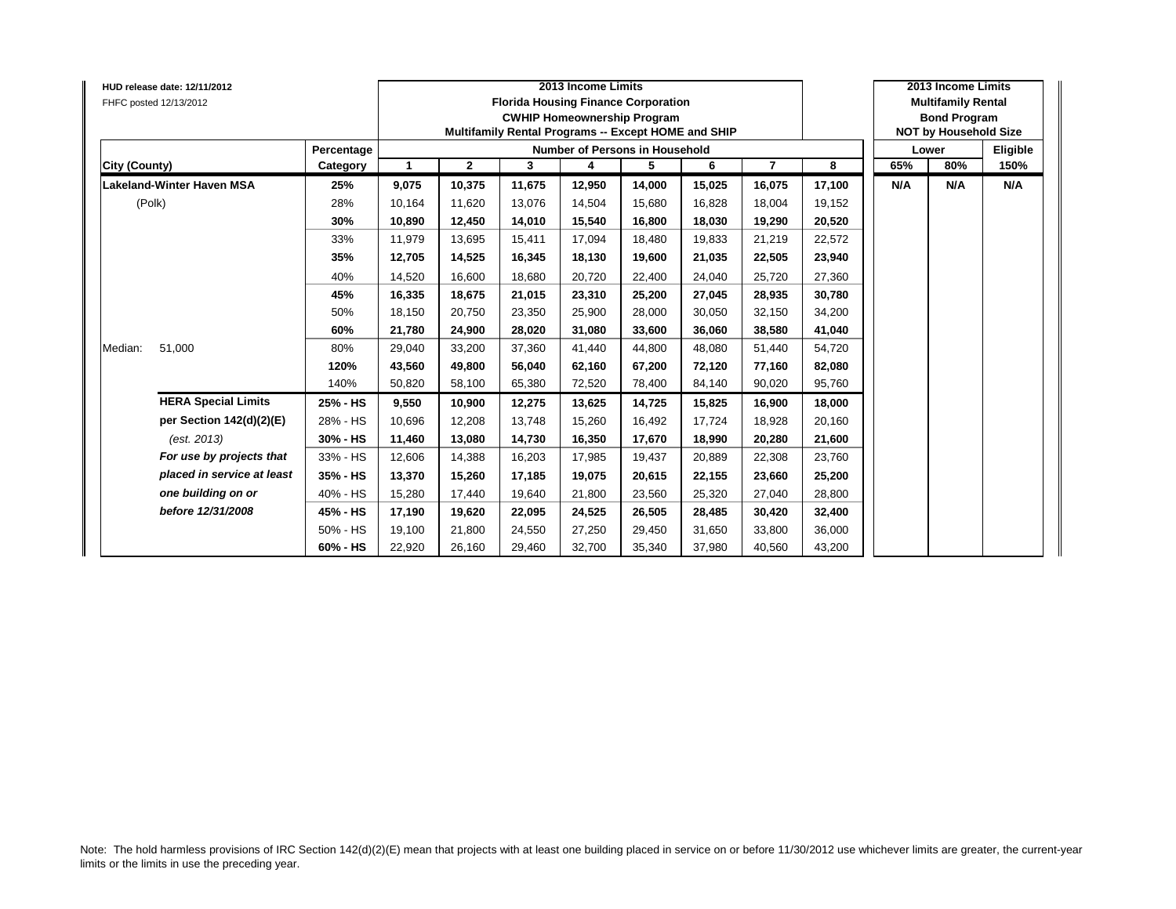| HUD release date: 12/11/2012<br>FHFC posted 12/13/2012 |            |                |              |        | 2013 Income Limits<br><b>Florida Housing Finance Corporation</b><br><b>CWHIP Homeownership Program</b><br>Multifamily Rental Programs -- Except HOME and SHIP |        |        |                |        |     | 2013 Income Limits<br><b>Multifamily Rental</b><br><b>Bond Program</b><br><b>NOT by Household Size</b> |          |
|--------------------------------------------------------|------------|----------------|--------------|--------|---------------------------------------------------------------------------------------------------------------------------------------------------------------|--------|--------|----------------|--------|-----|--------------------------------------------------------------------------------------------------------|----------|
|                                                        | Percentage |                |              |        | <b>Number of Persons in Household</b>                                                                                                                         |        |        |                |        |     | Lower                                                                                                  | Eligible |
| City (County)                                          | Category   | $\overline{1}$ | $\mathbf{2}$ | 3      | 4                                                                                                                                                             | 5      | 6      | $\overline{7}$ | 8      | 65% | 80%                                                                                                    | 150%     |
| <b>Lakeland-Winter Haven MSA</b>                       | 25%        | 9,075          | 10,375       | 11,675 | 12,950                                                                                                                                                        | 14,000 | 15,025 | 16,075         | 17,100 | N/A | N/A                                                                                                    | N/A      |
| (Polk)                                                 | 28%        | 10,164         | 11,620       | 13,076 | 14,504                                                                                                                                                        | 15,680 | 16,828 | 18,004         | 19,152 |     |                                                                                                        |          |
|                                                        | 30%        | 10,890         | 12,450       | 14,010 | 15,540                                                                                                                                                        | 16,800 | 18,030 | 19,290         | 20,520 |     |                                                                                                        |          |
|                                                        | 33%        | 11,979         | 13,695       | 15,411 | 17,094                                                                                                                                                        | 18,480 | 19.833 | 21,219         | 22,572 |     |                                                                                                        |          |
|                                                        | 35%        | 12,705         | 14,525       | 16,345 | 18,130                                                                                                                                                        | 19,600 | 21,035 | 22,505         | 23,940 |     |                                                                                                        |          |
|                                                        | 40%        | 14,520         | 16,600       | 18,680 | 20,720                                                                                                                                                        | 22,400 | 24,040 | 25,720         | 27,360 |     |                                                                                                        |          |
|                                                        | 45%        | 16,335         | 18,675       | 21,015 | 23,310                                                                                                                                                        | 25,200 | 27,045 | 28,935         | 30,780 |     |                                                                                                        |          |
|                                                        | 50%        | 18,150         | 20,750       | 23,350 | 25,900                                                                                                                                                        | 28,000 | 30.050 | 32,150         | 34,200 |     |                                                                                                        |          |
|                                                        | 60%        | 21.780         | 24.900       | 28.020 | 31.080                                                                                                                                                        | 33.600 | 36.060 | 38,580         | 41,040 |     |                                                                                                        |          |
| 51,000<br>Median:                                      | 80%        | 29,040         | 33,200       | 37,360 | 41,440                                                                                                                                                        | 44,800 | 48,080 | 51,440         | 54,720 |     |                                                                                                        |          |
|                                                        | 120%       | 43,560         | 49,800       | 56,040 | 62,160                                                                                                                                                        | 67,200 | 72,120 | 77,160         | 82,080 |     |                                                                                                        |          |
|                                                        | 140%       | 50,820         | 58,100       | 65,380 | 72,520                                                                                                                                                        | 78,400 | 84,140 | 90,020         | 95,760 |     |                                                                                                        |          |
| <b>HERA Special Limits</b>                             | 25% - HS   | 9,550          | 10,900       | 12,275 | 13,625                                                                                                                                                        | 14,725 | 15,825 | 16,900         | 18,000 |     |                                                                                                        |          |
| per Section 142(d)(2)(E)                               | 28% - HS   | 10,696         | 12,208       | 13.748 | 15,260                                                                                                                                                        | 16,492 | 17,724 | 18,928         | 20,160 |     |                                                                                                        |          |
| (est. 2013)                                            | 30% - HS   | 11,460         | 13,080       | 14,730 | 16,350                                                                                                                                                        | 17,670 | 18,990 | 20,280         | 21,600 |     |                                                                                                        |          |
| For use by projects that                               | 33% - HS   | 12,606         | 14,388       | 16,203 | 17,985                                                                                                                                                        | 19,437 | 20,889 | 22,308         | 23,760 |     |                                                                                                        |          |
| placed in service at least                             | 35% - HS   | 13,370         | 15,260       | 17,185 | 19,075                                                                                                                                                        | 20,615 | 22,155 | 23,660         | 25,200 |     |                                                                                                        |          |
| one building on or                                     | 40% - HS   | 15,280         | 17,440       | 19,640 | 21,800                                                                                                                                                        | 23,560 | 25,320 | 27,040         | 28,800 |     |                                                                                                        |          |
| before 12/31/2008                                      | 45% - HS   | 17,190         | 19,620       | 22,095 | 24,525                                                                                                                                                        | 26,505 | 28,485 | 30,420         | 32,400 |     |                                                                                                        |          |
|                                                        | 50% - HS   | 19,100         | 21,800       | 24,550 | 27,250                                                                                                                                                        | 29,450 | 31,650 | 33,800         | 36,000 |     |                                                                                                        |          |
|                                                        | 60% - HS   | 22,920         | 26,160       | 29,460 | 32,700                                                                                                                                                        | 35,340 | 37,980 | 40,560         | 43,200 |     |                                                                                                        |          |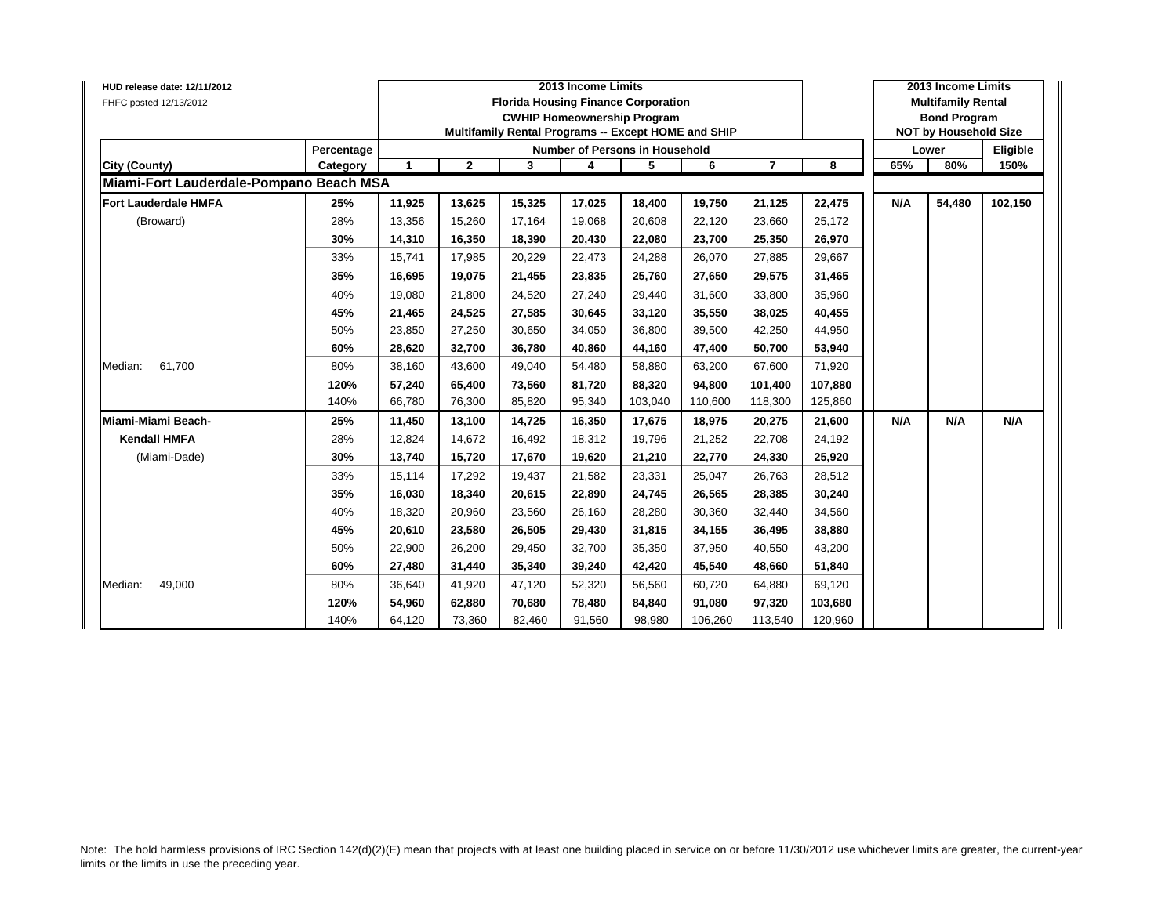| HUD release date: 12/11/2012            |            |              |              |        | 2013 Income Limits                                                                                                                      |         |         |                |         |     | 2013 Income Limits                                                               |          |
|-----------------------------------------|------------|--------------|--------------|--------|-----------------------------------------------------------------------------------------------------------------------------------------|---------|---------|----------------|---------|-----|----------------------------------------------------------------------------------|----------|
| FHFC posted 12/13/2012                  |            |              |              |        | <b>Florida Housing Finance Corporation</b><br><b>CWHIP Homeownership Program</b><br>Multifamily Rental Programs -- Except HOME and SHIP |         |         |                |         |     | <b>Multifamily Rental</b><br><b>Bond Program</b><br><b>NOT by Household Size</b> |          |
|                                         | Percentage |              |              |        | Number of Persons in Household                                                                                                          |         |         |                |         |     | Lower                                                                            | Eligible |
| City (County)                           | Category   | $\mathbf{1}$ | $\mathbf{2}$ | 3      | 4                                                                                                                                       | 5       | 6       | $\overline{7}$ | 8       | 65% | 80%                                                                              | 150%     |
| Miami-Fort Lauderdale-Pompano Beach MSA |            |              |              |        |                                                                                                                                         |         |         |                |         |     |                                                                                  |          |
| <b>Fort Lauderdale HMFA</b>             | 25%        | 11,925       | 13,625       | 15,325 | 17,025                                                                                                                                  | 18,400  | 19,750  | 21,125         | 22,475  | N/A | 54,480                                                                           | 102,150  |
| (Broward)                               | 28%        | 13,356       | 15,260       | 17.164 | 19,068                                                                                                                                  | 20,608  | 22.120  | 23,660         | 25,172  |     |                                                                                  |          |
|                                         | 30%        | 14,310       | 16,350       | 18,390 | 20,430                                                                                                                                  | 22,080  | 23,700  | 25,350         | 26,970  |     |                                                                                  |          |
|                                         | 33%        | 15,741       | 17,985       | 20,229 | 22,473                                                                                                                                  | 24,288  | 26,070  | 27,885         | 29,667  |     |                                                                                  |          |
|                                         | 35%        | 16,695       | 19,075       | 21,455 | 23,835                                                                                                                                  | 25,760  | 27,650  | 29,575         | 31,465  |     |                                                                                  |          |
|                                         | 40%        | 19,080       | 21,800       | 24,520 | 27,240                                                                                                                                  | 29,440  | 31,600  | 33,800         | 35,960  |     |                                                                                  |          |
|                                         | 45%        | 21,465       | 24,525       | 27,585 | 30,645                                                                                                                                  | 33,120  | 35,550  | 38,025         | 40,455  |     |                                                                                  |          |
|                                         | 50%        | 23,850       | 27,250       | 30,650 | 34,050                                                                                                                                  | 36,800  | 39,500  | 42,250         | 44,950  |     |                                                                                  |          |
|                                         | 60%        | 28,620       | 32,700       | 36,780 | 40,860                                                                                                                                  | 44,160  | 47,400  | 50,700         | 53,940  |     |                                                                                  |          |
| 61,700<br>Median:                       | 80%        | 38,160       | 43,600       | 49,040 | 54,480                                                                                                                                  | 58,880  | 63,200  | 67,600         | 71,920  |     |                                                                                  |          |
|                                         | 120%       | 57,240       | 65,400       | 73,560 | 81,720                                                                                                                                  | 88,320  | 94.800  | 101,400        | 107,880 |     |                                                                                  |          |
|                                         | 140%       | 66,780       | 76,300       | 85,820 | 95,340                                                                                                                                  | 103,040 | 110,600 | 118,300        | 125,860 |     |                                                                                  |          |
| Miami-Miami Beach-                      | 25%        | 11,450       | 13,100       | 14,725 | 16,350                                                                                                                                  | 17,675  | 18,975  | 20,275         | 21,600  | N/A | N/A                                                                              | N/A      |
| <b>Kendall HMFA</b>                     | 28%        | 12,824       | 14,672       | 16,492 | 18,312                                                                                                                                  | 19,796  | 21,252  | 22,708         | 24,192  |     |                                                                                  |          |
| (Miami-Dade)                            | 30%        | 13,740       | 15,720       | 17,670 | 19,620                                                                                                                                  | 21,210  | 22,770  | 24,330         | 25,920  |     |                                                                                  |          |
|                                         | 33%        | 15,114       | 17,292       | 19,437 | 21,582                                                                                                                                  | 23,331  | 25,047  | 26,763         | 28,512  |     |                                                                                  |          |
|                                         | 35%        | 16,030       | 18,340       | 20,615 | 22,890                                                                                                                                  | 24,745  | 26,565  | 28,385         | 30,240  |     |                                                                                  |          |
|                                         | 40%        | 18,320       | 20,960       | 23,560 | 26,160                                                                                                                                  | 28,280  | 30,360  | 32,440         | 34,560  |     |                                                                                  |          |
|                                         | 45%        | 20,610       | 23,580       | 26,505 | 29,430                                                                                                                                  | 31,815  | 34,155  | 36,495         | 38,880  |     |                                                                                  |          |
|                                         | 50%        | 22,900       | 26,200       | 29,450 | 32,700                                                                                                                                  | 35,350  | 37,950  | 40,550         | 43,200  |     |                                                                                  |          |
|                                         | 60%        | 27,480       | 31,440       | 35,340 | 39,240                                                                                                                                  | 42,420  | 45,540  | 48,660         | 51,840  |     |                                                                                  |          |
| 49,000<br>Median:                       | 80%        | 36,640       | 41,920       | 47,120 | 52,320                                                                                                                                  | 56,560  | 60,720  | 64,880         | 69,120  |     |                                                                                  |          |
|                                         | 120%       | 54,960       | 62,880       | 70,680 | 78,480                                                                                                                                  | 84,840  | 91,080  | 97,320         | 103,680 |     |                                                                                  |          |
|                                         | 140%       | 64,120       | 73,360       | 82,460 | 91,560                                                                                                                                  | 98,980  | 106,260 | 113,540        | 120,960 |     |                                                                                  |          |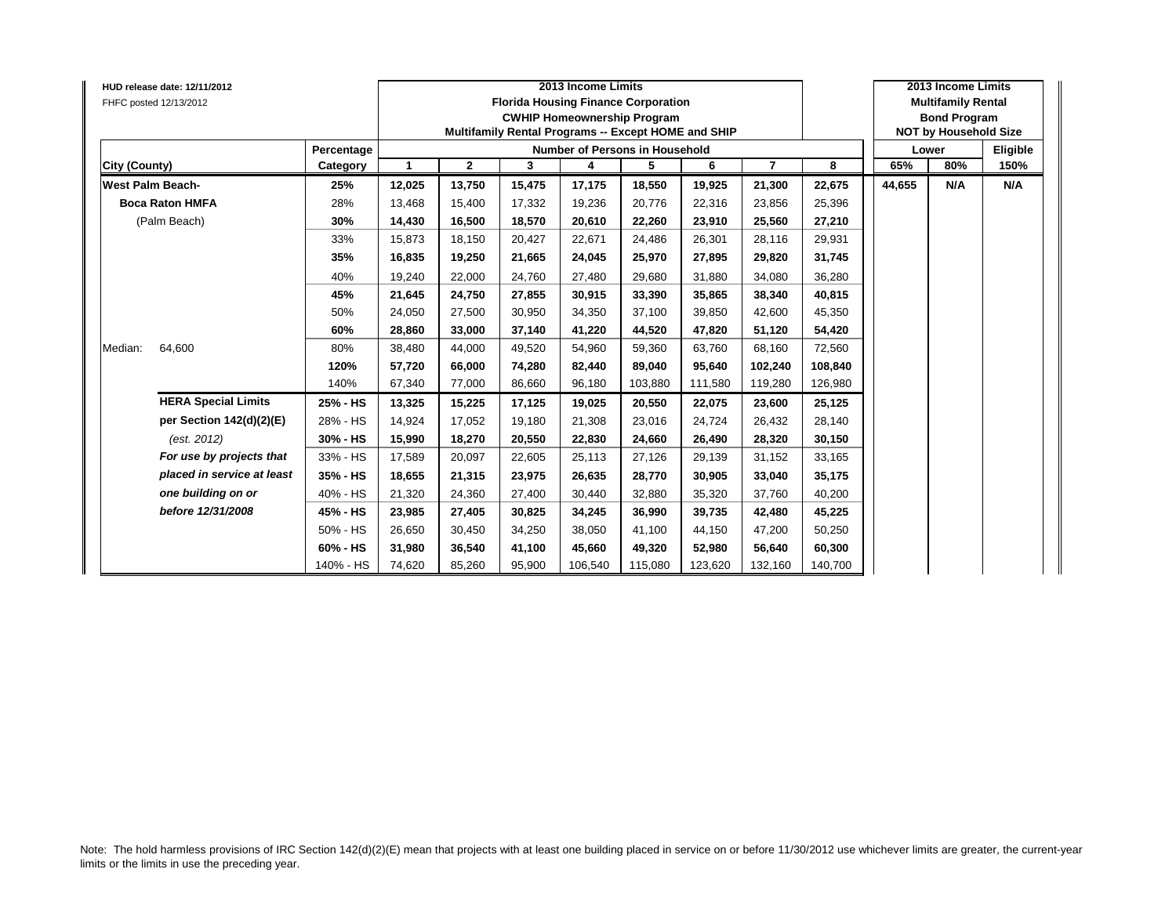|               | HUD release date: 12/11/2012<br>FHFC posted 12/13/2012 |            |              |              | <b>Florida Housing Finance Corporation</b><br>Multifamily Rental Programs -- Except HOME and SHIP | 2013 Income Limits<br><b>CWHIP Homeownership Program</b> |         |         |                |         |        | 2013 Income Limits<br><b>Multifamily Rental</b><br><b>Bond Program</b><br><b>NOT by Household Size</b> |          |
|---------------|--------------------------------------------------------|------------|--------------|--------------|---------------------------------------------------------------------------------------------------|----------------------------------------------------------|---------|---------|----------------|---------|--------|--------------------------------------------------------------------------------------------------------|----------|
|               |                                                        | Percentage |              |              |                                                                                                   | Number of Persons in Household                           |         |         |                |         |        | Lower                                                                                                  | Eligible |
| City (County) |                                                        | Category   | $\mathbf{1}$ | $\mathbf{2}$ | 3                                                                                                 | 4                                                        | 5       | 6       | $\overline{7}$ | 8       | 65%    | 80%                                                                                                    | 150%     |
|               | <b>West Palm Beach-</b>                                | 25%        | 12,025       | 13,750       | 15,475                                                                                            | 17,175                                                   | 18,550  | 19,925  | 21,300         | 22,675  | 44,655 | N/A                                                                                                    | N/A      |
|               | <b>Boca Raton HMFA</b>                                 | 28%        | 13,468       | 15,400       | 17,332                                                                                            | 19,236                                                   | 20,776  | 22,316  | 23,856         | 25,396  |        |                                                                                                        |          |
|               | (Palm Beach)                                           | 30%        | 14,430       | 16,500       | 18,570                                                                                            | 20,610                                                   | 22,260  | 23,910  | 25,560         | 27,210  |        |                                                                                                        |          |
|               |                                                        | 33%        | 15,873       | 18,150       | 20,427                                                                                            | 22,671                                                   | 24,486  | 26,301  | 28,116         | 29,931  |        |                                                                                                        |          |
|               |                                                        | 35%        | 16,835       | 19,250       | 21,665                                                                                            | 24,045                                                   | 25,970  | 27,895  | 29,820         | 31,745  |        |                                                                                                        |          |
|               |                                                        | 40%        | 19,240       | 22,000       | 24,760                                                                                            | 27,480                                                   | 29,680  | 31,880  | 34,080         | 36,280  |        |                                                                                                        |          |
|               |                                                        | 45%        | 21,645       | 24,750       | 27,855                                                                                            | 30,915                                                   | 33,390  | 35,865  | 38,340         | 40,815  |        |                                                                                                        |          |
|               |                                                        | 50%        | 24,050       | 27,500       | 30,950                                                                                            | 34,350                                                   | 37,100  | 39,850  | 42,600         | 45,350  |        |                                                                                                        |          |
|               |                                                        | 60%        | 28,860       | 33,000       | 37,140                                                                                            | 41,220                                                   | 44,520  | 47,820  | 51,120         | 54,420  |        |                                                                                                        |          |
| Median:       | 64,600                                                 | 80%        | 38,480       | 44,000       | 49,520                                                                                            | 54,960                                                   | 59,360  | 63,760  | 68,160         | 72,560  |        |                                                                                                        |          |
|               |                                                        | 120%       | 57,720       | 66,000       | 74,280                                                                                            | 82,440                                                   | 89,040  | 95,640  | 102,240        | 108,840 |        |                                                                                                        |          |
|               |                                                        | 140%       | 67,340       | 77,000       | 86,660                                                                                            | 96,180                                                   | 103,880 | 111,580 | 119,280        | 126,980 |        |                                                                                                        |          |
|               | <b>HERA Special Limits</b>                             | 25% - HS   | 13,325       | 15,225       | 17,125                                                                                            | 19,025                                                   | 20,550  | 22,075  | 23,600         | 25,125  |        |                                                                                                        |          |
|               | per Section 142(d)(2)(E)                               | 28% - HS   | 14,924       | 17,052       | 19.180                                                                                            | 21,308                                                   | 23,016  | 24.724  | 26,432         | 28,140  |        |                                                                                                        |          |
|               | (est. 2012)                                            | 30% - HS   | 15,990       | 18,270       | 20,550                                                                                            | 22,830                                                   | 24,660  | 26,490  | 28,320         | 30,150  |        |                                                                                                        |          |
|               | For use by projects that                               | 33% - HS   | 17,589       | 20,097       | 22,605                                                                                            | 25,113                                                   | 27,126  | 29,139  | 31,152         | 33,165  |        |                                                                                                        |          |
|               | placed in service at least                             | 35% - HS   | 18,655       | 21,315       | 23,975                                                                                            | 26,635                                                   | 28,770  | 30,905  | 33,040         | 35,175  |        |                                                                                                        |          |
|               | one building on or                                     | 40% - HS   | 21,320       | 24,360       | 27,400                                                                                            | 30,440                                                   | 32,880  | 35,320  | 37,760         | 40,200  |        |                                                                                                        |          |
|               | before 12/31/2008                                      | 45% - HS   | 23,985       | 27,405       | 30,825                                                                                            | 34,245                                                   | 36,990  | 39,735  | 42,480         | 45,225  |        |                                                                                                        |          |
|               |                                                        | 50% - HS   | 26,650       | 30,450       | 34,250                                                                                            | 38,050                                                   | 41,100  | 44,150  | 47,200         | 50,250  |        |                                                                                                        |          |
|               |                                                        | 60% - HS   | 31,980       | 36,540       | 41,100                                                                                            | 45,660                                                   | 49,320  | 52,980  | 56,640         | 60,300  |        |                                                                                                        |          |
|               |                                                        | 140% - HS  | 74,620       | 85,260       | 95,900                                                                                            | 106,540                                                  | 115,080 | 123,620 | 132,160        | 140,700 |        |                                                                                                        |          |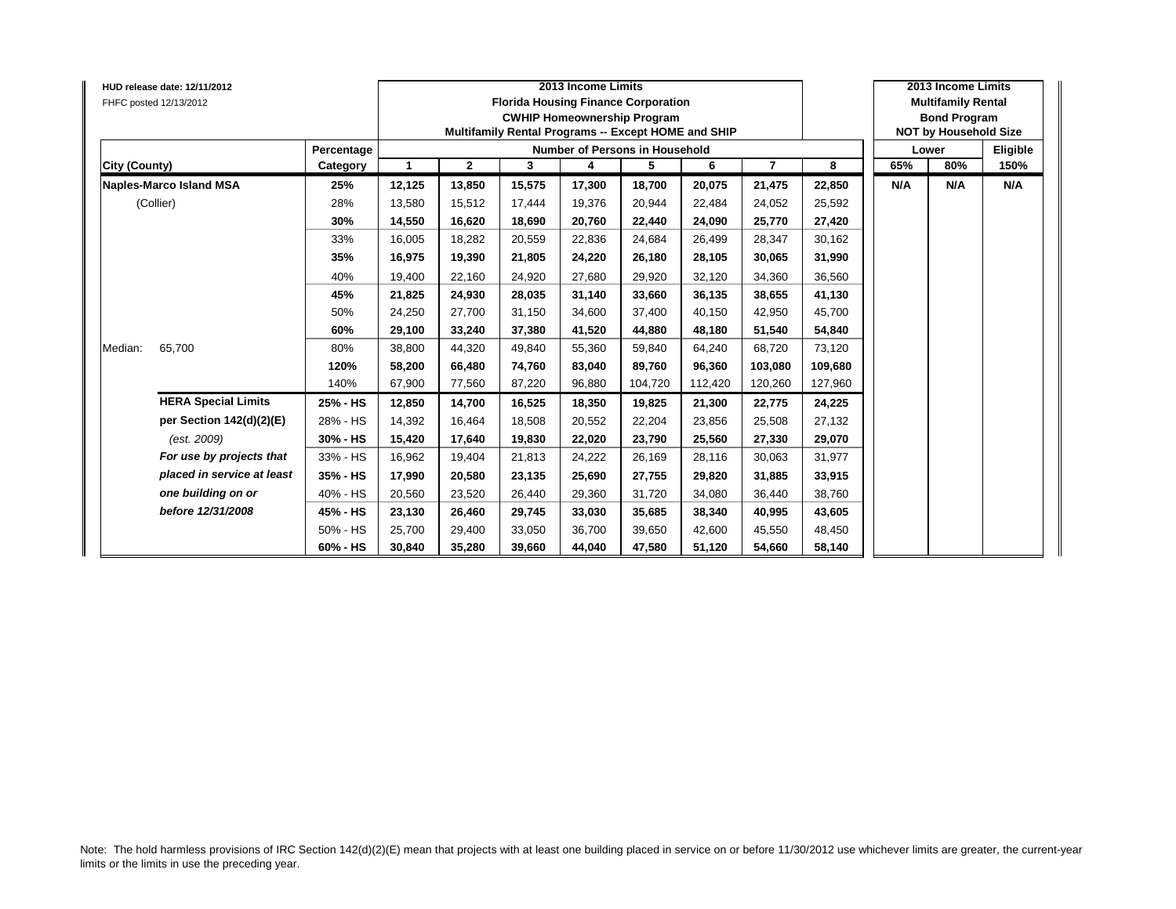| HUD release date: 12/11/2012<br>FHFC posted 12/13/2012 |            |        |              |        | 2013 Income Limits | <b>Florida Housing Finance Corporation</b><br><b>CWHIP Homeownership Program</b><br>Multifamily Rental Programs -- Except HOME and SHIP |         |                |         |     | 2013 Income Limits<br><b>Multifamily Rental</b><br><b>Bond Program</b><br><b>NOT by Household Size</b> |          |
|--------------------------------------------------------|------------|--------|--------------|--------|--------------------|-----------------------------------------------------------------------------------------------------------------------------------------|---------|----------------|---------|-----|--------------------------------------------------------------------------------------------------------|----------|
|                                                        | Percentage |        |              |        |                    | Number of Persons in Household                                                                                                          |         |                |         |     | Lower                                                                                                  | Eligible |
| <b>City (County)</b>                                   | Category   | -1     | $\mathbf{2}$ | 3      | 4                  | 5                                                                                                                                       | 6       | $\overline{7}$ | 8       | 65% | 80%                                                                                                    | 150%     |
| Naples-Marco Island MSA                                | 25%        | 12,125 | 13,850       | 15,575 | 17,300             | 18,700                                                                                                                                  | 20,075  | 21,475         | 22,850  | N/A | N/A                                                                                                    | N/A      |
| (Collier)                                              | 28%        | 13,580 | 15,512       | 17,444 | 19,376             | 20,944                                                                                                                                  | 22,484  | 24,052         | 25,592  |     |                                                                                                        |          |
|                                                        | 30%        | 14,550 | 16,620       | 18,690 | 20,760             | 22,440                                                                                                                                  | 24,090  | 25,770         | 27,420  |     |                                                                                                        |          |
|                                                        | 33%        | 16,005 | 18,282       | 20,559 | 22,836             | 24,684                                                                                                                                  | 26.499  | 28,347         | 30,162  |     |                                                                                                        |          |
|                                                        | 35%        | 16,975 | 19,390       | 21,805 | 24,220             | 26,180                                                                                                                                  | 28,105  | 30,065         | 31,990  |     |                                                                                                        |          |
|                                                        | 40%        | 19,400 | 22,160       | 24,920 | 27,680             | 29,920                                                                                                                                  | 32,120  | 34,360         | 36,560  |     |                                                                                                        |          |
|                                                        | 45%        | 21,825 | 24,930       | 28,035 | 31,140             | 33,660                                                                                                                                  | 36.135  | 38,655         | 41,130  |     |                                                                                                        |          |
|                                                        | 50%        | 24,250 | 27,700       | 31,150 | 34,600             | 37,400                                                                                                                                  | 40,150  | 42,950         | 45,700  |     |                                                                                                        |          |
|                                                        | 60%        | 29,100 | 33,240       | 37.380 | 41,520             | 44.880                                                                                                                                  | 48.180  | 51,540         | 54,840  |     |                                                                                                        |          |
| 65,700<br>Median:                                      | 80%        | 38,800 | 44,320       | 49,840 | 55,360             | 59,840                                                                                                                                  | 64,240  | 68,720         | 73,120  |     |                                                                                                        |          |
|                                                        | 120%       | 58,200 | 66,480       | 74,760 | 83,040             | 89,760                                                                                                                                  | 96,360  | 103,080        | 109,680 |     |                                                                                                        |          |
|                                                        | 140%       | 67,900 | 77,560       | 87,220 | 96,880             | 104,720                                                                                                                                 | 112,420 | 120,260        | 127,960 |     |                                                                                                        |          |
| <b>HERA Special Limits</b>                             | 25% - HS   | 12,850 | 14,700       | 16,525 | 18,350             | 19,825                                                                                                                                  | 21,300  | 22,775         | 24,225  |     |                                                                                                        |          |
| per Section 142(d)(2)(E)                               | 28% - HS   | 14,392 | 16,464       | 18,508 | 20,552             | 22,204                                                                                                                                  | 23.856  | 25,508         | 27,132  |     |                                                                                                        |          |
| (est. 2009)                                            | 30% - HS   | 15,420 | 17,640       | 19,830 | 22,020             | 23,790                                                                                                                                  | 25,560  | 27,330         | 29,070  |     |                                                                                                        |          |
| For use by projects that                               | 33% - HS   | 16,962 | 19,404       | 21,813 | 24,222             | 26,169                                                                                                                                  | 28,116  | 30,063         | 31,977  |     |                                                                                                        |          |
| placed in service at least                             | 35% - HS   | 17,990 | 20,580       | 23,135 | 25,690             | 27,755                                                                                                                                  | 29,820  | 31,885         | 33,915  |     |                                                                                                        |          |
| one building on or                                     | 40% - HS   | 20,560 | 23,520       | 26,440 | 29,360             | 31,720                                                                                                                                  | 34.080  | 36,440         | 38,760  |     |                                                                                                        |          |
| before 12/31/2008                                      | 45% - HS   | 23,130 | 26,460       | 29,745 | 33,030             | 35,685                                                                                                                                  | 38.340  | 40,995         | 43,605  |     |                                                                                                        |          |
|                                                        | 50% - HS   | 25,700 | 29,400       | 33,050 | 36,700             | 39,650                                                                                                                                  | 42.600  | 45,550         | 48,450  |     |                                                                                                        |          |
|                                                        | 60% - HS   | 30,840 | 35,280       | 39,660 | 44,040             | 47,580                                                                                                                                  | 51,120  | 54,660         | 58,140  |     |                                                                                                        |          |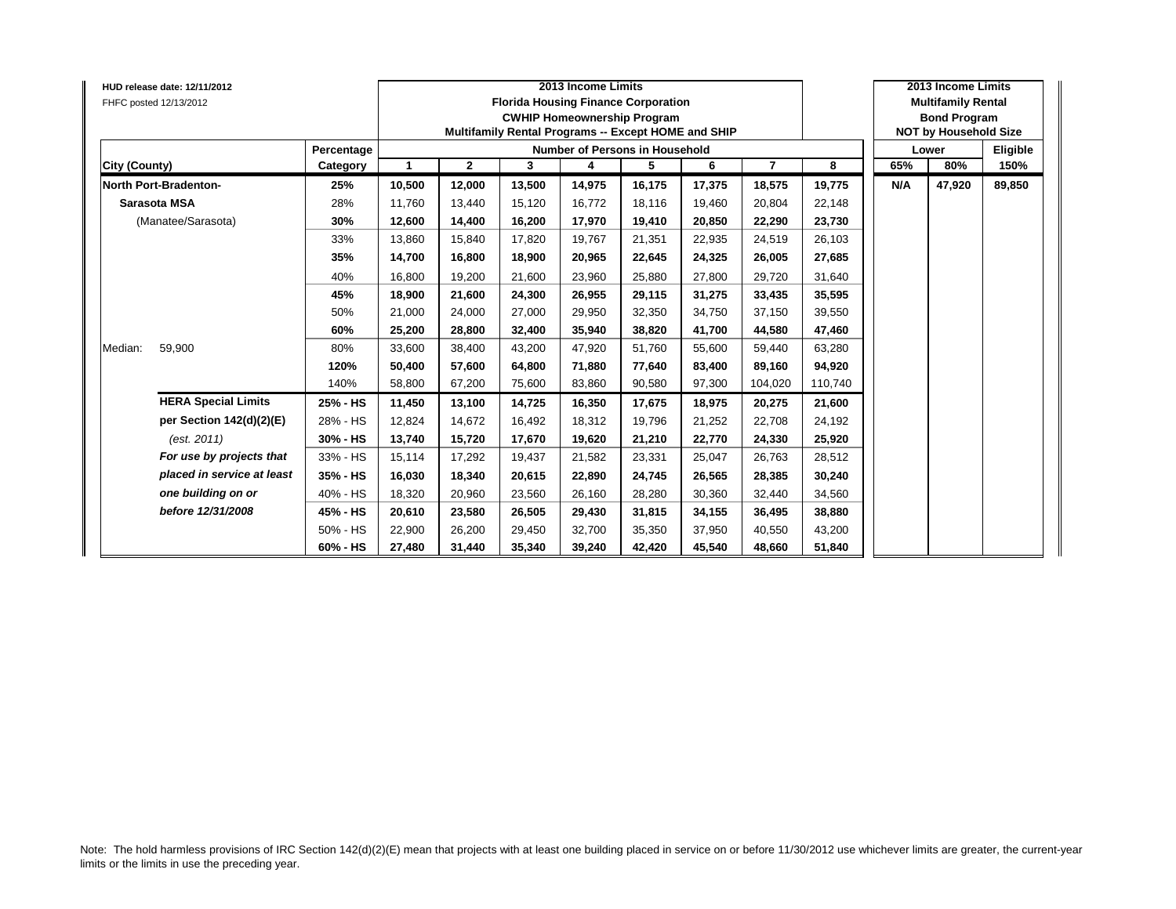| FHFC posted 12/13/2012 | HUD release date: 12/11/2012 |            |              |              |        | 2013 Income Limits<br><b>Florida Housing Finance Corporation</b><br><b>CWHIP Homeownership Program</b><br>Multifamily Rental Programs -- Except HOME and SHIP |        |        |                |         |     | 2013 Income Limits<br><b>Multifamily Rental</b><br><b>Bond Program</b><br><b>NOT by Household Size</b> |          |
|------------------------|------------------------------|------------|--------------|--------------|--------|---------------------------------------------------------------------------------------------------------------------------------------------------------------|--------|--------|----------------|---------|-----|--------------------------------------------------------------------------------------------------------|----------|
|                        |                              | Percentage |              |              |        | Number of Persons in Household                                                                                                                                |        |        |                |         |     | Lower                                                                                                  | Eligible |
| City (County)          |                              | Category   | $\mathbf{1}$ | $\mathbf{2}$ | 3      | 4                                                                                                                                                             | 5      | 6      | $\overline{7}$ | 8       | 65% | 80%                                                                                                    | 150%     |
|                        | <b>North Port-Bradenton-</b> | 25%        | 10,500       | 12,000       | 13,500 | 14,975                                                                                                                                                        | 16,175 | 17,375 | 18,575         | 19,775  | N/A | 47,920                                                                                                 | 89,850   |
| Sarasota MSA           |                              | 28%        | 11,760       | 13,440       | 15.120 | 16,772                                                                                                                                                        | 18,116 | 19.460 | 20,804         | 22,148  |     |                                                                                                        |          |
|                        | (Manatee/Sarasota)           | 30%        | 12,600       | 14,400       | 16,200 | 17,970                                                                                                                                                        | 19,410 | 20.850 | 22,290         | 23,730  |     |                                                                                                        |          |
|                        |                              | 33%        | 13,860       | 15.840       | 17.820 | 19.767                                                                                                                                                        | 21,351 | 22.935 | 24,519         | 26,103  |     |                                                                                                        |          |
|                        |                              | 35%        | 14,700       | 16,800       | 18,900 | 20,965                                                                                                                                                        | 22,645 | 24,325 | 26,005         | 27,685  |     |                                                                                                        |          |
|                        |                              | 40%        | 16,800       | 19,200       | 21,600 | 23,960                                                                                                                                                        | 25,880 | 27,800 | 29,720         | 31,640  |     |                                                                                                        |          |
|                        |                              | 45%        | 18.900       | 21,600       | 24.300 | 26,955                                                                                                                                                        | 29,115 | 31.275 | 33,435         | 35,595  |     |                                                                                                        |          |
|                        |                              | 50%        | 21,000       | 24,000       | 27,000 | 29,950                                                                                                                                                        | 32,350 | 34,750 | 37,150         | 39,550  |     |                                                                                                        |          |
|                        |                              | 60%        | 25,200       | 28.800       | 32.400 | 35,940                                                                                                                                                        | 38,820 | 41.700 | 44,580         | 47,460  |     |                                                                                                        |          |
| Median:                | 59,900                       | 80%        | 33,600       | 38,400       | 43,200 | 47,920                                                                                                                                                        | 51,760 | 55,600 | 59,440         | 63,280  |     |                                                                                                        |          |
|                        |                              | 120%       | 50,400       | 57,600       | 64,800 | 71,880                                                                                                                                                        | 77,640 | 83,400 | 89,160         | 94,920  |     |                                                                                                        |          |
|                        |                              | 140%       | 58,800       | 67,200       | 75,600 | 83,860                                                                                                                                                        | 90,580 | 97,300 | 104,020        | 110,740 |     |                                                                                                        |          |
|                        | <b>HERA Special Limits</b>   | 25% - HS   | 11,450       | 13,100       | 14,725 | 16,350                                                                                                                                                        | 17,675 | 18,975 | 20,275         | 21,600  |     |                                                                                                        |          |
|                        | per Section 142(d)(2)(E)     | 28% - HS   | 12,824       | 14,672       | 16.492 | 18,312                                                                                                                                                        | 19,796 | 21.252 | 22,708         | 24,192  |     |                                                                                                        |          |
|                        | (est. 2011)                  | 30% - HS   | 13,740       | 15,720       | 17,670 | 19,620                                                                                                                                                        | 21,210 | 22,770 | 24,330         | 25,920  |     |                                                                                                        |          |
|                        | For use by projects that     | 33% - HS   | 15,114       | 17,292       | 19,437 | 21,582                                                                                                                                                        | 23,331 | 25,047 | 26,763         | 28,512  |     |                                                                                                        |          |
|                        | placed in service at least   | 35% - HS   | 16,030       | 18,340       | 20,615 | 22,890                                                                                                                                                        | 24,745 | 26,565 | 28,385         | 30,240  |     |                                                                                                        |          |
|                        | one building on or           | 40% - HS   | 18,320       | 20,960       | 23,560 | 26,160                                                                                                                                                        | 28,280 | 30.360 | 32,440         | 34,560  |     |                                                                                                        |          |
|                        | before 12/31/2008            | 45% - HS   | 20,610       | 23,580       | 26,505 | 29,430                                                                                                                                                        | 31,815 | 34,155 | 36,495         | 38,880  |     |                                                                                                        |          |
|                        |                              | 50% - HS   | 22,900       | 26,200       | 29.450 | 32,700                                                                                                                                                        | 35,350 | 37.950 | 40,550         | 43,200  |     |                                                                                                        |          |
|                        |                              | 60% - HS   | 27,480       | 31,440       | 35,340 | 39,240                                                                                                                                                        | 42,420 | 45,540 | 48,660         | 51,840  |     |                                                                                                        |          |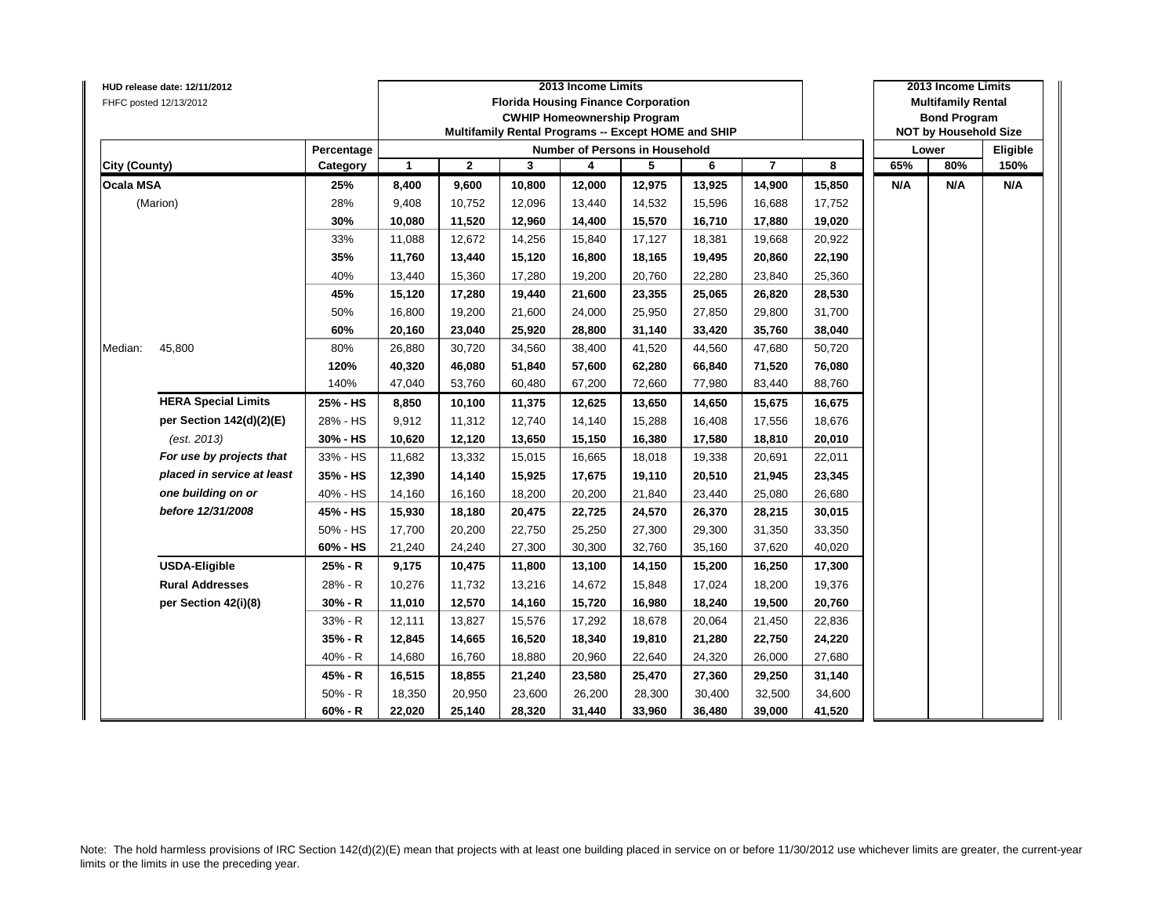|                      | HUD release date: 12/11/2012 |            |                      |              |        | 2013 Income Limits                                  |        |        |                |        |     | 2013 Income Limits           |          |
|----------------------|------------------------------|------------|----------------------|--------------|--------|-----------------------------------------------------|--------|--------|----------------|--------|-----|------------------------------|----------|
|                      | FHFC posted 12/13/2012       |            |                      |              |        | <b>Florida Housing Finance Corporation</b>          |        |        |                |        |     | <b>Multifamily Rental</b>    |          |
|                      |                              |            |                      |              |        | <b>CWHIP Homeownership Program</b>                  |        |        |                |        |     | <b>Bond Program</b>          |          |
|                      |                              |            |                      |              |        | Multifamily Rental Programs -- Except HOME and SHIP |        |        |                |        |     | <b>NOT by Household Size</b> |          |
|                      |                              | Percentage |                      |              |        | <b>Number of Persons in Household</b>               |        |        |                |        |     | Lower                        | Eligible |
| <b>City (County)</b> |                              | Category   | $\blacktriangleleft$ | $\mathbf{2}$ | 3      | 4                                                   | 5      | 6      | $\overline{7}$ | 8      | 65% | 80%                          | 150%     |
| <b>Ocala MSA</b>     |                              | 25%        | 8,400                | 9,600        | 10,800 | 12,000                                              | 12,975 | 13,925 | 14,900         | 15,850 | N/A | N/A                          | N/A      |
|                      | (Marion)                     | 28%        | 9,408                | 10,752       | 12,096 | 13,440                                              | 14,532 | 15,596 | 16,688         | 17,752 |     |                              |          |
|                      |                              | 30%        | 10,080               | 11,520       | 12,960 | 14,400                                              | 15,570 | 16,710 | 17,880         | 19,020 |     |                              |          |
|                      |                              | 33%        | 11,088               | 12,672       | 14,256 | 15,840                                              | 17,127 | 18,381 | 19,668         | 20,922 |     |                              |          |
|                      |                              | 35%        | 11,760               | 13,440       | 15,120 | 16,800                                              | 18,165 | 19,495 | 20,860         | 22,190 |     |                              |          |
|                      |                              | 40%        | 13,440               | 15,360       | 17,280 | 19,200                                              | 20,760 | 22,280 | 23,840         | 25,360 |     |                              |          |
|                      |                              | 45%        | 15,120               | 17,280       | 19,440 | 21,600                                              | 23,355 | 25,065 | 26,820         | 28,530 |     |                              |          |
|                      |                              | 50%        | 16,800               | 19,200       | 21,600 | 24,000                                              | 25,950 | 27,850 | 29,800         | 31,700 |     |                              |          |
|                      |                              | 60%        | 20,160               | 23,040       | 25,920 | 28,800                                              | 31,140 | 33,420 | 35,760         | 38,040 |     |                              |          |
| Median:              | 45,800                       | 80%        | 26,880               | 30,720       | 34,560 | 38,400                                              | 41,520 | 44,560 | 47,680         | 50,720 |     |                              |          |
|                      | <b>HERA Special Limits</b>   | 120%       | 40,320               | 46,080       | 51,840 | 57,600                                              | 62,280 | 66,840 | 71,520         | 76,080 |     |                              |          |
|                      |                              | 140%       | 47,040               | 53,760       | 60,480 | 67,200                                              | 72,660 | 77,980 | 83,440         | 88,760 |     |                              |          |
|                      |                              | 25% - HS   | 8,850                | 10,100       | 11,375 | 12,625                                              | 13,650 | 14,650 | 15,675         | 16,675 |     |                              |          |
|                      | per Section 142(d)(2)(E)     | 28% - HS   | 9,912                | 11,312       | 12,740 | 14,140                                              | 15,288 | 16,408 | 17,556         | 18,676 |     |                              |          |
|                      | (est. 2013)                  | 30% - HS   | 10,620               | 12,120       | 13,650 | 15,150                                              | 16,380 | 17,580 | 18,810         | 20,010 |     |                              |          |
|                      | For use by projects that     | 33% - HS   | 11,682               | 13,332       | 15,015 | 16,665                                              | 18,018 | 19,338 | 20,691         | 22,011 |     |                              |          |
|                      | placed in service at least   | 35% - HS   | 12,390               | 14,140       | 15,925 | 17,675                                              | 19,110 | 20,510 | 21,945         | 23,345 |     |                              |          |
|                      | one building on or           | 40% - HS   | 14,160               | 16,160       | 18,200 | 20,200                                              | 21,840 | 23,440 | 25,080         | 26,680 |     |                              |          |
|                      | before 12/31/2008            | 45% - HS   | 15,930               | 18,180       | 20,475 | 22,725                                              | 24,570 | 26,370 | 28,215         | 30,015 |     |                              |          |
|                      |                              | 50% - HS   | 17,700               | 20,200       | 22,750 | 25,250                                              | 27,300 | 29,300 | 31,350         | 33,350 |     |                              |          |
|                      |                              | 60% - HS   | 21,240               | 24,240       | 27,300 | 30,300                                              | 32,760 | 35,160 | 37,620         | 40,020 |     |                              |          |
|                      | <b>USDA-Eligible</b>         | 25% - R    | 9,175                | 10,475       | 11,800 | 13,100                                              | 14,150 | 15,200 | 16,250         | 17,300 |     |                              |          |
|                      | <b>Rural Addresses</b>       | 28% - R    | 10,276               | 11,732       | 13,216 | 14,672                                              | 15,848 | 17,024 | 18,200         | 19,376 |     |                              |          |
|                      | per Section 42(i)(8)         | $30% - R$  | 11,010               | 12,570       | 14,160 | 15,720                                              | 16,980 | 18,240 | 19,500         | 20,760 |     |                              |          |
|                      |                              | 33% - R    | 12,111               | 13,827       | 15,576 | 17,292                                              | 18,678 | 20,064 | 21,450         | 22,836 |     |                              |          |
|                      |                              | 35% - R    | 12,845               | 14,665       | 16,520 | 18,340                                              | 19,810 | 21,280 | 22,750         | 24,220 |     |                              |          |
|                      |                              | $40% - R$  | 14,680               | 16,760       | 18,880 | 20,960                                              | 22,640 | 24,320 | 26,000         | 27,680 |     |                              |          |
|                      |                              | 45% - R    | 16,515               | 18,855       | 21,240 | 23,580                                              | 25,470 | 27,360 | 29,250         | 31,140 |     |                              |          |
|                      |                              | 50% - R    | 18,350               | 20,950       | 23,600 | 26,200                                              | 28,300 | 30,400 | 32,500         | 34,600 |     |                              |          |
|                      |                              | $60% - R$  | 22,020               | 25,140       | 28,320 | 31,440                                              | 33,960 | 36,480 | 39,000         | 41,520 |     |                              |          |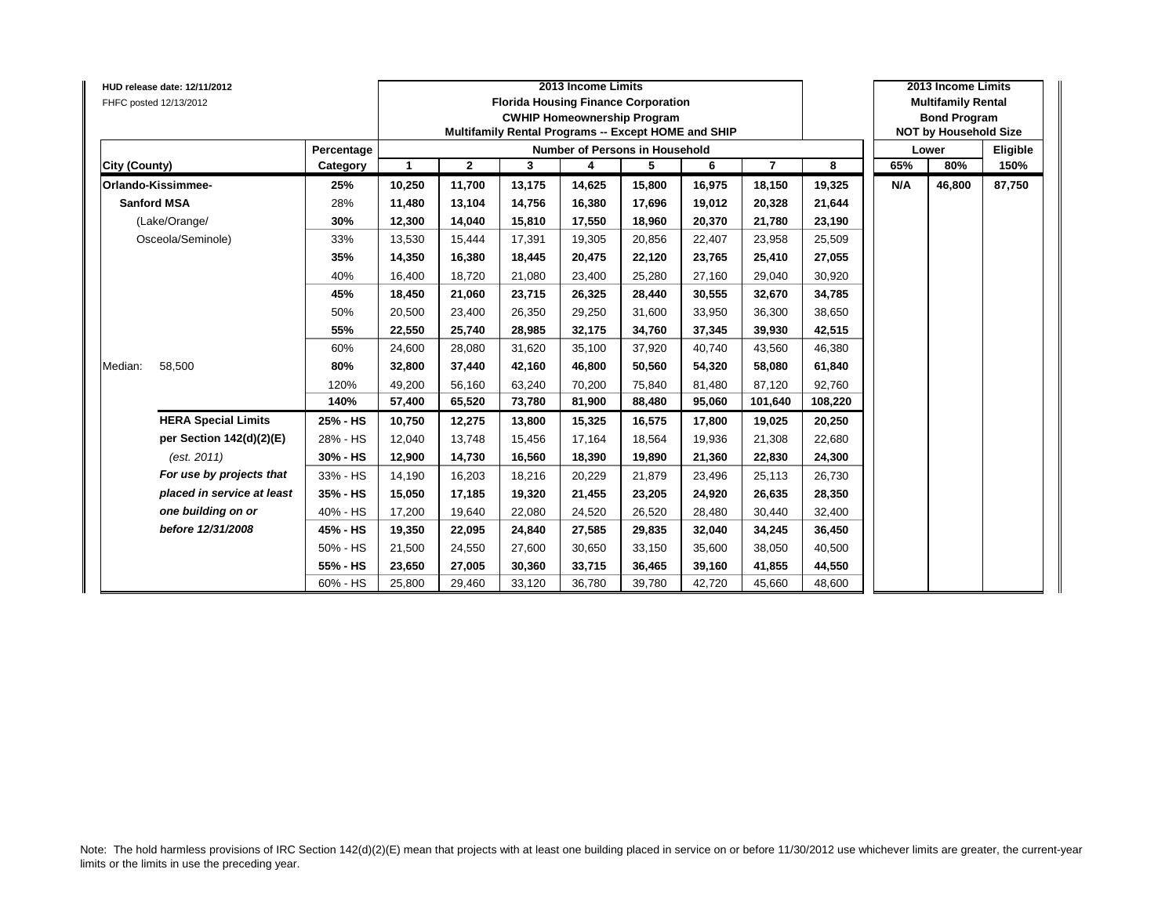|                    | <b>HUD release date: 12/11/2012</b><br>FHFC posted 12/13/2012 |            |              |              |        | 2013 Income Limits<br><b>Florida Housing Finance Corporation</b><br><b>CWHIP Homeownership Program</b><br>Multifamily Rental Programs -- Except HOME and SHIP |        |        |                |         |     | 2013 Income Limits<br><b>Multifamily Rental</b><br><b>Bond Program</b><br><b>NOT by Household Size</b> |          |
|--------------------|---------------------------------------------------------------|------------|--------------|--------------|--------|---------------------------------------------------------------------------------------------------------------------------------------------------------------|--------|--------|----------------|---------|-----|--------------------------------------------------------------------------------------------------------|----------|
|                    |                                                               | Percentage |              |              |        | <b>Number of Persons in Household</b>                                                                                                                         |        |        |                |         |     | Lower                                                                                                  | Eligible |
| City (County)      |                                                               | Category   | $\mathbf{1}$ | $\mathbf{2}$ | 3      | 4                                                                                                                                                             | 5      | 6      | $\overline{7}$ | 8       | 65% | 80%                                                                                                    | 150%     |
|                    | Orlando-Kissimmee-                                            | 25%        | 10,250       | 11,700       | 13,175 | 14,625                                                                                                                                                        | 15,800 | 16,975 | 18,150         | 19,325  | N/A | 46,800                                                                                                 | 87,750   |
| <b>Sanford MSA</b> |                                                               | 28%        | 11,480       | 13,104       | 14,756 | 16,380                                                                                                                                                        | 17,696 | 19.012 | 20,328         | 21,644  |     |                                                                                                        |          |
|                    | (Lake/Orange/                                                 | 30%        | 12,300       | 14,040       | 15,810 | 17,550                                                                                                                                                        | 18,960 | 20,370 | 21,780         | 23,190  |     |                                                                                                        |          |
|                    | Osceola/Seminole)                                             | 33%        | 13,530       | 15,444       | 17,391 | 19,305                                                                                                                                                        | 20,856 | 22,407 | 23,958         | 25,509  |     |                                                                                                        |          |
|                    |                                                               | 35%        | 14,350       | 16,380       | 18,445 | 20,475                                                                                                                                                        | 22,120 | 23,765 | 25,410         | 27,055  |     |                                                                                                        |          |
|                    |                                                               | 40%        | 16,400       | 18.720       | 21,080 | 23,400                                                                                                                                                        | 25,280 | 27,160 | 29,040         | 30,920  |     |                                                                                                        |          |
|                    |                                                               | 45%        | 18,450       | 21,060       | 23,715 | 26,325                                                                                                                                                        | 28,440 | 30,555 | 32,670         | 34,785  |     |                                                                                                        |          |
|                    |                                                               | 50%        | 20,500       | 23,400       | 26,350 | 29,250                                                                                                                                                        | 31,600 | 33,950 | 36,300         | 38,650  |     |                                                                                                        |          |
|                    |                                                               | 55%        | 22,550       | 25,740       | 28,985 | 32,175                                                                                                                                                        | 34,760 | 37,345 | 39,930         | 42,515  |     |                                                                                                        |          |
|                    |                                                               | 60%        | 24,600       | 28,080       | 31,620 | 35,100                                                                                                                                                        | 37,920 | 40,740 | 43,560         | 46,380  |     |                                                                                                        |          |
| Median:            | 58,500                                                        | 80%        | 32,800       | 37,440       | 42.160 | 46,800                                                                                                                                                        | 50,560 | 54.320 | 58,080         | 61,840  |     |                                                                                                        |          |
|                    |                                                               | 120%       | 49,200       | 56,160       | 63,240 | 70,200                                                                                                                                                        | 75,840 | 81,480 | 87,120         | 92,760  |     |                                                                                                        |          |
|                    |                                                               | 140%       | 57,400       | 65,520       | 73,780 | 81,900                                                                                                                                                        | 88,480 | 95,060 | 101,640        | 108,220 |     |                                                                                                        |          |
|                    | <b>HERA Special Limits</b>                                    | 25% - HS   | 10,750       | 12,275       | 13,800 | 15,325                                                                                                                                                        | 16,575 | 17.800 | 19,025         | 20,250  |     |                                                                                                        |          |
|                    | per Section 142(d)(2)(E)                                      | 28% - HS   | 12,040       | 13,748       | 15,456 | 17,164                                                                                                                                                        | 18,564 | 19,936 | 21,308         | 22,680  |     |                                                                                                        |          |
|                    | (est. 2011)                                                   | 30% - HS   | 12,900       | 14,730       | 16,560 | 18,390                                                                                                                                                        | 19,890 | 21,360 | 22,830         | 24,300  |     |                                                                                                        |          |
|                    | For use by projects that                                      | 33% - HS   | 14,190       | 16,203       | 18,216 | 20,229                                                                                                                                                        | 21,879 | 23,496 | 25,113         | 26,730  |     |                                                                                                        |          |
|                    | placed in service at least                                    | 35% - HS   | 15,050       | 17,185       | 19,320 | 21,455                                                                                                                                                        | 23,205 | 24,920 | 26,635         | 28,350  |     |                                                                                                        |          |
|                    | one building on or                                            | 40% - HS   | 17,200       | 19,640       | 22,080 | 24,520                                                                                                                                                        | 26,520 | 28,480 | 30,440         | 32,400  |     |                                                                                                        |          |
|                    | before 12/31/2008                                             | 45% - HS   | 19,350       | 22,095       | 24.840 | 27,585                                                                                                                                                        | 29,835 | 32.040 | 34,245         | 36,450  |     |                                                                                                        |          |
|                    |                                                               | 50% - HS   | 21,500       | 24,550       | 27,600 | 30,650                                                                                                                                                        | 33,150 | 35,600 | 38,050         | 40,500  |     |                                                                                                        |          |
|                    |                                                               | 55% - HS   | 23,650       | 27,005       | 30,360 | 33,715                                                                                                                                                        | 36,465 | 39,160 | 41,855         | 44,550  |     |                                                                                                        |          |
|                    |                                                               | 60% - HS   | 25,800       | 29,460       | 33,120 | 36,780                                                                                                                                                        | 39,780 | 42,720 | 45,660         | 48,600  |     |                                                                                                        |          |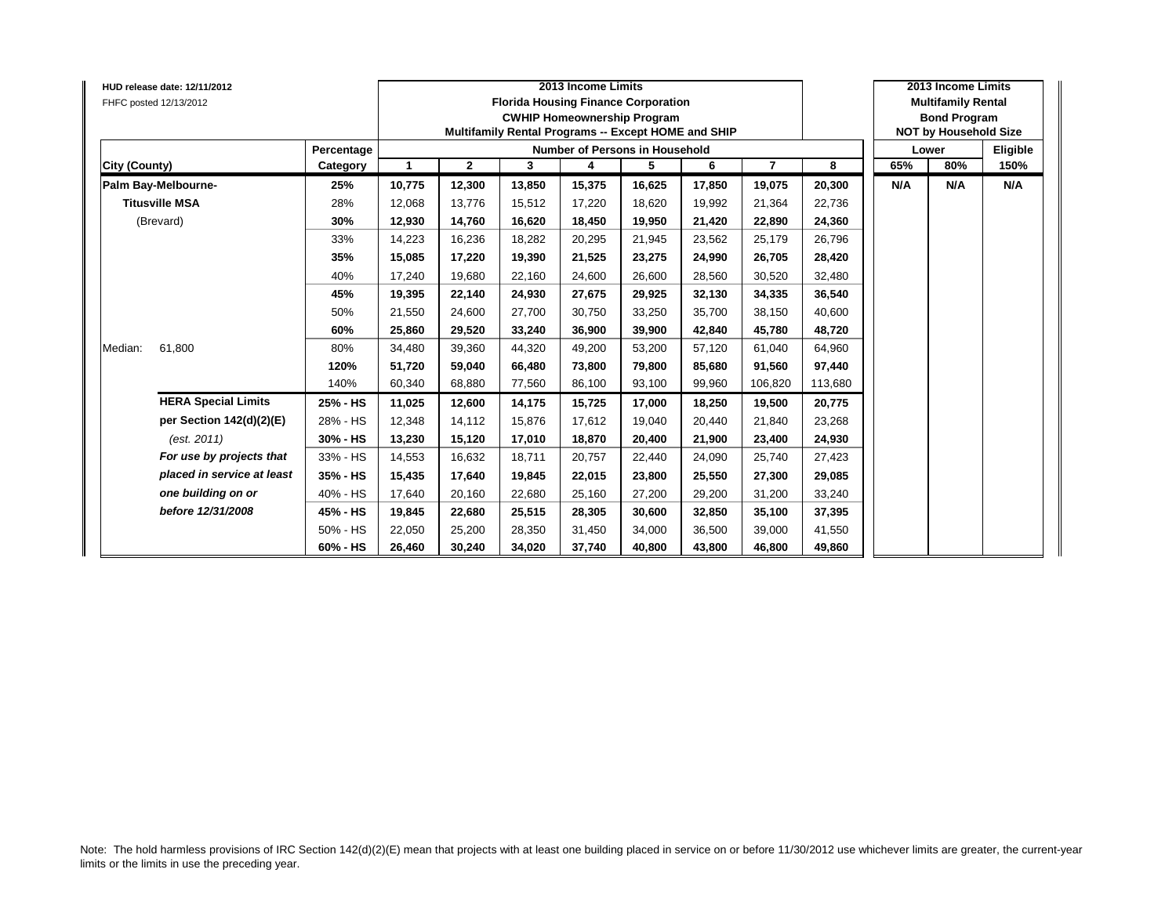|               | HUD release date: 12/11/2012<br>FHFC posted 12/13/2012 |            |        |              |        | 2013 Income Limits | <b>Florida Housing Finance Corporation</b><br><b>CWHIP Homeownership Program</b><br>Multifamily Rental Programs -- Except HOME and SHIP |        |                |         |     | 2013 Income Limits<br><b>Multifamily Rental</b><br><b>Bond Program</b><br><b>NOT by Household Size</b> |          |
|---------------|--------------------------------------------------------|------------|--------|--------------|--------|--------------------|-----------------------------------------------------------------------------------------------------------------------------------------|--------|----------------|---------|-----|--------------------------------------------------------------------------------------------------------|----------|
|               |                                                        | Percentage |        |              |        |                    | Number of Persons in Household                                                                                                          |        |                |         |     | Lower                                                                                                  | Eligible |
| City (County) |                                                        | Category   | 1      | $\mathbf{2}$ | 3      | 4                  | 5                                                                                                                                       | 6      | $\overline{7}$ | 8       | 65% | 80%                                                                                                    | 150%     |
|               | Palm Bay-Melbourne-                                    | 25%        | 10,775 | 12,300       | 13,850 | 15,375             | 16,625                                                                                                                                  | 17,850 | 19,075         | 20,300  | N/A | N/A                                                                                                    | N/A      |
|               | <b>Titusville MSA</b>                                  | 28%        | 12,068 | 13,776       | 15,512 | 17,220             | 18,620                                                                                                                                  | 19,992 | 21,364         | 22,736  |     |                                                                                                        |          |
|               | (Brevard)                                              | 30%        | 12,930 | 14,760       | 16,620 | 18,450             | 19,950                                                                                                                                  | 21,420 | 22,890         | 24,360  |     |                                                                                                        |          |
|               |                                                        | 33%        | 14,223 | 16,236       | 18,282 | 20,295             | 21,945                                                                                                                                  | 23.562 | 25,179         | 26,796  |     |                                                                                                        |          |
|               |                                                        | 35%        | 15,085 | 17,220       | 19,390 | 21,525             | 23,275                                                                                                                                  | 24,990 | 26,705         | 28,420  |     |                                                                                                        |          |
|               |                                                        | 40%        | 17,240 | 19,680       | 22,160 | 24,600             | 26,600                                                                                                                                  | 28,560 | 30,520         | 32,480  |     |                                                                                                        |          |
|               |                                                        | 45%        | 19,395 | 22,140       | 24,930 | 27,675             | 29,925                                                                                                                                  | 32,130 | 34,335         | 36,540  |     |                                                                                                        |          |
|               |                                                        | 50%        | 21,550 | 24,600       | 27,700 | 30,750             | 33,250                                                                                                                                  | 35.700 | 38,150         | 40,600  |     |                                                                                                        |          |
|               |                                                        | 60%        | 25,860 | 29,520       | 33.240 | 36,900             | 39,900                                                                                                                                  | 42.840 | 45,780         | 48,720  |     |                                                                                                        |          |
| Median:       | 61,800                                                 | 80%        | 34,480 | 39,360       | 44,320 | 49,200             | 53,200                                                                                                                                  | 57,120 | 61,040         | 64,960  |     |                                                                                                        |          |
|               |                                                        | 120%       | 51,720 | 59,040       | 66,480 | 73,800             | 79,800                                                                                                                                  | 85,680 | 91,560         | 97,440  |     |                                                                                                        |          |
|               |                                                        | 140%       | 60,340 | 68,880       | 77,560 | 86,100             | 93,100                                                                                                                                  | 99,960 | 106,820        | 113,680 |     |                                                                                                        |          |
|               | <b>HERA Special Limits</b>                             | 25% - HS   | 11,025 | 12,600       | 14,175 | 15,725             | 17,000                                                                                                                                  | 18,250 | 19,500         | 20,775  |     |                                                                                                        |          |
|               | per Section 142(d)(2)(E)                               | 28% - HS   | 12,348 | 14,112       | 15.876 | 17,612             | 19,040                                                                                                                                  | 20.440 | 21,840         | 23,268  |     |                                                                                                        |          |
|               | (est. 2011)                                            | 30% - HS   | 13,230 | 15,120       | 17,010 | 18,870             | 20,400                                                                                                                                  | 21,900 | 23,400         | 24,930  |     |                                                                                                        |          |
|               | For use by projects that                               | 33% - HS   | 14,553 | 16,632       | 18,711 | 20,757             | 22,440                                                                                                                                  | 24,090 | 25,740         | 27,423  |     |                                                                                                        |          |
|               | placed in service at least                             | 35% - HS   | 15,435 | 17,640       | 19,845 | 22,015             | 23,800                                                                                                                                  | 25,550 | 27,300         | 29,085  |     |                                                                                                        |          |
|               | one building on or                                     | 40% - HS   | 17,640 | 20,160       | 22,680 | 25,160             | 27,200                                                                                                                                  | 29,200 | 31,200         | 33,240  |     |                                                                                                        |          |
|               | before 12/31/2008                                      | 45% - HS   | 19,845 | 22,680       | 25,515 | 28,305             | 30,600                                                                                                                                  | 32,850 | 35,100         | 37,395  |     |                                                                                                        |          |
|               |                                                        | 50% - HS   | 22,050 | 25,200       | 28.350 | 31,450             | 34,000                                                                                                                                  | 36.500 | 39,000         | 41,550  |     |                                                                                                        |          |
|               |                                                        | 60% - HS   | 26,460 | 30,240       | 34,020 | 37,740             | 40,800                                                                                                                                  | 43,800 | 46,800         | 49,860  |     |                                                                                                        |          |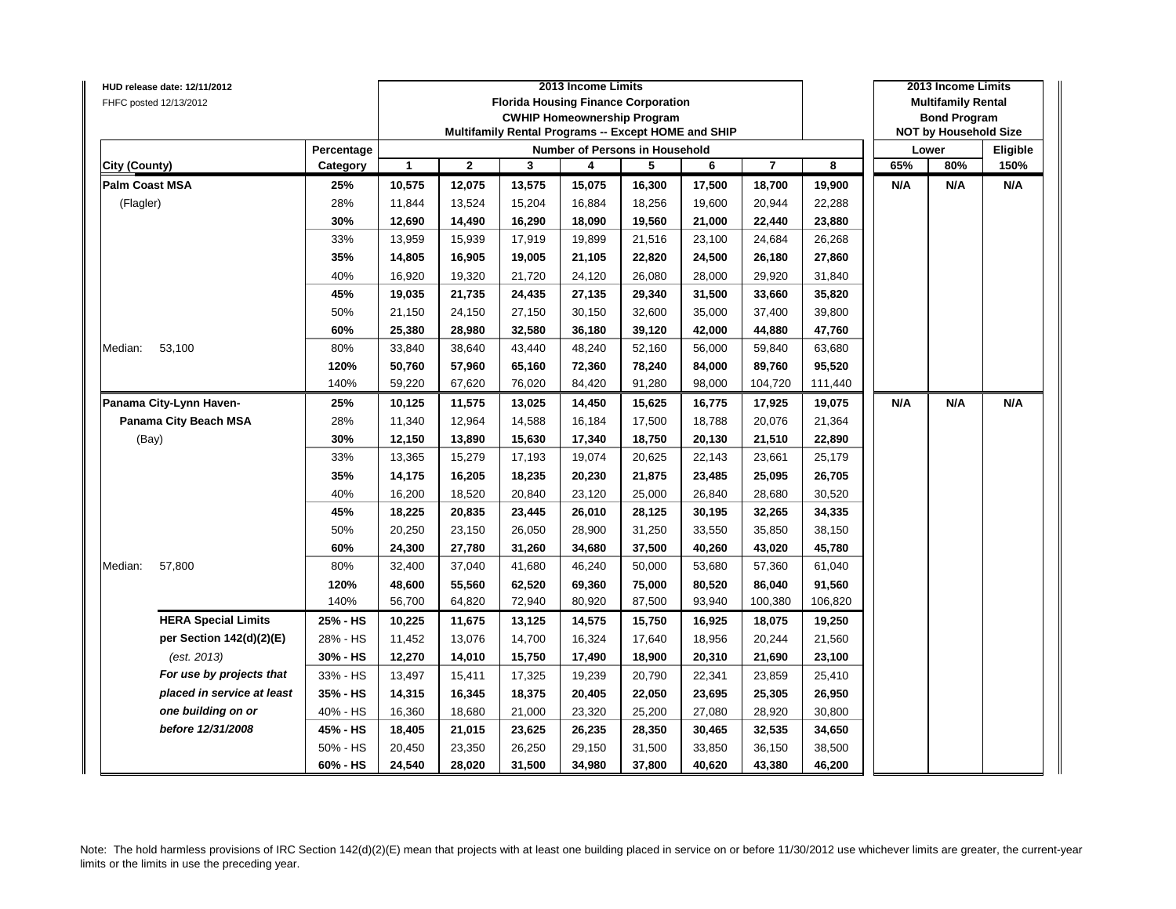| HUD release date: 12/11/2012 |                          |                |              |        | 2013 Income Limits |                                                                                  |        |                |         |     | 2013 Income Limits                               |          |
|------------------------------|--------------------------|----------------|--------------|--------|--------------------|----------------------------------------------------------------------------------|--------|----------------|---------|-----|--------------------------------------------------|----------|
| FHFC posted 12/13/2012       |                          |                |              |        |                    | <b>Florida Housing Finance Corporation</b><br><b>CWHIP Homeownership Program</b> |        |                |         |     | <b>Multifamily Rental</b><br><b>Bond Program</b> |          |
|                              |                          |                |              |        |                    | Multifamily Rental Programs -- Except HOME and SHIP                              |        |                |         |     | <b>NOT by Household Size</b>                     |          |
|                              | Percentage               |                |              |        |                    | Number of Persons in Household                                                   |        |                |         |     | Lower                                            | Eligible |
| City (County)                | Category                 | $\overline{1}$ | $\mathbf{2}$ | 3      | 4                  | 5                                                                                | 6      | $\overline{7}$ | 8       | 65% | 80%                                              | 150%     |
| <b>Palm Coast MSA</b>        | 25%                      | 10,575         | 12,075       | 13,575 | 15,075             | 16,300                                                                           | 17,500 | 18,700         | 19,900  | N/A | N/A                                              | N/A      |
| (Flagler)                    | 28%                      | 11,844         | 13,524       | 15,204 | 16,884             | 18,256                                                                           | 19,600 | 20,944         | 22,288  |     |                                                  |          |
|                              | 30%                      | 12,690         | 14,490       | 16,290 | 18,090             | 19,560                                                                           | 21,000 | 22,440         | 23,880  |     |                                                  |          |
|                              | 33%                      | 13,959         | 15,939       | 17,919 | 19,899             | 21,516                                                                           | 23,100 | 24,684         | 26,268  |     |                                                  |          |
|                              | 35%                      | 14,805         | 16,905       | 19,005 | 21,105             | 22,820                                                                           | 24,500 | 26,180         | 27,860  |     |                                                  |          |
|                              | 40%                      | 16,920         | 19,320       | 21,720 | 24,120             | 26,080                                                                           | 28,000 | 29,920         | 31,840  |     |                                                  |          |
|                              | 45%                      | 19,035         | 21,735       | 24,435 | 27,135             | 29,340                                                                           | 31,500 | 33,660         | 35,820  |     |                                                  |          |
|                              | 50%                      | 21,150         | 24,150       | 27,150 | 30,150             | 32,600                                                                           | 35,000 | 37,400         | 39,800  |     |                                                  |          |
|                              | 60%                      | 25,380         | 28,980       | 32,580 | 36,180             | 39,120                                                                           | 42,000 | 44,880         | 47,760  |     |                                                  |          |
| Median:<br>53,100            | 80%                      | 33,840         | 38,640       | 43,440 | 48,240             | 52,160                                                                           | 56,000 | 59,840         | 63,680  |     |                                                  |          |
|                              | 120%<br>50,760<br>57,960 | 65,160         | 72,360       | 78,240 | 84,000             | 89,760                                                                           | 95,520 |                |         |     |                                                  |          |
|                              | 140%                     | 59,220         | 67,620       | 76,020 | 84,420             | 91,280                                                                           | 98,000 | 104,720        | 111,440 |     |                                                  |          |
| Panama City-Lynn Haven-      | 25%                      | 10,125         | 11,575       | 13,025 | 14,450             | 15,625                                                                           | 16,775 | 17,925         | 19,075  | N/A | N/A                                              | N/A      |
| <b>Panama City Beach MSA</b> | 28%                      | 11,340         | 12,964       | 14,588 | 16,184             | 17,500                                                                           | 18,788 | 20,076         | 21,364  |     |                                                  |          |
| (Bay)                        | 30%                      | 12,150         | 13,890       | 15,630 | 17,340             | 18,750                                                                           | 20,130 | 21,510         | 22,890  |     |                                                  |          |
|                              | 33%                      | 13,365         | 15,279       | 17,193 | 19,074             | 20,625                                                                           | 22,143 | 23,661         | 25,179  |     |                                                  |          |
|                              | 35%                      | 14,175         | 16,205       | 18,235 | 20,230             | 21,875                                                                           | 23,485 | 25,095         | 26,705  |     |                                                  |          |
|                              | 40%                      | 16,200         | 18,520       | 20,840 | 23,120             | 25,000                                                                           | 26,840 | 28,680         | 30,520  |     |                                                  |          |
|                              | 45%                      | 18,225         | 20,835       | 23,445 | 26,010             | 28,125                                                                           | 30,195 | 32,265         | 34,335  |     |                                                  |          |
|                              | 50%                      | 20,250         | 23,150       | 26,050 | 28,900             | 31,250                                                                           | 33,550 | 35,850         | 38,150  |     |                                                  |          |
|                              | 60%                      | 24,300         | 27,780       | 31,260 | 34,680             | 37,500                                                                           | 40,260 | 43,020         | 45,780  |     |                                                  |          |
| Median:<br>57,800            | 80%                      | 32,400         | 37,040       | 41,680 | 46,240             | 50,000                                                                           | 53,680 | 57,360         | 61,040  |     |                                                  |          |
|                              | 120%                     | 48,600         | 55,560       | 62,520 | 69,360             | 75,000                                                                           | 80,520 | 86,040         | 91,560  |     |                                                  |          |
|                              | 140%                     | 56,700         | 64,820       | 72,940 | 80,920             | 87,500                                                                           | 93,940 | 100,380        | 106,820 |     |                                                  |          |
| <b>HERA Special Limits</b>   | 25% - HS                 | 10,225         | 11,675       | 13,125 | 14,575             | 15,750                                                                           | 16,925 | 18,075         | 19,250  |     |                                                  |          |
| per Section 142(d)(2)(E)     | 28% - HS                 | 11,452         | 13,076       | 14,700 | 16,324             | 17,640                                                                           | 18,956 | 20,244         | 21,560  |     |                                                  |          |
| (est. 2013)                  | 30% - HS                 | 12,270         | 14,010       | 15,750 | 17,490             | 18,900                                                                           | 20,310 | 21,690         | 23,100  |     |                                                  |          |
| For use by projects that     | 33% - HS                 | 13,497         | 15,411       | 17,325 | 19,239             | 20,790                                                                           | 22,341 | 23,859         | 25,410  |     |                                                  |          |
| placed in service at least   | 35% - HS                 | 14,315         | 16,345       | 18,375 | 20,405             | 22,050                                                                           | 23,695 | 25,305         | 26,950  |     |                                                  |          |
| one building on or           | 40% - HS                 | 16,360         | 18,680       | 21,000 | 23,320             | 25,200                                                                           | 27,080 | 28,920         | 30,800  |     |                                                  |          |
| before 12/31/2008            | 45% - HS                 | 18,405         | 21,015       | 23,625 | 26,235             | 28,350                                                                           | 30,465 | 32,535         | 34,650  |     |                                                  |          |
|                              | 50% - HS                 | 20,450         | 23,350       | 26,250 | 29,150             | 31,500                                                                           | 33,850 | 36,150         | 38,500  |     |                                                  |          |
|                              | 60% - HS                 | 24,540         | 28,020       | 31,500 | 34,980             | 37,800                                                                           | 40,620 | 43,380         | 46,200  |     |                                                  |          |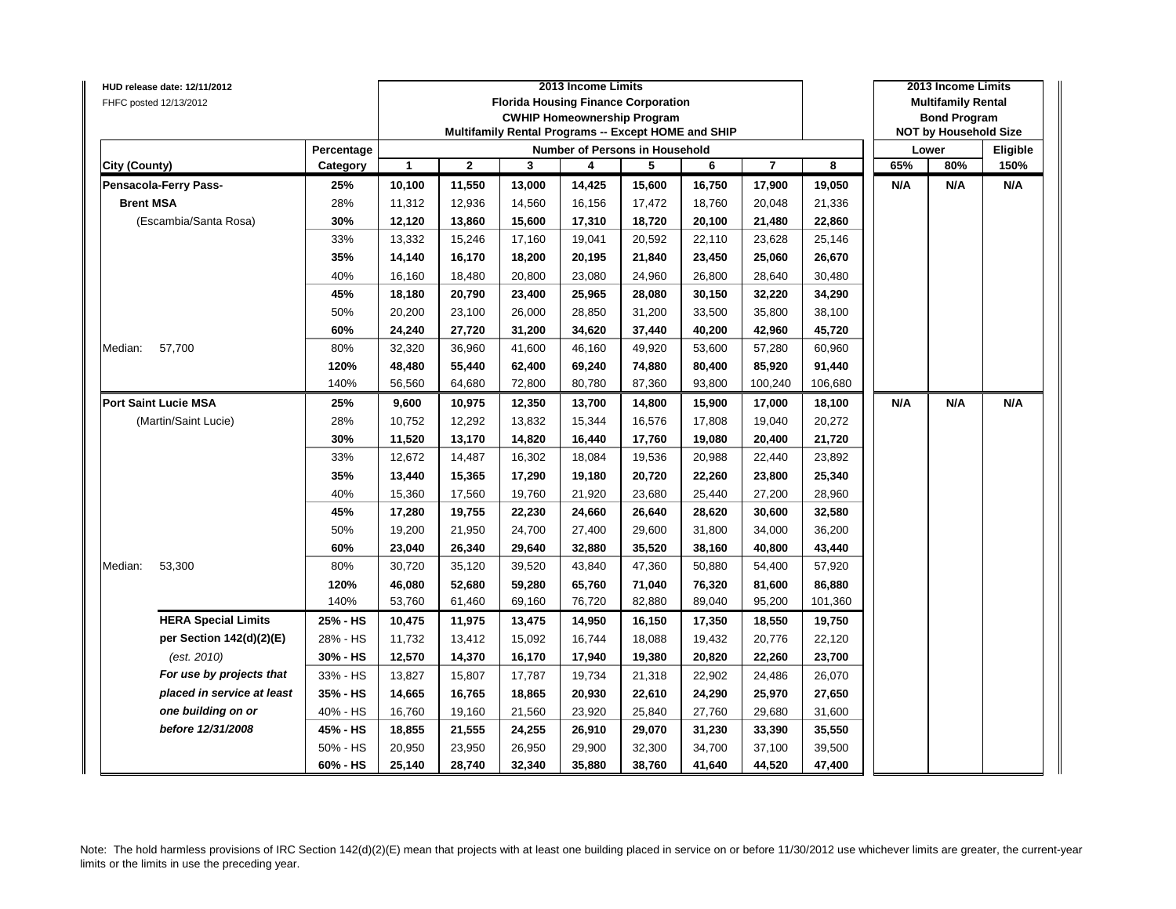| HUD release date: 12/11/2012 |            |                                                                              |             |        | 2013 Income Limits |                                                                                  |        |                |         |     | 2013 Income Limits                               |          |
|------------------------------|------------|------------------------------------------------------------------------------|-------------|--------|--------------------|----------------------------------------------------------------------------------|--------|----------------|---------|-----|--------------------------------------------------|----------|
| FHFC posted 12/13/2012       |            |                                                                              |             |        |                    | <b>Florida Housing Finance Corporation</b><br><b>CWHIP Homeownership Program</b> |        |                |         |     | <b>Multifamily Rental</b><br><b>Bond Program</b> |          |
|                              |            |                                                                              |             |        |                    | Multifamily Rental Programs -- Except HOME and SHIP                              |        |                |         |     | <b>NOT by Household Size</b>                     |          |
|                              | Percentage |                                                                              |             |        |                    | Number of Persons in Household                                                   |        |                |         |     | Lower                                            | Eligible |
| City (County)                | Category   | 1                                                                            | $\mathbf 2$ | 3      | 4                  | 5                                                                                | 6      | $\overline{7}$ | 8       | 65% | 80%                                              | 150%     |
| Pensacola-Ferry Pass-        | 25%        | 10,100                                                                       | 11,550      | 13,000 | 14,425             | 15,600                                                                           | 16,750 | 17,900         | 19,050  | N/A | N/A                                              | N/A      |
| <b>Brent MSA</b>             | 28%        | 11,312                                                                       | 12,936      | 14,560 | 16,156             | 17,472                                                                           | 18,760 | 20,048         | 21,336  |     |                                                  |          |
| (Escambia/Santa Rosa)        | 30%        | 12,120                                                                       | 13,860      | 15,600 | 17,310             | 18,720                                                                           | 20,100 | 21,480         | 22,860  |     |                                                  |          |
|                              | 33%        | 13,332                                                                       | 15,246      | 17,160 | 19,041             | 20,592                                                                           | 22,110 | 23,628         | 25,146  |     |                                                  |          |
|                              | 35%        | 14,140                                                                       | 16,170      | 18,200 | 20,195             | 21,840                                                                           | 23,450 | 25,060         | 26,670  |     |                                                  |          |
|                              | 40%        | 16,160                                                                       | 18,480      | 20,800 | 23,080             | 24,960                                                                           | 26,800 | 28,640         | 30,480  |     |                                                  |          |
|                              | 45%        | 18,180                                                                       | 20,790      | 23,400 | 25,965             | 28,080                                                                           | 30,150 | 32,220         | 34,290  |     |                                                  |          |
|                              | 50%        | 20,200                                                                       | 23,100      | 26,000 | 28,850             | 31,200                                                                           | 33,500 | 35,800         | 38,100  |     |                                                  |          |
|                              | 60%        | 24,240                                                                       | 27,720      | 31,200 | 34,620             | 37,440                                                                           | 40,200 | 42,960         | 45,720  |     |                                                  |          |
| 57,700<br>Median:            | 80%        | 32,320                                                                       | 36,960      | 41,600 | 46,160             | 49,920                                                                           | 53,600 | 57,280         | 60,960  |     |                                                  |          |
|                              | 120%       | 91,440<br>48,480<br>55,440<br>62,400<br>69,240<br>74,880<br>80,400<br>85,920 |             |        |                    |                                                                                  |        |                |         |     |                                                  |          |
|                              | 140%       | 56,560                                                                       | 64,680      | 72,800 | 80,780             | 87,360                                                                           | 93,800 | 100,240        | 106,680 |     |                                                  |          |
| <b>Port Saint Lucie MSA</b>  | 25%        | 9,600                                                                        | 10,975      | 12,350 | 13,700             | 14,800                                                                           | 15,900 | 17,000         | 18,100  | N/A | N/A                                              | N/A      |
| (Martin/Saint Lucie)         | 28%        | 10,752                                                                       | 12,292      | 13,832 | 15,344             | 16,576                                                                           | 17,808 | 19,040         | 20,272  |     |                                                  |          |
|                              | 30%        | 11,520                                                                       | 13,170      | 14,820 | 16,440             | 17,760                                                                           | 19,080 | 20,400         | 21,720  |     |                                                  |          |
|                              | 33%        | 12,672                                                                       | 14,487      | 16,302 | 18,084             | 19,536                                                                           | 20,988 | 22,440         | 23,892  |     |                                                  |          |
|                              | 35%        | 13,440                                                                       | 15,365      | 17,290 | 19,180             | 20,720                                                                           | 22,260 | 23,800         | 25,340  |     |                                                  |          |
|                              | 40%        | 15,360                                                                       | 17,560      | 19,760 | 21,920             | 23,680                                                                           | 25,440 | 27,200         | 28,960  |     |                                                  |          |
|                              | 45%        | 17,280                                                                       | 19,755      | 22,230 | 24,660             | 26,640                                                                           | 28,620 | 30,600         | 32,580  |     |                                                  |          |
|                              | 50%        | 19,200                                                                       | 21,950      | 24,700 | 27,400             | 29,600                                                                           | 31,800 | 34,000         | 36,200  |     |                                                  |          |
|                              | 60%        | 23,040                                                                       | 26,340      | 29,640 | 32,880             | 35,520                                                                           | 38,160 | 40,800         | 43,440  |     |                                                  |          |
| 53,300<br>Median:            | 80%        | 30,720                                                                       | 35,120      | 39,520 | 43,840             | 47,360                                                                           | 50,880 | 54,400         | 57,920  |     |                                                  |          |
|                              | 120%       | 46,080                                                                       | 52,680      | 59,280 | 65,760             | 71,040                                                                           | 76,320 | 81,600         | 86,880  |     |                                                  |          |
|                              | 140%       | 53,760                                                                       | 61,460      | 69,160 | 76,720             | 82,880                                                                           | 89,040 | 95,200         | 101,360 |     |                                                  |          |
| <b>HERA Special Limits</b>   | 25% - HS   | 10,475                                                                       | 11,975      | 13,475 | 14,950             | 16,150                                                                           | 17,350 | 18,550         | 19,750  |     |                                                  |          |
| per Section 142(d)(2)(E)     | 28% - HS   | 11,732                                                                       | 13,412      | 15,092 | 16,744             | 18,088                                                                           | 19,432 | 20,776         | 22,120  |     |                                                  |          |
| (est. 2010)                  | 30% - HS   | 12,570                                                                       | 14,370      | 16,170 | 17,940             | 19,380                                                                           | 20,820 | 22,260         | 23,700  |     |                                                  |          |
| For use by projects that     | 33% - HS   | 13,827                                                                       | 15,807      | 17,787 | 19,734             | 21,318                                                                           | 22,902 | 24,486         | 26,070  |     |                                                  |          |
| placed in service at least   | 35% - HS   | 14,665                                                                       | 16,765      | 18,865 | 20,930             | 22,610                                                                           | 24,290 | 25,970         | 27,650  |     |                                                  |          |
| one building on or           | 40% - HS   | 16,760                                                                       | 19,160      | 21,560 | 23,920             | 25,840                                                                           | 27,760 | 29,680         | 31,600  |     |                                                  |          |
| before 12/31/2008            | 45% - HS   | 18,855                                                                       | 21,555      | 24,255 | 26,910             | 29,070                                                                           | 31,230 | 33,390         | 35,550  |     |                                                  |          |
|                              | 50% - HS   | 20,950                                                                       | 23,950      | 26,950 | 29,900             | 32,300                                                                           | 34,700 | 37,100         | 39,500  |     |                                                  |          |
|                              | 60% - HS   | 25,140                                                                       | 28,740      | 32,340 | 35,880             | 38,760                                                                           | 41,640 | 44,520         | 47,400  |     |                                                  |          |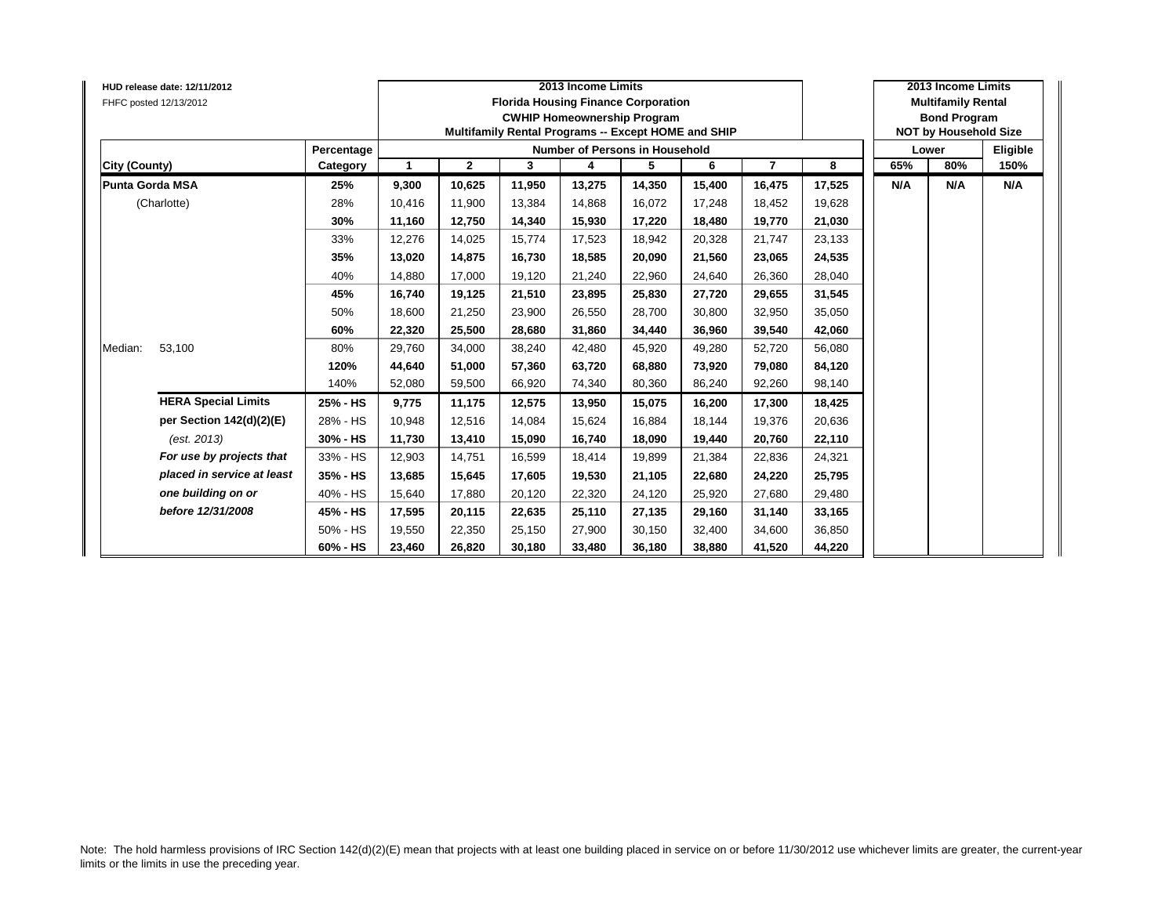|                        | HUD release date: 12/11/2012<br>FHFC posted 12/13/2012 |            |              |              | <b>Florida Housing Finance Corporation</b><br>Multifamily Rental Programs -- Except HOME and SHIP | 2013 Income Limits<br><b>CWHIP Homeownership Program</b> |        |        |                |        |     | 2013 Income Limits<br><b>Multifamily Rental</b><br><b>Bond Program</b><br><b>NOT by Household Size</b> |          |
|------------------------|--------------------------------------------------------|------------|--------------|--------------|---------------------------------------------------------------------------------------------------|----------------------------------------------------------|--------|--------|----------------|--------|-----|--------------------------------------------------------------------------------------------------------|----------|
|                        |                                                        | Percentage |              |              |                                                                                                   | Number of Persons in Household                           |        |        |                |        |     | Lower                                                                                                  | Eligible |
| City (County)          |                                                        | Category   | $\mathbf{1}$ | $\mathbf{2}$ | 3                                                                                                 | 4                                                        | 5      | 6      | $\overline{7}$ | 8      | 65% | 80%                                                                                                    | 150%     |
| <b>Punta Gorda MSA</b> |                                                        | 25%        | 9,300        | 10,625       | 11,950                                                                                            | 13,275                                                   | 14,350 | 15,400 | 16,475         | 17,525 | N/A | N/A                                                                                                    | N/A      |
|                        | (Charlotte)                                            | 28%        | 10,416       | 11,900       | 13,384                                                                                            | 14,868                                                   | 16,072 | 17.248 | 18,452         | 19,628 |     |                                                                                                        |          |
|                        |                                                        | 30%        | 11,160       | 12,750       | 14,340                                                                                            | 15,930                                                   | 17,220 | 18,480 | 19,770         | 21,030 |     |                                                                                                        |          |
|                        |                                                        | 33%        | 12,276       | 14.025       | 15.774                                                                                            | 17,523                                                   | 18,942 | 20.328 | 21,747         | 23,133 |     |                                                                                                        |          |
|                        |                                                        | 35%        | 13,020       | 14,875       | 16,730                                                                                            | 18,585                                                   | 20,090 | 21,560 | 23,065         | 24,535 |     |                                                                                                        |          |
|                        |                                                        | 40%        | 14,880       | 17,000       | 19,120                                                                                            | 21,240                                                   | 22,960 | 24,640 | 26,360         | 28,040 |     |                                                                                                        |          |
|                        |                                                        | 45%        | 16,740       | 19,125       | 21,510                                                                                            | 23,895                                                   | 25,830 | 27,720 | 29,655         | 31,545 |     |                                                                                                        |          |
|                        |                                                        | 50%        | 18,600       | 21,250       | 23,900                                                                                            | 26,550                                                   | 28,700 | 30,800 | 32,950         | 35,050 |     |                                                                                                        |          |
|                        |                                                        | 60%        | 22,320       | 25,500       | 28.680                                                                                            | 31,860                                                   | 34,440 | 36.960 | 39,540         | 42,060 |     |                                                                                                        |          |
| Median:                | 53,100                                                 | 80%        | 29,760       | 34,000       | 38,240                                                                                            | 42,480                                                   | 45,920 | 49,280 | 52,720         | 56,080 |     |                                                                                                        |          |
|                        |                                                        | 120%       | 44,640       | 51,000       | 57,360                                                                                            | 63,720                                                   | 68,880 | 73,920 | 79,080         | 84,120 |     |                                                                                                        |          |
|                        |                                                        | 140%       | 52,080       | 59,500       | 66,920                                                                                            | 74,340                                                   | 80,360 | 86,240 | 92,260         | 98,140 |     |                                                                                                        |          |
|                        | <b>HERA Special Limits</b>                             | 25% - HS   | 9,775        | 11,175       | 12,575                                                                                            | 13,950                                                   | 15,075 | 16,200 | 17,300         | 18,425 |     |                                                                                                        |          |
|                        | per Section 142(d)(2)(E)                               | 28% - HS   | 10,948       | 12,516       | 14.084                                                                                            | 15,624                                                   | 16,884 | 18.144 | 19,376         | 20,636 |     |                                                                                                        |          |
|                        | (est. 2013)                                            | 30% - HS   | 11,730       | 13,410       | 15,090                                                                                            | 16,740                                                   | 18,090 | 19,440 | 20,760         | 22,110 |     |                                                                                                        |          |
|                        | For use by projects that                               | 33% - HS   | 12,903       | 14,751       | 16,599                                                                                            | 18,414                                                   | 19,899 | 21,384 | 22,836         | 24,321 |     |                                                                                                        |          |
|                        | placed in service at least                             | 35% - HS   | 13,685       | 15,645       | 17,605                                                                                            | 19,530                                                   | 21,105 | 22,680 | 24,220         | 25,795 |     |                                                                                                        |          |
|                        | one building on or                                     | 40% - HS   | 15,640       | 17,880       | 20,120                                                                                            | 22,320                                                   | 24,120 | 25,920 | 27,680         | 29,480 |     |                                                                                                        |          |
|                        | before 12/31/2008                                      | 45% - HS   | 17,595       | 20,115       | 22,635                                                                                            | 25,110                                                   | 27,135 | 29,160 | 31,140         | 33,165 |     |                                                                                                        |          |
|                        |                                                        | 50% - HS   | 19,550       | 22,350       | 25,150                                                                                            | 27,900                                                   | 30,150 | 32.400 | 34,600         | 36,850 |     |                                                                                                        |          |
|                        |                                                        | 60% - HS   | 23,460       | 26,820       | 30,180                                                                                            | 33,480                                                   | 36,180 | 38,880 | 41,520         | 44,220 |     |                                                                                                        |          |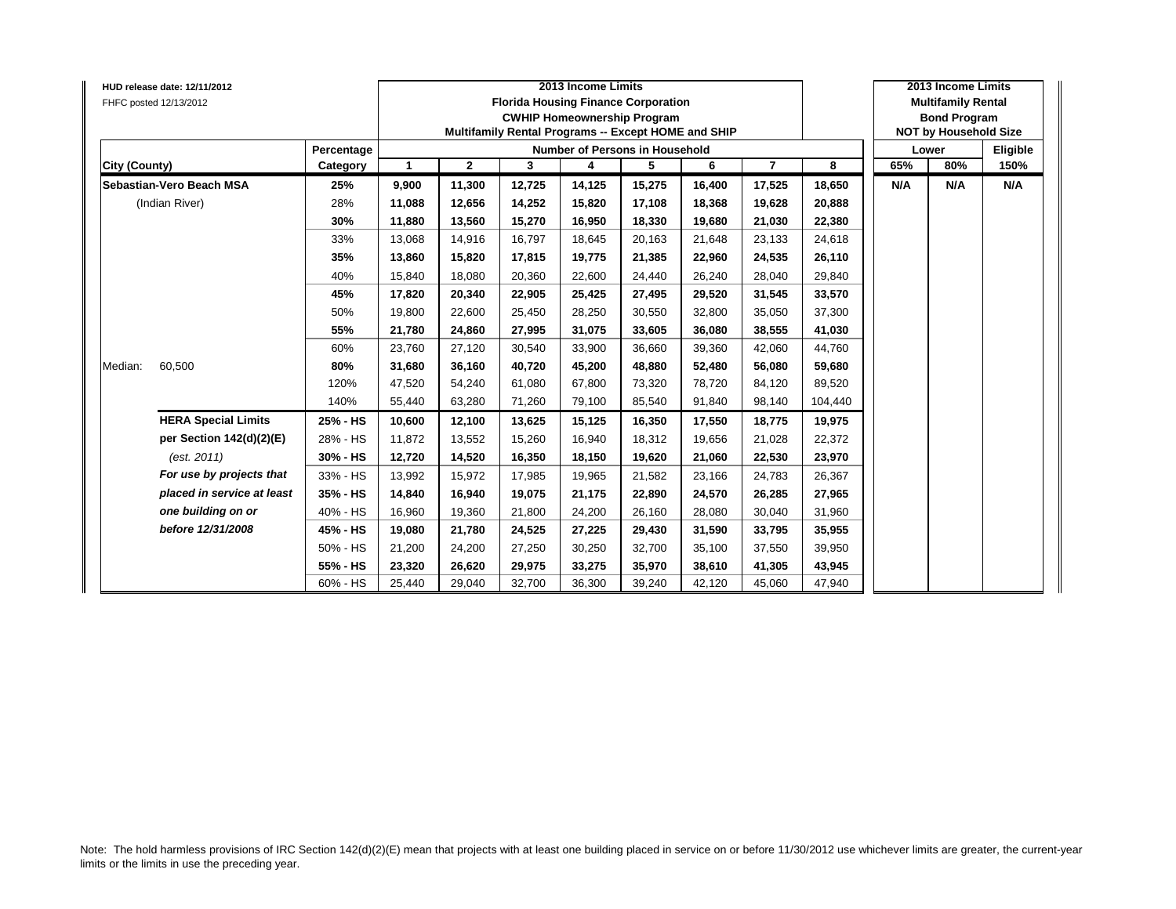|               | <b>HUD release date: 12/11/2012</b><br>FHFC posted 12/13/2012 |            |                |              |        | 2013 Income Limits<br><b>Florida Housing Finance Corporation</b><br><b>CWHIP Homeownership Program</b><br>Multifamily Rental Programs -- Except HOME and SHIP |        |        |                |         |     | 2013 Income Limits<br><b>Multifamily Rental</b><br><b>Bond Program</b><br><b>NOT by Household Size</b> |          |
|---------------|---------------------------------------------------------------|------------|----------------|--------------|--------|---------------------------------------------------------------------------------------------------------------------------------------------------------------|--------|--------|----------------|---------|-----|--------------------------------------------------------------------------------------------------------|----------|
|               |                                                               | Percentage |                |              |        | <b>Number of Persons in Household</b>                                                                                                                         |        |        |                |         |     | Lower                                                                                                  | Eligible |
| City (County) |                                                               | Category   | $\overline{1}$ | $\mathbf{2}$ | 3      | 4                                                                                                                                                             | 5      | 6      | $\overline{7}$ | 8       | 65% | 80%                                                                                                    | 150%     |
|               | Sebastian-Vero Beach MSA                                      | 25%        | 9,900          | 11,300       | 12,725 | 14,125                                                                                                                                                        | 15,275 | 16,400 | 17,525         | 18,650  | N/A | N/A                                                                                                    | N/A      |
|               | (Indian River)                                                | 28%        | 11,088         | 12,656       | 14,252 | 15,820                                                                                                                                                        | 17,108 | 18.368 | 19,628         | 20,888  |     |                                                                                                        |          |
|               |                                                               | 30%        | 11,880         | 13,560       | 15,270 | 16,950                                                                                                                                                        | 18,330 | 19,680 | 21,030         | 22,380  |     |                                                                                                        |          |
|               |                                                               | 33%        | 13,068         | 14,916       | 16,797 | 18,645                                                                                                                                                        | 20,163 | 21,648 | 23,133         | 24,618  |     |                                                                                                        |          |
|               |                                                               | 35%        | 13,860         | 15,820       | 17,815 | 19,775                                                                                                                                                        | 21,385 | 22,960 | 24,535         | 26,110  |     |                                                                                                        |          |
|               |                                                               | 40%        | 15,840         | 18.080       | 20,360 | 22,600                                                                                                                                                        | 24,440 | 26.240 | 28,040         | 29,840  |     |                                                                                                        |          |
|               |                                                               | 45%        | 17,820         | 20,340       | 22,905 | 25,425                                                                                                                                                        | 27,495 | 29,520 | 31,545         | 33,570  |     |                                                                                                        |          |
|               |                                                               | 50%        | 19,800         | 22,600       | 25,450 | 28,250                                                                                                                                                        | 30,550 | 32,800 | 35,050         | 37,300  |     |                                                                                                        |          |
|               |                                                               | 55%        | 21,780         | 24,860       | 27,995 | 31,075                                                                                                                                                        | 33,605 | 36.080 | 38,555         | 41,030  |     |                                                                                                        |          |
|               |                                                               | 60%        | 23,760         | 27,120       | 30,540 | 33,900                                                                                                                                                        | 36,660 | 39,360 | 42,060         | 44,760  |     |                                                                                                        |          |
| Median:       | 60,500                                                        | 80%        | 31,680         | 36,160       | 40.720 | 45,200                                                                                                                                                        | 48,880 | 52.480 | 56,080         | 59,680  |     |                                                                                                        |          |
|               |                                                               | 120%       | 47,520         | 54,240       | 61.080 | 67,800                                                                                                                                                        | 73,320 | 78.720 | 84,120         | 89,520  |     |                                                                                                        |          |
|               |                                                               | 140%       | 55,440         | 63,280       | 71,260 | 79,100                                                                                                                                                        | 85,540 | 91,840 | 98,140         | 104,440 |     |                                                                                                        |          |
|               | <b>HERA Special Limits</b>                                    | 25% - HS   | 10,600         | 12,100       | 13,625 | 15,125                                                                                                                                                        | 16,350 | 17,550 | 18,775         | 19,975  |     |                                                                                                        |          |
|               | per Section 142(d)(2)(E)                                      | 28% - HS   | 11,872         | 13,552       | 15,260 | 16,940                                                                                                                                                        | 18,312 | 19,656 | 21,028         | 22,372  |     |                                                                                                        |          |
|               | (est. 2011)                                                   | 30% - HS   | 12,720         | 14,520       | 16,350 | 18,150                                                                                                                                                        | 19,620 | 21,060 | 22,530         | 23,970  |     |                                                                                                        |          |
|               | For use by projects that                                      | 33% - HS   | 13,992         | 15,972       | 17,985 | 19,965                                                                                                                                                        | 21,582 | 23,166 | 24,783         | 26,367  |     |                                                                                                        |          |
|               | placed in service at least                                    | 35% - HS   | 14,840         | 16,940       | 19,075 | 21,175                                                                                                                                                        | 22,890 | 24.570 | 26,285         | 27,965  |     |                                                                                                        |          |
|               | one building on or                                            | 40% - HS   | 16,960         | 19,360       | 21,800 | 24,200                                                                                                                                                        | 26,160 | 28.080 | 30,040         | 31,960  |     |                                                                                                        |          |
|               | before 12/31/2008                                             | 45% - HS   | 19,080         | 21,780       | 24,525 | 27,225                                                                                                                                                        | 29,430 | 31.590 | 33,795         | 35,955  |     |                                                                                                        |          |
|               |                                                               | 50% - HS   | 21,200         | 24,200       | 27,250 | 30,250                                                                                                                                                        | 32,700 | 35,100 | 37,550         | 39,950  |     |                                                                                                        |          |
|               |                                                               | 55% - HS   | 23,320         | 26,620       | 29,975 | 33,275                                                                                                                                                        | 35,970 | 38,610 | 41,305         | 43,945  |     |                                                                                                        |          |
|               |                                                               | 60% - HS   | 25,440         | 29,040       | 32,700 | 36,300                                                                                                                                                        | 39,240 | 42,120 | 45,060         | 47,940  |     |                                                                                                        |          |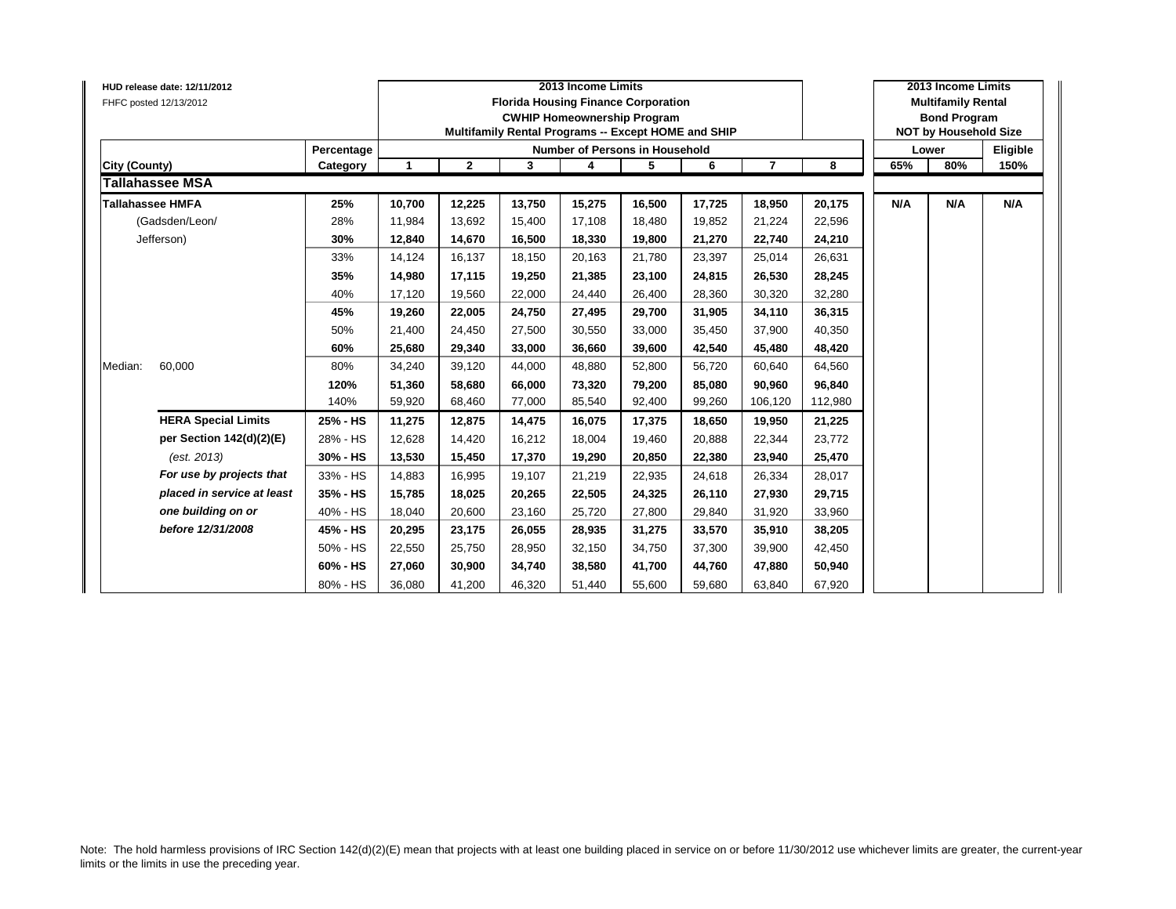| HUD release date: 12/11/2012<br>FHFC posted 12/13/2012 | Percentage |              |              |        | 2013 Income Limits<br><b>Florida Housing Finance Corporation</b><br><b>CWHIP Homeownership Program</b><br>Multifamily Rental Programs -- Except HOME and SHIP<br>Number of Persons in Household |        |        |                |         |     | 2013 Income Limits<br><b>Multifamily Rental</b><br><b>Bond Program</b><br><b>NOT by Household Size</b><br>Lower | Eligible |
|--------------------------------------------------------|------------|--------------|--------------|--------|-------------------------------------------------------------------------------------------------------------------------------------------------------------------------------------------------|--------|--------|----------------|---------|-----|-----------------------------------------------------------------------------------------------------------------|----------|
| City (County)                                          | Category   | $\mathbf{1}$ | $\mathbf{2}$ | 3      | 4                                                                                                                                                                                               | 5      | 6      | $\overline{7}$ | 8       | 65% | 80%                                                                                                             | 150%     |
| <b>Tallahassee MSA</b>                                 |            |              |              |        |                                                                                                                                                                                                 |        |        |                |         |     |                                                                                                                 |          |
| <b>Tallahassee HMFA</b>                                | 25%        | 10,700       | 12,225       | 13.750 | 15,275                                                                                                                                                                                          | 16,500 | 17,725 | 18,950         | 20,175  | N/A | N/A                                                                                                             | N/A      |
| (Gadsden/Leon/                                         | 28%        | 11,984       | 13,692       | 15,400 | 17,108                                                                                                                                                                                          | 18,480 | 19,852 | 21,224         | 22,596  |     |                                                                                                                 |          |
| Jefferson)                                             | 30%        | 12,840       | 14,670       | 16,500 | 18,330                                                                                                                                                                                          | 19,800 | 21,270 | 22,740         | 24,210  |     |                                                                                                                 |          |
|                                                        | 33%        | 14.124       | 16,137       | 18.150 | 20,163                                                                                                                                                                                          | 21,780 | 23,397 | 25,014         | 26,631  |     |                                                                                                                 |          |
|                                                        | 35%        | 14,980       | 17,115       | 19.250 | 21,385                                                                                                                                                                                          | 23,100 | 24.815 | 26,530         | 28,245  |     |                                                                                                                 |          |
|                                                        | 40%        | 17,120       | 19,560       | 22.000 | 24,440                                                                                                                                                                                          | 26,400 | 28.360 | 30,320         | 32,280  |     |                                                                                                                 |          |
|                                                        | 45%        | 19,260       | 22,005       | 24.750 | 27,495                                                                                                                                                                                          | 29,700 | 31.905 | 34,110         | 36,315  |     |                                                                                                                 |          |
|                                                        | 50%        | 21,400       | 24,450       | 27,500 | 30,550                                                                                                                                                                                          | 33,000 | 35,450 | 37,900         | 40,350  |     |                                                                                                                 |          |
|                                                        | 60%        | 25,680       | 29,340       | 33,000 | 36,660                                                                                                                                                                                          | 39,600 | 42,540 | 45,480         | 48,420  |     |                                                                                                                 |          |
| 60,000<br>Median:                                      | 80%        | 34,240       | 39,120       | 44,000 | 48,880                                                                                                                                                                                          | 52,800 | 56,720 | 60,640         | 64,560  |     |                                                                                                                 |          |
|                                                        | 120%       | 51,360       | 58,680       | 66.000 | 73,320                                                                                                                                                                                          | 79,200 | 85,080 | 90,960         | 96,840  |     |                                                                                                                 |          |
|                                                        | 140%       | 59,920       | 68,460       | 77,000 | 85,540                                                                                                                                                                                          | 92,400 | 99,260 | 106,120        | 112,980 |     |                                                                                                                 |          |
| <b>HERA Special Limits</b>                             | 25% - HS   | 11,275       | 12,875       | 14.475 | 16,075                                                                                                                                                                                          | 17,375 | 18.650 | 19,950         | 21,225  |     |                                                                                                                 |          |
| per Section 142(d)(2)(E)                               | 28% - HS   | 12,628       | 14,420       | 16,212 | 18,004                                                                                                                                                                                          | 19,460 | 20,888 | 22,344         | 23,772  |     |                                                                                                                 |          |
| (est. 2013)                                            | 30% - HS   | 13,530       | 15,450       | 17,370 | 19,290                                                                                                                                                                                          | 20,850 | 22,380 | 23,940         | 25,470  |     |                                                                                                                 |          |
| For use by projects that                               | 33% - HS   | 14,883       | 16,995       | 19,107 | 21,219                                                                                                                                                                                          | 22,935 | 24,618 | 26,334         | 28,017  |     |                                                                                                                 |          |
| placed in service at least                             | 35% - HS   | 15,785       | 18,025       | 20.265 | 22,505                                                                                                                                                                                          | 24,325 | 26.110 | 27,930         | 29,715  |     |                                                                                                                 |          |
| one building on or                                     | 40% - HS   | 18,040       | 20,600       | 23,160 | 25,720                                                                                                                                                                                          | 27,800 | 29,840 | 31,920         | 33,960  |     |                                                                                                                 |          |
| before 12/31/2008                                      | 45% - HS   | 20,295       | 23,175       | 26.055 | 28,935                                                                                                                                                                                          | 31,275 | 33,570 | 35,910         | 38,205  |     |                                                                                                                 |          |
|                                                        | 50% - HS   | 22,550       | 25,750       | 28,950 | 32,150                                                                                                                                                                                          | 34,750 | 37,300 | 39,900         | 42,450  |     |                                                                                                                 |          |
|                                                        | 60% - HS   | 27,060       | 30,900       | 34,740 | 38,580                                                                                                                                                                                          | 41,700 | 44,760 | 47,880         | 50,940  |     |                                                                                                                 |          |
|                                                        | 80% - HS   | 36,080       | 41,200       | 46,320 | 51,440                                                                                                                                                                                          | 55,600 | 59,680 | 63,840         | 67,920  |     |                                                                                                                 |          |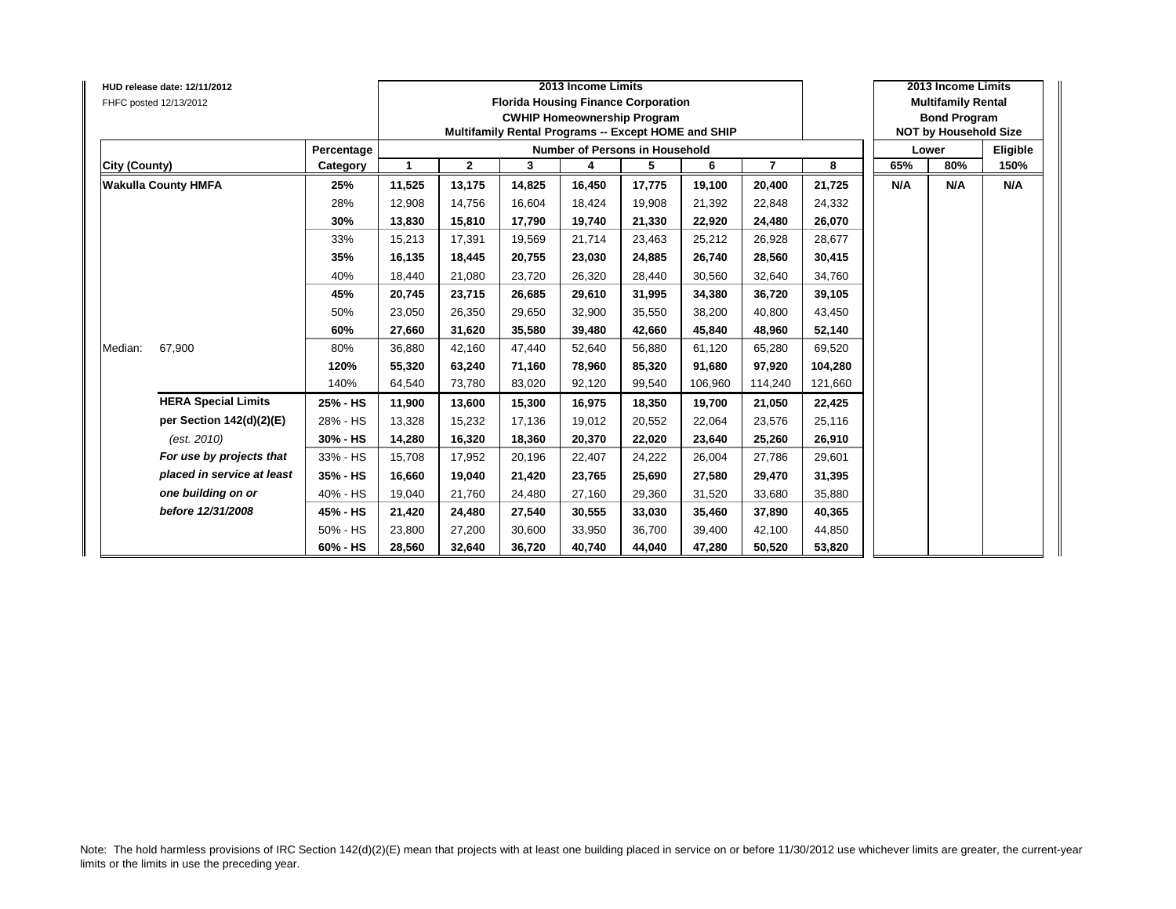|               | HUD release date: 12/11/2012<br>FHFC posted 12/13/2012 |            |        |              |        | 2013 Income Limits<br><b>Florida Housing Finance Corporation</b><br><b>CWHIP Homeownership Program</b><br>Multifamily Rental Programs -- Except HOME and SHIP |        |         |                |         |     | 2013 Income Limits<br><b>Multifamily Rental</b><br><b>Bond Program</b><br><b>NOT by Household Size</b> |          |
|---------------|--------------------------------------------------------|------------|--------|--------------|--------|---------------------------------------------------------------------------------------------------------------------------------------------------------------|--------|---------|----------------|---------|-----|--------------------------------------------------------------------------------------------------------|----------|
|               |                                                        | Percentage |        |              |        | Number of Persons in Household                                                                                                                                |        |         |                |         |     | Lower                                                                                                  | Eligible |
| City (County) |                                                        | Category   | 1      | $\mathbf{2}$ | 3      | 4                                                                                                                                                             | 5      | 6       | $\overline{7}$ | 8       | 65% | 80%                                                                                                    | 150%     |
|               | <b>Wakulla County HMFA</b>                             | 25%        | 11,525 | 13,175       | 14,825 | 16,450                                                                                                                                                        | 17,775 | 19,100  | 20,400         | 21,725  | N/A | N/A                                                                                                    | N/A      |
|               |                                                        | 28%        | 12,908 | 14,756       | 16,604 | 18,424                                                                                                                                                        | 19,908 | 21,392  | 22,848         | 24,332  |     |                                                                                                        |          |
|               |                                                        | 30%        | 13,830 | 15,810       | 17,790 | 19,740                                                                                                                                                        | 21,330 | 22,920  | 24,480         | 26,070  |     |                                                                                                        |          |
|               |                                                        | 33%        | 15,213 | 17,391       | 19,569 | 21,714                                                                                                                                                        | 23,463 | 25,212  | 26,928         | 28,677  |     |                                                                                                        |          |
|               |                                                        | 35%        | 16,135 | 18,445       | 20,755 | 23,030                                                                                                                                                        | 24,885 | 26,740  | 28,560         | 30,415  |     |                                                                                                        |          |
|               |                                                        | 40%        | 18,440 | 21,080       | 23,720 | 26,320                                                                                                                                                        | 28,440 | 30,560  | 32,640         | 34,760  |     |                                                                                                        |          |
|               |                                                        | 45%        | 20,745 | 23,715       | 26,685 | 29,610                                                                                                                                                        | 31,995 | 34.380  | 36,720         | 39,105  |     |                                                                                                        |          |
|               |                                                        | 50%        | 23,050 | 26,350       | 29,650 | 32,900                                                                                                                                                        | 35,550 | 38,200  | 40,800         | 43,450  |     |                                                                                                        |          |
|               |                                                        | 60%        | 27,660 | 31,620       | 35.580 | 39,480                                                                                                                                                        | 42,660 | 45.840  | 48,960         | 52,140  |     |                                                                                                        |          |
| Median:       | 67,900                                                 | 80%        | 36,880 | 42,160       | 47,440 | 52,640                                                                                                                                                        | 56,880 | 61,120  | 65,280         | 69,520  |     |                                                                                                        |          |
|               |                                                        | 120%       | 55,320 | 63,240       | 71,160 | 78,960                                                                                                                                                        | 85,320 | 91,680  | 97,920         | 104,280 |     |                                                                                                        |          |
|               |                                                        | 140%       | 64,540 | 73,780       | 83,020 | 92,120                                                                                                                                                        | 99,540 | 106,960 | 114,240        | 121,660 |     |                                                                                                        |          |
|               | <b>HERA Special Limits</b>                             | 25% - HS   | 11,900 | 13,600       | 15,300 | 16,975                                                                                                                                                        | 18,350 | 19,700  | 21,050         | 22,425  |     |                                                                                                        |          |
|               | per Section 142(d)(2)(E)                               | 28% - HS   | 13,328 | 15,232       | 17.136 | 19,012                                                                                                                                                        | 20,552 | 22,064  | 23,576         | 25,116  |     |                                                                                                        |          |
|               | (est. 2010)                                            | 30% - HS   | 14,280 | 16,320       | 18,360 | 20,370                                                                                                                                                        | 22,020 | 23,640  | 25,260         | 26,910  |     |                                                                                                        |          |
|               | For use by projects that                               | 33% - HS   | 15,708 | 17,952       | 20,196 | 22,407                                                                                                                                                        | 24,222 | 26,004  | 27,786         | 29,601  |     |                                                                                                        |          |
|               | placed in service at least                             | 35% - HS   | 16,660 | 19,040       | 21,420 | 23,765                                                                                                                                                        | 25,690 | 27,580  | 29,470         | 31,395  |     |                                                                                                        |          |
|               | one building on or                                     | 40% - HS   | 19,040 | 21,760       | 24,480 | 27,160                                                                                                                                                        | 29,360 | 31,520  | 33,680         | 35,880  |     |                                                                                                        |          |
|               | before 12/31/2008                                      | 45% - HS   | 21,420 | 24,480       | 27,540 | 30,555                                                                                                                                                        | 33,030 | 35,460  | 37,890         | 40,365  |     |                                                                                                        |          |
|               |                                                        | 50% - HS   | 23,800 | 27,200       | 30,600 | 33,950                                                                                                                                                        | 36,700 | 39.400  | 42,100         | 44,850  |     |                                                                                                        |          |
|               |                                                        | 60% - HS   | 28,560 | 32,640       | 36,720 | 40,740                                                                                                                                                        | 44,040 | 47,280  | 50,520         | 53,820  |     |                                                                                                        |          |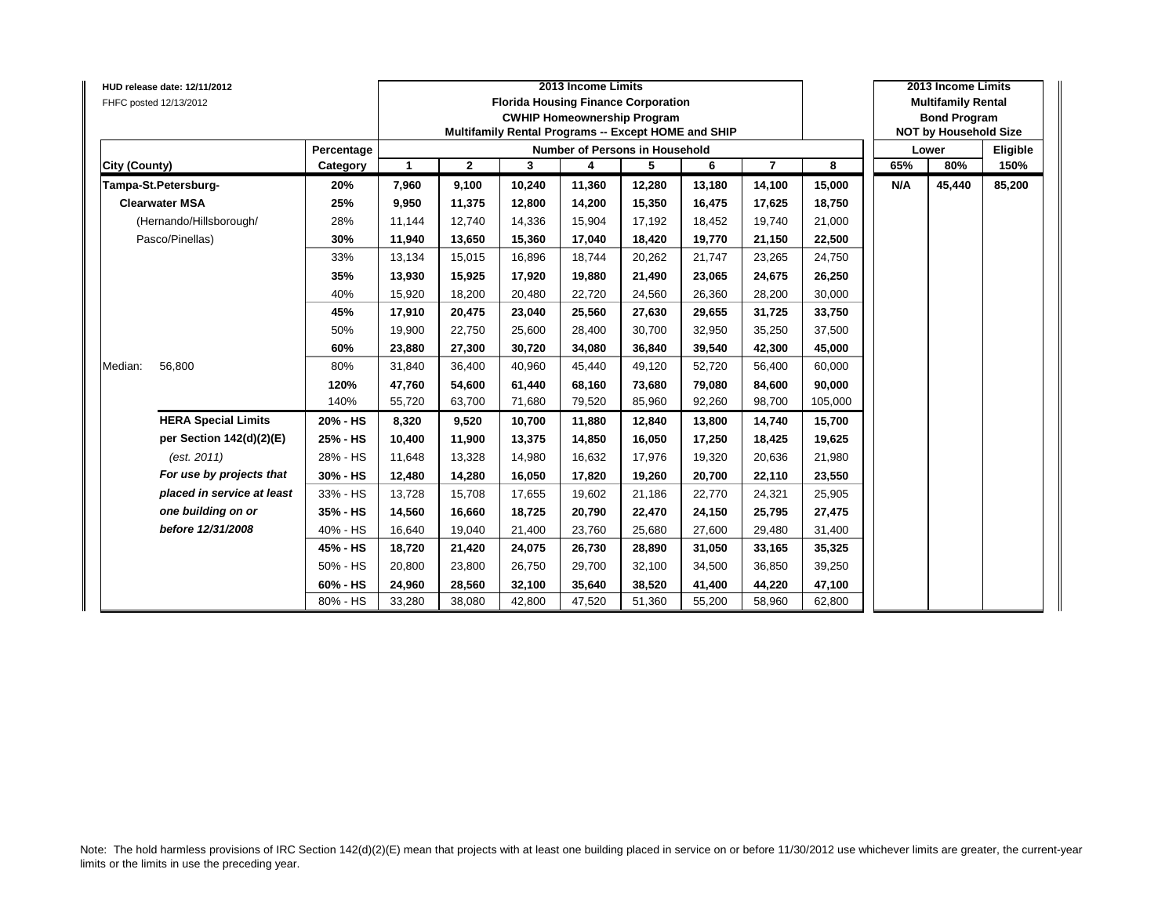|               | HUD release date: 12/11/2012<br>FHFC posted 12/13/2012 |            |              |              |        | 2013 Income Limits | <b>Florida Housing Finance Corporation</b><br><b>CWHIP Homeownership Program</b><br>Multifamily Rental Programs -- Except HOME and SHIP |        |                |         |     | 2013 Income Limits<br><b>Multifamily Rental</b><br><b>Bond Program</b><br><b>NOT by Household Size</b> |          |
|---------------|--------------------------------------------------------|------------|--------------|--------------|--------|--------------------|-----------------------------------------------------------------------------------------------------------------------------------------|--------|----------------|---------|-----|--------------------------------------------------------------------------------------------------------|----------|
|               |                                                        | Percentage |              |              |        |                    | <b>Number of Persons in Household</b>                                                                                                   |        |                |         |     | Lower                                                                                                  | Eligible |
| City (County) |                                                        | Category   | $\mathbf{1}$ | $\mathbf{2}$ | 3      | 4                  | 5                                                                                                                                       | 6      | $\overline{7}$ | 8       | 65% | 80%                                                                                                    | 150%     |
|               | Tampa-St.Petersburg-                                   | 20%        | 7,960        | 9,100        | 10,240 | 11,360             | 12,280                                                                                                                                  | 13,180 | 14,100         | 15,000  | N/A | 45,440                                                                                                 | 85,200   |
|               | <b>Clearwater MSA</b>                                  | 25%        | 9,950        | 11,375       | 12,800 | 14,200             | 15,350                                                                                                                                  | 16,475 | 17,625         | 18,750  |     |                                                                                                        |          |
|               | (Hernando/Hillsborough/                                | 28%        | 11,144       | 12,740       | 14,336 | 15,904             | 17,192                                                                                                                                  | 18,452 | 19,740         | 21,000  |     |                                                                                                        |          |
|               | Pasco/Pinellas)                                        | 30%        | 11,940       | 13,650       | 15,360 | 17,040             | 18,420                                                                                                                                  | 19,770 | 21,150         | 22,500  |     |                                                                                                        |          |
|               |                                                        | 33%        | 13,134       | 15,015       | 16,896 | 18,744             | 20,262                                                                                                                                  | 21,747 | 23,265         | 24,750  |     |                                                                                                        |          |
|               |                                                        | 35%        | 13,930       | 15,925       | 17,920 | 19,880             | 21,490                                                                                                                                  | 23,065 | 24,675         | 26,250  |     |                                                                                                        |          |
|               |                                                        | 40%        | 15,920       | 18,200       | 20,480 | 22,720             | 24,560                                                                                                                                  | 26,360 | 28,200         | 30,000  |     |                                                                                                        |          |
|               |                                                        | 45%        | 17,910       | 20,475       | 23,040 | 25,560             | 27,630                                                                                                                                  | 29,655 | 31,725         | 33,750  |     |                                                                                                        |          |
|               |                                                        | 50%        | 19,900       | 22,750       | 25,600 | 28,400             | 30,700                                                                                                                                  | 32,950 | 35,250         | 37,500  |     |                                                                                                        |          |
|               |                                                        | 60%        | 23,880       | 27,300       | 30,720 | 34,080             | 36,840                                                                                                                                  | 39,540 | 42,300         | 45,000  |     |                                                                                                        |          |
| Median:       | 56,800                                                 | 80%        | 31,840       | 36,400       | 40,960 | 45,440             | 49,120                                                                                                                                  | 52,720 | 56,400         | 60,000  |     |                                                                                                        |          |
|               |                                                        | 120%       | 47,760       | 54,600       | 61,440 | 68,160             | 73,680                                                                                                                                  | 79,080 | 84,600         | 90,000  |     |                                                                                                        |          |
|               |                                                        | 140%       | 55,720       | 63,700       | 71,680 | 79,520             | 85,960                                                                                                                                  | 92,260 | 98,700         | 105,000 |     |                                                                                                        |          |
|               | <b>HERA Special Limits</b>                             | 20% - HS   | 8,320        | 9,520        | 10,700 | 11,880             | 12,840                                                                                                                                  | 13,800 | 14,740         | 15,700  |     |                                                                                                        |          |
|               | per Section 142(d)(2)(E)                               | 25% - HS   | 10,400       | 11,900       | 13,375 | 14,850             | 16,050                                                                                                                                  | 17,250 | 18,425         | 19,625  |     |                                                                                                        |          |
|               | (est. 2011)                                            | 28% - HS   | 11,648       | 13,328       | 14,980 | 16,632             | 17,976                                                                                                                                  | 19,320 | 20,636         | 21,980  |     |                                                                                                        |          |
|               | For use by projects that                               | 30% - HS   | 12,480       | 14,280       | 16,050 | 17,820             | 19,260                                                                                                                                  | 20,700 | 22,110         | 23,550  |     |                                                                                                        |          |
|               | placed in service at least                             | 33% - HS   | 13,728       | 15,708       | 17,655 | 19,602             | 21,186                                                                                                                                  | 22,770 | 24,321         | 25,905  |     |                                                                                                        |          |
|               | one building on or                                     | 35% - HS   | 14,560       | 16,660       | 18,725 | 20,790             | 22,470                                                                                                                                  | 24,150 | 25,795         | 27,475  |     |                                                                                                        |          |
|               | before 12/31/2008                                      | 40% - HS   | 16,640       | 19,040       | 21,400 | 23,760             | 25,680                                                                                                                                  | 27,600 | 29,480         | 31,400  |     |                                                                                                        |          |
|               |                                                        | 45% - HS   | 18,720       | 21,420       | 24,075 | 26,730             | 28,890                                                                                                                                  | 31,050 | 33,165         | 35,325  |     |                                                                                                        |          |
|               |                                                        | 50% - HS   | 20,800       | 23,800       | 26,750 | 29,700             | 32,100                                                                                                                                  | 34,500 | 36,850         | 39,250  |     |                                                                                                        |          |
|               |                                                        | 60% - HS   | 24,960       | 28,560       | 32,100 | 35,640             | 38,520                                                                                                                                  | 41,400 | 44,220         | 47,100  |     |                                                                                                        |          |
|               |                                                        | 80% - HS   | 33,280       | 38,080       | 42,800 | 47,520             | 51,360                                                                                                                                  | 55,200 | 58,960         | 62,800  |     |                                                                                                        |          |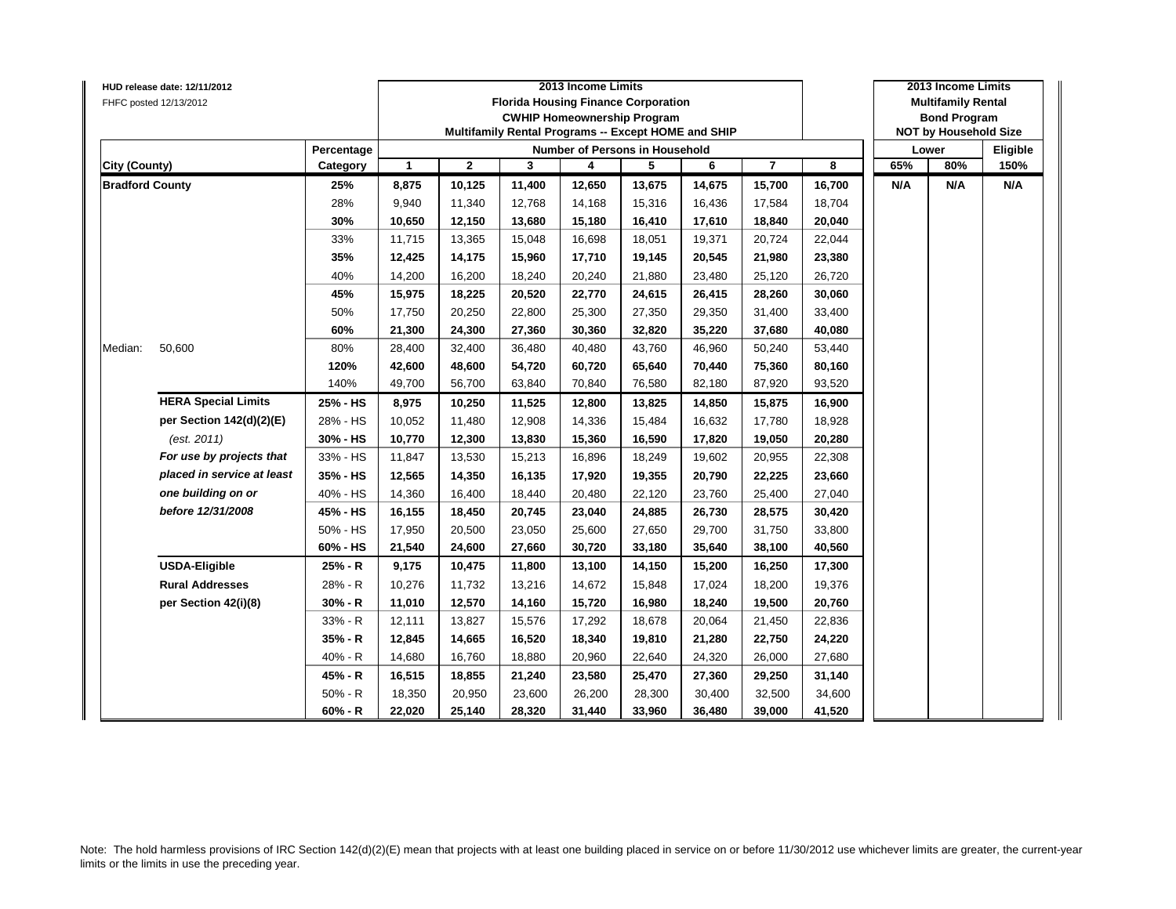|                        | HUD release date: 12/11/2012 |            |              |              |        | 2013 Income Limits                                  |        |        |                |        |     | 2013 Income Limits           |          |
|------------------------|------------------------------|------------|--------------|--------------|--------|-----------------------------------------------------|--------|--------|----------------|--------|-----|------------------------------|----------|
|                        | FHFC posted 12/13/2012       |            |              |              |        | <b>Florida Housing Finance Corporation</b>          |        |        |                |        |     | <b>Multifamily Rental</b>    |          |
|                        |                              |            |              |              |        | <b>CWHIP Homeownership Program</b>                  |        |        |                |        |     | <b>Bond Program</b>          |          |
|                        |                              |            |              |              |        | Multifamily Rental Programs -- Except HOME and SHIP |        |        |                |        |     | <b>NOT by Household Size</b> |          |
|                        |                              | Percentage |              |              |        | Number of Persons in Household                      |        |        |                |        |     | Lower                        | Eligible |
| <b>City (County)</b>   |                              | Category   | $\mathbf{1}$ | $\mathbf{2}$ | 3      | 4                                                   | 5      | 6      | $\overline{7}$ | 8      | 65% | 80%                          | 150%     |
| <b>Bradford County</b> |                              | 25%        | 8,875        | 10,125       | 11,400 | 12,650                                              | 13,675 | 14,675 | 15,700         | 16,700 | N/A | N/A                          | N/A      |
|                        |                              | 28%        | 9,940        | 11,340       | 12,768 | 14,168                                              | 15,316 | 16,436 | 17,584         | 18,704 |     |                              |          |
|                        |                              | 30%        | 10,650       | 12,150       | 13,680 | 15,180                                              | 16,410 | 17,610 | 18,840         | 20,040 |     |                              |          |
|                        |                              | 33%        | 11,715       | 13,365       | 15,048 | 16,698                                              | 18,051 | 19,371 | 20,724         | 22,044 |     |                              |          |
|                        |                              | 35%        | 12,425       | 14,175       | 15,960 | 17,710                                              | 19,145 | 20,545 | 21,980         | 23,380 |     |                              |          |
|                        |                              | 40%        | 14,200       | 16,200       | 18,240 | 20,240                                              | 21,880 | 23,480 | 25,120         | 26,720 |     |                              |          |
|                        |                              | 45%        | 15,975       | 18,225       | 20,520 | 22,770                                              | 24,615 | 26,415 | 28,260         | 30,060 |     |                              |          |
|                        |                              | 50%        | 17,750       | 20,250       | 22,800 | 25,300                                              | 27,350 | 29,350 | 31,400         | 33,400 |     |                              |          |
|                        |                              | 60%        | 21,300       | 24,300       | 27,360 | 30,360                                              | 32,820 | 35,220 | 37,680         | 40,080 |     |                              |          |
| Median:                | 50,600                       | 80%        | 28,400       | 32,400       | 36,480 | 40,480                                              | 43,760 | 46,960 | 50,240         | 53,440 |     |                              |          |
|                        |                              | 120%       | 42,600       | 48,600       | 54,720 | 60,720                                              | 65,640 | 70,440 | 75,360         | 80,160 |     |                              |          |
|                        |                              | 140%       | 49,700       | 56,700       | 63,840 | 70,840                                              | 76,580 | 82,180 | 87,920         | 93,520 |     |                              |          |
|                        | <b>HERA Special Limits</b>   | 25% - HS   | 8,975        | 10,250       | 11,525 | 12,800                                              | 13,825 | 14,850 | 15,875         | 16,900 |     |                              |          |
|                        | per Section 142(d)(2)(E)     | 28% - HS   | 10,052       | 11,480       | 12,908 | 14,336                                              | 15,484 | 16,632 | 17,780         | 18,928 |     |                              |          |
|                        | (est. 2011)                  | 30% - HS   | 10,770       | 12,300       | 13,830 | 15,360                                              | 16,590 | 17,820 | 19,050         | 20,280 |     |                              |          |
|                        | For use by projects that     | 33% - HS   | 11,847       | 13,530       | 15,213 | 16,896                                              | 18,249 | 19,602 | 20,955         | 22,308 |     |                              |          |
|                        | placed in service at least   | 35% - HS   | 12,565       | 14,350       | 16,135 | 17,920                                              | 19,355 | 20,790 | 22,225         | 23,660 |     |                              |          |
|                        | one building on or           | 40% - HS   | 14,360       | 16,400       | 18,440 | 20,480                                              | 22,120 | 23,760 | 25,400         | 27,040 |     |                              |          |
|                        | before 12/31/2008            | 45% - HS   | 16,155       | 18,450       | 20,745 | 23,040                                              | 24,885 | 26,730 | 28,575         | 30,420 |     |                              |          |
|                        |                              | 50% - HS   | 17,950       | 20,500       | 23,050 | 25,600                                              | 27,650 | 29,700 | 31,750         | 33,800 |     |                              |          |
|                        |                              | 60% - HS   | 21,540       | 24,600       | 27,660 | 30,720                                              | 33,180 | 35,640 | 38,100         | 40,560 |     |                              |          |
|                        | <b>USDA-Eligible</b>         | 25% - R    | 9,175        | 10,475       | 11,800 | 13,100                                              | 14,150 | 15,200 | 16,250         | 17,300 |     |                              |          |
|                        | <b>Rural Addresses</b>       | 28% - R    | 10,276       | 11,732       | 13,216 | 14,672                                              | 15,848 | 17,024 | 18,200         | 19,376 |     |                              |          |
|                        | per Section 42(i)(8)         | 30% - R    | 11,010       | 12,570       | 14,160 | 15,720                                              | 16,980 | 18,240 | 19,500         | 20,760 |     |                              |          |
|                        |                              | 33% - R    | 12,111       | 13,827       | 15,576 | 17,292                                              | 18,678 | 20,064 | 21,450         | 22,836 |     |                              |          |
|                        |                              | 35% - R    | 12,845       | 14,665       | 16,520 | 18,340                                              | 19,810 | 21,280 | 22,750         | 24,220 |     |                              |          |
|                        |                              | 40% - R    | 14,680       | 16,760       | 18,880 | 20,960                                              | 22,640 | 24,320 | 26,000         | 27,680 |     |                              |          |
|                        |                              | 45% - R    | 16,515       | 18,855       | 21,240 | 23,580                                              | 25,470 | 27,360 | 29,250         | 31,140 |     |                              |          |
|                        |                              | $50% - R$  | 18,350       | 20,950       | 23,600 | 26,200                                              | 28,300 | 30,400 | 32,500         | 34,600 |     |                              |          |
|                        |                              | $60% - R$  | 22,020       | 25,140       | 28,320 | 31,440                                              | 33,960 | 36,480 | 39,000         | 41,520 |     |                              |          |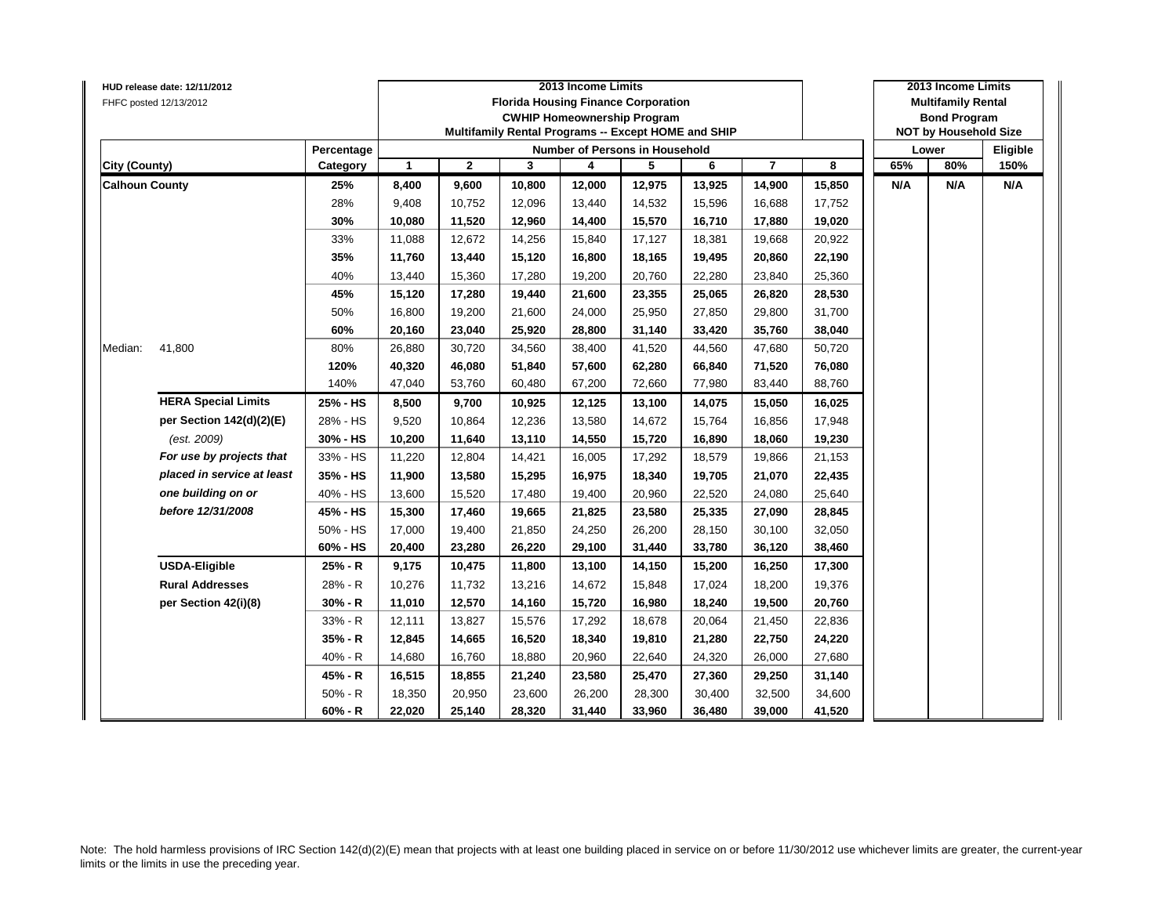|                       | HUD release date: 12/11/2012 |            |              |              |        | 2013 Income Limits                                  |        |        |                |        |     | 2013 Income Limits           |          |
|-----------------------|------------------------------|------------|--------------|--------------|--------|-----------------------------------------------------|--------|--------|----------------|--------|-----|------------------------------|----------|
|                       | FHFC posted 12/13/2012       |            |              |              |        | <b>Florida Housing Finance Corporation</b>          |        |        |                |        |     | <b>Multifamily Rental</b>    |          |
|                       |                              |            |              |              |        | <b>CWHIP Homeownership Program</b>                  |        |        |                |        |     | <b>Bond Program</b>          |          |
|                       |                              |            |              |              |        | Multifamily Rental Programs -- Except HOME and SHIP |        |        |                |        |     | <b>NOT by Household Size</b> |          |
|                       |                              | Percentage |              |              |        | Number of Persons in Household                      |        |        |                |        |     | Lower                        | Eligible |
| <b>City (County)</b>  |                              | Category   | $\mathbf{1}$ | $\mathbf{2}$ | 3      | 4                                                   | 5      | 6      | $\overline{7}$ | 8      | 65% | 80%                          | 150%     |
| <b>Calhoun County</b> |                              | 25%        | 8,400        | 9,600        | 10,800 | 12,000                                              | 12,975 | 13,925 | 14,900         | 15,850 | N/A | N/A                          | N/A      |
|                       |                              | 28%        | 9,408        | 10,752       | 12,096 | 13,440                                              | 14,532 | 15,596 | 16,688         | 17,752 |     |                              |          |
|                       |                              | 30%        | 10,080       | 11,520       | 12,960 | 14,400                                              | 15,570 | 16,710 | 17,880         | 19,020 |     |                              |          |
|                       |                              | 33%        | 11,088       | 12,672       | 14,256 | 15,840                                              | 17,127 | 18,381 | 19,668         | 20,922 |     |                              |          |
|                       |                              | 35%        | 11,760       | 13,440       | 15,120 | 16,800                                              | 18,165 | 19,495 | 20,860         | 22,190 |     |                              |          |
|                       |                              | 40%        | 13,440       | 15,360       | 17,280 | 19,200                                              | 20,760 | 22,280 | 23,840         | 25,360 |     |                              |          |
|                       |                              | 45%        | 15,120       | 17,280       | 19,440 | 21,600                                              | 23,355 | 25,065 | 26,820         | 28,530 |     |                              |          |
|                       |                              | 50%        | 16,800       | 19,200       | 21,600 | 24,000                                              | 25,950 | 27,850 | 29,800         | 31,700 |     |                              |          |
|                       |                              | 60%        | 20,160       | 23,040       | 25,920 | 28,800                                              | 31,140 | 33,420 | 35,760         | 38,040 |     |                              |          |
| Median:               | 41,800                       | 80%        | 26,880       | 30,720       | 34,560 | 38,400                                              | 41,520 | 44,560 | 47,680         | 50,720 |     |                              |          |
|                       |                              | 120%       | 40,320       | 46,080       | 51,840 | 57,600                                              | 62,280 | 66,840 | 71,520         | 76,080 |     |                              |          |
|                       |                              | 140%       | 47,040       | 53,760       | 60,480 | 67,200                                              | 72,660 | 77,980 | 83,440         | 88,760 |     |                              |          |
|                       | <b>HERA Special Limits</b>   | 25% - HS   | 8,500        | 9,700        | 10,925 | 12,125                                              | 13,100 | 14,075 | 15,050         | 16,025 |     |                              |          |
|                       | per Section 142(d)(2)(E)     | 28% - HS   | 9,520        | 10,864       | 12,236 | 13,580                                              | 14,672 | 15,764 | 16,856         | 17,948 |     |                              |          |
|                       | (est. 2009)                  | 30% - HS   | 10,200       | 11,640       | 13,110 | 14,550                                              | 15,720 | 16,890 | 18,060         | 19,230 |     |                              |          |
|                       | For use by projects that     | 33% - HS   | 11,220       | 12,804       | 14,421 | 16,005                                              | 17,292 | 18,579 | 19,866         | 21,153 |     |                              |          |
|                       | placed in service at least   | 35% - HS   | 11,900       | 13,580       | 15,295 | 16,975                                              | 18,340 | 19,705 | 21,070         | 22,435 |     |                              |          |
|                       | one building on or           | 40% - HS   | 13,600       | 15,520       | 17,480 | 19,400                                              | 20,960 | 22,520 | 24,080         | 25,640 |     |                              |          |
|                       | before 12/31/2008            | 45% - HS   | 15,300       | 17,460       | 19,665 | 21,825                                              | 23,580 | 25,335 | 27,090         | 28,845 |     |                              |          |
|                       |                              | 50% - HS   | 17,000       | 19,400       | 21,850 | 24,250                                              | 26,200 | 28,150 | 30,100         | 32,050 |     |                              |          |
|                       |                              | 60% - HS   | 20,400       | 23,280       | 26,220 | 29,100                                              | 31,440 | 33,780 | 36,120         | 38,460 |     |                              |          |
|                       | <b>USDA-Eligible</b>         | 25% - R    | 9,175        | 10,475       | 11,800 | 13,100                                              | 14,150 | 15,200 | 16,250         | 17,300 |     |                              |          |
|                       | <b>Rural Addresses</b>       | 28% - R    | 10,276       | 11,732       | 13,216 | 14,672                                              | 15,848 | 17,024 | 18,200         | 19,376 |     |                              |          |
|                       | per Section 42(i)(8)         | 30% - R    | 11,010       | 12,570       | 14,160 | 15,720                                              | 16,980 | 18,240 | 19,500         | 20,760 |     |                              |          |
|                       |                              | 33% - R    | 12,111       | 13,827       | 15,576 | 17,292                                              | 18,678 | 20,064 | 21,450         | 22,836 |     |                              |          |
|                       |                              | 35% - R    | 12,845       | 14,665       | 16,520 | 18,340                                              | 19,810 | 21,280 | 22,750         | 24,220 |     |                              |          |
|                       |                              | 40% - R    | 14,680       | 16,760       | 18,880 | 20,960                                              | 22,640 | 24,320 | 26,000         | 27,680 |     |                              |          |
|                       |                              | 45% - R    | 16,515       | 18,855       | 21,240 | 23,580                                              | 25,470 | 27,360 | 29,250         | 31,140 |     |                              |          |
|                       |                              | $50% - R$  | 18,350       | 20,950       | 23,600 | 26,200                                              | 28,300 | 30,400 | 32,500         | 34,600 |     |                              |          |
|                       |                              | $60% - R$  | 22,020       | 25,140       | 28,320 | 31,440                                              | 33,960 | 36,480 | 39,000         | 41,520 |     |                              |          |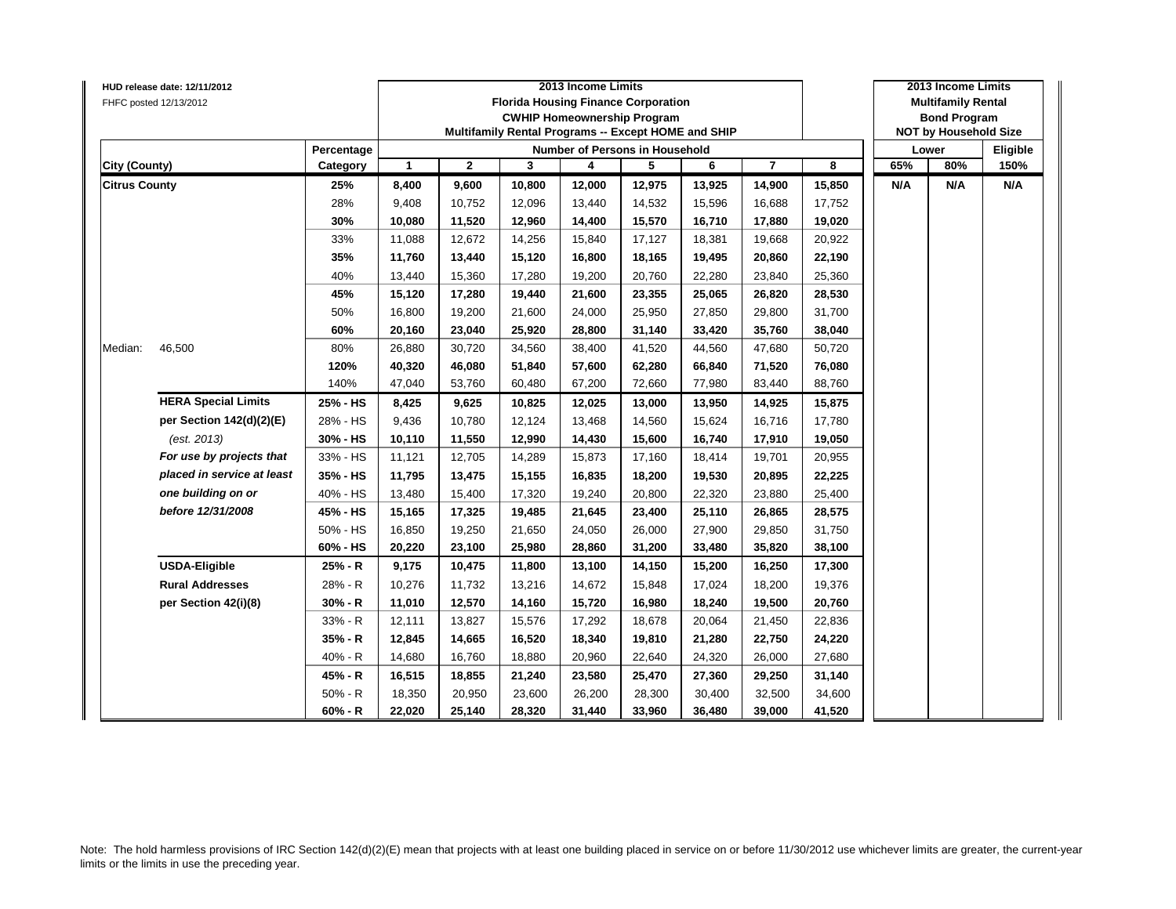|                      | HUD release date: 12/11/2012 |            |                      |              |        | 2013 Income Limits                                  |        |        |                |        |     | 2013 Income Limits           |          |
|----------------------|------------------------------|------------|----------------------|--------------|--------|-----------------------------------------------------|--------|--------|----------------|--------|-----|------------------------------|----------|
|                      | FHFC posted 12/13/2012       |            |                      |              |        | <b>Florida Housing Finance Corporation</b>          |        |        |                |        |     | <b>Multifamily Rental</b>    |          |
|                      |                              |            |                      |              |        | <b>CWHIP Homeownership Program</b>                  |        |        |                |        |     | <b>Bond Program</b>          |          |
|                      |                              |            |                      |              |        | Multifamily Rental Programs -- Except HOME and SHIP |        |        |                |        |     | <b>NOT by Household Size</b> |          |
|                      |                              | Percentage |                      |              |        | <b>Number of Persons in Household</b>               |        |        |                |        |     | Lower                        | Eligible |
| <b>City (County)</b> |                              | Category   | $\blacktriangleleft$ | $\mathbf{2}$ | 3      | 4                                                   | 5      | 6      | $\overline{7}$ | 8      | 65% | 80%                          | 150%     |
| <b>Citrus County</b> |                              | 25%        | 8,400                | 9,600        | 10,800 | 12,000                                              | 12,975 | 13,925 | 14,900         | 15,850 | N/A | N/A                          | N/A      |
|                      |                              | 28%        | 9,408                | 10,752       | 12,096 | 13,440                                              | 14,532 | 15,596 | 16,688         | 17,752 |     |                              |          |
|                      |                              | 30%        | 10,080               | 11,520       | 12,960 | 14,400                                              | 15,570 | 16,710 | 17,880         | 19,020 |     |                              |          |
|                      |                              | 33%        | 11,088               | 12,672       | 14,256 | 15,840                                              | 17,127 | 18,381 | 19,668         | 20,922 |     |                              |          |
|                      |                              | 35%        | 11,760               | 13,440       | 15,120 | 16,800                                              | 18,165 | 19,495 | 20,860         | 22,190 |     |                              |          |
|                      |                              | 40%        | 13,440               | 15,360       | 17,280 | 19,200                                              | 20,760 | 22,280 | 23,840         | 25,360 |     |                              |          |
|                      |                              | 45%        | 15,120               | 17,280       | 19,440 | 21,600                                              | 23,355 | 25,065 | 26,820         | 28,530 |     |                              |          |
|                      |                              | 50%        | 16,800               | 19,200       | 21,600 | 24,000                                              | 25,950 | 27,850 | 29,800         | 31,700 |     |                              |          |
|                      |                              | 60%        | 20,160               | 23,040       | 25,920 | 28,800                                              | 31,140 | 33,420 | 35,760         | 38,040 |     |                              |          |
| Median:              | 46,500                       | 80%        | 26,880               | 30,720       | 34,560 | 38,400                                              | 41,520 | 44,560 | 47,680         | 50,720 |     |                              |          |
|                      |                              | 120%       | 40,320               | 46,080       | 51,840 | 57,600                                              | 62,280 | 66,840 | 71,520         | 76,080 |     |                              |          |
|                      |                              | 140%       | 47,040               | 53,760       | 60,480 | 67,200                                              | 72,660 | 77,980 | 83,440         | 88,760 |     |                              |          |
|                      | <b>HERA Special Limits</b>   | 25% - HS   | 8,425                | 9,625        | 10,825 | 12,025                                              | 13,000 | 13,950 | 14,925         | 15,875 |     |                              |          |
|                      | per Section 142(d)(2)(E)     | 28% - HS   | 9,436                | 10,780       | 12,124 | 13,468                                              | 14,560 | 15,624 | 16,716         | 17,780 |     |                              |          |
|                      | (est. 2013)                  | 30% - HS   | 10,110               | 11,550       | 12,990 | 14,430                                              | 15,600 | 16,740 | 17,910         | 19,050 |     |                              |          |
|                      | For use by projects that     | 33% - HS   | 11,121               | 12,705       | 14,289 | 15,873                                              | 17,160 | 18,414 | 19,701         | 20,955 |     |                              |          |
|                      | placed in service at least   | 35% - HS   | 11,795               | 13,475       | 15,155 | 16,835                                              | 18,200 | 19,530 | 20,895         | 22,225 |     |                              |          |
|                      | one building on or           | 40% - HS   | 13,480               | 15,400       | 17,320 | 19,240                                              | 20,800 | 22,320 | 23,880         | 25,400 |     |                              |          |
|                      | before 12/31/2008            | 45% - HS   | 15,165               | 17,325       | 19,485 | 21,645                                              | 23,400 | 25,110 | 26,865         | 28,575 |     |                              |          |
|                      |                              | 50% - HS   | 16,850               | 19,250       | 21,650 | 24,050                                              | 26,000 | 27,900 | 29,850         | 31,750 |     |                              |          |
|                      |                              | 60% - HS   | 20,220               | 23,100       | 25,980 | 28,860                                              | 31,200 | 33,480 | 35,820         | 38,100 |     |                              |          |
|                      | <b>USDA-Eligible</b>         | 25% - R    | 9,175                | 10,475       | 11,800 | 13,100                                              | 14,150 | 15,200 | 16,250         | 17,300 |     |                              |          |
|                      | <b>Rural Addresses</b>       | 28% - R    | 10,276               | 11,732       | 13,216 | 14,672                                              | 15,848 | 17,024 | 18,200         | 19,376 |     |                              |          |
|                      | per Section 42(i)(8)         | $30% - R$  | 11,010               | 12,570       | 14,160 | 15,720                                              | 16,980 | 18,240 | 19,500         | 20,760 |     |                              |          |
|                      |                              | 33% - R    | 12,111               | 13,827       | 15,576 | 17,292                                              | 18,678 | 20,064 | 21,450         | 22,836 |     |                              |          |
|                      |                              | 35% - R    | 12,845               | 14,665       | 16,520 | 18,340                                              | 19,810 | 21,280 | 22,750         | 24,220 |     |                              |          |
|                      |                              | $40% - R$  | 14,680               | 16,760       | 18,880 | 20,960                                              | 22,640 | 24,320 | 26,000         | 27,680 |     |                              |          |
|                      |                              | 45% - R    | 16,515               | 18,855       | 21,240 | 23,580                                              | 25,470 | 27,360 | 29,250         | 31,140 |     |                              |          |
|                      |                              | $50% - R$  | 18,350               | 20,950       | 23,600 | 26,200                                              | 28,300 | 30,400 | 32,500         | 34,600 |     |                              |          |
|                      |                              | $60% - R$  | 22,020               | 25,140       | 28,320 | 31,440                                              | 33,960 | 36,480 | 39,000         | 41,520 |     |                              |          |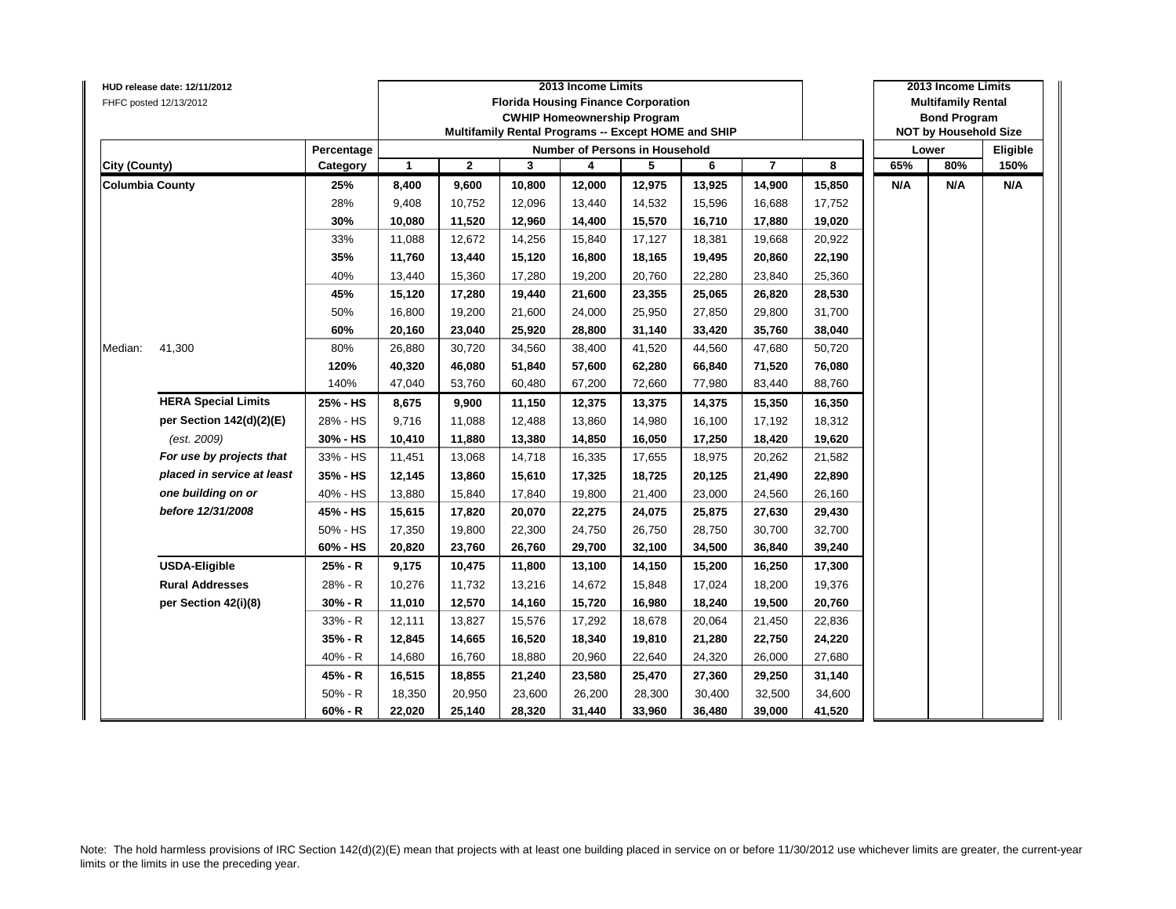|                        | HUD release date: 12/11/2012 |            |              |              |        | 2013 Income Limits                                  |        |        |                |        |     | 2013 Income Limits           |          |
|------------------------|------------------------------|------------|--------------|--------------|--------|-----------------------------------------------------|--------|--------|----------------|--------|-----|------------------------------|----------|
|                        | FHFC posted 12/13/2012       |            |              |              |        | <b>Florida Housing Finance Corporation</b>          |        |        |                |        |     | <b>Multifamily Rental</b>    |          |
|                        |                              |            |              |              |        | <b>CWHIP Homeownership Program</b>                  |        |        |                |        |     | <b>Bond Program</b>          |          |
|                        |                              |            |              |              |        | Multifamily Rental Programs -- Except HOME and SHIP |        |        |                |        |     | <b>NOT by Household Size</b> |          |
|                        |                              | Percentage |              |              |        | Number of Persons in Household                      |        |        |                |        |     | Lower                        | Eligible |
| <b>City (County)</b>   |                              | Category   | $\mathbf{1}$ | $\mathbf{2}$ | 3      | 4                                                   | 5      | 6      | $\overline{7}$ | 8      | 65% | 80%                          | 150%     |
| <b>Columbia County</b> |                              | 25%        | 8,400        | 9,600        | 10,800 | 12,000                                              | 12,975 | 13,925 | 14,900         | 15,850 | N/A | N/A                          | N/A      |
|                        |                              | 28%        | 9,408        | 10,752       | 12,096 | 13,440                                              | 14,532 | 15,596 | 16,688         | 17,752 |     |                              |          |
|                        |                              | 30%        | 10,080       | 11,520       | 12,960 | 14,400                                              | 15,570 | 16,710 | 17,880         | 19,020 |     |                              |          |
|                        |                              | 33%        | 11,088       | 12,672       | 14,256 | 15,840                                              | 17,127 | 18,381 | 19,668         | 20,922 |     |                              |          |
|                        |                              | 35%        | 11,760       | 13,440       | 15,120 | 16,800                                              | 18,165 | 19,495 | 20,860         | 22,190 |     |                              |          |
|                        |                              | 40%        | 13,440       | 15,360       | 17,280 | 19,200                                              | 20,760 | 22,280 | 23,840         | 25,360 |     |                              |          |
|                        |                              | 45%        | 15,120       | 17,280       | 19,440 | 21,600                                              | 23,355 | 25,065 | 26,820         | 28,530 |     |                              |          |
|                        |                              | 50%        | 16,800       | 19,200       | 21,600 | 24,000                                              | 25,950 | 27,850 | 29,800         | 31,700 |     |                              |          |
|                        |                              | 60%        | 20,160       | 23,040       | 25,920 | 28,800                                              | 31,140 | 33,420 | 35,760         | 38,040 |     |                              |          |
| Median:                | 41,300                       | 80%        | 26,880       | 30,720       | 34,560 | 38,400                                              | 41,520 | 44,560 | 47,680         | 50,720 |     |                              |          |
|                        |                              | 120%       | 40,320       | 46,080       | 51,840 | 57,600                                              | 62,280 | 66,840 | 71,520         | 76,080 |     |                              |          |
|                        |                              | 140%       | 47,040       | 53,760       | 60,480 | 67,200                                              | 72,660 | 77,980 | 83,440         | 88,760 |     |                              |          |
|                        | <b>HERA Special Limits</b>   | 25% - HS   | 8,675        | 9,900        | 11,150 | 12,375                                              | 13,375 | 14,375 | 15,350         | 16,350 |     |                              |          |
|                        | per Section 142(d)(2)(E)     | 28% - HS   | 9,716        | 11,088       | 12,488 | 13,860                                              | 14,980 | 16,100 | 17,192         | 18,312 |     |                              |          |
|                        | (est. 2009)                  | 30% - HS   | 10,410       | 11,880       | 13,380 | 14,850                                              | 16,050 | 17,250 | 18,420         | 19,620 |     |                              |          |
|                        | For use by projects that     | 33% - HS   | 11,451       | 13,068       | 14,718 | 16,335                                              | 17,655 | 18,975 | 20,262         | 21,582 |     |                              |          |
|                        | placed in service at least   | 35% - HS   | 12,145       | 13,860       | 15,610 | 17,325                                              | 18,725 | 20,125 | 21,490         | 22,890 |     |                              |          |
|                        | one building on or           | 40% - HS   | 13,880       | 15,840       | 17,840 | 19,800                                              | 21,400 | 23,000 | 24,560         | 26,160 |     |                              |          |
|                        | before 12/31/2008            | 45% - HS   | 15,615       | 17,820       | 20,070 | 22,275                                              | 24,075 | 25,875 | 27,630         | 29,430 |     |                              |          |
|                        |                              | 50% - HS   | 17,350       | 19,800       | 22,300 | 24,750                                              | 26,750 | 28,750 | 30,700         | 32,700 |     |                              |          |
|                        |                              | 60% - HS   | 20,820       | 23,760       | 26,760 | 29,700                                              | 32,100 | 34,500 | 36,840         | 39,240 |     |                              |          |
|                        | <b>USDA-Eligible</b>         | 25% - R    | 9,175        | 10,475       | 11,800 | 13,100                                              | 14,150 | 15,200 | 16,250         | 17,300 |     |                              |          |
|                        | <b>Rural Addresses</b>       | 28% - R    | 10,276       | 11,732       | 13,216 | 14,672                                              | 15,848 | 17,024 | 18,200         | 19,376 |     |                              |          |
|                        | per Section 42(i)(8)         | 30% - R    | 11,010       | 12,570       | 14,160 | 15,720                                              | 16,980 | 18,240 | 19,500         | 20,760 |     |                              |          |
|                        |                              | 33% - R    | 12,111       | 13,827       | 15,576 | 17,292                                              | 18,678 | 20,064 | 21,450         | 22,836 |     |                              |          |
|                        |                              | 35% - R    | 12,845       | 14,665       | 16,520 | 18,340                                              | 19,810 | 21,280 | 22,750         | 24,220 |     |                              |          |
|                        |                              | 40% - R    | 14,680       | 16,760       | 18,880 | 20,960                                              | 22,640 | 24,320 | 26,000         | 27,680 |     |                              |          |
|                        |                              | 45% - R    | 16,515       | 18,855       | 21,240 | 23,580                                              | 25,470 | 27,360 | 29,250         | 31,140 |     |                              |          |
|                        |                              | $50% - R$  | 18,350       | 20,950       | 23,600 | 26,200                                              | 28,300 | 30,400 | 32,500         | 34,600 |     |                              |          |
|                        |                              | $60% - R$  | 22,020       | 25,140       | 28,320 | 31,440                                              | 33,960 | 36,480 | 39,000         | 41,520 |     |                              |          |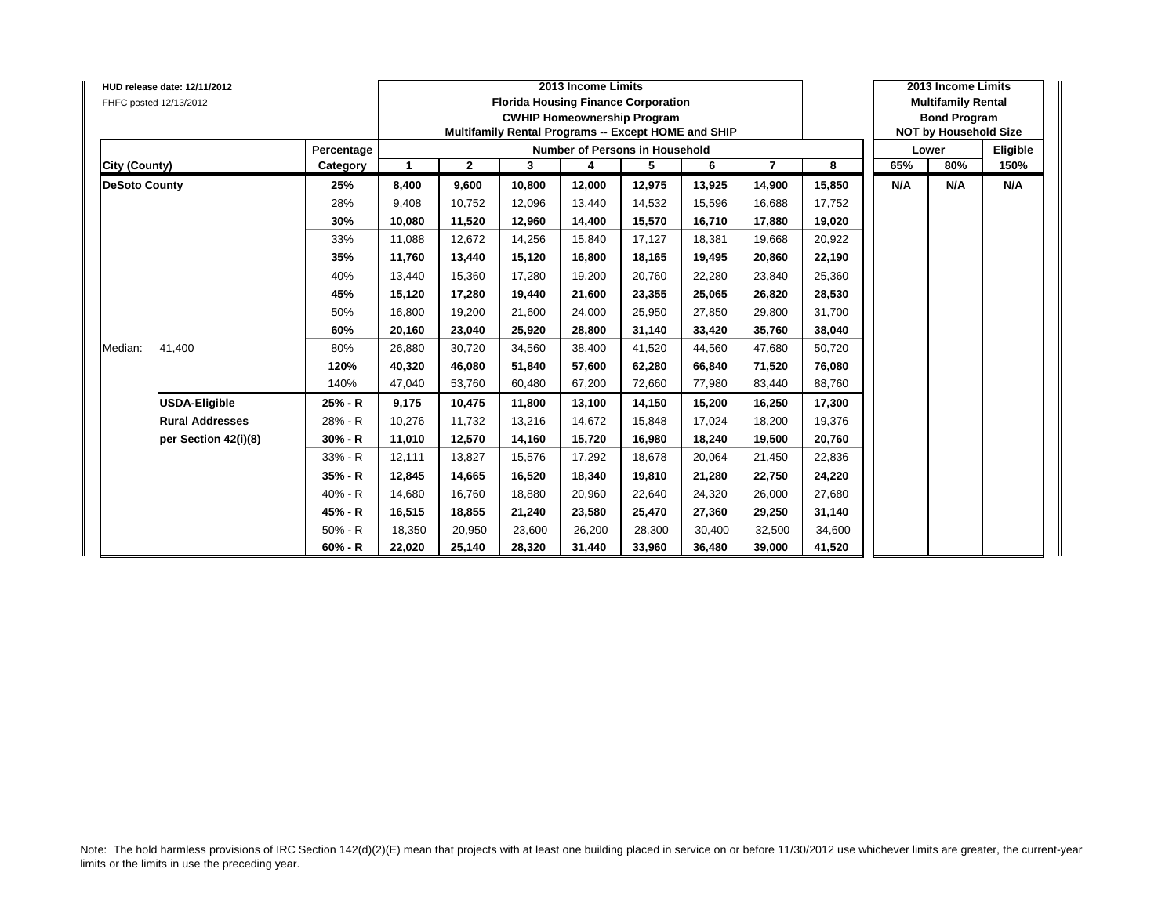| FHFC posted 12/13/2012 | HUD release date: 12/11/2012 |            |        |              |        | 2013 Income Limits<br><b>Florida Housing Finance Corporation</b><br><b>CWHIP Homeownership Program</b><br>Multifamily Rental Programs -- Except HOME and SHIP |        |        |                |        |     | 2013 Income Limits<br><b>Multifamily Rental</b><br><b>Bond Program</b><br><b>NOT by Household Size</b> |          |
|------------------------|------------------------------|------------|--------|--------------|--------|---------------------------------------------------------------------------------------------------------------------------------------------------------------|--------|--------|----------------|--------|-----|--------------------------------------------------------------------------------------------------------|----------|
|                        |                              | Percentage |        |              |        | Number of Persons in Household                                                                                                                                |        |        |                |        |     | Lower                                                                                                  | Eligible |
| City (County)          |                              | Category   | -1     | $\mathbf{2}$ | 3      | 4                                                                                                                                                             | 5      | 6      | $\overline{7}$ | 8      | 65% | 80%                                                                                                    | 150%     |
| <b>DeSoto County</b>   |                              | 25%        | 8,400  | 9,600        | 10,800 | 12,000                                                                                                                                                        | 12,975 | 13,925 | 14,900         | 15,850 | N/A | N/A                                                                                                    | N/A      |
|                        |                              | 28%        | 9,408  | 10,752       | 12,096 | 13,440                                                                                                                                                        | 14,532 | 15,596 | 16,688         | 17,752 |     |                                                                                                        |          |
|                        |                              | 30%        | 10,080 | 11,520       | 12,960 | 14,400                                                                                                                                                        | 15,570 | 16,710 | 17,880         | 19,020 |     |                                                                                                        |          |
|                        |                              | 33%        | 11.088 | 12,672       | 14,256 | 15,840                                                                                                                                                        | 17,127 | 18.381 | 19,668         | 20,922 |     |                                                                                                        |          |
|                        |                              | 35%        | 11,760 | 13,440       | 15,120 | 16,800                                                                                                                                                        | 18,165 | 19,495 | 20,860         | 22,190 |     |                                                                                                        |          |
|                        |                              | 40%        | 13,440 | 15,360       | 17,280 | 19,200                                                                                                                                                        | 20,760 | 22,280 | 23,840         | 25,360 |     |                                                                                                        |          |
|                        |                              | 45%        | 15,120 | 17,280       | 19.440 | 21,600                                                                                                                                                        | 23,355 | 25.065 | 26,820         | 28,530 |     |                                                                                                        |          |
|                        |                              | 50%        | 16,800 | 19,200       | 21,600 | 24,000                                                                                                                                                        | 25,950 | 27.850 | 29,800         | 31,700 |     |                                                                                                        |          |
|                        |                              | 60%        | 20,160 | 23,040       | 25.920 | 28,800                                                                                                                                                        | 31,140 | 33.420 | 35,760         | 38,040 |     |                                                                                                        |          |
| Median:                | 41,400                       | 80%        | 26,880 | 30,720       | 34,560 | 38,400                                                                                                                                                        | 41,520 | 44,560 | 47,680         | 50,720 |     |                                                                                                        |          |
|                        |                              | 120%       | 40,320 | 46,080       | 51,840 | 57,600                                                                                                                                                        | 62,280 | 66,840 | 71,520         | 76,080 |     |                                                                                                        |          |
|                        |                              | 140%       | 47,040 | 53,760       | 60,480 | 67,200                                                                                                                                                        | 72,660 | 77,980 | 83,440         | 88,760 |     |                                                                                                        |          |
|                        | <b>USDA-Eligible</b>         | 25% - R    | 9,175  | 10,475       | 11,800 | 13,100                                                                                                                                                        | 14,150 | 15,200 | 16,250         | 17,300 |     |                                                                                                        |          |
|                        | <b>Rural Addresses</b>       | 28% - R    | 10,276 | 11,732       | 13,216 | 14,672                                                                                                                                                        | 15,848 | 17.024 | 18,200         | 19,376 |     |                                                                                                        |          |
|                        | per Section 42(i)(8)         | 30% - R    | 11,010 | 12,570       | 14,160 | 15,720                                                                                                                                                        | 16,980 | 18,240 | 19,500         | 20,760 |     |                                                                                                        |          |
|                        |                              | 33% - R    | 12,111 | 13,827       | 15,576 | 17,292                                                                                                                                                        | 18,678 | 20,064 | 21,450         | 22,836 |     |                                                                                                        |          |
|                        |                              | 35% - R    | 12,845 | 14,665       | 16,520 | 18,340                                                                                                                                                        | 19,810 | 21,280 | 22,750         | 24,220 |     |                                                                                                        |          |
|                        |                              | 40% - R    | 14,680 | 16,760       | 18,880 | 20,960                                                                                                                                                        | 22,640 | 24,320 | 26,000         | 27,680 |     |                                                                                                        |          |
|                        |                              | 45% - R    | 16,515 | 18,855       | 21,240 | 23,580                                                                                                                                                        | 25,470 | 27,360 | 29,250         | 31,140 |     |                                                                                                        |          |
|                        |                              | $50% - R$  | 18,350 | 20,950       | 23,600 | 26,200                                                                                                                                                        | 28,300 | 30.400 | 32,500         | 34,600 |     |                                                                                                        |          |
|                        |                              | 60% - R    | 22,020 | 25,140       | 28,320 | 31,440                                                                                                                                                        | 33,960 | 36,480 | 39,000         | 41,520 |     |                                                                                                        |          |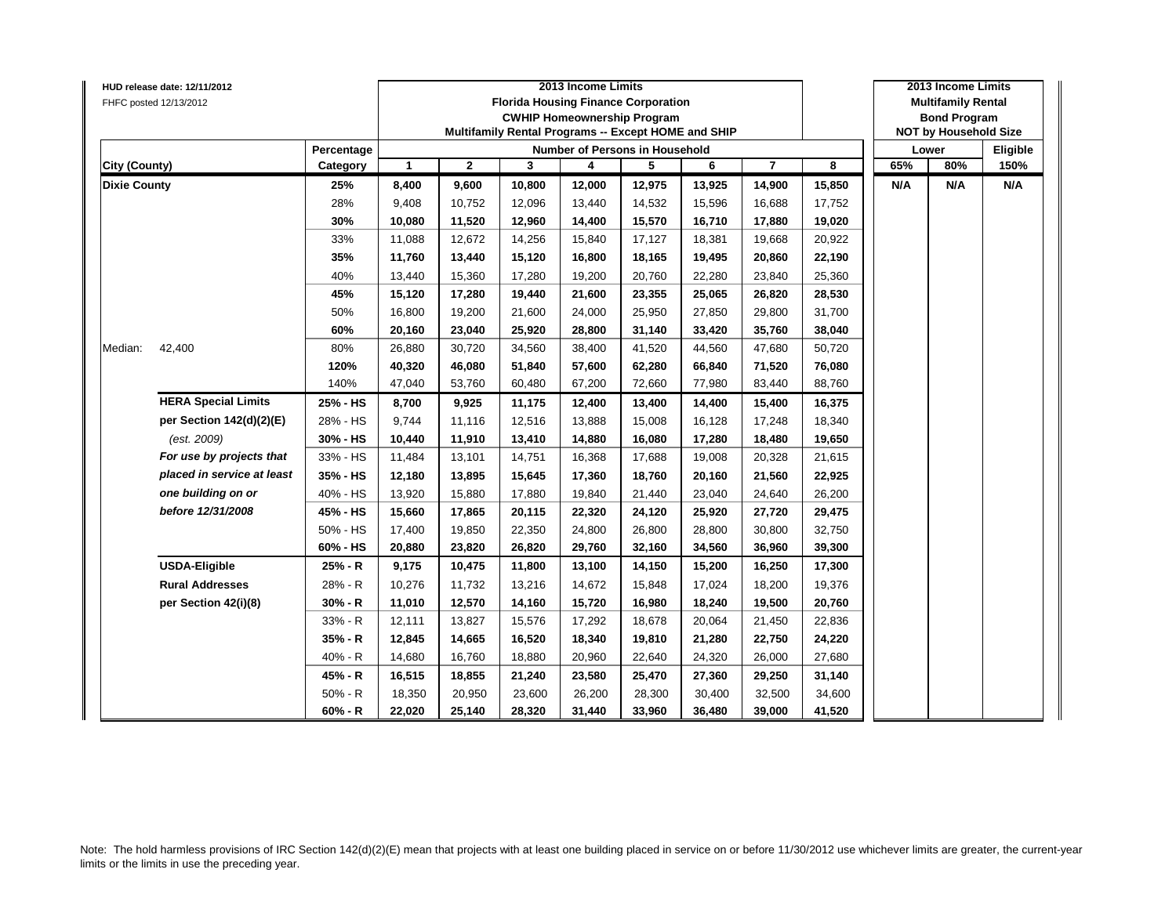|                      | HUD release date: 12/11/2012 |            |                      |              |        | 2013 Income Limits |                                                     |        |                |        |     | 2013 Income Limits           |          |
|----------------------|------------------------------|------------|----------------------|--------------|--------|--------------------|-----------------------------------------------------|--------|----------------|--------|-----|------------------------------|----------|
|                      | FHFC posted 12/13/2012       |            |                      |              |        |                    | <b>Florida Housing Finance Corporation</b>          |        |                |        |     | <b>Multifamily Rental</b>    |          |
|                      |                              |            |                      |              |        |                    | <b>CWHIP Homeownership Program</b>                  |        |                |        |     | <b>Bond Program</b>          |          |
|                      |                              |            |                      |              |        |                    | Multifamily Rental Programs -- Except HOME and SHIP |        |                |        |     | <b>NOT by Household Size</b> |          |
|                      |                              | Percentage |                      |              |        |                    | <b>Number of Persons in Household</b>               |        |                |        |     | Lower                        | Eligible |
| <b>City (County)</b> |                              | Category   | $\blacktriangleleft$ | $\mathbf{2}$ | 3      | 4                  | 5                                                   | 6      | $\overline{7}$ | 8      | 65% | 80%                          | 150%     |
| <b>Dixie County</b>  |                              | 25%        | 8,400                | 9,600        | 10,800 | 12,000             | 12,975                                              | 13,925 | 14,900         | 15,850 | N/A | N/A                          | N/A      |
|                      |                              | 28%        | 9,408                | 10,752       | 12,096 | 13,440             | 14,532                                              | 15,596 | 16,688         | 17,752 |     |                              |          |
|                      |                              | 30%        | 10,080               | 11,520       | 12,960 | 14,400             | 15,570                                              | 16,710 | 17,880         | 19,020 |     |                              |          |
|                      |                              | 33%        | 11,088               | 12,672       | 14,256 | 15,840             | 17,127                                              | 18,381 | 19,668         | 20,922 |     |                              |          |
|                      |                              | 35%        | 11,760               | 13,440       | 15,120 | 16,800             | 18,165                                              | 19,495 | 20,860         | 22,190 |     |                              |          |
|                      |                              | 40%        | 13,440               | 15,360       | 17,280 | 19,200             | 20,760                                              | 22,280 | 23,840         | 25,360 |     |                              |          |
|                      |                              | 45%        | 15,120               | 17,280       | 19,440 | 21,600             | 23,355                                              | 25,065 | 26,820         | 28,530 |     |                              |          |
|                      |                              | 50%        | 16,800               | 19,200       | 21,600 | 24,000             | 25,950                                              | 27,850 | 29,800         | 31,700 |     |                              |          |
|                      |                              | 60%        | 20,160               | 23,040       | 25,920 | 28,800             | 31,140                                              | 33,420 | 35,760         | 38,040 |     |                              |          |
| Median:              | 42,400                       | 80%        | 26,880               | 30,720       | 34,560 | 38,400             | 41,520                                              | 44,560 | 47,680         | 50,720 |     |                              |          |
|                      |                              | 120%       | 40,320               | 46,080       | 51,840 | 57,600             | 62,280                                              | 66,840 | 71,520         | 76,080 |     |                              |          |
|                      |                              | 140%       | 47,040               | 53,760       | 60,480 | 67,200             | 72,660                                              | 77,980 | 83,440         | 88,760 |     |                              |          |
|                      | <b>HERA Special Limits</b>   | 25% - HS   | 8,700                | 9,925        | 11,175 | 12,400             | 13,400                                              | 14,400 | 15,400         | 16,375 |     |                              |          |
|                      | per Section 142(d)(2)(E)     | 28% - HS   | 9,744                | 11,116       | 12,516 | 13,888             | 15,008                                              | 16,128 | 17,248         | 18,340 |     |                              |          |
|                      | (est. 2009)                  | 30% - HS   | 10,440               | 11,910       | 13,410 | 14,880             | 16,080                                              | 17,280 | 18,480         | 19,650 |     |                              |          |
|                      | For use by projects that     | 33% - HS   | 11,484               | 13,101       | 14,751 | 16,368             | 17,688                                              | 19,008 | 20,328         | 21,615 |     |                              |          |
|                      | placed in service at least   | 35% - HS   | 12,180               | 13,895       | 15,645 | 17,360             | 18,760                                              | 20,160 | 21,560         | 22,925 |     |                              |          |
|                      | one building on or           | 40% - HS   | 13,920               | 15,880       | 17,880 | 19,840             | 21,440                                              | 23,040 | 24,640         | 26,200 |     |                              |          |
|                      | before 12/31/2008            | 45% - HS   | 15,660               | 17,865       | 20,115 | 22,320             | 24,120                                              | 25,920 | 27,720         | 29,475 |     |                              |          |
|                      |                              | 50% - HS   | 17,400               | 19,850       | 22,350 | 24,800             | 26,800                                              | 28,800 | 30,800         | 32,750 |     |                              |          |
|                      |                              | 60% - HS   | 20,880               | 23,820       | 26,820 | 29,760             | 32,160                                              | 34,560 | 36,960         | 39,300 |     |                              |          |
|                      | <b>USDA-Eligible</b>         | 25% - R    | 9,175                | 10,475       | 11,800 | 13,100             | 14,150                                              | 15,200 | 16,250         | 17,300 |     |                              |          |
|                      | <b>Rural Addresses</b>       | 28% - R    | 10,276               | 11,732       | 13,216 | 14,672             | 15,848                                              | 17,024 | 18,200         | 19,376 |     |                              |          |
|                      | per Section 42(i)(8)         | $30% - R$  | 11,010               | 12,570       | 14,160 | 15,720             | 16,980                                              | 18,240 | 19,500         | 20,760 |     |                              |          |
|                      |                              | 33% - R    | 12,111               | 13,827       | 15,576 | 17,292             | 18,678                                              | 20,064 | 21,450         | 22,836 |     |                              |          |
|                      |                              | 35% - R    | 12,845               | 14,665       | 16,520 | 18,340             | 19,810                                              | 21,280 | 22,750         | 24,220 |     |                              |          |
|                      |                              | $40% - R$  | 14,680               | 16,760       | 18,880 | 20,960             | 22,640                                              | 24,320 | 26,000         | 27,680 |     |                              |          |
|                      |                              | 45% - R    | 16,515               | 18,855       | 21,240 | 23,580             | 25,470                                              | 27,360 | 29,250         | 31,140 |     |                              |          |
|                      |                              | $50% - R$  | 18,350               | 20,950       | 23,600 | 26,200             | 28,300                                              | 30,400 | 32,500         | 34,600 |     |                              |          |
|                      |                              | $60% - R$  | 22,020               | 25,140       | 28,320 | 31,440             | 33,960                                              | 36,480 | 39,000         | 41,520 |     |                              |          |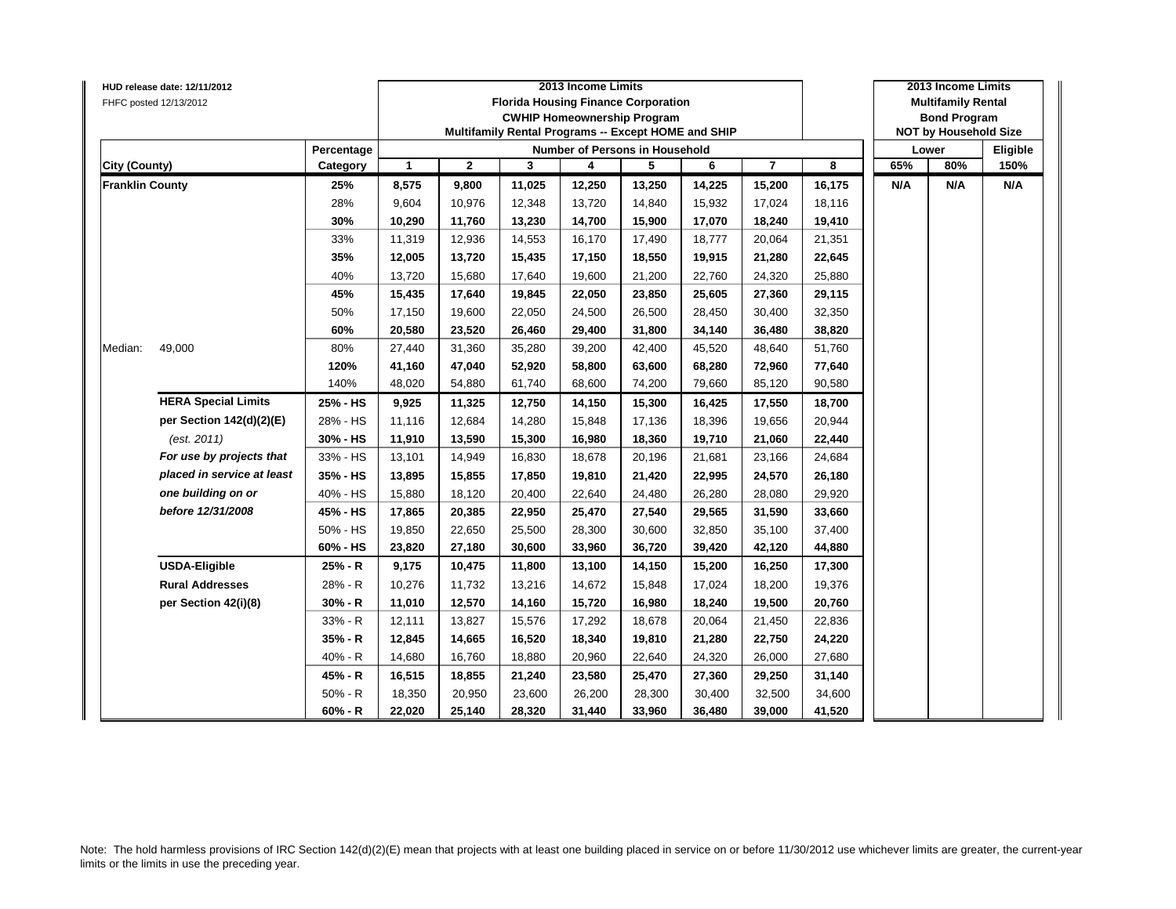|                        | HUD release date: 12/11/2012 |            |              |              |        | 2013 Income Limits                                  |        |        |                |        |     | 2013 Income Limits           |          |
|------------------------|------------------------------|------------|--------------|--------------|--------|-----------------------------------------------------|--------|--------|----------------|--------|-----|------------------------------|----------|
|                        | FHFC posted 12/13/2012       |            |              |              |        | <b>Florida Housing Finance Corporation</b>          |        |        |                |        |     | <b>Multifamily Rental</b>    |          |
|                        |                              |            |              |              |        | <b>CWHIP Homeownership Program</b>                  |        |        |                |        |     | <b>Bond Program</b>          |          |
|                        |                              |            |              |              |        | Multifamily Rental Programs -- Except HOME and SHIP |        |        |                |        |     | <b>NOT by Household Size</b> |          |
|                        |                              | Percentage |              |              |        | Number of Persons in Household                      |        |        |                |        |     | Lower                        | Eligible |
| <b>City (County)</b>   |                              | Category   | $\mathbf{1}$ | $\mathbf{2}$ | 3      | 4                                                   | 5      | 6      | $\overline{7}$ | 8      | 65% | 80%                          | 150%     |
| <b>Franklin County</b> |                              | 25%        | 8,575        | 9,800        | 11,025 | 12,250                                              | 13,250 | 14,225 | 15,200         | 16,175 | N/A | N/A                          | N/A      |
|                        |                              | 28%        | 9,604        | 10,976       | 12,348 | 13,720                                              | 14,840 | 15,932 | 17,024         | 18,116 |     |                              |          |
|                        |                              | 30%        | 10,290       | 11,760       | 13,230 | 14,700                                              | 15,900 | 17,070 | 18,240         | 19,410 |     |                              |          |
|                        |                              | 33%        | 11,319       | 12,936       | 14,553 | 16,170                                              | 17,490 | 18,777 | 20,064         | 21,351 |     |                              |          |
|                        |                              | 35%        | 12,005       | 13,720       | 15,435 | 17,150                                              | 18,550 | 19,915 | 21,280         | 22,645 |     |                              |          |
|                        |                              | 40%        | 13,720       | 15,680       | 17,640 | 19,600                                              | 21,200 | 22,760 | 24,320         | 25,880 |     |                              |          |
|                        |                              | 45%        | 15,435       | 17,640       | 19,845 | 22,050                                              | 23,850 | 25,605 | 27,360         | 29,115 |     |                              |          |
|                        |                              | 50%        | 17,150       | 19,600       | 22,050 | 24,500                                              | 26,500 | 28,450 | 30,400         | 32,350 |     |                              |          |
|                        |                              | 60%        | 20,580       | 23,520       | 26,460 | 29,400                                              | 31,800 | 34,140 | 36,480         | 38,820 |     |                              |          |
| Median:                | 49,000                       | 80%        | 27,440       | 31,360       | 35,280 | 39,200                                              | 42,400 | 45,520 | 48,640         | 51,760 |     |                              |          |
|                        |                              | 120%       | 41,160       | 47,040       | 52,920 | 58,800                                              | 63,600 | 68,280 | 72,960         | 77,640 |     |                              |          |
|                        |                              | 140%       | 48,020       | 54,880       | 61,740 | 68,600                                              | 74,200 | 79,660 | 85,120         | 90,580 |     |                              |          |
|                        | <b>HERA Special Limits</b>   | 25% - HS   | 9,925        | 11,325       | 12,750 | 14,150                                              | 15,300 | 16,425 | 17,550         | 18,700 |     |                              |          |
|                        | per Section 142(d)(2)(E)     | 28% - HS   | 11,116       | 12,684       | 14,280 | 15,848                                              | 17,136 | 18,396 | 19,656         | 20,944 |     |                              |          |
|                        | (est. 2011)                  | 30% - HS   | 11,910       | 13,590       | 15,300 | 16,980                                              | 18,360 | 19,710 | 21,060         | 22,440 |     |                              |          |
|                        | For use by projects that     | 33% - HS   | 13,101       | 14,949       | 16,830 | 18,678                                              | 20,196 | 21,681 | 23,166         | 24,684 |     |                              |          |
|                        | placed in service at least   | 35% - HS   | 13,895       | 15,855       | 17,850 | 19,810                                              | 21,420 | 22,995 | 24,570         | 26,180 |     |                              |          |
|                        | one building on or           | 40% - HS   | 15,880       | 18,120       | 20,400 | 22,640                                              | 24,480 | 26,280 | 28,080         | 29,920 |     |                              |          |
|                        | before 12/31/2008            | 45% - HS   | 17,865       | 20,385       | 22,950 | 25,470                                              | 27,540 | 29,565 | 31,590         | 33,660 |     |                              |          |
|                        |                              | 50% - HS   | 19,850       | 22,650       | 25,500 | 28,300                                              | 30,600 | 32,850 | 35,100         | 37,400 |     |                              |          |
|                        |                              | 60% - HS   | 23,820       | 27,180       | 30,600 | 33,960                                              | 36,720 | 39,420 | 42,120         | 44,880 |     |                              |          |
|                        | <b>USDA-Eligible</b>         | 25% - R    | 9,175        | 10,475       | 11,800 | 13,100                                              | 14,150 | 15,200 | 16,250         | 17,300 |     |                              |          |
|                        | <b>Rural Addresses</b>       | 28% - R    | 10,276       | 11,732       | 13,216 | 14,672                                              | 15,848 | 17,024 | 18,200         | 19,376 |     |                              |          |
|                        | per Section 42(i)(8)         | 30% - R    | 11,010       | 12,570       | 14,160 | 15,720                                              | 16,980 | 18,240 | 19,500         | 20,760 |     |                              |          |
|                        |                              | 33% - R    | 12,111       | 13,827       | 15,576 | 17,292                                              | 18,678 | 20,064 | 21,450         | 22,836 |     |                              |          |
|                        |                              | 35% - R    | 12,845       | 14,665       | 16,520 | 18,340                                              | 19,810 | 21,280 | 22,750         | 24,220 |     |                              |          |
|                        |                              | 40% - R    | 14,680       | 16,760       | 18,880 | 20,960                                              | 22,640 | 24,320 | 26,000         | 27,680 |     |                              |          |
|                        |                              | 45% - R    | 16,515       | 18,855       | 21,240 | 23,580                                              | 25,470 | 27,360 | 29,250         | 31,140 |     |                              |          |
|                        |                              | $50% - R$  | 18,350       | 20,950       | 23,600 | 26,200                                              | 28,300 | 30,400 | 32,500         | 34,600 |     |                              |          |
|                        |                              | $60% - R$  | 22,020       | 25,140       | 28,320 | 31,440                                              | 33,960 | 36,480 | 39,000         | 41,520 |     |                              |          |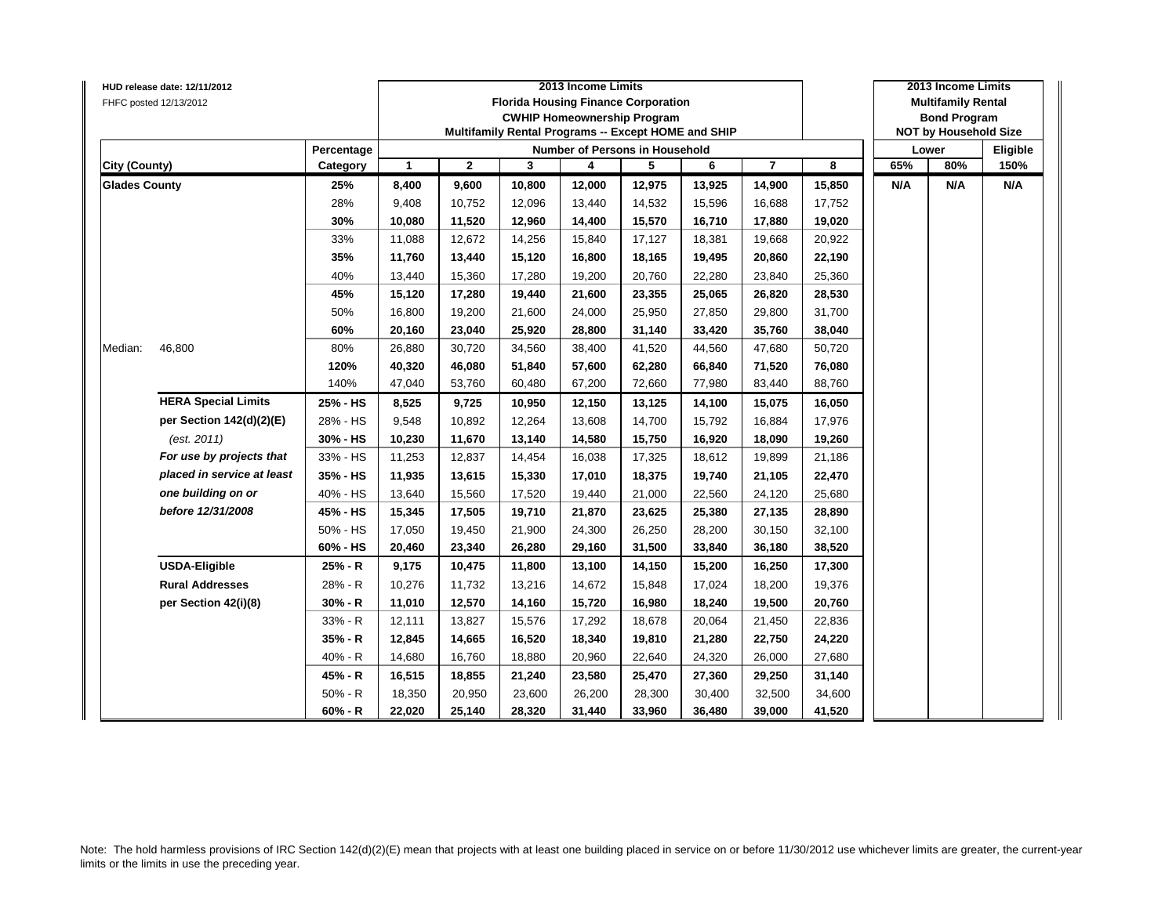|                      | HUD release date: 12/11/2012 |            |                      |              |        | 2013 Income Limits                                  |        |        |                |        |     | 2013 Income Limits           |          |
|----------------------|------------------------------|------------|----------------------|--------------|--------|-----------------------------------------------------|--------|--------|----------------|--------|-----|------------------------------|----------|
|                      | FHFC posted 12/13/2012       |            |                      |              |        | <b>Florida Housing Finance Corporation</b>          |        |        |                |        |     | <b>Multifamily Rental</b>    |          |
|                      |                              |            |                      |              |        | <b>CWHIP Homeownership Program</b>                  |        |        |                |        |     | <b>Bond Program</b>          |          |
|                      |                              |            |                      |              |        | Multifamily Rental Programs -- Except HOME and SHIP |        |        |                |        |     | <b>NOT by Household Size</b> |          |
|                      |                              | Percentage |                      |              |        | <b>Number of Persons in Household</b>               |        |        |                |        |     | Lower                        | Eligible |
| <b>City (County)</b> |                              | Category   | $\blacktriangleleft$ | $\mathbf{2}$ | 3      | 4                                                   | 5      | 6      | $\overline{7}$ | 8      | 65% | 80%                          | 150%     |
| <b>Glades County</b> |                              | 25%        | 8,400                | 9,600        | 10,800 | 12,000                                              | 12,975 | 13,925 | 14,900         | 15,850 | N/A | N/A                          | N/A      |
|                      |                              | 28%        | 9,408                | 10,752       | 12,096 | 13,440                                              | 14,532 | 15,596 | 16,688         | 17,752 |     |                              |          |
|                      |                              | 30%        | 10,080               | 11,520       | 12,960 | 14,400                                              | 15,570 | 16,710 | 17,880         | 19,020 |     |                              |          |
|                      |                              | 33%        | 11,088               | 12,672       | 14,256 | 15,840                                              | 17,127 | 18,381 | 19,668         | 20,922 |     |                              |          |
|                      |                              | 35%        | 11,760               | 13,440       | 15,120 | 16,800                                              | 18,165 | 19,495 | 20,860         | 22,190 |     |                              |          |
|                      |                              | 40%        | 13,440               | 15,360       | 17,280 | 19,200                                              | 20,760 | 22,280 | 23,840         | 25,360 |     |                              |          |
|                      |                              | 45%        | 15,120               | 17,280       | 19,440 | 21,600                                              | 23,355 | 25,065 | 26,820         | 28,530 |     |                              |          |
|                      |                              | 50%        | 16,800               | 19,200       | 21,600 | 24,000                                              | 25,950 | 27,850 | 29,800         | 31,700 |     |                              |          |
|                      |                              | 60%        | 20,160               | 23,040       | 25,920 | 28,800                                              | 31,140 | 33,420 | 35,760         | 38,040 |     |                              |          |
| Median:              | 46,800                       | 80%        | 26,880               | 30,720       | 34,560 | 38,400                                              | 41,520 | 44,560 | 47,680         | 50,720 |     |                              |          |
|                      |                              | 120%       | 40,320               | 46,080       | 51,840 | 57,600                                              | 62,280 | 66,840 | 71,520         | 76,080 |     |                              |          |
|                      |                              | 140%       | 47,040               | 53,760       | 60,480 | 67,200                                              | 72,660 | 77,980 | 83,440         | 88,760 |     |                              |          |
|                      | <b>HERA Special Limits</b>   | 25% - HS   | 8,525                | 9,725        | 10,950 | 12,150                                              | 13,125 | 14,100 | 15,075         | 16,050 |     |                              |          |
|                      | per Section 142(d)(2)(E)     | 28% - HS   | 9,548                | 10,892       | 12,264 | 13,608                                              | 14,700 | 15,792 | 16,884         | 17,976 |     |                              |          |
|                      | (est. 2011)                  | 30% - HS   | 10,230               | 11,670       | 13,140 | 14,580                                              | 15,750 | 16,920 | 18,090         | 19,260 |     |                              |          |
|                      | For use by projects that     | 33% - HS   | 11,253               | 12,837       | 14,454 | 16,038                                              | 17,325 | 18,612 | 19,899         | 21,186 |     |                              |          |
|                      | placed in service at least   | 35% - HS   | 11,935               | 13,615       | 15,330 | 17,010                                              | 18,375 | 19,740 | 21,105         | 22,470 |     |                              |          |
|                      | one building on or           | 40% - HS   | 13,640               | 15,560       | 17,520 | 19,440                                              | 21,000 | 22,560 | 24,120         | 25,680 |     |                              |          |
|                      | before 12/31/2008            | 45% - HS   | 15,345               | 17,505       | 19,710 | 21,870                                              | 23,625 | 25,380 | 27,135         | 28,890 |     |                              |          |
|                      |                              | 50% - HS   | 17,050               | 19,450       | 21,900 | 24,300                                              | 26,250 | 28,200 | 30,150         | 32,100 |     |                              |          |
|                      |                              | 60% - HS   | 20,460               | 23,340       | 26,280 | 29,160                                              | 31,500 | 33,840 | 36,180         | 38,520 |     |                              |          |
|                      | <b>USDA-Eligible</b>         | 25% - R    | 9,175                | 10,475       | 11,800 | 13,100                                              | 14,150 | 15,200 | 16,250         | 17,300 |     |                              |          |
|                      | <b>Rural Addresses</b>       | 28% - R    | 10,276               | 11,732       | 13,216 | 14,672                                              | 15,848 | 17,024 | 18,200         | 19,376 |     |                              |          |
|                      | per Section 42(i)(8)         | $30% - R$  | 11,010               | 12,570       | 14,160 | 15,720                                              | 16,980 | 18,240 | 19,500         | 20,760 |     |                              |          |
|                      |                              | 33% - R    | 12,111               | 13,827       | 15,576 | 17,292                                              | 18,678 | 20,064 | 21,450         | 22,836 |     |                              |          |
|                      |                              | 35% - R    | 12,845               | 14,665       | 16,520 | 18,340                                              | 19,810 | 21,280 | 22,750         | 24,220 |     |                              |          |
|                      |                              | $40% - R$  | 14,680               | 16,760       | 18,880 | 20,960                                              | 22,640 | 24,320 | 26,000         | 27,680 |     |                              |          |
|                      |                              | 45% - R    | 16,515               | 18,855       | 21,240 | 23,580                                              | 25,470 | 27,360 | 29,250         | 31,140 |     |                              |          |
|                      |                              | $50% - R$  | 18,350               | 20,950       | 23,600 | 26,200                                              | 28,300 | 30,400 | 32,500         | 34,600 |     |                              |          |
|                      |                              | $60% - R$  | 22,020               | 25,140       | 28,320 | 31,440                                              | 33,960 | 36,480 | 39,000         | 41,520 |     |                              |          |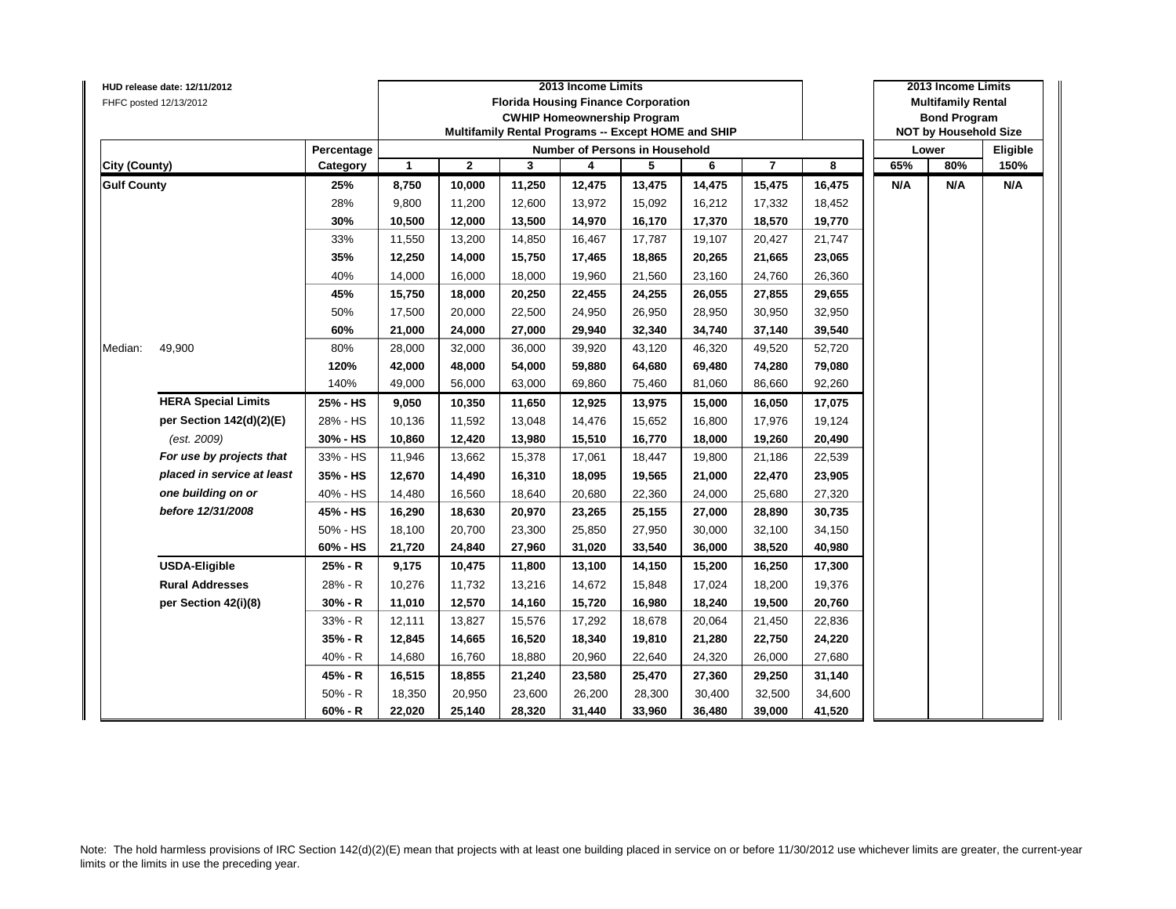|                      | HUD release date: 12/11/2012 |            |                      |              |        | 2013 Income Limits |                                                     |        |                |        |     | 2013 Income Limits           |          |
|----------------------|------------------------------|------------|----------------------|--------------|--------|--------------------|-----------------------------------------------------|--------|----------------|--------|-----|------------------------------|----------|
|                      | FHFC posted 12/13/2012       |            |                      |              |        |                    | <b>Florida Housing Finance Corporation</b>          |        |                |        |     | <b>Multifamily Rental</b>    |          |
|                      |                              |            |                      |              |        |                    | <b>CWHIP Homeownership Program</b>                  |        |                |        |     | <b>Bond Program</b>          |          |
|                      |                              |            |                      |              |        |                    | Multifamily Rental Programs -- Except HOME and SHIP |        |                |        |     | <b>NOT by Household Size</b> |          |
|                      |                              | Percentage |                      |              |        |                    | <b>Number of Persons in Household</b>               |        |                |        |     | Lower                        | Eligible |
| <b>City (County)</b> |                              | Category   | $\blacktriangleleft$ | $\mathbf{2}$ | 3      | 4                  | 5                                                   | 6      | $\overline{7}$ | 8      | 65% | 80%                          | 150%     |
| <b>Gulf County</b>   |                              | 25%        | 8,750                | 10,000       | 11,250 | 12,475             | 13,475                                              | 14,475 | 15,475         | 16,475 | N/A | N/A                          | N/A      |
|                      |                              | 28%        | 9,800                | 11,200       | 12,600 | 13,972             | 15,092                                              | 16,212 | 17,332         | 18,452 |     |                              |          |
|                      |                              | 30%        | 10,500               | 12,000       | 13,500 | 14,970             | 16,170                                              | 17,370 | 18,570         | 19,770 |     |                              |          |
|                      |                              | 33%        | 11,550               | 13,200       | 14,850 | 16,467             | 17,787                                              | 19,107 | 20,427         | 21,747 |     |                              |          |
|                      |                              | 35%        | 12,250               | 14,000       | 15,750 | 17,465             | 18,865                                              | 20,265 | 21,665         | 23,065 |     |                              |          |
|                      |                              | 40%        | 14,000               | 16,000       | 18,000 | 19,960             | 21,560                                              | 23,160 | 24,760         | 26,360 |     |                              |          |
|                      |                              | 45%        | 15,750               | 18,000       | 20,250 | 22,455             | 24,255                                              | 26,055 | 27,855         | 29,655 |     |                              |          |
|                      |                              | 50%        | 17,500               | 20,000       | 22,500 | 24,950             | 26,950                                              | 28,950 | 30,950         | 32,950 |     |                              |          |
|                      |                              | 60%        | 21,000               | 24,000       | 27,000 | 29,940             | 32,340                                              | 34,740 | 37,140         | 39,540 |     |                              |          |
| Median:              | 49,900                       | 80%        | 28,000               | 32,000       | 36,000 | 39,920             | 43,120                                              | 46,320 | 49,520         | 52,720 |     |                              |          |
|                      |                              | 120%       | 42,000               | 48,000       | 54,000 | 59,880             | 64,680                                              | 69,480 | 74,280         | 79,080 |     |                              |          |
|                      |                              | 140%       | 49,000               | 56,000       | 63,000 | 69,860             | 75,460                                              | 81,060 | 86,660         | 92,260 |     |                              |          |
|                      | <b>HERA Special Limits</b>   | 25% - HS   | 9,050                | 10,350       | 11,650 | 12,925             | 13,975                                              | 15,000 | 16,050         | 17,075 |     |                              |          |
|                      | per Section 142(d)(2)(E)     | 28% - HS   | 10,136               | 11,592       | 13,048 | 14,476             | 15,652                                              | 16,800 | 17,976         | 19,124 |     |                              |          |
|                      | (est. 2009)                  | 30% - HS   | 10,860               | 12,420       | 13,980 | 15,510             | 16,770                                              | 18,000 | 19,260         | 20,490 |     |                              |          |
|                      | For use by projects that     | 33% - HS   | 11,946               | 13,662       | 15,378 | 17,061             | 18,447                                              | 19,800 | 21,186         | 22,539 |     |                              |          |
|                      | placed in service at least   | 35% - HS   | 12,670               | 14,490       | 16,310 | 18,095             | 19,565                                              | 21,000 | 22,470         | 23,905 |     |                              |          |
|                      | one building on or           | 40% - HS   | 14,480               | 16,560       | 18,640 | 20,680             | 22,360                                              | 24,000 | 25,680         | 27,320 |     |                              |          |
|                      | before 12/31/2008            | 45% - HS   | 16,290               | 18,630       | 20,970 | 23,265             | 25,155                                              | 27,000 | 28,890         | 30,735 |     |                              |          |
|                      |                              | 50% - HS   | 18,100               | 20,700       | 23,300 | 25,850             | 27,950                                              | 30,000 | 32,100         | 34,150 |     |                              |          |
|                      |                              | 60% - HS   | 21,720               | 24,840       | 27,960 | 31,020             | 33,540                                              | 36,000 | 38,520         | 40,980 |     |                              |          |
|                      | <b>USDA-Eligible</b>         | 25% - R    | 9,175                | 10,475       | 11,800 | 13,100             | 14,150                                              | 15,200 | 16,250         | 17,300 |     |                              |          |
|                      | <b>Rural Addresses</b>       | 28% - R    | 10,276               | 11,732       | 13,216 | 14,672             | 15,848                                              | 17,024 | 18,200         | 19,376 |     |                              |          |
|                      | per Section 42(i)(8)         | $30% - R$  | 11,010               | 12,570       | 14,160 | 15,720             | 16,980                                              | 18,240 | 19,500         | 20,760 |     |                              |          |
|                      |                              | 33% - R    | 12,111               | 13,827       | 15,576 | 17,292             | 18,678                                              | 20,064 | 21,450         | 22,836 |     |                              |          |
|                      |                              | 35% - R    | 12,845               | 14,665       | 16,520 | 18,340             | 19,810                                              | 21,280 | 22,750         | 24,220 |     |                              |          |
|                      |                              | $40% - R$  | 14,680               | 16,760       | 18,880 | 20,960             | 22,640                                              | 24,320 | 26,000         | 27,680 |     |                              |          |
|                      |                              | 45% - R    | 16,515               | 18,855       | 21,240 | 23,580             | 25,470                                              | 27,360 | 29,250         | 31,140 |     |                              |          |
|                      |                              | $50% - R$  | 18,350               | 20,950       | 23,600 | 26,200             | 28,300                                              | 30,400 | 32,500         | 34,600 |     |                              |          |
|                      |                              | $60% - R$  | 22,020               | 25,140       | 28,320 | 31,440             | 33,960                                              | 36,480 | 39,000         | 41,520 |     |                              |          |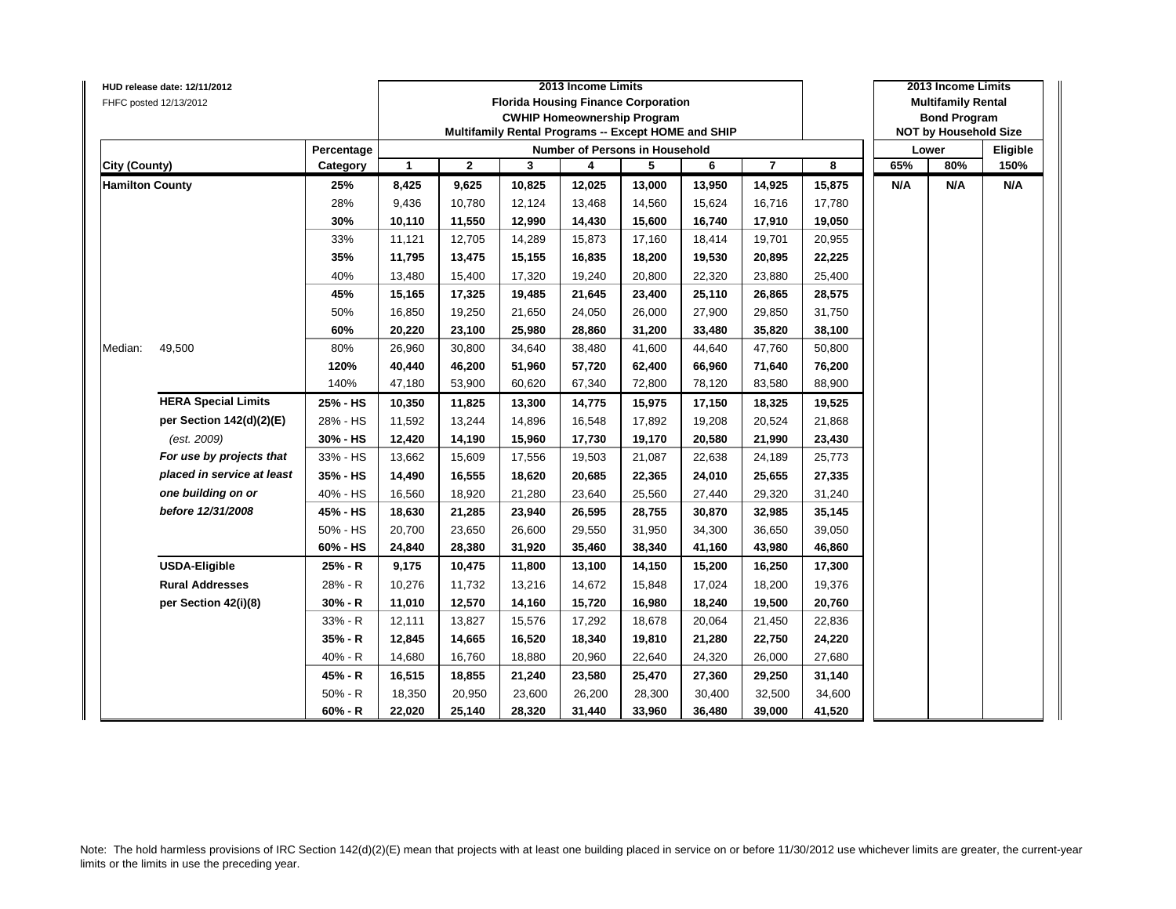|                        | HUD release date: 12/11/2012 |            |              |              |        | 2013 Income Limits                                  |        |        |                |        |     | 2013 Income Limits           |          |
|------------------------|------------------------------|------------|--------------|--------------|--------|-----------------------------------------------------|--------|--------|----------------|--------|-----|------------------------------|----------|
|                        | FHFC posted 12/13/2012       |            |              |              |        | <b>Florida Housing Finance Corporation</b>          |        |        |                |        |     | <b>Multifamily Rental</b>    |          |
|                        |                              |            |              |              |        | <b>CWHIP Homeownership Program</b>                  |        |        |                |        |     | <b>Bond Program</b>          |          |
|                        |                              |            |              |              |        | Multifamily Rental Programs -- Except HOME and SHIP |        |        |                |        |     | <b>NOT by Household Size</b> |          |
|                        |                              | Percentage |              |              |        | Number of Persons in Household                      |        |        |                |        |     | Lower                        | Eligible |
| <b>City (County)</b>   |                              | Category   | $\mathbf{1}$ | $\mathbf{2}$ | 3      | 4                                                   | 5      | 6      | $\overline{7}$ | 8      | 65% | 80%                          | 150%     |
| <b>Hamilton County</b> |                              | 25%        | 8,425        | 9,625        | 10,825 | 12,025                                              | 13,000 | 13,950 | 14,925         | 15,875 | N/A | N/A                          | N/A      |
|                        |                              | 28%        | 9,436        | 10,780       | 12,124 | 13,468                                              | 14,560 | 15,624 | 16,716         | 17,780 |     |                              |          |
|                        |                              | 30%        | 10,110       | 11,550       | 12,990 | 14,430                                              | 15,600 | 16,740 | 17,910         | 19,050 |     |                              |          |
|                        |                              | 33%        | 11,121       | 12,705       | 14,289 | 15,873                                              | 17,160 | 18,414 | 19,701         | 20,955 |     |                              |          |
|                        |                              | 35%        | 11,795       | 13,475       | 15,155 | 16,835                                              | 18,200 | 19,530 | 20,895         | 22,225 |     |                              |          |
|                        |                              | 40%        | 13,480       | 15,400       | 17,320 | 19,240                                              | 20,800 | 22,320 | 23,880         | 25,400 |     |                              |          |
|                        |                              | 45%        | 15,165       | 17,325       | 19,485 | 21,645                                              | 23,400 | 25,110 | 26,865         | 28,575 |     |                              |          |
|                        |                              | 50%        | 16,850       | 19,250       | 21,650 | 24,050                                              | 26,000 | 27,900 | 29,850         | 31,750 |     |                              |          |
|                        |                              | 60%        | 20,220       | 23,100       | 25,980 | 28,860                                              | 31,200 | 33,480 | 35,820         | 38,100 |     |                              |          |
| Median:                | 49,500                       | 80%        | 26,960       | 30,800       | 34,640 | 38,480                                              | 41,600 | 44,640 | 47,760         | 50,800 |     |                              |          |
|                        |                              | 120%       | 40,440       | 46,200       | 51,960 | 57,720                                              | 62,400 | 66,960 | 71,640         | 76,200 |     |                              |          |
|                        |                              | 140%       | 47,180       | 53,900       | 60,620 | 67,340                                              | 72,800 | 78,120 | 83,580         | 88,900 |     |                              |          |
|                        | <b>HERA Special Limits</b>   | 25% - HS   | 10,350       | 11,825       | 13,300 | 14,775                                              | 15,975 | 17,150 | 18,325         | 19,525 |     |                              |          |
|                        | per Section 142(d)(2)(E)     | 28% - HS   | 11,592       | 13,244       | 14,896 | 16,548                                              | 17,892 | 19,208 | 20,524         | 21,868 |     |                              |          |
|                        | (est. 2009)                  | 30% - HS   | 12,420       | 14,190       | 15,960 | 17,730                                              | 19,170 | 20,580 | 21,990         | 23,430 |     |                              |          |
|                        | For use by projects that     | 33% - HS   | 13,662       | 15,609       | 17,556 | 19,503                                              | 21,087 | 22,638 | 24,189         | 25,773 |     |                              |          |
|                        | placed in service at least   | 35% - HS   | 14,490       | 16,555       | 18,620 | 20,685                                              | 22,365 | 24,010 | 25,655         | 27,335 |     |                              |          |
|                        | one building on or           | 40% - HS   | 16,560       | 18,920       | 21,280 | 23,640                                              | 25,560 | 27,440 | 29,320         | 31,240 |     |                              |          |
|                        | before 12/31/2008            | 45% - HS   | 18,630       | 21,285       | 23,940 | 26,595                                              | 28,755 | 30,870 | 32,985         | 35,145 |     |                              |          |
|                        |                              | 50% - HS   | 20,700       | 23,650       | 26,600 | 29,550                                              | 31,950 | 34,300 | 36,650         | 39,050 |     |                              |          |
|                        |                              | 60% - HS   | 24,840       | 28,380       | 31,920 | 35,460                                              | 38,340 | 41,160 | 43,980         | 46,860 |     |                              |          |
|                        | <b>USDA-Eligible</b>         | 25% - R    | 9,175        | 10,475       | 11,800 | 13,100                                              | 14,150 | 15,200 | 16,250         | 17,300 |     |                              |          |
|                        | <b>Rural Addresses</b>       | 28% - R    | 10,276       | 11,732       | 13,216 | 14,672                                              | 15,848 | 17,024 | 18,200         | 19,376 |     |                              |          |
|                        | per Section 42(i)(8)         | 30% - R    | 11,010       | 12,570       | 14,160 | 15,720                                              | 16,980 | 18,240 | 19,500         | 20,760 |     |                              |          |
|                        |                              | 33% - R    | 12,111       | 13,827       | 15,576 | 17,292                                              | 18,678 | 20,064 | 21,450         | 22,836 |     |                              |          |
|                        |                              | 35% - R    | 12,845       | 14,665       | 16,520 | 18,340                                              | 19,810 | 21,280 | 22,750         | 24,220 |     |                              |          |
|                        |                              | 40% - R    | 14,680       | 16,760       | 18,880 | 20,960                                              | 22,640 | 24,320 | 26,000         | 27,680 |     |                              |          |
|                        |                              | 45% - R    | 16,515       | 18,855       | 21,240 | 23,580                                              | 25,470 | 27,360 | 29,250         | 31,140 |     |                              |          |
|                        |                              | $50% - R$  | 18,350       | 20,950       | 23,600 | 26,200                                              | 28,300 | 30,400 | 32,500         | 34,600 |     |                              |          |
|                        |                              | $60% - R$  | 22,020       | 25,140       | 28,320 | 31,440                                              | 33,960 | 36,480 | 39,000         | 41,520 |     |                              |          |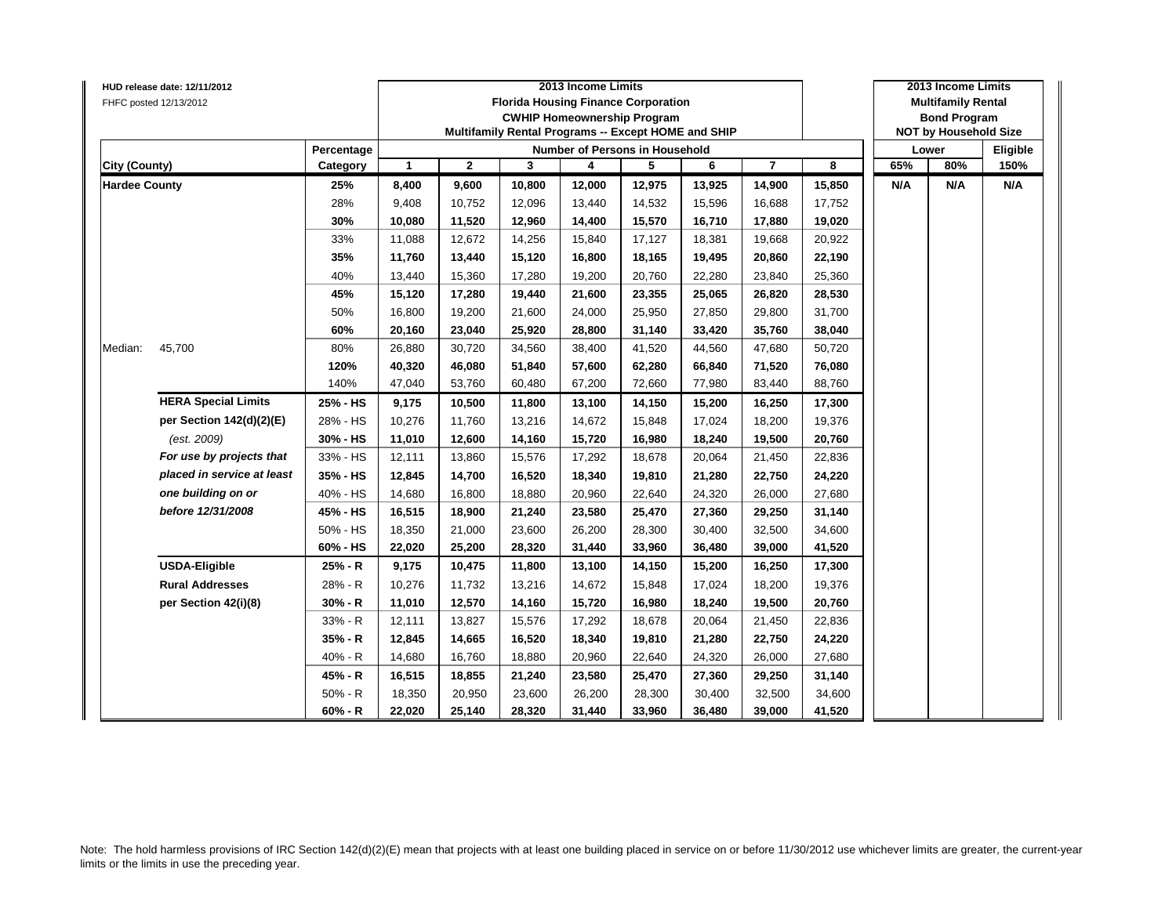|                      | HUD release date: 12/11/2012 |            |                      |              |        | 2013 Income Limits                                  |        |        |                |        |     | 2013 Income Limits           |          |
|----------------------|------------------------------|------------|----------------------|--------------|--------|-----------------------------------------------------|--------|--------|----------------|--------|-----|------------------------------|----------|
|                      | FHFC posted 12/13/2012       |            |                      |              |        | <b>Florida Housing Finance Corporation</b>          |        |        |                |        |     | <b>Multifamily Rental</b>    |          |
|                      |                              |            |                      |              |        | <b>CWHIP Homeownership Program</b>                  |        |        |                |        |     | <b>Bond Program</b>          |          |
|                      |                              |            |                      |              |        | Multifamily Rental Programs -- Except HOME and SHIP |        |        |                |        |     | <b>NOT by Household Size</b> |          |
|                      |                              | Percentage |                      |              |        | <b>Number of Persons in Household</b>               |        |        |                |        |     | Lower                        | Eligible |
| <b>City (County)</b> |                              | Category   | $\blacktriangleleft$ | $\mathbf{2}$ | 3      | 4                                                   | 5      | 6      | $\overline{7}$ | 8      | 65% | 80%                          | 150%     |
| <b>Hardee County</b> |                              | 25%        | 8,400                | 9,600        | 10,800 | 12,000                                              | 12,975 | 13,925 | 14,900         | 15,850 | N/A | N/A                          | N/A      |
|                      |                              | 28%        | 9,408                | 10,752       | 12,096 | 13,440                                              | 14,532 | 15,596 | 16,688         | 17,752 |     |                              |          |
|                      |                              | 30%        | 10,080               | 11,520       | 12,960 | 14,400                                              | 15,570 | 16,710 | 17,880         | 19,020 |     |                              |          |
|                      |                              | 33%        | 11,088               | 12,672       | 14,256 | 15,840                                              | 17,127 | 18,381 | 19,668         | 20,922 |     |                              |          |
|                      |                              | 35%        | 11,760               | 13,440       | 15,120 | 16,800                                              | 18,165 | 19,495 | 20,860         | 22,190 |     |                              |          |
|                      |                              | 40%        | 13,440               | 15,360       | 17,280 | 19,200                                              | 20,760 | 22,280 | 23,840         | 25,360 |     |                              |          |
|                      |                              | 45%        | 15,120               | 17,280       | 19,440 | 21,600                                              | 23,355 | 25,065 | 26,820         | 28,530 |     |                              |          |
|                      |                              | 50%        | 16,800               | 19,200       | 21,600 | 24,000                                              | 25,950 | 27,850 | 29,800         | 31,700 |     |                              |          |
|                      |                              | 60%        | 20,160               | 23,040       | 25,920 | 28,800                                              | 31,140 | 33,420 | 35,760         | 38,040 |     |                              |          |
| Median:              | 45,700                       | 80%        | 26,880               | 30,720       | 34,560 | 38,400                                              | 41,520 | 44,560 | 47,680         | 50,720 |     |                              |          |
|                      |                              | 120%       | 40,320               | 46,080       | 51,840 | 57,600                                              | 62,280 | 66,840 | 71,520         | 76,080 |     |                              |          |
|                      |                              | 140%       | 47,040               | 53,760       | 60,480 | 67,200                                              | 72,660 | 77,980 | 83,440         | 88,760 |     |                              |          |
|                      | <b>HERA Special Limits</b>   | 25% - HS   | 9,175                | 10,500       | 11,800 | 13,100                                              | 14,150 | 15,200 | 16,250         | 17,300 |     |                              |          |
|                      | per Section 142(d)(2)(E)     | 28% - HS   | 10,276               | 11,760       | 13,216 | 14,672                                              | 15,848 | 17,024 | 18,200         | 19,376 |     |                              |          |
|                      | (est. 2009)                  | 30% - HS   | 11,010               | 12,600       | 14,160 | 15,720                                              | 16,980 | 18,240 | 19,500         | 20,760 |     |                              |          |
|                      | For use by projects that     | 33% - HS   | 12,111               | 13,860       | 15,576 | 17,292                                              | 18,678 | 20,064 | 21,450         | 22,836 |     |                              |          |
|                      | placed in service at least   | 35% - HS   | 12,845               | 14,700       | 16,520 | 18,340                                              | 19,810 | 21,280 | 22,750         | 24,220 |     |                              |          |
|                      | one building on or           | 40% - HS   | 14,680               | 16,800       | 18,880 | 20,960                                              | 22,640 | 24,320 | 26,000         | 27,680 |     |                              |          |
|                      | before 12/31/2008            | 45% - HS   | 16,515               | 18,900       | 21,240 | 23,580                                              | 25,470 | 27,360 | 29,250         | 31,140 |     |                              |          |
|                      |                              | 50% - HS   | 18,350               | 21,000       | 23,600 | 26,200                                              | 28,300 | 30,400 | 32,500         | 34,600 |     |                              |          |
|                      |                              | 60% - HS   | 22,020               | 25,200       | 28,320 | 31,440                                              | 33,960 | 36,480 | 39,000         | 41,520 |     |                              |          |
|                      | <b>USDA-Eligible</b>         | 25% - R    | 9,175                | 10,475       | 11,800 | 13,100                                              | 14,150 | 15,200 | 16,250         | 17,300 |     |                              |          |
|                      | <b>Rural Addresses</b>       | 28% - R    | 10,276               | 11,732       | 13,216 | 14,672                                              | 15,848 | 17,024 | 18,200         | 19,376 |     |                              |          |
|                      | per Section 42(i)(8)         | $30% - R$  | 11,010               | 12,570       | 14,160 | 15,720                                              | 16,980 | 18,240 | 19,500         | 20,760 |     |                              |          |
|                      |                              | 33% - R    | 12,111               | 13,827       | 15,576 | 17,292                                              | 18,678 | 20,064 | 21,450         | 22,836 |     |                              |          |
|                      |                              | 35% - R    | 12,845               | 14,665       | 16,520 | 18,340                                              | 19,810 | 21,280 | 22,750         | 24,220 |     |                              |          |
|                      |                              | $40% - R$  | 14,680               | 16,760       | 18,880 | 20,960                                              | 22,640 | 24,320 | 26,000         | 27,680 |     |                              |          |
|                      |                              | 45% - R    | 16,515               | 18,855       | 21,240 | 23,580                                              | 25,470 | 27,360 | 29,250         | 31,140 |     |                              |          |
|                      |                              | $50% - R$  | 18,350               | 20,950       | 23,600 | 26,200                                              | 28,300 | 30,400 | 32,500         | 34,600 |     |                              |          |
|                      |                              | $60% - R$  | 22,020               | 25,140       | 28,320 | 31,440                                              | 33,960 | 36,480 | 39,000         | 41,520 |     |                              |          |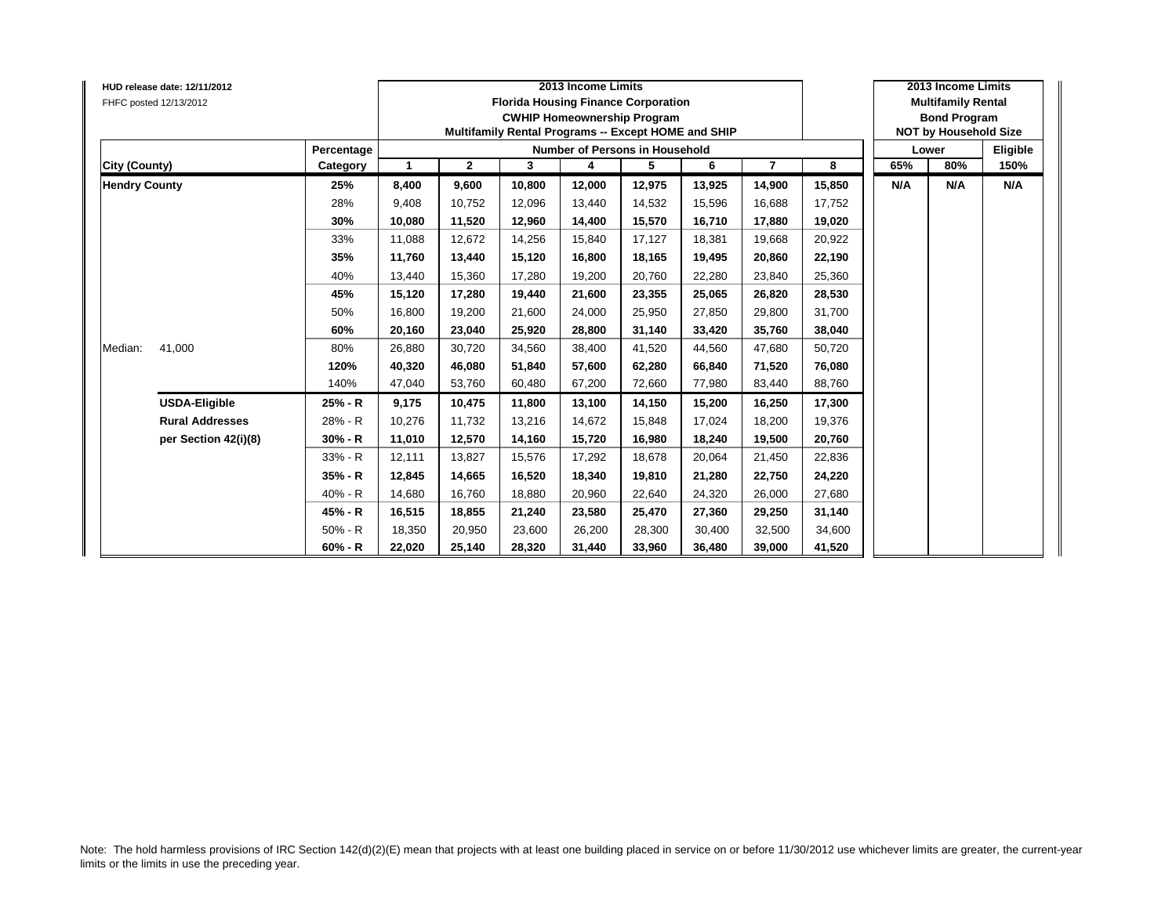|                      | HUD release date: 12/11/2012<br>FHFC posted 12/13/2012 |            |        |              |        | 2013 Income Limits<br><b>Florida Housing Finance Corporation</b><br><b>CWHIP Homeownership Program</b><br>Multifamily Rental Programs -- Except HOME and SHIP |        |        |                |        |     | 2013 Income Limits<br><b>Multifamily Rental</b><br><b>Bond Program</b><br><b>NOT by Household Size</b> |          |
|----------------------|--------------------------------------------------------|------------|--------|--------------|--------|---------------------------------------------------------------------------------------------------------------------------------------------------------------|--------|--------|----------------|--------|-----|--------------------------------------------------------------------------------------------------------|----------|
|                      |                                                        | Percentage |        |              |        | Number of Persons in Household                                                                                                                                |        |        |                |        |     | Lower                                                                                                  | Eligible |
| City (County)        |                                                        | Category   | -1     | $\mathbf{2}$ | 3      | 4                                                                                                                                                             | 5      | 6      | $\overline{7}$ | 8      | 65% | 80%                                                                                                    | 150%     |
| <b>Hendry County</b> |                                                        | 25%        | 8,400  | 9,600        | 10,800 | 12,000                                                                                                                                                        | 12,975 | 13,925 | 14,900         | 15,850 | N/A | N/A                                                                                                    | N/A      |
|                      |                                                        | 28%        | 9,408  | 10,752       | 12,096 | 13,440                                                                                                                                                        | 14,532 | 15,596 | 16,688         | 17,752 |     |                                                                                                        |          |
|                      |                                                        | 30%        | 10,080 | 11,520       | 12,960 | 14,400                                                                                                                                                        | 15,570 | 16,710 | 17,880         | 19,020 |     |                                                                                                        |          |
|                      |                                                        | 33%        | 11.088 | 12,672       | 14,256 | 15,840                                                                                                                                                        | 17,127 | 18.381 | 19,668         | 20,922 |     |                                                                                                        |          |
|                      |                                                        | 35%        | 11,760 | 13,440       | 15,120 | 16,800                                                                                                                                                        | 18,165 | 19,495 | 20,860         | 22,190 |     |                                                                                                        |          |
|                      |                                                        | 40%        | 13,440 | 15,360       | 17,280 | 19,200                                                                                                                                                        | 20,760 | 22,280 | 23,840         | 25,360 |     |                                                                                                        |          |
|                      |                                                        | 45%        | 15,120 | 17,280       | 19.440 | 21,600                                                                                                                                                        | 23,355 | 25.065 | 26,820         | 28,530 |     |                                                                                                        |          |
|                      |                                                        | 50%        | 16,800 | 19,200       | 21,600 | 24,000                                                                                                                                                        | 25,950 | 27.850 | 29,800         | 31,700 |     |                                                                                                        |          |
|                      |                                                        | 60%        | 20,160 | 23,040       | 25.920 | 28,800                                                                                                                                                        | 31,140 | 33.420 | 35,760         | 38,040 |     |                                                                                                        |          |
| Median:              | 41,000                                                 | 80%        | 26,880 | 30,720       | 34,560 | 38,400                                                                                                                                                        | 41,520 | 44,560 | 47,680         | 50,720 |     |                                                                                                        |          |
|                      |                                                        | 120%       | 40,320 | 46,080       | 51,840 | 57,600                                                                                                                                                        | 62,280 | 66,840 | 71,520         | 76,080 |     |                                                                                                        |          |
|                      |                                                        | 140%       | 47,040 | 53,760       | 60,480 | 67,200                                                                                                                                                        | 72,660 | 77,980 | 83,440         | 88,760 |     |                                                                                                        |          |
|                      | <b>USDA-Eligible</b>                                   | 25% - R    | 9,175  | 10,475       | 11,800 | 13,100                                                                                                                                                        | 14,150 | 15,200 | 16,250         | 17,300 |     |                                                                                                        |          |
|                      | <b>Rural Addresses</b>                                 | 28% - R    | 10,276 | 11,732       | 13,216 | 14,672                                                                                                                                                        | 15,848 | 17.024 | 18,200         | 19,376 |     |                                                                                                        |          |
|                      | per Section 42(i)(8)                                   | 30% - R    | 11,010 | 12,570       | 14,160 | 15,720                                                                                                                                                        | 16,980 | 18,240 | 19,500         | 20,760 |     |                                                                                                        |          |
|                      |                                                        | 33% - R    | 12,111 | 13,827       | 15,576 | 17,292                                                                                                                                                        | 18,678 | 20,064 | 21,450         | 22,836 |     |                                                                                                        |          |
|                      |                                                        | 35% - R    | 12,845 | 14,665       | 16,520 | 18,340                                                                                                                                                        | 19,810 | 21,280 | 22,750         | 24,220 |     |                                                                                                        |          |
|                      |                                                        | 40% - R    | 14,680 | 16,760       | 18,880 | 20,960                                                                                                                                                        | 22,640 | 24,320 | 26,000         | 27,680 |     |                                                                                                        |          |
|                      |                                                        | 45% - R    | 16,515 | 18,855       | 21,240 | 23,580                                                                                                                                                        | 25,470 | 27,360 | 29,250         | 31,140 |     |                                                                                                        |          |
|                      |                                                        | $50% - R$  | 18,350 | 20,950       | 23,600 | 26,200                                                                                                                                                        | 28,300 | 30.400 | 32,500         | 34,600 |     |                                                                                                        |          |
|                      |                                                        | 60% - R    | 22,020 | 25,140       | 28,320 | 31,440                                                                                                                                                        | 33,960 | 36,480 | 39,000         | 41,520 |     |                                                                                                        |          |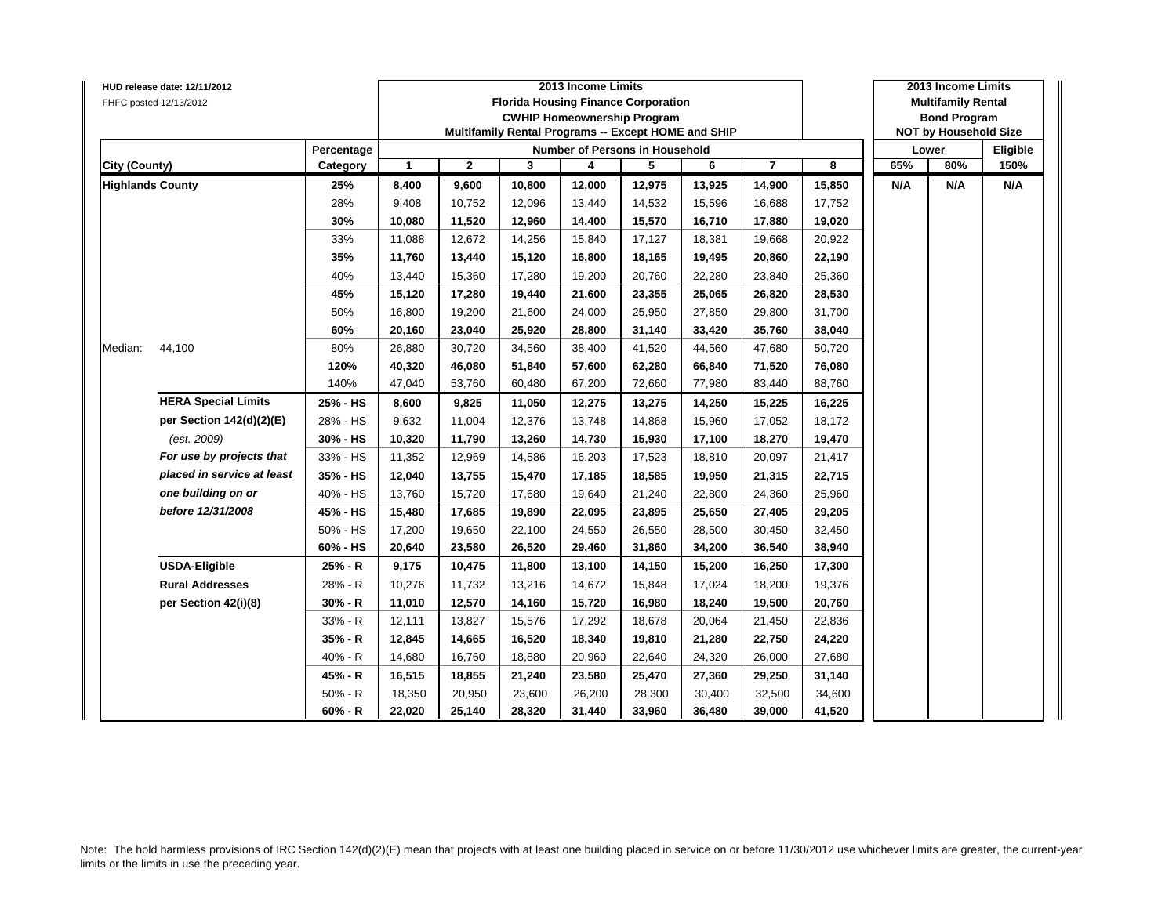|                         | HUD release date: 12/11/2012 |            |              |              |        | 2013 Income Limits                                  |        |        |                |        |     | 2013 Income Limits           |          |
|-------------------------|------------------------------|------------|--------------|--------------|--------|-----------------------------------------------------|--------|--------|----------------|--------|-----|------------------------------|----------|
|                         | FHFC posted 12/13/2012       |            |              |              |        | <b>Florida Housing Finance Corporation</b>          |        |        |                |        |     | <b>Multifamily Rental</b>    |          |
|                         |                              |            |              |              |        | <b>CWHIP Homeownership Program</b>                  |        |        |                |        |     | <b>Bond Program</b>          |          |
|                         |                              |            |              |              |        | Multifamily Rental Programs -- Except HOME and SHIP |        |        |                |        |     | <b>NOT by Household Size</b> |          |
|                         |                              | Percentage |              |              |        | Number of Persons in Household                      |        |        |                |        |     | Lower                        | Eligible |
| <b>City (County)</b>    |                              | Category   | $\mathbf{1}$ | $\mathbf{2}$ | 3      | 4                                                   | 5      | 6      | $\overline{7}$ | 8      | 65% | 80%                          | 150%     |
| <b>Highlands County</b> |                              | 25%        | 8,400        | 9,600        | 10,800 | 12,000                                              | 12,975 | 13,925 | 14,900         | 15,850 | N/A | N/A                          | N/A      |
|                         |                              | 28%        | 9,408        | 10,752       | 12,096 | 13,440                                              | 14,532 | 15,596 | 16,688         | 17,752 |     |                              |          |
|                         |                              | 30%        | 10,080       | 11,520       | 12,960 | 14,400                                              | 15,570 | 16,710 | 17,880         | 19,020 |     |                              |          |
|                         |                              | 33%        | 11,088       | 12,672       | 14,256 | 15,840                                              | 17,127 | 18,381 | 19,668         | 20,922 |     |                              |          |
|                         |                              | 35%        | 11,760       | 13,440       | 15,120 | 16,800                                              | 18,165 | 19,495 | 20,860         | 22,190 |     |                              |          |
|                         |                              | 40%        | 13,440       | 15,360       | 17,280 | 19,200                                              | 20,760 | 22,280 | 23,840         | 25,360 |     |                              |          |
|                         |                              | 45%        | 15,120       | 17,280       | 19,440 | 21,600                                              | 23,355 | 25,065 | 26,820         | 28,530 |     |                              |          |
|                         |                              | 50%        | 16,800       | 19,200       | 21,600 | 24,000                                              | 25,950 | 27,850 | 29,800         | 31,700 |     |                              |          |
|                         |                              | 60%        | 20,160       | 23,040       | 25,920 | 28,800                                              | 31,140 | 33,420 | 35,760         | 38,040 |     |                              |          |
| Median:                 | 44,100                       | 80%        | 26,880       | 30,720       | 34,560 | 38,400                                              | 41,520 | 44,560 | 47,680         | 50,720 |     |                              |          |
|                         |                              | 120%       | 40,320       | 46,080       | 51,840 | 57,600                                              | 62,280 | 66,840 | 71,520         | 76,080 |     |                              |          |
|                         |                              | 140%       | 47,040       | 53,760       | 60,480 | 67,200                                              | 72,660 | 77,980 | 83,440         | 88,760 |     |                              |          |
|                         | <b>HERA Special Limits</b>   | 25% - HS   | 8,600        | 9,825        | 11,050 | 12,275                                              | 13,275 | 14,250 | 15,225         | 16,225 |     |                              |          |
|                         | per Section 142(d)(2)(E)     | 28% - HS   | 9,632        | 11,004       | 12,376 | 13,748                                              | 14,868 | 15,960 | 17,052         | 18,172 |     |                              |          |
|                         | (est. 2009)                  | 30% - HS   | 10,320       | 11,790       | 13,260 | 14,730                                              | 15,930 | 17,100 | 18,270         | 19,470 |     |                              |          |
|                         | For use by projects that     | 33% - HS   | 11,352       | 12,969       | 14,586 | 16,203                                              | 17,523 | 18,810 | 20,097         | 21,417 |     |                              |          |
|                         | placed in service at least   | 35% - HS   | 12,040       | 13,755       | 15,470 | 17,185                                              | 18,585 | 19,950 | 21,315         | 22,715 |     |                              |          |
|                         | one building on or           | 40% - HS   | 13,760       | 15,720       | 17,680 | 19,640                                              | 21,240 | 22,800 | 24,360         | 25,960 |     |                              |          |
|                         | before 12/31/2008            | 45% - HS   | 15,480       | 17,685       | 19,890 | 22,095                                              | 23,895 | 25,650 | 27,405         | 29,205 |     |                              |          |
|                         |                              | 50% - HS   | 17,200       | 19,650       | 22,100 | 24,550                                              | 26,550 | 28,500 | 30,450         | 32,450 |     |                              |          |
|                         |                              | 60% - HS   | 20,640       | 23,580       | 26,520 | 29,460                                              | 31,860 | 34,200 | 36,540         | 38,940 |     |                              |          |
|                         | <b>USDA-Eligible</b>         | 25% - R    | 9,175        | 10,475       | 11,800 | 13,100                                              | 14,150 | 15,200 | 16,250         | 17,300 |     |                              |          |
|                         | <b>Rural Addresses</b>       | 28% - R    | 10,276       | 11,732       | 13,216 | 14,672                                              | 15,848 | 17,024 | 18,200         | 19,376 |     |                              |          |
|                         | per Section 42(i)(8)         | 30% - R    | 11,010       | 12,570       | 14,160 | 15,720                                              | 16,980 | 18,240 | 19,500         | 20,760 |     |                              |          |
|                         |                              | 33% - R    | 12,111       | 13,827       | 15,576 | 17,292                                              | 18,678 | 20,064 | 21,450         | 22,836 |     |                              |          |
|                         |                              | 35% - R    | 12,845       | 14,665       | 16,520 | 18,340                                              | 19,810 | 21,280 | 22,750         | 24,220 |     |                              |          |
|                         |                              | 40% - R    | 14,680       | 16,760       | 18,880 | 20,960                                              | 22,640 | 24,320 | 26,000         | 27,680 |     |                              |          |
|                         |                              | 45% - R    | 16,515       | 18,855       | 21,240 | 23,580                                              | 25,470 | 27,360 | 29,250         | 31,140 |     |                              |          |
|                         |                              | $50% - R$  | 18,350       | 20,950       | 23,600 | 26,200                                              | 28,300 | 30,400 | 32,500         | 34,600 |     |                              |          |
|                         |                              | $60% - R$  | 22,020       | 25,140       | 28,320 | 31,440                                              | 33,960 | 36,480 | 39,000         | 41,520 |     |                              |          |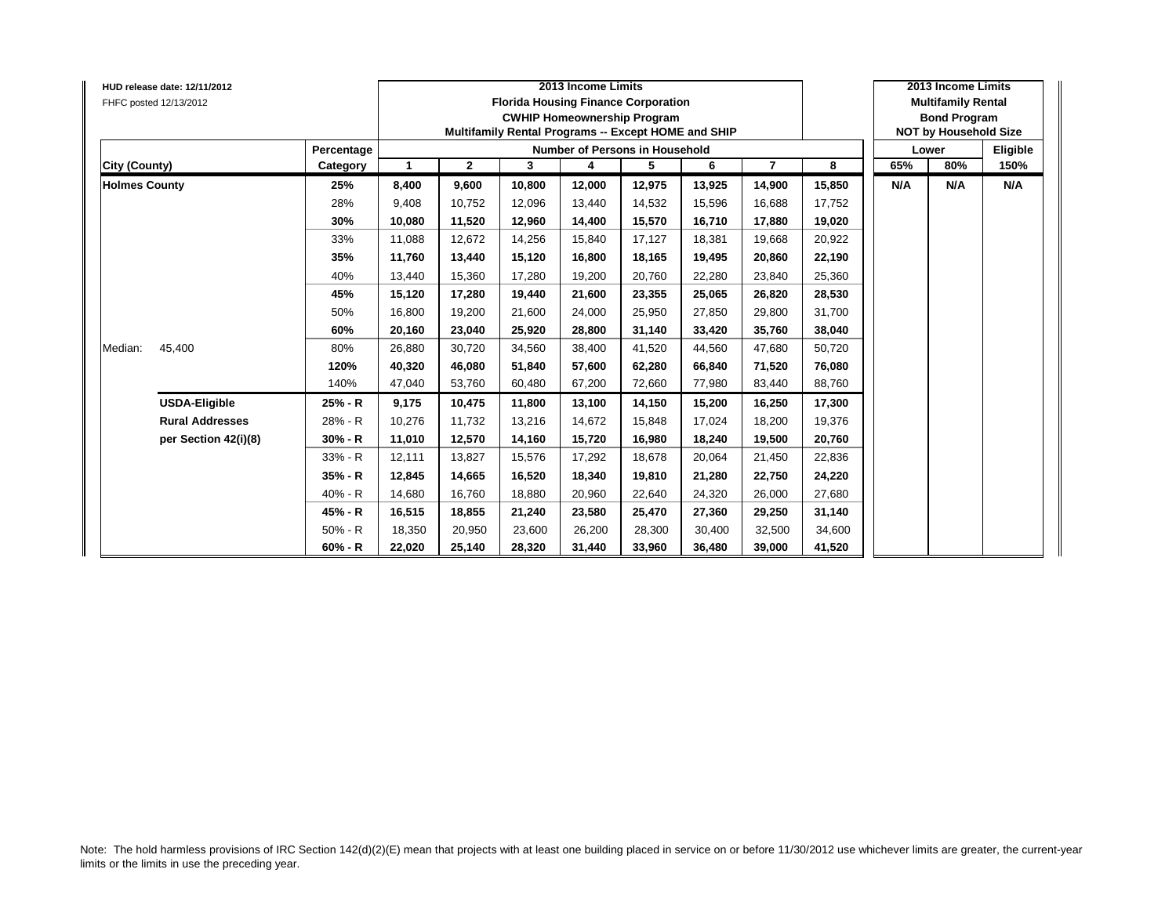| FHFC posted 12/13/2012 | HUD release date: 12/11/2012 |            |        |              |        | 2013 Income Limits | <b>Florida Housing Finance Corporation</b><br><b>CWHIP Homeownership Program</b><br>Multifamily Rental Programs -- Except HOME and SHIP |        |                |        |     | 2013 Income Limits<br><b>Multifamily Rental</b><br><b>Bond Program</b><br><b>NOT by Household Size</b> |          |
|------------------------|------------------------------|------------|--------|--------------|--------|--------------------|-----------------------------------------------------------------------------------------------------------------------------------------|--------|----------------|--------|-----|--------------------------------------------------------------------------------------------------------|----------|
|                        |                              | Percentage |        |              |        |                    | Number of Persons in Household                                                                                                          |        |                |        |     | Lower                                                                                                  | Eligible |
| City (County)          |                              | Category   | -1     | $\mathbf{2}$ | 3      | 4                  | 5                                                                                                                                       | 6      | $\overline{7}$ | 8      | 65% | 80%                                                                                                    | 150%     |
| <b>Holmes County</b>   |                              | 25%        | 8,400  | 9,600        | 10,800 | 12,000             | 12,975                                                                                                                                  | 13,925 | 14,900         | 15,850 | N/A | N/A                                                                                                    | N/A      |
|                        |                              | 28%        | 9,408  | 10,752       | 12,096 | 13,440             | 14,532                                                                                                                                  | 15,596 | 16,688         | 17,752 |     |                                                                                                        |          |
|                        |                              | 30%        | 10,080 | 11,520       | 12,960 | 14,400             | 15,570                                                                                                                                  | 16,710 | 17,880         | 19,020 |     |                                                                                                        |          |
|                        |                              | 33%        | 11.088 | 12,672       | 14,256 | 15,840             | 17,127                                                                                                                                  | 18.381 | 19,668         | 20,922 |     |                                                                                                        |          |
|                        |                              | 35%        | 11,760 | 13,440       | 15,120 | 16,800             | 18,165                                                                                                                                  | 19,495 | 20,860         | 22,190 |     |                                                                                                        |          |
|                        |                              | 40%        | 13,440 | 15,360       | 17,280 | 19,200             | 20,760                                                                                                                                  | 22,280 | 23,840         | 25,360 |     |                                                                                                        |          |
|                        |                              | 45%        | 15,120 | 17,280       | 19.440 | 21,600             | 23,355                                                                                                                                  | 25.065 | 26,820         | 28,530 |     |                                                                                                        |          |
|                        |                              | 50%        | 16,800 | 19,200       | 21,600 | 24,000             | 25,950                                                                                                                                  | 27.850 | 29,800         | 31,700 |     |                                                                                                        |          |
|                        |                              | 60%        | 20,160 | 23,040       | 25.920 | 28,800             | 31,140                                                                                                                                  | 33.420 | 35,760         | 38,040 |     |                                                                                                        |          |
| Median:                | 45,400                       | 80%        | 26,880 | 30,720       | 34,560 | 38,400             | 41,520                                                                                                                                  | 44,560 | 47,680         | 50,720 |     |                                                                                                        |          |
|                        |                              | 120%       | 40,320 | 46,080       | 51,840 | 57,600             | 62,280                                                                                                                                  | 66,840 | 71,520         | 76,080 |     |                                                                                                        |          |
|                        |                              | 140%       | 47,040 | 53,760       | 60,480 | 67,200             | 72,660                                                                                                                                  | 77,980 | 83,440         | 88,760 |     |                                                                                                        |          |
|                        | <b>USDA-Eligible</b>         | 25% - R    | 9,175  | 10,475       | 11,800 | 13,100             | 14,150                                                                                                                                  | 15,200 | 16,250         | 17,300 |     |                                                                                                        |          |
|                        | <b>Rural Addresses</b>       | 28% - R    | 10,276 | 11,732       | 13,216 | 14,672             | 15,848                                                                                                                                  | 17.024 | 18,200         | 19,376 |     |                                                                                                        |          |
|                        | per Section 42(i)(8)         | 30% - R    | 11,010 | 12,570       | 14,160 | 15,720             | 16,980                                                                                                                                  | 18,240 | 19,500         | 20,760 |     |                                                                                                        |          |
|                        |                              | 33% - R    | 12,111 | 13,827       | 15,576 | 17,292             | 18,678                                                                                                                                  | 20,064 | 21,450         | 22,836 |     |                                                                                                        |          |
|                        |                              | 35% - R    | 12,845 | 14,665       | 16,520 | 18,340             | 19,810                                                                                                                                  | 21,280 | 22,750         | 24,220 |     |                                                                                                        |          |
|                        |                              | 40% - R    | 14,680 | 16,760       | 18,880 | 20,960             | 22,640                                                                                                                                  | 24,320 | 26,000         | 27,680 |     |                                                                                                        |          |
|                        |                              | 45% - R    | 16,515 | 18,855       | 21,240 | 23,580             | 25,470                                                                                                                                  | 27,360 | 29,250         | 31,140 |     |                                                                                                        |          |
|                        |                              | $50% - R$  | 18,350 | 20,950       | 23,600 | 26,200             | 28,300                                                                                                                                  | 30.400 | 32,500         | 34,600 |     |                                                                                                        |          |
|                        |                              | $60% - R$  | 22,020 | 25,140       | 28,320 | 31,440             | 33,960                                                                                                                                  | 36,480 | 39,000         | 41,520 |     |                                                                                                        |          |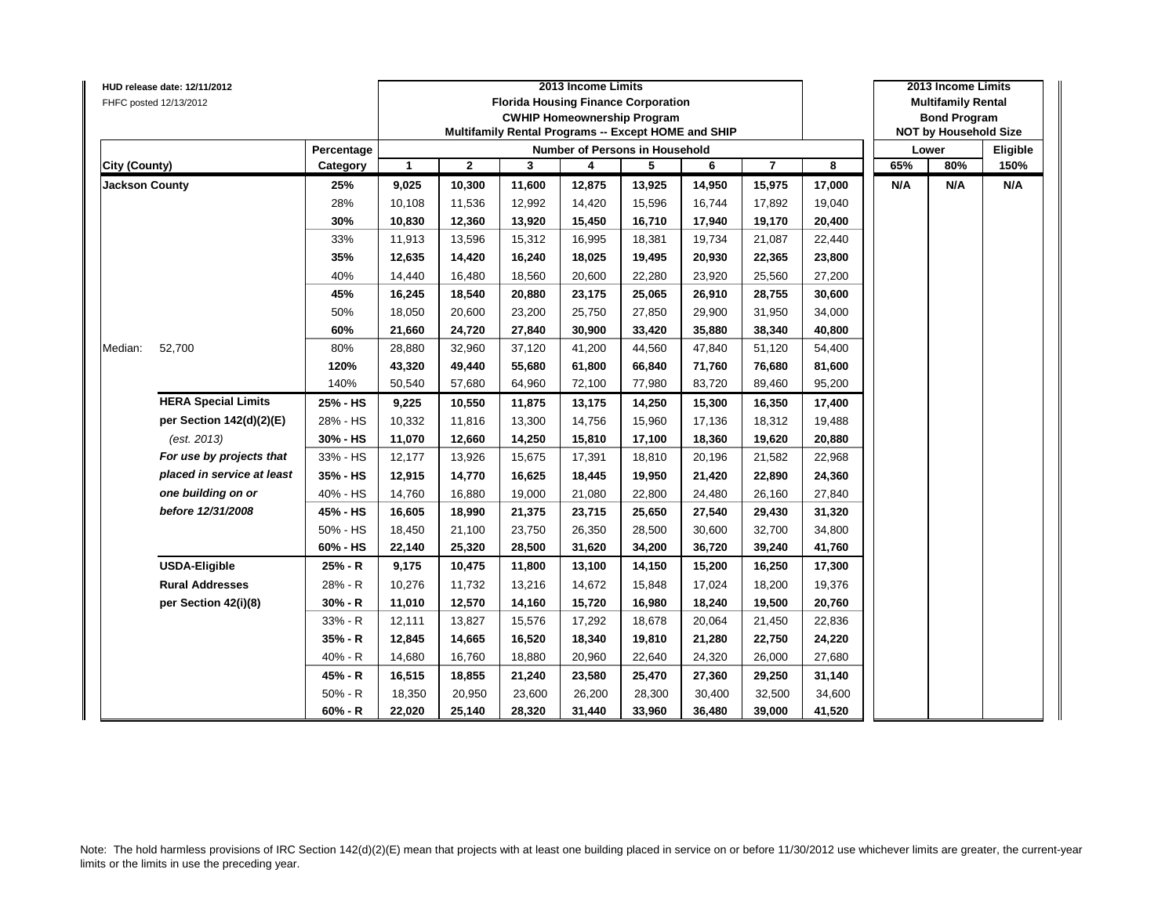|                      | HUD release date: 12/11/2012 |            |              |              |        | 2013 Income Limits                                  |        |        |                |        |     | 2013 Income Limits           |          |
|----------------------|------------------------------|------------|--------------|--------------|--------|-----------------------------------------------------|--------|--------|----------------|--------|-----|------------------------------|----------|
|                      | FHFC posted 12/13/2012       |            |              |              |        | <b>Florida Housing Finance Corporation</b>          |        |        |                |        |     | <b>Multifamily Rental</b>    |          |
|                      |                              |            |              |              |        | <b>CWHIP Homeownership Program</b>                  |        |        |                |        |     | <b>Bond Program</b>          |          |
|                      |                              |            |              |              |        | Multifamily Rental Programs -- Except HOME and SHIP |        |        |                |        |     | <b>NOT by Household Size</b> |          |
|                      |                              | Percentage |              |              |        | Number of Persons in Household                      |        |        |                |        |     | Lower                        | Eligible |
| <b>City (County)</b> |                              | Category   | $\mathbf{1}$ | $\mathbf{2}$ | 3      | 4                                                   | 5      | 6      | $\overline{7}$ | 8      | 65% | 80%                          | 150%     |
| Jackson County       |                              | 25%        | 9,025        | 10,300       | 11,600 | 12,875                                              | 13,925 | 14,950 | 15,975         | 17,000 | N/A | N/A                          | N/A      |
|                      |                              | 28%        | 10,108       | 11,536       | 12,992 | 14,420                                              | 15,596 | 16,744 | 17,892         | 19,040 |     |                              |          |
|                      |                              | 30%        | 10,830       | 12,360       | 13,920 | 15,450                                              | 16,710 | 17,940 | 19,170         | 20,400 |     |                              |          |
|                      |                              | 33%        | 11,913       | 13,596       | 15,312 | 16,995                                              | 18,381 | 19,734 | 21,087         | 22,440 |     |                              |          |
|                      |                              | 35%        | 12,635       | 14,420       | 16,240 | 18,025                                              | 19,495 | 20,930 | 22,365         | 23,800 |     |                              |          |
|                      |                              | 40%        | 14,440       | 16,480       | 18,560 | 20,600                                              | 22,280 | 23,920 | 25,560         | 27,200 |     |                              |          |
|                      |                              | 45%        | 16,245       | 18,540       | 20,880 | 23,175                                              | 25,065 | 26,910 | 28,755         | 30,600 |     |                              |          |
|                      |                              | 50%        | 18,050       | 20,600       | 23,200 | 25,750                                              | 27,850 | 29,900 | 31,950         | 34,000 |     |                              |          |
|                      |                              | 60%        | 21,660       | 24,720       | 27,840 | 30,900                                              | 33,420 | 35,880 | 38,340         | 40,800 |     |                              |          |
| Median:              | 52,700                       | 80%        | 28,880       | 32,960       | 37,120 | 41,200                                              | 44,560 | 47,840 | 51,120         | 54,400 |     |                              |          |
|                      |                              | 120%       | 43,320       | 49,440       | 55,680 | 61,800                                              | 66,840 | 71,760 | 76,680         | 81,600 |     |                              |          |
|                      |                              | 140%       | 50,540       | 57,680       | 64,960 | 72,100                                              | 77,980 | 83,720 | 89,460         | 95,200 |     |                              |          |
|                      | <b>HERA Special Limits</b>   | 25% - HS   | 9,225        | 10,550       | 11,875 | 13,175                                              | 14,250 | 15,300 | 16,350         | 17,400 |     |                              |          |
|                      | per Section 142(d)(2)(E)     | 28% - HS   | 10,332       | 11,816       | 13,300 | 14,756                                              | 15,960 | 17,136 | 18,312         | 19,488 |     |                              |          |
|                      | (est. 2013)                  | 30% - HS   | 11,070       | 12,660       | 14,250 | 15,810                                              | 17,100 | 18,360 | 19,620         | 20,880 |     |                              |          |
|                      | For use by projects that     | 33% - HS   | 12,177       | 13,926       | 15,675 | 17,391                                              | 18,810 | 20,196 | 21,582         | 22,968 |     |                              |          |
|                      | placed in service at least   | 35% - HS   | 12,915       | 14,770       | 16,625 | 18,445                                              | 19,950 | 21,420 | 22,890         | 24,360 |     |                              |          |
|                      | one building on or           | 40% - HS   | 14,760       | 16,880       | 19,000 | 21,080                                              | 22,800 | 24,480 | 26,160         | 27,840 |     |                              |          |
|                      | before 12/31/2008            | 45% - HS   | 16,605       | 18,990       | 21,375 | 23,715                                              | 25,650 | 27,540 | 29,430         | 31,320 |     |                              |          |
|                      |                              | 50% - HS   | 18,450       | 21,100       | 23,750 | 26,350                                              | 28,500 | 30,600 | 32,700         | 34,800 |     |                              |          |
|                      |                              | 60% - HS   | 22,140       | 25,320       | 28,500 | 31,620                                              | 34,200 | 36,720 | 39,240         | 41,760 |     |                              |          |
|                      | <b>USDA-Eligible</b>         | 25% - R    | 9,175        | 10,475       | 11,800 | 13,100                                              | 14,150 | 15,200 | 16,250         | 17,300 |     |                              |          |
|                      | <b>Rural Addresses</b>       | 28% - R    | 10,276       | 11,732       | 13,216 | 14,672                                              | 15,848 | 17,024 | 18,200         | 19,376 |     |                              |          |
|                      | per Section 42(i)(8)         | 30% - R    | 11,010       | 12,570       | 14,160 | 15,720                                              | 16,980 | 18,240 | 19,500         | 20,760 |     |                              |          |
|                      |                              | 33% - R    | 12,111       | 13,827       | 15,576 | 17,292                                              | 18,678 | 20,064 | 21,450         | 22,836 |     |                              |          |
|                      |                              | 35% - R    | 12,845       | 14,665       | 16,520 | 18,340                                              | 19,810 | 21,280 | 22,750         | 24,220 |     |                              |          |
|                      |                              | 40% - R    | 14,680       | 16,760       | 18,880 | 20,960                                              | 22,640 | 24,320 | 26,000         | 27,680 |     |                              |          |
|                      |                              | 45% - R    | 16,515       | 18,855       | 21,240 | 23,580                                              | 25,470 | 27,360 | 29,250         | 31,140 |     |                              |          |
|                      |                              | $50% - R$  | 18,350       | 20,950       | 23,600 | 26,200                                              | 28,300 | 30,400 | 32,500         | 34,600 |     |                              |          |
|                      |                              | $60% - R$  | 22,020       | 25,140       | 28,320 | 31,440                                              | 33,960 | 36,480 | 39,000         | 41,520 |     |                              |          |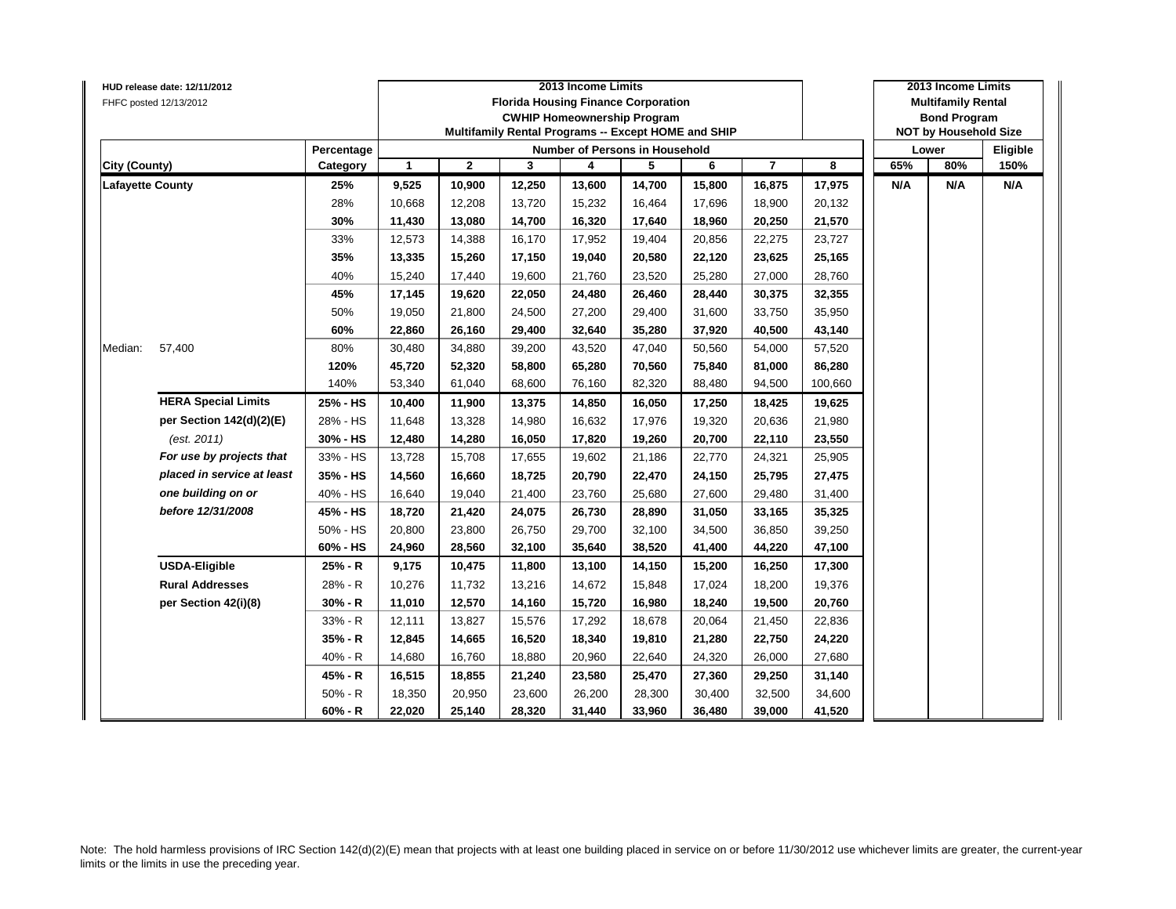|                         | HUD release date: 12/11/2012 |            |              |              |        | 2013 Income Limits                                  |        |        |                |         |     | 2013 Income Limits           |          |
|-------------------------|------------------------------|------------|--------------|--------------|--------|-----------------------------------------------------|--------|--------|----------------|---------|-----|------------------------------|----------|
|                         | FHFC posted 12/13/2012       |            |              |              |        | <b>Florida Housing Finance Corporation</b>          |        |        |                |         |     | <b>Multifamily Rental</b>    |          |
|                         |                              |            |              |              |        | <b>CWHIP Homeownership Program</b>                  |        |        |                |         |     | <b>Bond Program</b>          |          |
|                         |                              |            |              |              |        | Multifamily Rental Programs -- Except HOME and SHIP |        |        |                |         |     | <b>NOT by Household Size</b> |          |
|                         |                              | Percentage |              |              |        | Number of Persons in Household                      |        |        |                |         |     | Lower                        | Eligible |
| <b>City (County)</b>    |                              | Category   | $\mathbf{1}$ | $\mathbf{2}$ | 3      | 4                                                   | 5      | 6      | $\overline{7}$ | 8       | 65% | 80%                          | 150%     |
| <b>Lafayette County</b> |                              | 25%        | 9,525        | 10,900       | 12,250 | 13,600                                              | 14,700 | 15,800 | 16,875         | 17,975  | N/A | N/A                          | N/A      |
|                         |                              | 28%        | 10,668       | 12,208       | 13,720 | 15,232                                              | 16,464 | 17,696 | 18,900         | 20,132  |     |                              |          |
|                         |                              | 30%        | 11,430       | 13,080       | 14,700 | 16,320                                              | 17,640 | 18,960 | 20,250         | 21,570  |     |                              |          |
|                         |                              | 33%        | 12,573       | 14,388       | 16,170 | 17,952                                              | 19,404 | 20,856 | 22,275         | 23,727  |     |                              |          |
|                         |                              | 35%        | 13,335       | 15,260       | 17,150 | 19,040                                              | 20,580 | 22,120 | 23,625         | 25,165  |     |                              |          |
|                         |                              | 40%        | 15,240       | 17,440       | 19,600 | 21,760                                              | 23,520 | 25,280 | 27,000         | 28,760  |     |                              |          |
|                         |                              | 45%        | 17,145       | 19,620       | 22,050 | 24,480                                              | 26,460 | 28,440 | 30,375         | 32,355  |     |                              |          |
|                         |                              | 50%        | 19,050       | 21,800       | 24,500 | 27,200                                              | 29,400 | 31,600 | 33,750         | 35,950  |     |                              |          |
|                         |                              | 60%        | 22,860       | 26,160       | 29,400 | 32,640                                              | 35,280 | 37,920 | 40,500         | 43,140  |     |                              |          |
| Median:                 | 57,400                       | 80%        | 30,480       | 34,880       | 39,200 | 43,520                                              | 47,040 | 50,560 | 54,000         | 57,520  |     |                              |          |
|                         |                              | 120%       | 45,720       | 52,320       | 58,800 | 65,280                                              | 70,560 | 75,840 | 81,000         | 86,280  |     |                              |          |
|                         |                              | 140%       | 53,340       | 61,040       | 68,600 | 76,160                                              | 82,320 | 88,480 | 94,500         | 100,660 |     |                              |          |
|                         | <b>HERA Special Limits</b>   | 25% - HS   | 10,400       | 11,900       | 13,375 | 14,850                                              | 16,050 | 17,250 | 18,425         | 19,625  |     |                              |          |
|                         | per Section 142(d)(2)(E)     | 28% - HS   | 11,648       | 13,328       | 14,980 | 16,632                                              | 17,976 | 19,320 | 20,636         | 21,980  |     |                              |          |
|                         | (est. 2011)                  | 30% - HS   | 12,480       | 14,280       | 16,050 | 17,820                                              | 19,260 | 20,700 | 22,110         | 23,550  |     |                              |          |
|                         | For use by projects that     | 33% - HS   | 13,728       | 15,708       | 17,655 | 19,602                                              | 21,186 | 22,770 | 24,321         | 25,905  |     |                              |          |
|                         | placed in service at least   | 35% - HS   | 14,560       | 16,660       | 18,725 | 20,790                                              | 22,470 | 24,150 | 25,795         | 27,475  |     |                              |          |
|                         | one building on or           | 40% - HS   | 16,640       | 19,040       | 21,400 | 23,760                                              | 25,680 | 27,600 | 29,480         | 31,400  |     |                              |          |
|                         | before 12/31/2008            | 45% - HS   | 18,720       | 21,420       | 24,075 | 26,730                                              | 28,890 | 31,050 | 33,165         | 35,325  |     |                              |          |
|                         |                              | 50% - HS   | 20,800       | 23,800       | 26,750 | 29,700                                              | 32,100 | 34,500 | 36,850         | 39,250  |     |                              |          |
|                         |                              | 60% - HS   | 24,960       | 28,560       | 32,100 | 35,640                                              | 38,520 | 41,400 | 44,220         | 47,100  |     |                              |          |
|                         | <b>USDA-Eligible</b>         | 25% - R    | 9,175        | 10,475       | 11,800 | 13,100                                              | 14,150 | 15,200 | 16,250         | 17,300  |     |                              |          |
|                         | <b>Rural Addresses</b>       | 28% - R    | 10,276       | 11,732       | 13,216 | 14,672                                              | 15,848 | 17,024 | 18,200         | 19,376  |     |                              |          |
|                         | per Section 42(i)(8)         | 30% - R    | 11,010       | 12,570       | 14,160 | 15,720                                              | 16,980 | 18,240 | 19,500         | 20,760  |     |                              |          |
|                         |                              | 33% - R    | 12,111       | 13,827       | 15,576 | 17,292                                              | 18,678 | 20,064 | 21,450         | 22,836  |     |                              |          |
|                         |                              | 35% - R    | 12,845       | 14,665       | 16,520 | 18,340                                              | 19,810 | 21,280 | 22,750         | 24,220  |     |                              |          |
|                         |                              | 40% - R    | 14,680       | 16,760       | 18,880 | 20,960                                              | 22,640 | 24,320 | 26,000         | 27,680  |     |                              |          |
|                         |                              | 45% - R    | 16,515       | 18,855       | 21,240 | 23,580                                              | 25,470 | 27,360 | 29,250         | 31,140  |     |                              |          |
|                         |                              | $50% - R$  | 18,350       | 20,950       | 23,600 | 26,200                                              | 28,300 | 30,400 | 32,500         | 34,600  |     |                              |          |
|                         |                              | $60% - R$  | 22,020       | 25,140       | 28,320 | 31,440                                              | 33,960 | 36,480 | 39,000         | 41,520  |     |                              |          |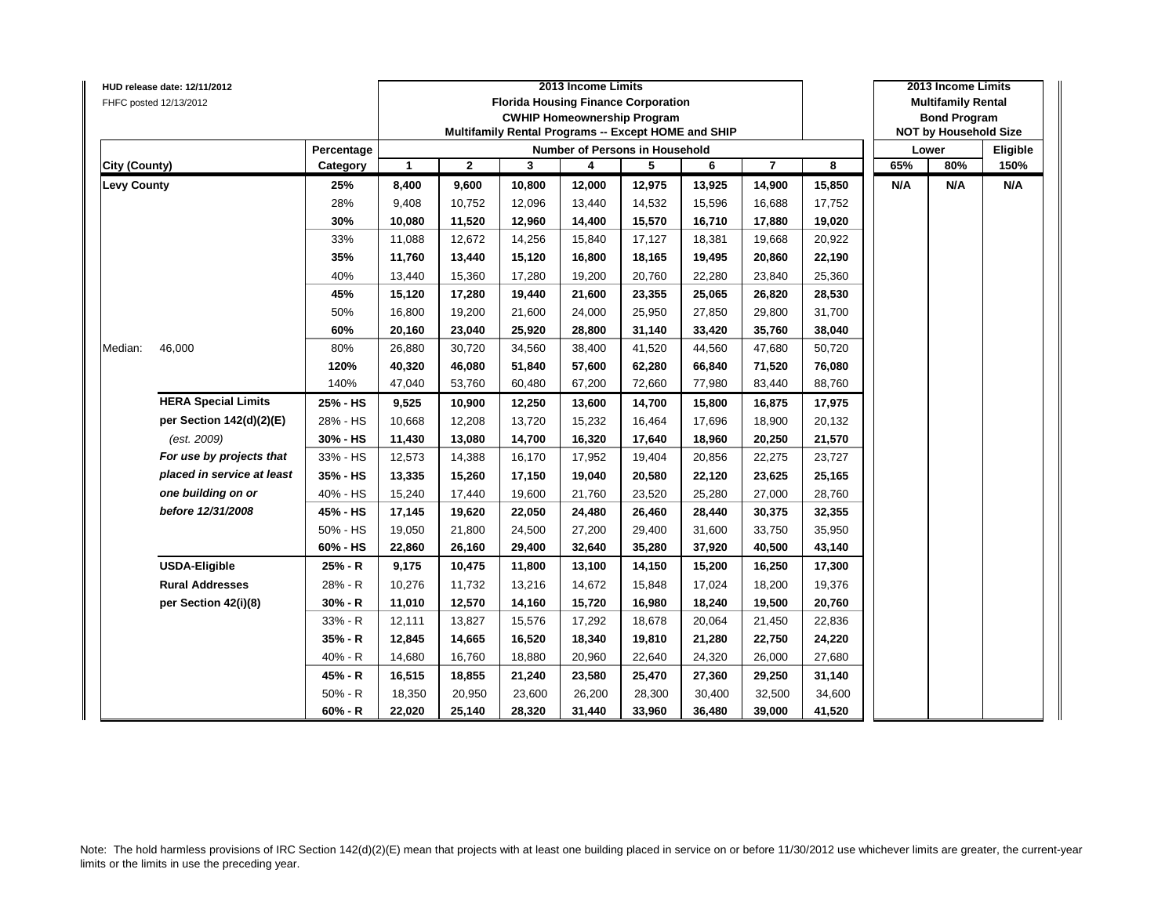|                      | HUD release date: 12/11/2012 |            |                      |              |        | 2013 Income Limits                                  |        |        |                |        |     | 2013 Income Limits           |          |
|----------------------|------------------------------|------------|----------------------|--------------|--------|-----------------------------------------------------|--------|--------|----------------|--------|-----|------------------------------|----------|
|                      | FHFC posted 12/13/2012       |            |                      |              |        | <b>Florida Housing Finance Corporation</b>          |        |        |                |        |     | <b>Multifamily Rental</b>    |          |
|                      |                              |            |                      |              |        | <b>CWHIP Homeownership Program</b>                  |        |        |                |        |     | <b>Bond Program</b>          |          |
|                      |                              |            |                      |              |        | Multifamily Rental Programs -- Except HOME and SHIP |        |        |                |        |     | <b>NOT by Household Size</b> |          |
|                      |                              | Percentage |                      |              |        | <b>Number of Persons in Household</b>               |        |        |                |        |     | Lower                        | Eligible |
| <b>City (County)</b> |                              | Category   | $\blacktriangleleft$ | $\mathbf{2}$ | 3      | 4                                                   | 5      | 6      | $\overline{7}$ | 8      | 65% | 80%                          | 150%     |
| <b>Levy County</b>   |                              | 25%        | 8,400                | 9,600        | 10,800 | 12,000                                              | 12,975 | 13,925 | 14,900         | 15,850 | N/A | N/A                          | N/A      |
|                      |                              | 28%        | 9,408                | 10,752       | 12,096 | 13,440                                              | 14,532 | 15,596 | 16,688         | 17,752 |     |                              |          |
|                      |                              | 30%        | 10,080               | 11,520       | 12,960 | 14,400                                              | 15,570 | 16,710 | 17,880         | 19,020 |     |                              |          |
|                      |                              | 33%        | 11,088               | 12,672       | 14,256 | 15,840                                              | 17,127 | 18,381 | 19,668         | 20,922 |     |                              |          |
|                      |                              | 35%        | 11,760               | 13,440       | 15,120 | 16,800                                              | 18,165 | 19,495 | 20,860         | 22,190 |     |                              |          |
|                      |                              | 40%        | 13,440               | 15,360       | 17,280 | 19,200                                              | 20,760 | 22,280 | 23,840         | 25,360 |     |                              |          |
|                      |                              | 45%        | 15,120               | 17,280       | 19,440 | 21,600                                              | 23,355 | 25,065 | 26,820         | 28,530 |     |                              |          |
|                      |                              | 50%        | 16,800               | 19,200       | 21,600 | 24,000                                              | 25,950 | 27,850 | 29,800         | 31,700 |     |                              |          |
|                      |                              | 60%        | 20,160               | 23,040       | 25,920 | 28,800                                              | 31,140 | 33,420 | 35,760         | 38,040 |     |                              |          |
| Median:              | 46,000                       | 80%        | 26,880               | 30,720       | 34,560 | 38,400                                              | 41,520 | 44,560 | 47,680         | 50,720 |     |                              |          |
|                      |                              | 120%       | 40,320               | 46,080       | 51,840 | 57,600                                              | 62,280 | 66,840 | 71,520         | 76,080 |     |                              |          |
|                      |                              | 140%       | 47,040               | 53,760       | 60,480 | 67,200                                              | 72,660 | 77,980 | 83,440         | 88,760 |     |                              |          |
|                      | <b>HERA Special Limits</b>   | 25% - HS   | 9,525                | 10,900       | 12,250 | 13,600                                              | 14,700 | 15,800 | 16,875         | 17,975 |     |                              |          |
|                      | per Section 142(d)(2)(E)     | 28% - HS   | 10,668               | 12,208       | 13,720 | 15,232                                              | 16,464 | 17,696 | 18,900         | 20,132 |     |                              |          |
|                      | (est. 2009)                  | 30% - HS   | 11,430               | 13,080       | 14,700 | 16,320                                              | 17,640 | 18,960 | 20,250         | 21,570 |     |                              |          |
|                      | For use by projects that     | 33% - HS   | 12,573               | 14,388       | 16,170 | 17,952                                              | 19,404 | 20,856 | 22,275         | 23,727 |     |                              |          |
|                      | placed in service at least   | 35% - HS   | 13,335               | 15,260       | 17,150 | 19,040                                              | 20,580 | 22,120 | 23,625         | 25,165 |     |                              |          |
|                      | one building on or           | 40% - HS   | 15,240               | 17,440       | 19,600 | 21,760                                              | 23,520 | 25,280 | 27,000         | 28,760 |     |                              |          |
|                      | before 12/31/2008            | 45% - HS   | 17,145               | 19,620       | 22,050 | 24,480                                              | 26,460 | 28,440 | 30,375         | 32,355 |     |                              |          |
|                      |                              | 50% - HS   | 19,050               | 21,800       | 24,500 | 27,200                                              | 29,400 | 31,600 | 33,750         | 35,950 |     |                              |          |
|                      |                              | 60% - HS   | 22,860               | 26,160       | 29,400 | 32,640                                              | 35,280 | 37,920 | 40,500         | 43,140 |     |                              |          |
|                      | <b>USDA-Eligible</b>         | 25% - R    | 9,175                | 10,475       | 11,800 | 13,100                                              | 14,150 | 15,200 | 16,250         | 17,300 |     |                              |          |
|                      | <b>Rural Addresses</b>       | 28% - R    | 10,276               | 11,732       | 13,216 | 14,672                                              | 15,848 | 17,024 | 18,200         | 19,376 |     |                              |          |
|                      | per Section 42(i)(8)         | $30% - R$  | 11,010               | 12,570       | 14,160 | 15,720                                              | 16,980 | 18,240 | 19,500         | 20,760 |     |                              |          |
|                      |                              | 33% - R    | 12,111               | 13,827       | 15,576 | 17,292                                              | 18,678 | 20,064 | 21,450         | 22,836 |     |                              |          |
|                      |                              | 35% - R    | 12,845               | 14,665       | 16,520 | 18,340                                              | 19,810 | 21,280 | 22,750         | 24,220 |     |                              |          |
|                      |                              | $40% - R$  | 14,680               | 16,760       | 18,880 | 20,960                                              | 22,640 | 24,320 | 26,000         | 27,680 |     |                              |          |
|                      |                              | 45% - R    | 16,515               | 18,855       | 21,240 | 23,580                                              | 25,470 | 27,360 | 29,250         | 31,140 |     |                              |          |
|                      |                              | $50% - R$  | 18,350               | 20,950       | 23,600 | 26,200                                              | 28,300 | 30,400 | 32,500         | 34,600 |     |                              |          |
|                      |                              | $60% - R$  | 22,020               | 25,140       | 28,320 | 31,440                                              | 33,960 | 36,480 | 39,000         | 41,520 |     |                              |          |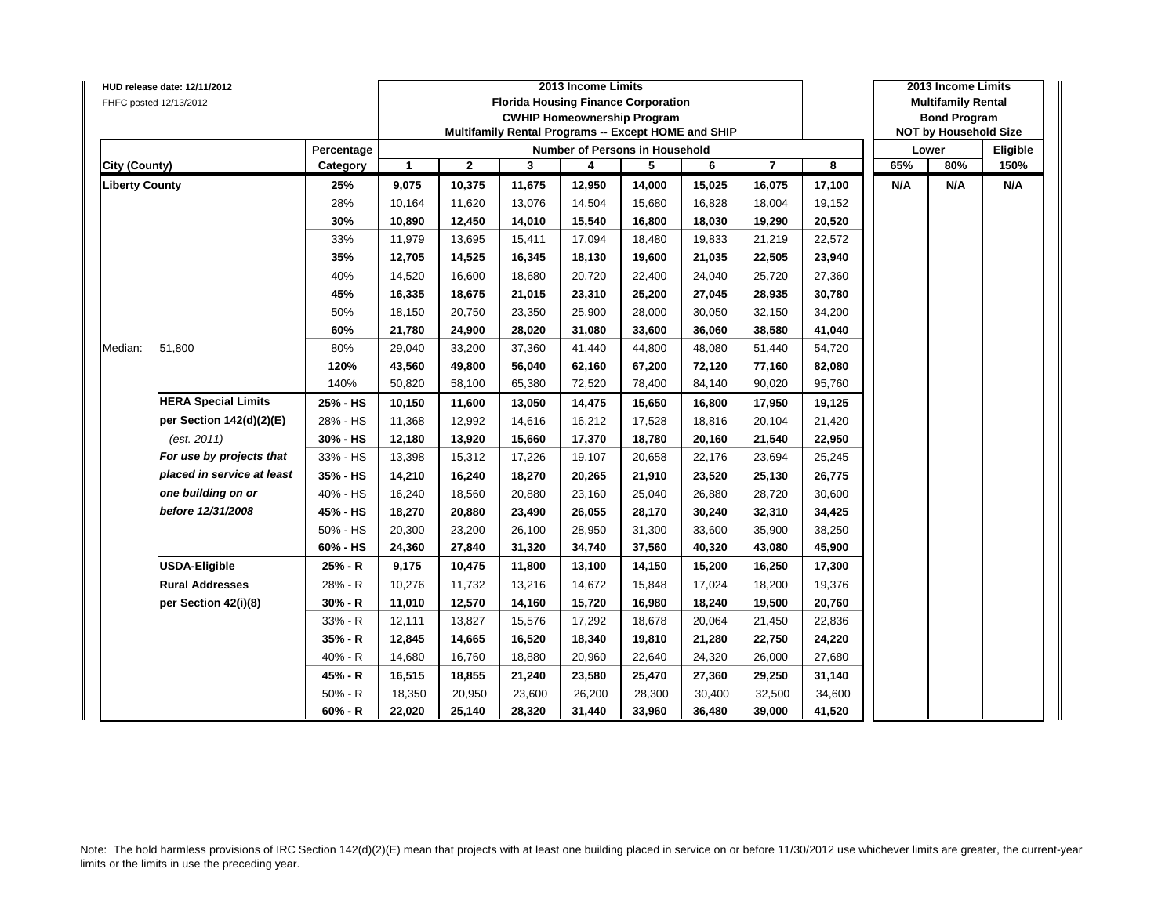|                       | HUD release date: 12/11/2012 |            |              |              | 2013 Income Limits |                                                     |        | 2013 Income Limits |                |        |                           |                              |          |  |
|-----------------------|------------------------------|------------|--------------|--------------|--------------------|-----------------------------------------------------|--------|--------------------|----------------|--------|---------------------------|------------------------------|----------|--|
|                       | FHFC posted 12/13/2012       |            |              |              |                    | <b>Florida Housing Finance Corporation</b>          |        |                    |                |        | <b>Multifamily Rental</b> |                              |          |  |
|                       |                              |            |              |              |                    | <b>CWHIP Homeownership Program</b>                  |        |                    |                |        |                           | <b>Bond Program</b>          |          |  |
|                       |                              |            |              |              |                    | Multifamily Rental Programs -- Except HOME and SHIP |        |                    |                |        |                           | <b>NOT by Household Size</b> |          |  |
|                       |                              | Percentage |              |              |                    | Number of Persons in Household                      |        |                    |                |        |                           | Lower                        | Eligible |  |
| <b>City (County)</b>  |                              | Category   | $\mathbf{1}$ | $\mathbf{2}$ | 3                  | 4                                                   | 5      | 6                  | $\overline{7}$ | 8      | 65%                       | 80%                          | 150%     |  |
| <b>Liberty County</b> |                              | 25%        | 9,075        | 10,375       | 11,675             | 12,950                                              | 14,000 | 15,025             | 16,075         | 17,100 | N/A                       | N/A                          | N/A      |  |
|                       |                              | 28%        | 10,164       | 11,620       | 13,076             | 14,504                                              | 15,680 | 16,828             | 18,004         | 19,152 |                           |                              |          |  |
|                       |                              | 30%        | 10,890       | 12,450       | 14,010             | 15,540                                              | 16,800 | 18,030             | 19,290         | 20,520 |                           |                              |          |  |
|                       |                              | 33%        | 11,979       | 13,695       | 15,411             | 17,094                                              | 18,480 | 19,833             | 21,219         | 22,572 |                           |                              |          |  |
|                       |                              | 35%        | 12,705       | 14,525       | 16,345             | 18,130                                              | 19,600 | 21,035             | 22,505         | 23,940 |                           |                              |          |  |
|                       |                              | 40%        | 14,520       | 16,600       | 18,680             | 20,720                                              | 22,400 | 24,040             | 25,720         | 27,360 |                           |                              |          |  |
|                       |                              | 45%        | 16,335       | 18,675       | 21,015             | 23,310                                              | 25,200 | 27,045             | 28,935         | 30,780 |                           |                              |          |  |
|                       |                              | 50%        | 18,150       | 20,750       | 23,350             | 25,900                                              | 28,000 | 30,050             | 32,150         | 34,200 |                           |                              |          |  |
|                       |                              | 60%        | 21,780       | 24,900       | 28,020             | 31,080                                              | 33,600 | 36,060             | 38,580         | 41,040 |                           |                              |          |  |
| Median:               | 51,800                       | 80%        | 29,040       | 33,200       | 37,360             | 41,440                                              | 44,800 | 48,080             | 51,440         | 54,720 |                           |                              |          |  |
|                       |                              | 120%       | 43,560       | 49,800       | 56,040             | 62,160                                              | 67,200 | 72,120             | 77,160         | 82,080 |                           |                              |          |  |
|                       |                              | 140%       | 50,820       | 58,100       | 65,380             | 72,520                                              | 78,400 | 84,140             | 90,020         | 95,760 |                           |                              |          |  |
|                       | <b>HERA Special Limits</b>   | 25% - HS   | 10,150       | 11,600       | 13,050             | 14,475                                              | 15,650 | 16,800             | 17,950         | 19,125 |                           |                              |          |  |
|                       | per Section 142(d)(2)(E)     | 28% - HS   | 11,368       | 12,992       | 14,616             | 16,212                                              | 17,528 | 18,816             | 20,104         | 21,420 |                           |                              |          |  |
|                       | (est. 2011)                  | 30% - HS   | 12,180       | 13,920       | 15,660             | 17,370                                              | 18,780 | 20,160             | 21,540         | 22,950 |                           |                              |          |  |
|                       | For use by projects that     | 33% - HS   | 13,398       | 15,312       | 17,226             | 19,107                                              | 20,658 | 22,176             | 23,694         | 25,245 |                           |                              |          |  |
|                       | placed in service at least   | 35% - HS   | 14,210       | 16,240       | 18,270             | 20,265                                              | 21,910 | 23,520             | 25,130         | 26,775 |                           |                              |          |  |
|                       | one building on or           | 40% - HS   | 16,240       | 18,560       | 20,880             | 23,160                                              | 25,040 | 26,880             | 28,720         | 30,600 |                           |                              |          |  |
|                       | before 12/31/2008            | 45% - HS   | 18,270       | 20,880       | 23,490             | 26,055                                              | 28,170 | 30,240             | 32,310         | 34,425 |                           |                              |          |  |
|                       |                              | 50% - HS   | 20,300       | 23,200       | 26,100             | 28,950                                              | 31,300 | 33,600             | 35,900         | 38,250 |                           |                              |          |  |
|                       |                              | 60% - HS   | 24,360       | 27,840       | 31,320             | 34,740                                              | 37,560 | 40,320             | 43,080         | 45,900 |                           |                              |          |  |
|                       | <b>USDA-Eligible</b>         | 25% - R    | 9,175        | 10,475       | 11,800             | 13,100                                              | 14,150 | 15,200             | 16,250         | 17,300 |                           |                              |          |  |
|                       | <b>Rural Addresses</b>       | 28% - R    | 10,276       | 11,732       | 13,216             | 14,672                                              | 15,848 | 17,024             | 18,200         | 19,376 |                           |                              |          |  |
|                       | per Section 42(i)(8)         | 30% - R    | 11,010       | 12,570       | 14,160             | 15,720                                              | 16,980 | 18,240             | 19,500         | 20,760 |                           |                              |          |  |
|                       |                              | 33% - R    | 12,111       | 13,827       | 15,576             | 17,292                                              | 18,678 | 20,064             | 21,450         | 22,836 |                           |                              |          |  |
|                       |                              | 35% - R    | 12,845       | 14,665       | 16,520             | 18,340                                              | 19,810 | 21,280             | 22,750         | 24,220 |                           |                              |          |  |
|                       |                              | 40% - R    | 14,680       | 16,760       | 18,880             | 20,960                                              | 22,640 | 24,320             | 26,000         | 27,680 |                           |                              |          |  |
|                       |                              | 45% - R    | 16,515       | 18,855       | 21,240             | 23,580                                              | 25,470 | 27,360             | 29,250         | 31,140 |                           |                              |          |  |
|                       |                              | $50% - R$  | 18,350       | 20,950       | 23,600             | 26,200                                              | 28,300 | 30,400             | 32,500         | 34,600 |                           |                              |          |  |
|                       |                              | $60% - R$  | 22,020       | 25,140       | 28,320             | 31,440                                              | 33,960 | 36,480             | 39,000         | 41,520 |                           |                              |          |  |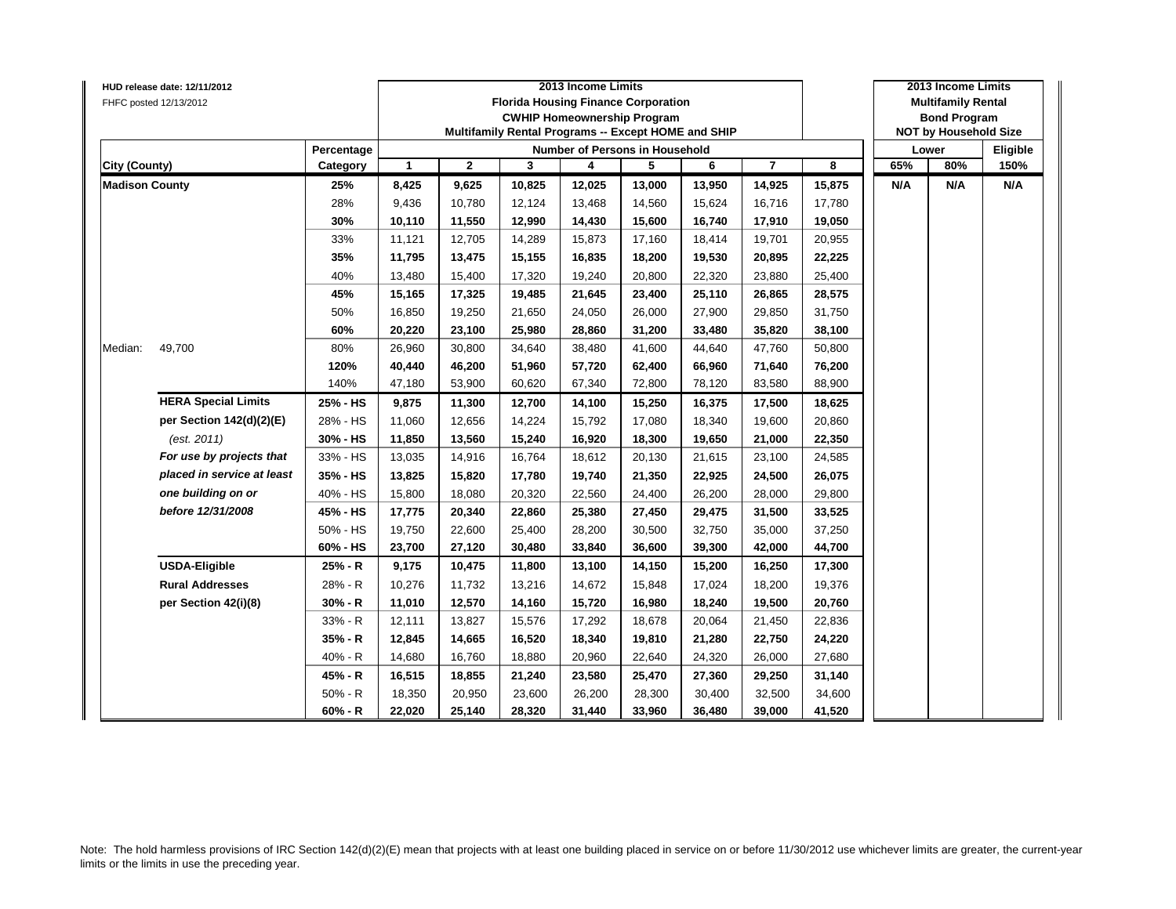|                       | HUD release date: 12/11/2012 |            |              |              | 2013 Income Limits |                                                     |        | 2013 Income Limits |                |        |                           |                              |          |
|-----------------------|------------------------------|------------|--------------|--------------|--------------------|-----------------------------------------------------|--------|--------------------|----------------|--------|---------------------------|------------------------------|----------|
|                       | FHFC posted 12/13/2012       |            |              |              |                    | <b>Florida Housing Finance Corporation</b>          |        |                    |                |        | <b>Multifamily Rental</b> |                              |          |
|                       |                              |            |              |              |                    | <b>CWHIP Homeownership Program</b>                  |        |                    |                |        |                           | <b>Bond Program</b>          |          |
|                       |                              |            |              |              |                    | Multifamily Rental Programs -- Except HOME and SHIP |        |                    |                |        |                           | <b>NOT by Household Size</b> |          |
|                       |                              | Percentage |              |              |                    | Number of Persons in Household                      |        |                    |                |        |                           | Lower                        | Eligible |
| <b>City (County)</b>  |                              | Category   | $\mathbf{1}$ | $\mathbf{2}$ | 3                  | 4                                                   | 5      | 6                  | $\overline{7}$ | 8      | 65%                       | 80%                          | 150%     |
| <b>Madison County</b> |                              | 25%        | 8,425        | 9,625        | 10,825             | 12,025                                              | 13,000 | 13,950             | 14,925         | 15,875 | N/A                       | N/A                          | N/A      |
|                       |                              | 28%        | 9,436        | 10,780       | 12,124             | 13,468                                              | 14,560 | 15,624             | 16,716         | 17,780 |                           |                              |          |
|                       |                              | 30%        | 10,110       | 11,550       | 12,990             | 14,430                                              | 15,600 | 16,740             | 17,910         | 19,050 |                           |                              |          |
|                       |                              | 33%        | 11,121       | 12,705       | 14,289             | 15,873                                              | 17,160 | 18,414             | 19,701         | 20,955 |                           |                              |          |
|                       |                              | 35%        | 11,795       | 13,475       | 15,155             | 16,835                                              | 18,200 | 19,530             | 20,895         | 22,225 |                           |                              |          |
|                       |                              | 40%        | 13,480       | 15,400       | 17,320             | 19,240                                              | 20,800 | 22,320             | 23,880         | 25,400 |                           |                              |          |
|                       |                              | 45%        | 15,165       | 17,325       | 19,485             | 21,645                                              | 23,400 | 25,110             | 26,865         | 28,575 |                           |                              |          |
|                       |                              | 50%        | 16,850       | 19,250       | 21,650             | 24,050                                              | 26,000 | 27,900             | 29,850         | 31,750 |                           |                              |          |
|                       |                              | 60%        | 20,220       | 23,100       | 25,980             | 28,860                                              | 31,200 | 33,480             | 35,820         | 38,100 |                           |                              |          |
| Median:               | 49,700                       | 80%        | 26,960       | 30,800       | 34,640             | 38,480                                              | 41,600 | 44,640             | 47,760         | 50,800 |                           |                              |          |
|                       |                              | 120%       | 40,440       | 46,200       | 51,960             | 57,720                                              | 62,400 | 66,960             | 71,640         | 76,200 |                           |                              |          |
|                       |                              | 140%       | 47,180       | 53,900       | 60,620             | 67,340                                              | 72,800 | 78,120             | 83,580         | 88,900 |                           |                              |          |
|                       | <b>HERA Special Limits</b>   | 25% - HS   | 9,875        | 11,300       | 12,700             | 14,100                                              | 15,250 | 16,375             | 17,500         | 18,625 |                           |                              |          |
|                       | per Section 142(d)(2)(E)     | 28% - HS   | 11,060       | 12,656       | 14,224             | 15,792                                              | 17,080 | 18,340             | 19,600         | 20,860 |                           |                              |          |
|                       | (est. 2011)                  | 30% - HS   | 11,850       | 13,560       | 15,240             | 16,920                                              | 18,300 | 19,650             | 21,000         | 22,350 |                           |                              |          |
|                       | For use by projects that     | 33% - HS   | 13,035       | 14,916       | 16,764             | 18,612                                              | 20,130 | 21,615             | 23,100         | 24,585 |                           |                              |          |
|                       | placed in service at least   | 35% - HS   | 13,825       | 15,820       | 17,780             | 19,740                                              | 21,350 | 22,925             | 24,500         | 26,075 |                           |                              |          |
|                       | one building on or           | 40% - HS   | 15,800       | 18,080       | 20,320             | 22,560                                              | 24,400 | 26,200             | 28,000         | 29,800 |                           |                              |          |
|                       | before 12/31/2008            | 45% - HS   | 17,775       | 20,340       | 22,860             | 25,380                                              | 27,450 | 29,475             | 31,500         | 33,525 |                           |                              |          |
|                       |                              | 50% - HS   | 19,750       | 22,600       | 25,400             | 28,200                                              | 30,500 | 32,750             | 35,000         | 37,250 |                           |                              |          |
|                       |                              | 60% - HS   | 23,700       | 27,120       | 30,480             | 33,840                                              | 36,600 | 39,300             | 42,000         | 44,700 |                           |                              |          |
|                       | <b>USDA-Eligible</b>         | 25% - R    | 9,175        | 10,475       | 11,800             | 13,100                                              | 14,150 | 15,200             | 16,250         | 17,300 |                           |                              |          |
|                       | <b>Rural Addresses</b>       | 28% - R    | 10,276       | 11,732       | 13,216             | 14,672                                              | 15,848 | 17,024             | 18,200         | 19,376 |                           |                              |          |
|                       | per Section 42(i)(8)         | 30% - R    | 11,010       | 12,570       | 14,160             | 15,720                                              | 16,980 | 18,240             | 19,500         | 20,760 |                           |                              |          |
|                       |                              | 33% - R    | 12,111       | 13,827       | 15,576             | 17,292                                              | 18,678 | 20,064             | 21,450         | 22,836 |                           |                              |          |
|                       |                              | 35% - R    | 12,845       | 14,665       | 16,520             | 18,340                                              | 19,810 | 21,280             | 22,750         | 24,220 |                           |                              |          |
|                       |                              | 40% - R    | 14,680       | 16,760       | 18,880             | 20,960                                              | 22,640 | 24,320             | 26,000         | 27,680 |                           |                              |          |
|                       |                              | 45% - R    | 16,515       | 18,855       | 21,240             | 23,580                                              | 25,470 | 27,360             | 29,250         | 31,140 |                           |                              |          |
|                       |                              | $50% - R$  | 18,350       | 20,950       | 23,600             | 26,200                                              | 28,300 | 30,400             | 32,500         | 34,600 |                           |                              |          |
|                       |                              | $60% - R$  | 22,020       | 25,140       | 28,320             | 31,440                                              | 33,960 | 36,480             | 39,000         | 41,520 |                           |                              |          |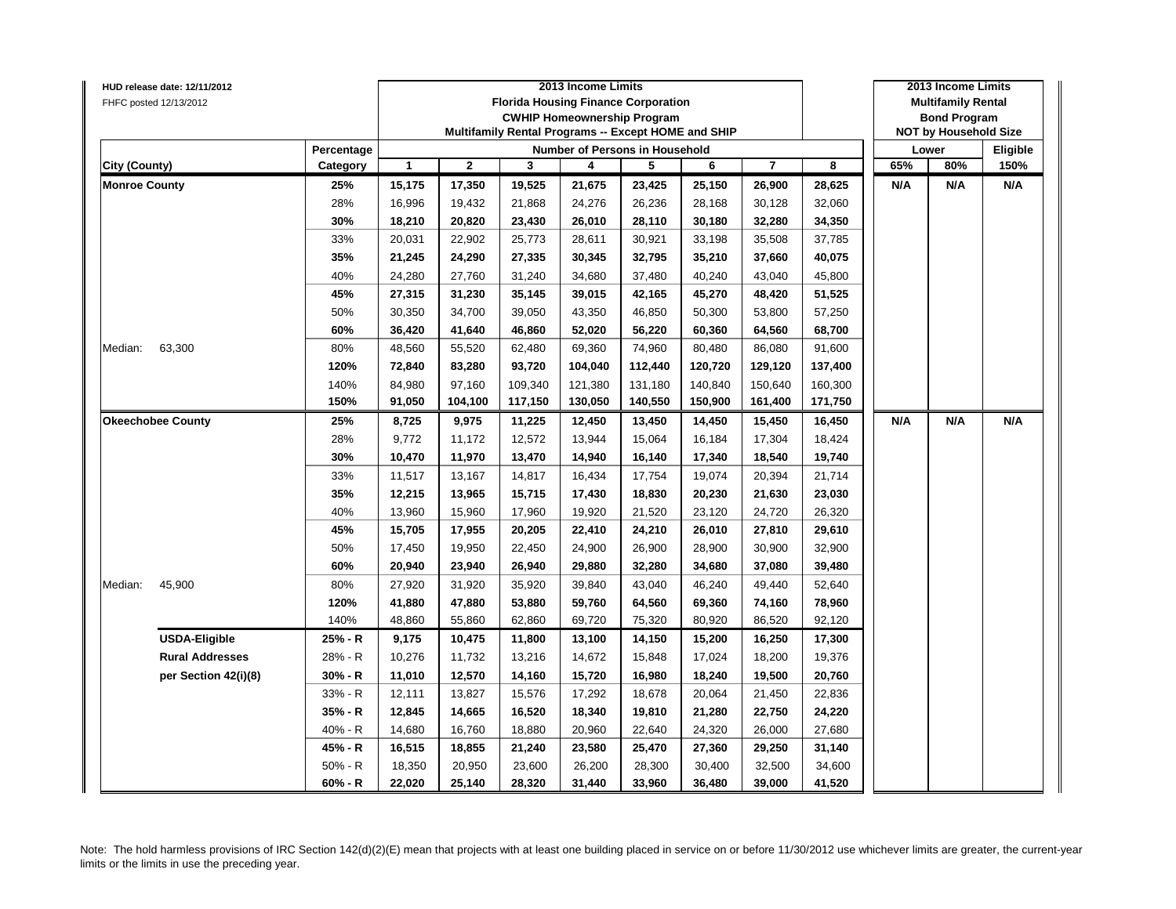|                      | HUD release date: 12/11/2012 |            |        |              |         | 2013 Income Limits                                  |         |         |         |         |     | 2013 Income Limits           |          |
|----------------------|------------------------------|------------|--------|--------------|---------|-----------------------------------------------------|---------|---------|---------|---------|-----|------------------------------|----------|
|                      | FHFC posted 12/13/2012       |            |        |              |         | <b>Florida Housing Finance Corporation</b>          |         |         |         |         |     | <b>Multifamily Rental</b>    |          |
|                      |                              |            |        |              |         | <b>CWHIP Homeownership Program</b>                  |         |         |         |         |     | <b>Bond Program</b>          |          |
|                      |                              |            |        |              |         | Multifamily Rental Programs -- Except HOME and SHIP |         |         |         |         |     | <b>NOT by Household Size</b> |          |
|                      |                              | Percentage |        |              |         | Number of Persons in Household                      |         |         |         |         |     | Lower                        | Eligible |
| City (County)        |                              | Category   | 1      | $\mathbf{2}$ | 3       | 4                                                   | 5       | 6       | 7       | 8       | 65% | 80%                          | 150%     |
| <b>Monroe County</b> |                              | 25%        | 15,175 | 17,350       | 19,525  | 21,675                                              | 23,425  | 25,150  | 26,900  | 28,625  | N/A | N/A                          | N/A      |
|                      |                              | 28%        | 16,996 | 19,432       | 21,868  | 24,276                                              | 26,236  | 28,168  | 30,128  | 32,060  |     |                              |          |
|                      |                              | 30%        | 18,210 | 20,820       | 23,430  | 26,010                                              | 28,110  | 30,180  | 32,280  | 34,350  |     |                              |          |
|                      |                              | 33%        | 20,031 | 22,902       | 25,773  | 28,611                                              | 30,921  | 33,198  | 35,508  | 37,785  |     |                              |          |
|                      |                              | 35%        | 21,245 | 24,290       | 27,335  | 30,345                                              | 32,795  | 35,210  | 37,660  | 40,075  |     |                              |          |
|                      |                              | 40%        | 24,280 | 27,760       | 31,240  | 34,680                                              | 37,480  | 40,240  | 43,040  | 45,800  |     |                              |          |
|                      |                              | 45%        | 27,315 | 31,230       | 35,145  | 39,015                                              | 42,165  | 45,270  | 48,420  | 51,525  |     |                              |          |
|                      |                              | 50%        | 30,350 | 34,700       | 39,050  | 43,350                                              | 46,850  | 50,300  | 53,800  | 57,250  |     |                              |          |
|                      |                              | 60%        | 36,420 | 41,640       | 46,860  | 52,020                                              | 56,220  | 60,360  | 64,560  | 68,700  |     |                              |          |
| Median:              | 63,300                       | 80%        | 48,560 | 55,520       | 62,480  | 69,360                                              | 74,960  | 80,480  | 86,080  | 91,600  |     |                              |          |
|                      |                              | 120%       | 72,840 | 83,280       | 93,720  | 104,040                                             | 112,440 | 120,720 | 129,120 | 137,400 |     |                              |          |
|                      |                              | 140%       | 84,980 | 97,160       | 109,340 | 121,380                                             | 131,180 | 140,840 | 150,640 | 160,300 |     |                              |          |
|                      |                              | 150%       | 91,050 | 104,100      | 117,150 | 130,050                                             | 140,550 | 150,900 | 161,400 | 171,750 |     |                              |          |
|                      | <b>Okeechobee County</b>     | 25%        | 8,725  | 9,975        | 11,225  | 12,450                                              | 13,450  | 14,450  | 15,450  | 16,450  | N/A | N/A                          | N/A      |
|                      |                              | 28%        | 9,772  | 11,172       | 12,572  | 13,944                                              | 15,064  | 16,184  | 17,304  | 18,424  |     |                              |          |
|                      |                              | 30%        | 10,470 | 11,970       | 13,470  | 14,940                                              | 16,140  | 17,340  | 18,540  | 19,740  |     |                              |          |
|                      |                              | 33%        | 11,517 | 13,167       | 14,817  | 16,434                                              | 17,754  | 19,074  | 20,394  | 21,714  |     |                              |          |
|                      |                              | 35%        | 12,215 | 13,965       | 15,715  | 17,430                                              | 18,830  | 20,230  | 21,630  | 23,030  |     |                              |          |
|                      |                              | 40%        | 13,960 | 15,960       | 17,960  | 19,920                                              | 21,520  | 23,120  | 24,720  | 26,320  |     |                              |          |
|                      |                              | 45%        | 15,705 | 17,955       | 20,205  | 22,410                                              | 24,210  | 26,010  | 27,810  | 29,610  |     |                              |          |
|                      |                              | 50%        | 17,450 | 19,950       | 22,450  | 24,900                                              | 26,900  | 28,900  | 30,900  | 32,900  |     |                              |          |
|                      |                              | 60%        | 20,940 | 23,940       | 26,940  | 29,880                                              | 32,280  | 34,680  | 37,080  | 39,480  |     |                              |          |
| Median:              | 45,900                       | 80%        | 27,920 | 31,920       | 35,920  | 39,840                                              | 43,040  | 46,240  | 49,440  | 52,640  |     |                              |          |
|                      |                              | 120%       | 41,880 | 47,880       | 53,880  | 59,760                                              | 64,560  | 69,360  | 74,160  | 78,960  |     |                              |          |
|                      |                              | 140%       | 48,860 | 55,860       | 62,860  | 69,720                                              | 75,320  | 80,920  | 86,520  | 92,120  |     |                              |          |
|                      | <b>USDA-Eligible</b>         | 25% - R    | 9,175  | 10,475       | 11,800  | 13,100                                              | 14,150  | 15,200  | 16,250  | 17,300  |     |                              |          |
|                      | <b>Rural Addresses</b>       | 28% - R    | 10,276 | 11,732       | 13,216  | 14,672                                              | 15,848  | 17,024  | 18,200  | 19,376  |     |                              |          |
|                      | per Section 42(i)(8)         | 30% - R    | 11,010 | 12,570       | 14,160  | 15,720                                              | 16,980  | 18,240  | 19,500  | 20,760  |     |                              |          |
|                      |                              | 33% - R    | 12,111 | 13,827       | 15,576  | 17,292                                              | 18,678  | 20,064  | 21,450  | 22,836  |     |                              |          |
|                      |                              | 35% - R    | 12,845 | 14,665       | 16,520  | 18,340                                              | 19,810  | 21,280  | 22,750  | 24,220  |     |                              |          |
|                      |                              | 40% - R    | 14,680 | 16,760       | 18,880  | 20,960                                              | 22,640  | 24,320  | 26,000  | 27,680  |     |                              |          |
|                      |                              | 45% - R    | 16,515 | 18,855       | 21,240  | 23,580                                              | 25,470  | 27,360  | 29,250  | 31,140  |     |                              |          |
|                      |                              | 50% - R    |        |              | 23,600  |                                                     |         | 30,400  | 32,500  | 34,600  |     |                              |          |
|                      |                              |            | 18,350 | 20,950       |         | 26,200                                              | 28,300  |         |         |         |     |                              |          |
|                      |                              | $60% - R$  | 22,020 | 25,140       | 28,320  | 31,440                                              | 33,960  | 36,480  | 39,000  | 41,520  |     |                              |          |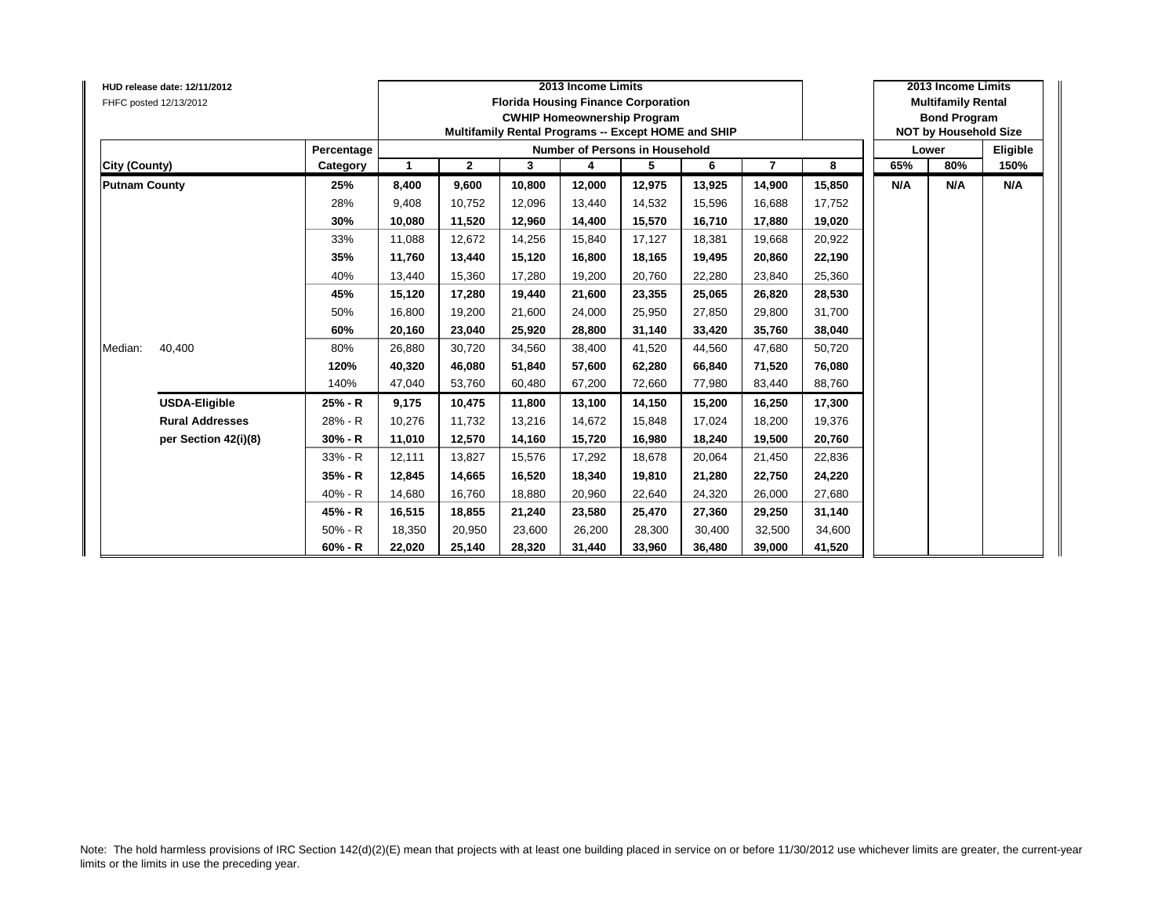|                      | HUD release date: 12/11/2012<br>FHFC posted 12/13/2012 |            |        |              | 2013 Income Limits<br><b>Florida Housing Finance Corporation</b><br><b>CWHIP Homeownership Program</b><br>Multifamily Rental Programs -- Except HOME and SHIP |                                |        | 2013 Income Limits<br><b>Multifamily Rental</b><br><b>Bond Program</b><br><b>NOT by Household Size</b> |                |        |     |       |          |
|----------------------|--------------------------------------------------------|------------|--------|--------------|---------------------------------------------------------------------------------------------------------------------------------------------------------------|--------------------------------|--------|--------------------------------------------------------------------------------------------------------|----------------|--------|-----|-------|----------|
|                      |                                                        | Percentage |        |              |                                                                                                                                                               | Number of Persons in Household |        |                                                                                                        |                |        |     | Lower | Eligible |
| City (County)        |                                                        | Category   | -1     | $\mathbf{2}$ | 3                                                                                                                                                             | 4                              | 5      | 6                                                                                                      | $\overline{7}$ | 8      | 65% | 80%   | 150%     |
| <b>Putnam County</b> |                                                        | 25%        | 8,400  | 9,600        | 10,800                                                                                                                                                        | 12,000                         | 12,975 | 13,925                                                                                                 | 14,900         | 15,850 | N/A | N/A   | N/A      |
|                      |                                                        | 28%        | 9,408  | 10,752       | 12,096                                                                                                                                                        | 13,440                         | 14,532 | 15,596                                                                                                 | 16,688         | 17,752 |     |       |          |
|                      |                                                        | 30%        | 10,080 | 11,520       | 12,960                                                                                                                                                        | 14,400                         | 15,570 | 16,710                                                                                                 | 17,880         | 19,020 |     |       |          |
|                      |                                                        | 33%        | 11.088 | 12,672       | 14,256                                                                                                                                                        | 15,840                         | 17,127 | 18.381                                                                                                 | 19,668         | 20,922 |     |       |          |
|                      |                                                        | 35%        | 11,760 | 13,440       | 15,120                                                                                                                                                        | 16,800                         | 18,165 | 19,495                                                                                                 | 20,860         | 22,190 |     |       |          |
|                      |                                                        | 40%        | 13,440 | 15,360       | 17,280                                                                                                                                                        | 19,200                         | 20,760 | 22,280                                                                                                 | 23,840         | 25,360 |     |       |          |
|                      |                                                        | 45%        | 15,120 | 17,280       | 19.440                                                                                                                                                        | 21,600                         | 23,355 | 25.065                                                                                                 | 26,820         | 28,530 |     |       |          |
|                      |                                                        | 50%        | 16,800 | 19,200       | 21,600                                                                                                                                                        | 24,000                         | 25,950 | 27.850                                                                                                 | 29,800         | 31,700 |     |       |          |
|                      |                                                        | 60%        | 20,160 | 23,040       | 25.920                                                                                                                                                        | 28,800                         | 31,140 | 33.420                                                                                                 | 35,760         | 38,040 |     |       |          |
| Median:              | 40,400                                                 | 80%        | 26,880 | 30,720       | 34,560                                                                                                                                                        | 38,400                         | 41,520 | 44,560                                                                                                 | 47,680         | 50,720 |     |       |          |
|                      |                                                        | 120%       | 40,320 | 46,080       | 51,840                                                                                                                                                        | 57,600                         | 62,280 | 66,840                                                                                                 | 71,520         | 76,080 |     |       |          |
|                      |                                                        | 140%       | 47,040 | 53,760       | 60,480                                                                                                                                                        | 67,200                         | 72,660 | 77,980                                                                                                 | 83,440         | 88,760 |     |       |          |
|                      | <b>USDA-Eligible</b>                                   | 25% - R    | 9,175  | 10,475       | 11,800                                                                                                                                                        | 13,100                         | 14,150 | 15,200                                                                                                 | 16,250         | 17,300 |     |       |          |
|                      | <b>Rural Addresses</b>                                 | 28% - R    | 10,276 | 11,732       | 13,216                                                                                                                                                        | 14,672                         | 15,848 | 17.024                                                                                                 | 18,200         | 19,376 |     |       |          |
|                      | per Section 42(i)(8)                                   | $30% - R$  | 11,010 | 12,570       | 14,160                                                                                                                                                        | 15,720                         | 16,980 | 18,240                                                                                                 | 19,500         | 20,760 |     |       |          |
|                      |                                                        | 33% - R    | 12,111 | 13,827       | 15,576                                                                                                                                                        | 17,292                         | 18,678 | 20,064                                                                                                 | 21,450         | 22,836 |     |       |          |
|                      |                                                        | 35% - R    | 12,845 | 14,665       | 16,520                                                                                                                                                        | 18,340                         | 19,810 | 21,280                                                                                                 | 22,750         | 24,220 |     |       |          |
|                      |                                                        | 40% - R    | 14,680 | 16,760       | 18,880                                                                                                                                                        | 20,960                         | 22,640 | 24,320                                                                                                 | 26,000         | 27,680 |     |       |          |
|                      |                                                        | 45% - R    | 16,515 | 18,855       | 21,240                                                                                                                                                        | 23,580                         | 25,470 | 27,360                                                                                                 | 29,250         | 31,140 |     |       |          |
|                      |                                                        | $50% - R$  | 18,350 | 20,950       | 23,600                                                                                                                                                        | 26,200                         | 28,300 | 30.400                                                                                                 | 32,500         | 34,600 |     |       |          |
|                      |                                                        | 60% - R    | 22,020 | 25,140       | 28,320                                                                                                                                                        | 31,440                         | 33,960 | 36,480                                                                                                 | 39,000         | 41,520 |     |       |          |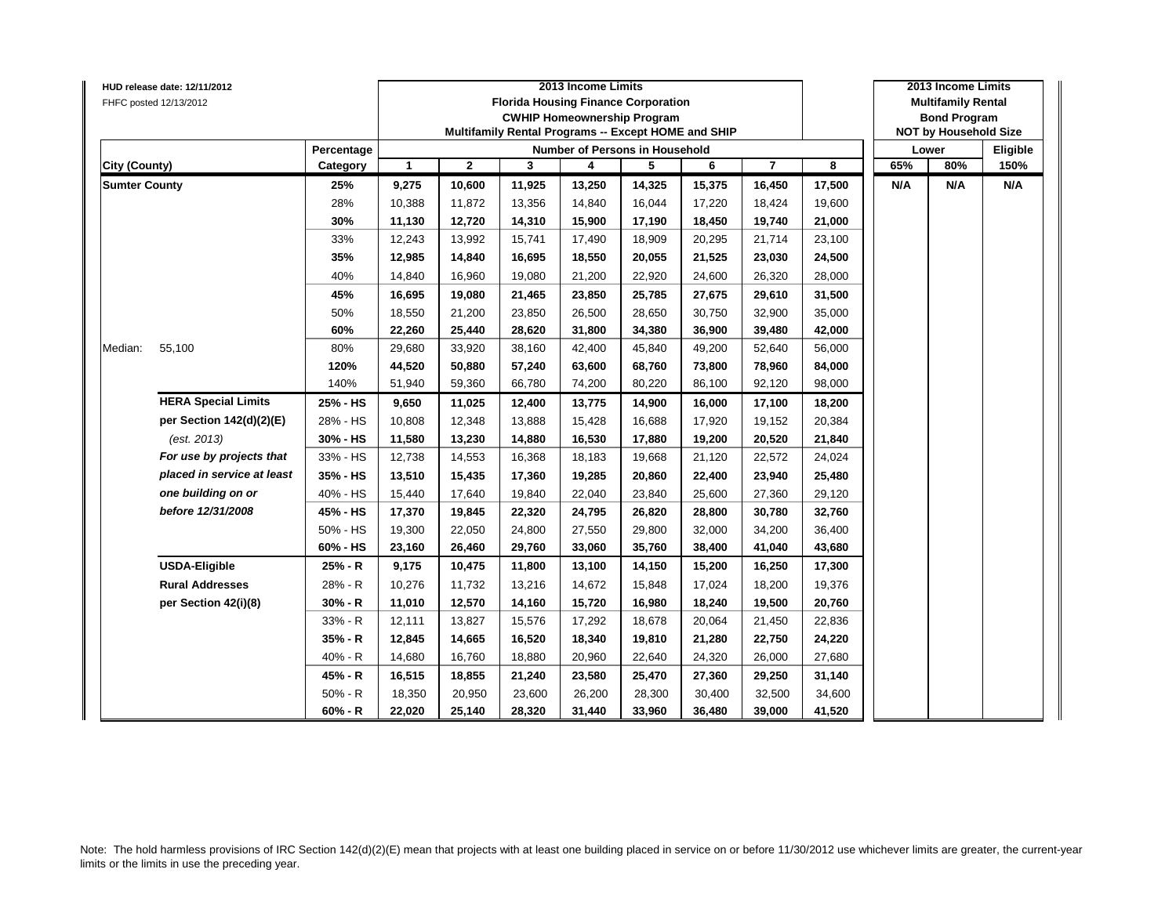|                      | HUD release date: 12/11/2012 |            |              |              | 2013 Income Limits |                                                     |        |        | 2013 Income Limits |        |                           |                              |          |
|----------------------|------------------------------|------------|--------------|--------------|--------------------|-----------------------------------------------------|--------|--------|--------------------|--------|---------------------------|------------------------------|----------|
|                      | FHFC posted 12/13/2012       |            |              |              |                    | <b>Florida Housing Finance Corporation</b>          |        |        |                    |        | <b>Multifamily Rental</b> |                              |          |
|                      |                              |            |              |              |                    | <b>CWHIP Homeownership Program</b>                  |        |        |                    |        |                           | <b>Bond Program</b>          |          |
|                      |                              |            |              |              |                    | Multifamily Rental Programs -- Except HOME and SHIP |        |        |                    |        |                           | <b>NOT by Household Size</b> |          |
|                      |                              | Percentage |              |              |                    | Number of Persons in Household                      |        |        |                    |        |                           | Lower                        | Eligible |
| <b>City (County)</b> |                              | Category   | $\mathbf{1}$ | $\mathbf{2}$ | 3                  | 4                                                   | 5      | 6      | $\overline{7}$     | 8      | 65%                       | 80%                          | 150%     |
| <b>Sumter County</b> |                              | 25%        | 9,275        | 10,600       | 11,925             | 13,250                                              | 14,325 | 15,375 | 16,450             | 17,500 | N/A                       | N/A                          | N/A      |
|                      |                              | 28%        | 10,388       | 11,872       | 13,356             | 14,840                                              | 16,044 | 17,220 | 18,424             | 19,600 |                           |                              |          |
|                      |                              | 30%        | 11,130       | 12,720       | 14,310             | 15,900                                              | 17,190 | 18,450 | 19,740             | 21,000 |                           |                              |          |
|                      |                              | 33%        | 12,243       | 13,992       | 15,741             | 17,490                                              | 18,909 | 20,295 | 21,714             | 23,100 |                           |                              |          |
|                      |                              | 35%        | 12,985       | 14,840       | 16,695             | 18,550                                              | 20,055 | 21,525 | 23,030             | 24,500 |                           |                              |          |
|                      |                              | 40%        | 14,840       | 16,960       | 19,080             | 21,200                                              | 22,920 | 24,600 | 26,320             | 28,000 |                           |                              |          |
|                      |                              | 45%        | 16,695       | 19,080       | 21,465             | 23,850                                              | 25,785 | 27,675 | 29,610             | 31,500 |                           |                              |          |
|                      |                              | 50%        | 18,550       | 21,200       | 23,850             | 26,500                                              | 28,650 | 30,750 | 32,900             | 35,000 |                           |                              |          |
|                      |                              | 60%        | 22,260       | 25,440       | 28,620             | 31,800                                              | 34,380 | 36,900 | 39,480             | 42,000 |                           |                              |          |
| Median:              | 55,100                       | 80%        | 29,680       | 33,920       | 38,160             | 42,400                                              | 45,840 | 49,200 | 52,640             | 56,000 |                           |                              |          |
|                      |                              | 120%       | 44,520       | 50,880       | 57,240             | 63,600                                              | 68,760 | 73,800 | 78,960             | 84,000 |                           |                              |          |
|                      |                              | 140%       | 51,940       | 59,360       | 66,780             | 74,200                                              | 80,220 | 86,100 | 92,120             | 98,000 |                           |                              |          |
|                      | <b>HERA Special Limits</b>   | 25% - HS   | 9,650        | 11,025       | 12,400             | 13,775                                              | 14,900 | 16,000 | 17,100             | 18,200 |                           |                              |          |
|                      | per Section 142(d)(2)(E)     | 28% - HS   | 10,808       | 12,348       | 13,888             | 15,428                                              | 16,688 | 17,920 | 19,152             | 20,384 |                           |                              |          |
|                      | (est. 2013)                  | 30% - HS   | 11,580       | 13,230       | 14,880             | 16,530                                              | 17,880 | 19,200 | 20,520             | 21,840 |                           |                              |          |
|                      | For use by projects that     | 33% - HS   | 12,738       | 14,553       | 16,368             | 18,183                                              | 19,668 | 21,120 | 22,572             | 24,024 |                           |                              |          |
|                      | placed in service at least   | 35% - HS   | 13,510       | 15,435       | 17,360             | 19,285                                              | 20,860 | 22,400 | 23,940             | 25,480 |                           |                              |          |
|                      | one building on or           | 40% - HS   | 15,440       | 17,640       | 19,840             | 22,040                                              | 23,840 | 25,600 | 27,360             | 29,120 |                           |                              |          |
|                      | before 12/31/2008            | 45% - HS   | 17,370       | 19,845       | 22,320             | 24,795                                              | 26,820 | 28,800 | 30,780             | 32,760 |                           |                              |          |
|                      |                              | 50% - HS   | 19,300       | 22,050       | 24,800             | 27,550                                              | 29,800 | 32,000 | 34,200             | 36,400 |                           |                              |          |
|                      |                              | 60% - HS   | 23,160       | 26,460       | 29,760             | 33,060                                              | 35,760 | 38,400 | 41,040             | 43,680 |                           |                              |          |
|                      | <b>USDA-Eligible</b>         | 25% - R    | 9,175        | 10,475       | 11,800             | 13,100                                              | 14,150 | 15,200 | 16,250             | 17,300 |                           |                              |          |
|                      | <b>Rural Addresses</b>       | 28% - R    | 10,276       | 11,732       | 13,216             | 14,672                                              | 15,848 | 17,024 | 18,200             | 19,376 |                           |                              |          |
|                      | per Section 42(i)(8)         | 30% - R    | 11,010       | 12,570       | 14,160             | 15,720                                              | 16,980 | 18,240 | 19,500             | 20,760 |                           |                              |          |
|                      |                              | 33% - R    | 12,111       | 13,827       | 15,576             | 17,292                                              | 18,678 | 20,064 | 21,450             | 22,836 |                           |                              |          |
|                      |                              | 35% - R    | 12,845       | 14,665       | 16,520             | 18,340                                              | 19,810 | 21,280 | 22,750             | 24,220 |                           |                              |          |
|                      |                              | 40% - R    | 14,680       | 16,760       | 18,880             | 20,960                                              | 22,640 | 24,320 | 26,000             | 27,680 |                           |                              |          |
|                      |                              | 45% - R    | 16,515       | 18,855       | 21,240             | 23,580                                              | 25,470 | 27,360 | 29,250             | 31,140 |                           |                              |          |
|                      |                              | $50% - R$  | 18,350       | 20,950       | 23,600             | 26,200                                              | 28,300 | 30,400 | 32,500             | 34,600 |                           |                              |          |
|                      |                              | $60% - R$  | 22,020       | 25,140       | 28,320             | 31,440                                              | 33,960 | 36,480 | 39,000             | 41,520 |                           |                              |          |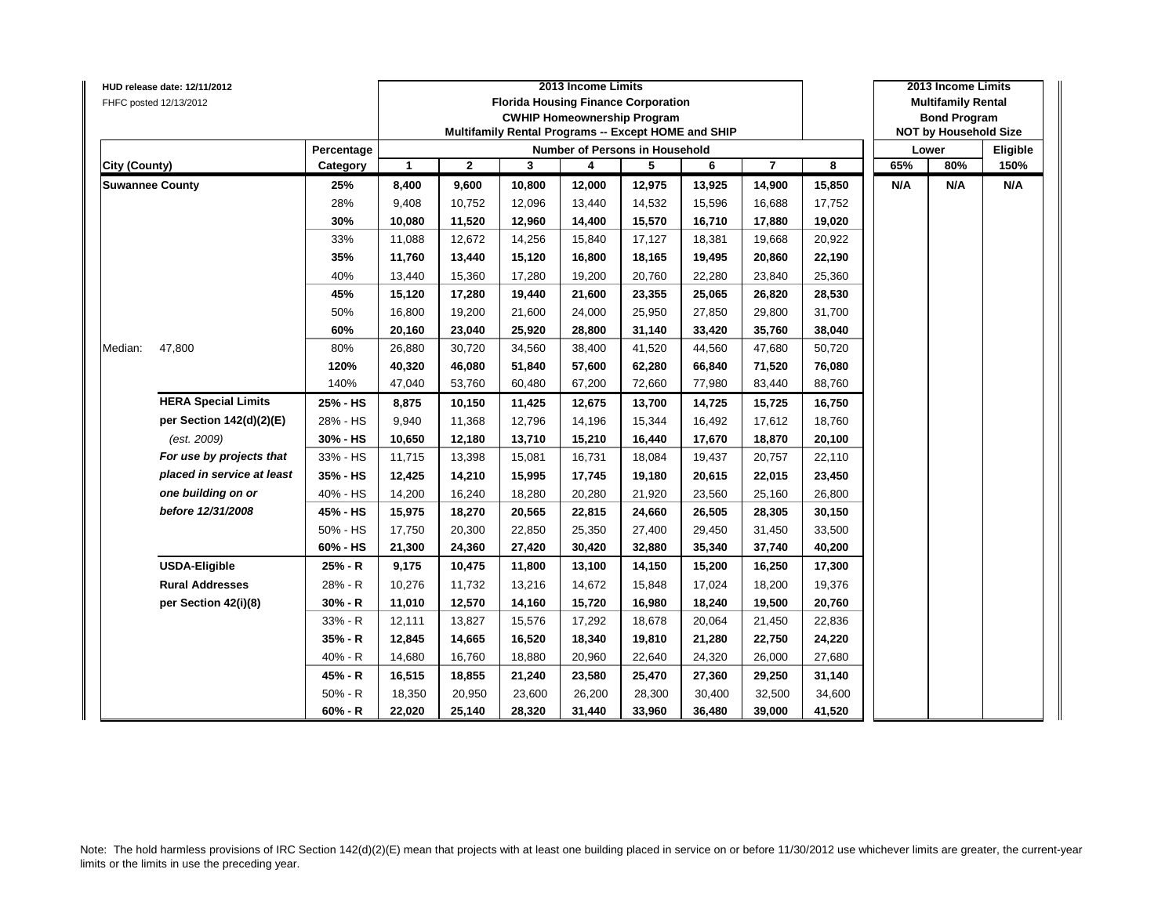|                        | HUD release date: 12/11/2012 |            |                      |              | 2013 Income Limits                                  |                                            | 2013 Income Limits |                              |                |        |     |                           |          |
|------------------------|------------------------------|------------|----------------------|--------------|-----------------------------------------------------|--------------------------------------------|--------------------|------------------------------|----------------|--------|-----|---------------------------|----------|
|                        | FHFC posted 12/13/2012       |            |                      |              |                                                     | <b>Florida Housing Finance Corporation</b> |                    |                              |                |        |     | <b>Multifamily Rental</b> |          |
|                        |                              |            |                      |              |                                                     | <b>CWHIP Homeownership Program</b>         |                    |                              |                |        |     | <b>Bond Program</b>       |          |
|                        |                              |            |                      |              | Multifamily Rental Programs -- Except HOME and SHIP |                                            |                    | <b>NOT by Household Size</b> |                |        |     |                           |          |
|                        |                              | Percentage |                      |              |                                                     | <b>Number of Persons in Household</b>      |                    |                              |                |        |     | Lower                     | Eligible |
| <b>City (County)</b>   |                              | Category   | $\blacktriangleleft$ | $\mathbf{2}$ | 3                                                   | 4                                          | 5                  | 6                            | $\overline{7}$ | 8      | 65% | 80%                       | 150%     |
| <b>Suwannee County</b> |                              | 25%        | 8,400                | 9,600        | 10,800                                              | 12,000                                     | 12,975             | 13,925                       | 14,900         | 15,850 | N/A | N/A                       | N/A      |
|                        |                              | 28%        | 9,408                | 10,752       | 12,096                                              | 13,440                                     | 14,532             | 15,596                       | 16,688         | 17,752 |     |                           |          |
|                        |                              | 30%        | 10,080               | 11,520       | 12,960                                              | 14,400                                     | 15,570             | 16,710                       | 17,880         | 19,020 |     |                           |          |
|                        |                              | 33%        | 11,088               | 12,672       | 14,256                                              | 15,840                                     | 17,127             | 18,381                       | 19,668         | 20,922 |     |                           |          |
|                        |                              | 35%        | 11,760               | 13,440       | 15,120                                              | 16,800                                     | 18,165             | 19,495                       | 20,860         | 22,190 |     |                           |          |
|                        |                              | 40%        | 13,440               | 15,360       | 17,280                                              | 19,200                                     | 20,760             | 22,280                       | 23,840         | 25,360 |     |                           |          |
|                        |                              | 45%        | 15,120               | 17,280       | 19,440                                              | 21,600                                     | 23,355             | 25,065                       | 26,820         | 28,530 |     |                           |          |
|                        |                              | 50%        | 16,800               | 19,200       | 21,600                                              | 24,000                                     | 25,950             | 27,850                       | 29,800         | 31,700 |     |                           |          |
|                        |                              | 60%        | 20,160               | 23,040       | 25,920                                              | 28,800                                     | 31,140             | 33,420                       | 35,760         | 38,040 |     |                           |          |
| Median:                | 47,800                       | 80%        | 26,880               | 30,720       | 34,560                                              | 38,400                                     | 41,520             | 44,560                       | 47,680         | 50,720 |     |                           |          |
|                        |                              | 120%       | 40,320               | 46,080       | 51,840                                              | 57,600                                     | 62,280             | 66,840                       | 71,520         | 76,080 |     |                           |          |
|                        |                              | 140%       | 47,040               | 53,760       | 60,480                                              | 67,200                                     | 72,660             | 77,980                       | 83,440         | 88,760 |     |                           |          |
|                        | <b>HERA Special Limits</b>   | 25% - HS   | 8,875                | 10,150       | 11,425                                              | 12,675                                     | 13,700             | 14,725                       | 15,725         | 16,750 |     |                           |          |
|                        | per Section 142(d)(2)(E)     | 28% - HS   | 9,940                | 11,368       | 12,796                                              | 14,196                                     | 15,344             | 16,492                       | 17,612         | 18,760 |     |                           |          |
|                        | (est. 2009)                  | 30% - HS   | 10,650               | 12,180       | 13,710                                              | 15,210                                     | 16,440             | 17,670                       | 18,870         | 20,100 |     |                           |          |
|                        | For use by projects that     | 33% - HS   | 11,715               | 13,398       | 15,081                                              | 16,731                                     | 18,084             | 19,437                       | 20,757         | 22,110 |     |                           |          |
|                        | placed in service at least   | 35% - HS   | 12,425               | 14,210       | 15,995                                              | 17,745                                     | 19,180             | 20,615                       | 22,015         | 23,450 |     |                           |          |
|                        | one building on or           | 40% - HS   | 14,200               | 16,240       | 18,280                                              | 20,280                                     | 21,920             | 23,560                       | 25,160         | 26,800 |     |                           |          |
|                        | before 12/31/2008            | 45% - HS   | 15,975               | 18,270       | 20,565                                              | 22,815                                     | 24,660             | 26,505                       | 28,305         | 30,150 |     |                           |          |
|                        |                              | 50% - HS   | 17,750               | 20,300       | 22,850                                              | 25,350                                     | 27,400             | 29,450                       | 31,450         | 33,500 |     |                           |          |
|                        |                              | 60% - HS   | 21,300               | 24,360       | 27,420                                              | 30,420                                     | 32,880             | 35,340                       | 37,740         | 40,200 |     |                           |          |
|                        | <b>USDA-Eligible</b>         | 25% - R    | 9,175                | 10,475       | 11,800                                              | 13,100                                     | 14,150             | 15,200                       | 16,250         | 17,300 |     |                           |          |
|                        | <b>Rural Addresses</b>       | 28% - R    | 10,276               | 11,732       | 13,216                                              | 14,672                                     | 15,848             | 17,024                       | 18,200         | 19,376 |     |                           |          |
|                        | per Section 42(i)(8)         | $30% - R$  | 11,010               | 12,570       | 14,160                                              | 15,720                                     | 16,980             | 18,240                       | 19,500         | 20,760 |     |                           |          |
|                        |                              | 33% - R    | 12,111               | 13,827       | 15,576                                              | 17,292                                     | 18,678             | 20,064                       | 21,450         | 22,836 |     |                           |          |
|                        |                              | 35% - R    | 12,845               | 14,665       | 16,520                                              | 18,340                                     | 19,810             | 21,280                       | 22,750         | 24,220 |     |                           |          |
|                        |                              | $40% - R$  | 14,680               | 16,760       | 18,880                                              | 20,960                                     | 22,640             | 24,320                       | 26,000         | 27,680 |     |                           |          |
|                        |                              | 45% - R    | 16,515               | 18,855       | 21,240                                              | 23,580                                     | 25,470             | 27,360                       | 29,250         | 31,140 |     |                           |          |
|                        |                              | $50% - R$  | 18,350               | 20,950       | 23,600                                              | 26,200                                     | 28,300             | 30,400                       | 32,500         | 34,600 |     |                           |          |
|                        |                              | $60% - R$  | 22,020               | 25,140       | 28,320                                              | 31,440                                     | 33,960             | 36,480                       | 39,000         | 41,520 |     |                           |          |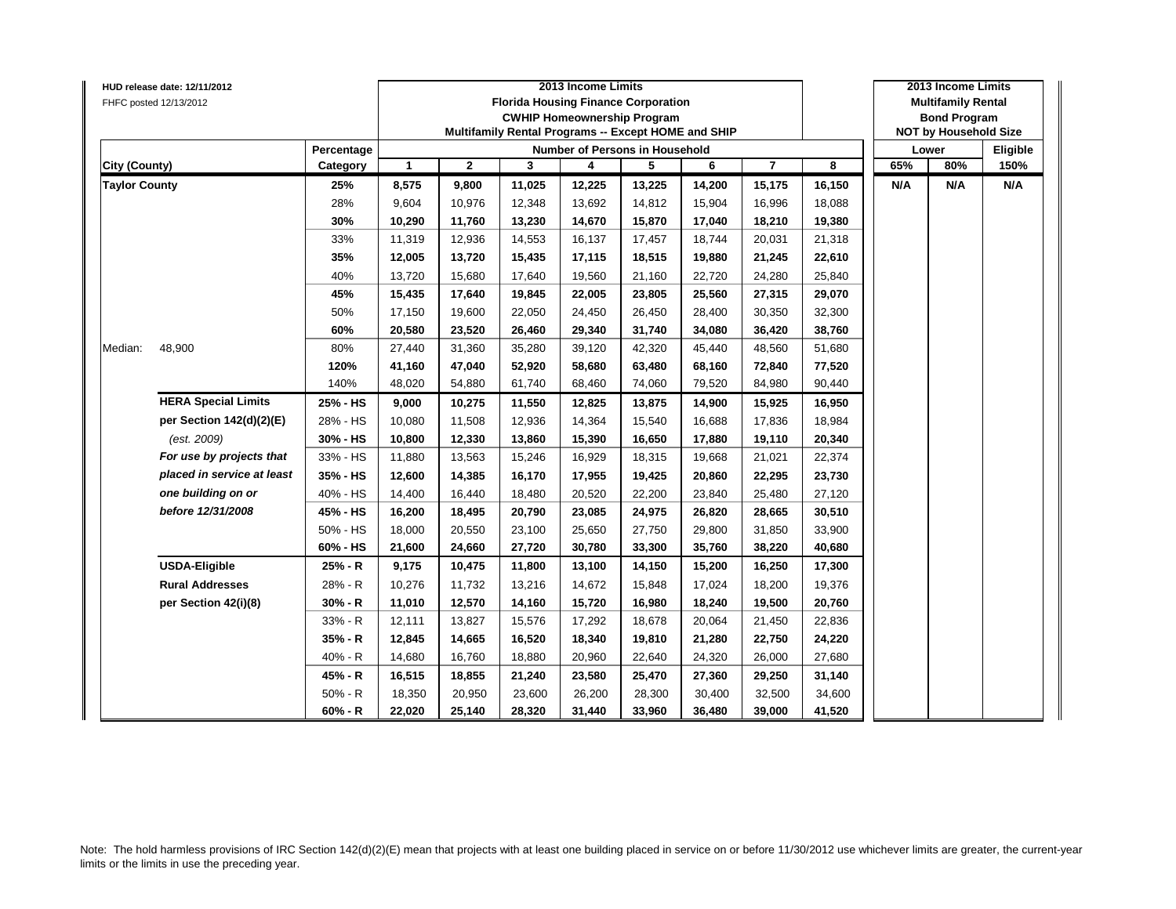|                      | HUD release date: 12/11/2012 |            | 2013 Income Limits   |              |        |                                                     |        |        |                |        |     | 2013 Income Limits           |          |  |  |
|----------------------|------------------------------|------------|----------------------|--------------|--------|-----------------------------------------------------|--------|--------|----------------|--------|-----|------------------------------|----------|--|--|
|                      | FHFC posted 12/13/2012       |            |                      |              |        | <b>Florida Housing Finance Corporation</b>          |        |        |                |        |     | <b>Multifamily Rental</b>    |          |  |  |
|                      |                              |            |                      |              |        | <b>CWHIP Homeownership Program</b>                  |        |        |                |        |     | <b>Bond Program</b>          |          |  |  |
|                      |                              |            |                      |              |        | Multifamily Rental Programs -- Except HOME and SHIP |        |        |                |        |     | <b>NOT by Household Size</b> |          |  |  |
|                      |                              | Percentage |                      |              |        | <b>Number of Persons in Household</b>               |        |        |                |        |     | Lower                        | Eligible |  |  |
| <b>City (County)</b> |                              | Category   | $\blacktriangleleft$ | $\mathbf{2}$ | 3      | 4                                                   | 5      | 6      | $\overline{7}$ | 8      | 65% | 80%                          | 150%     |  |  |
| <b>Taylor County</b> |                              | 25%        | 8,575                | 9,800        | 11,025 | 12,225                                              | 13,225 | 14,200 | 15,175         | 16,150 | N/A | N/A                          | N/A      |  |  |
|                      |                              | 28%        | 9,604                | 10,976       | 12,348 | 13,692                                              | 14,812 | 15,904 | 16,996         | 18,088 |     |                              |          |  |  |
|                      |                              | 30%        | 10,290               | 11,760       | 13,230 | 14,670                                              | 15,870 | 17,040 | 18,210         | 19,380 |     |                              |          |  |  |
|                      |                              | 33%        | 11,319               | 12,936       | 14,553 | 16,137                                              | 17,457 | 18,744 | 20,031         | 21,318 |     |                              |          |  |  |
|                      |                              | 35%        | 12,005               | 13,720       | 15,435 | 17,115                                              | 18,515 | 19,880 | 21,245         | 22,610 |     |                              |          |  |  |
|                      |                              | 40%        | 13,720               | 15,680       | 17,640 | 19,560                                              | 21,160 | 22,720 | 24,280         | 25,840 |     |                              |          |  |  |
|                      |                              | 45%        | 15,435               | 17,640       | 19,845 | 22,005                                              | 23,805 | 25,560 | 27,315         | 29,070 |     |                              |          |  |  |
|                      |                              | 50%        | 17,150               | 19,600       | 22,050 | 24,450                                              | 26,450 | 28,400 | 30,350         | 32,300 |     |                              |          |  |  |
|                      |                              | 60%        | 20,580               | 23,520       | 26,460 | 29,340                                              | 31,740 | 34,080 | 36,420         | 38,760 |     |                              |          |  |  |
| Median:              | 48,900                       | 80%        | 27,440               | 31,360       | 35,280 | 39,120                                              | 42,320 | 45,440 | 48,560         | 51,680 |     |                              |          |  |  |
|                      |                              | 120%       | 41,160               | 47,040       | 52,920 | 58,680                                              | 63,480 | 68,160 | 72,840         | 77,520 |     |                              |          |  |  |
|                      |                              | 140%       | 48,020               | 54,880       | 61,740 | 68,460                                              | 74,060 | 79,520 | 84,980         | 90,440 |     |                              |          |  |  |
|                      | <b>HERA Special Limits</b>   | 25% - HS   | 9,000                | 10,275       | 11,550 | 12,825                                              | 13,875 | 14,900 | 15,925         | 16,950 |     |                              |          |  |  |
|                      | per Section 142(d)(2)(E)     | 28% - HS   | 10,080               | 11,508       | 12,936 | 14,364                                              | 15,540 | 16,688 | 17,836         | 18,984 |     |                              |          |  |  |
|                      | (est. 2009)                  | 30% - HS   | 10,800               | 12,330       | 13,860 | 15,390                                              | 16,650 | 17,880 | 19,110         | 20,340 |     |                              |          |  |  |
|                      | For use by projects that     | 33% - HS   | 11,880               | 13,563       | 15,246 | 16,929                                              | 18,315 | 19,668 | 21,021         | 22,374 |     |                              |          |  |  |
|                      | placed in service at least   | 35% - HS   | 12,600               | 14,385       | 16,170 | 17,955                                              | 19,425 | 20,860 | 22,295         | 23,730 |     |                              |          |  |  |
|                      | one building on or           | 40% - HS   | 14,400               | 16,440       | 18,480 | 20,520                                              | 22,200 | 23,840 | 25,480         | 27,120 |     |                              |          |  |  |
|                      | before 12/31/2008            | 45% - HS   | 16,200               | 18,495       | 20,790 | 23,085                                              | 24,975 | 26,820 | 28,665         | 30,510 |     |                              |          |  |  |
|                      |                              | 50% - HS   | 18,000               | 20,550       | 23,100 | 25,650                                              | 27,750 | 29,800 | 31,850         | 33,900 |     |                              |          |  |  |
|                      |                              | 60% - HS   | 21,600               | 24,660       | 27,720 | 30,780                                              | 33,300 | 35,760 | 38,220         | 40,680 |     |                              |          |  |  |
|                      | <b>USDA-Eligible</b>         | 25% - R    | 9,175                | 10,475       | 11,800 | 13,100                                              | 14,150 | 15,200 | 16,250         | 17,300 |     |                              |          |  |  |
|                      | <b>Rural Addresses</b>       | 28% - R    | 10,276               | 11,732       | 13,216 | 14,672                                              | 15,848 | 17,024 | 18,200         | 19,376 |     |                              |          |  |  |
|                      | per Section 42(i)(8)         | $30% - R$  | 11,010               | 12,570       | 14,160 | 15,720                                              | 16,980 | 18,240 | 19,500         | 20,760 |     |                              |          |  |  |
|                      |                              | 33% - R    | 12,111               | 13,827       | 15,576 | 17,292                                              | 18,678 | 20,064 | 21,450         | 22,836 |     |                              |          |  |  |
|                      |                              | 35% - R    | 12,845               | 14,665       | 16,520 | 18,340                                              | 19,810 | 21,280 | 22,750         | 24,220 |     |                              |          |  |  |
|                      |                              | $40% - R$  | 14,680               | 16,760       | 18,880 | 20,960                                              | 22,640 | 24,320 | 26,000         | 27,680 |     |                              |          |  |  |
|                      |                              | 45% - R    | 16,515               | 18,855       | 21,240 | 23,580                                              | 25,470 | 27,360 | 29,250         | 31,140 |     |                              |          |  |  |
|                      |                              | $50% - R$  | 18,350               | 20,950       | 23,600 | 26,200                                              | 28,300 | 30,400 | 32,500         | 34,600 |     |                              |          |  |  |
|                      |                              | $60% - R$  | 22,020               | 25,140       | 28,320 | 31,440                                              | 33,960 | 36,480 | 39,000         | 41,520 |     |                              |          |  |  |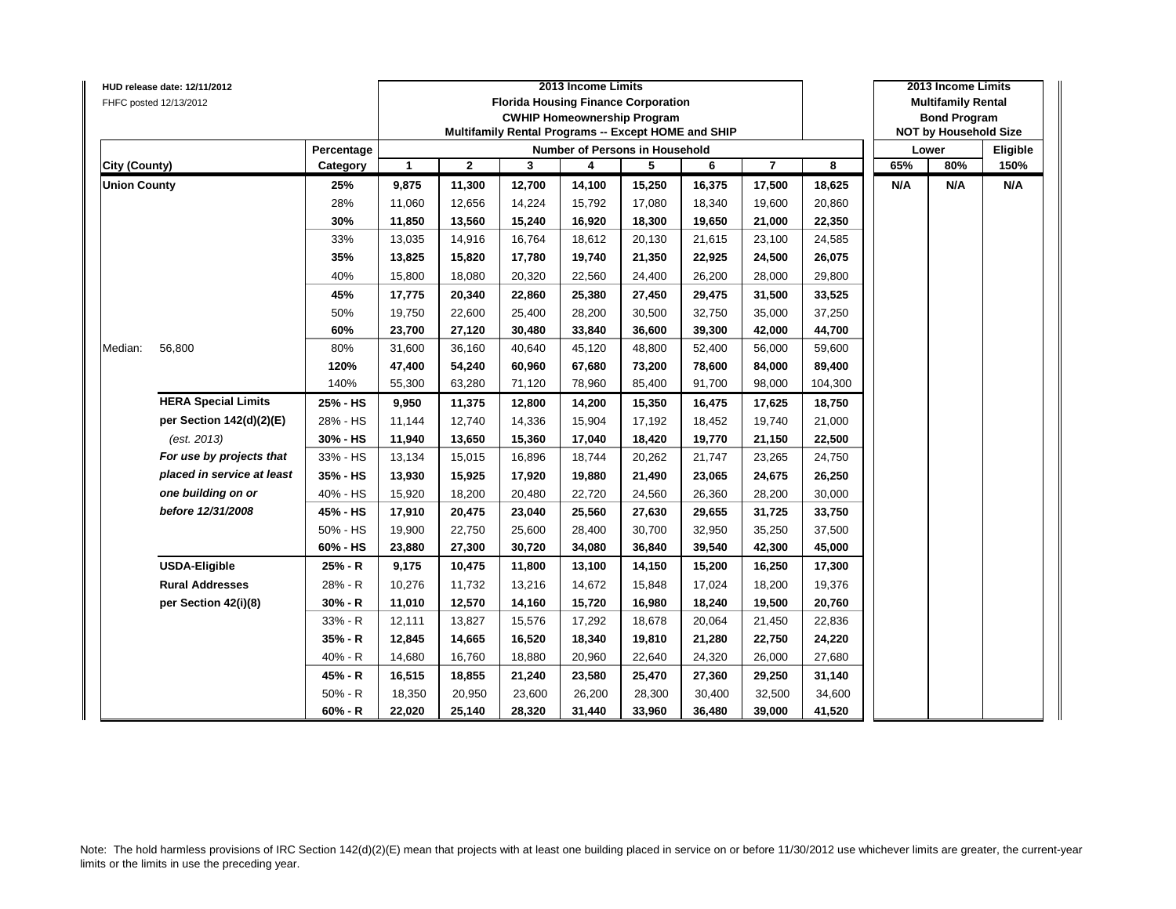|                      | HUD release date: 12/11/2012 |            |                      |              | 2013 Income Limits |        | 2013 Income Limits                                  |        |                |         |                           |                              |          |
|----------------------|------------------------------|------------|----------------------|--------------|--------------------|--------|-----------------------------------------------------|--------|----------------|---------|---------------------------|------------------------------|----------|
|                      | FHFC posted 12/13/2012       |            |                      |              |                    |        | <b>Florida Housing Finance Corporation</b>          |        |                |         | <b>Multifamily Rental</b> |                              |          |
|                      |                              |            |                      |              |                    |        | <b>CWHIP Homeownership Program</b>                  |        |                |         |                           | <b>Bond Program</b>          |          |
|                      |                              |            |                      |              |                    |        | Multifamily Rental Programs -- Except HOME and SHIP |        |                |         |                           | <b>NOT by Household Size</b> |          |
|                      |                              | Percentage |                      |              |                    |        | <b>Number of Persons in Household</b>               |        |                |         |                           | Lower                        | Eligible |
| <b>City (County)</b> |                              | Category   | $\blacktriangleleft$ | $\mathbf{2}$ | 3                  | 4      | 5                                                   | 6      | $\overline{7}$ | 8       | 65%                       | 80%                          | 150%     |
| <b>Union County</b>  |                              | 25%        | 9,875                | 11,300       | 12,700             | 14,100 | 15,250                                              | 16,375 | 17,500         | 18,625  | N/A                       | N/A                          | N/A      |
|                      |                              | 28%        | 11,060               | 12,656       | 14,224             | 15,792 | 17,080                                              | 18,340 | 19,600         | 20,860  |                           |                              |          |
|                      |                              | 30%        | 11,850               | 13,560       | 15,240             | 16,920 | 18,300                                              | 19,650 | 21,000         | 22,350  |                           |                              |          |
|                      |                              | 33%        | 13,035               | 14,916       | 16,764             | 18,612 | 20,130                                              | 21,615 | 23,100         | 24,585  |                           |                              |          |
|                      |                              | 35%        | 13,825               | 15,820       | 17,780             | 19,740 | 21,350                                              | 22,925 | 24,500         | 26,075  |                           |                              |          |
|                      |                              | 40%        | 15,800               | 18,080       | 20,320             | 22,560 | 24,400                                              | 26,200 | 28,000         | 29,800  |                           |                              |          |
|                      |                              | 45%        | 17,775               | 20,340       | 22,860             | 25,380 | 27,450                                              | 29,475 | 31,500         | 33,525  |                           |                              |          |
|                      |                              | 50%        | 19,750               | 22,600       | 25,400             | 28,200 | 30,500                                              | 32,750 | 35,000         | 37,250  |                           |                              |          |
|                      |                              | 60%        | 23,700               | 27,120       | 30,480             | 33,840 | 36,600                                              | 39,300 | 42,000         | 44,700  |                           |                              |          |
| Median:              | 56,800                       | 80%        | 31,600               | 36,160       | 40,640             | 45,120 | 48,800                                              | 52,400 | 56,000         | 59,600  |                           |                              |          |
|                      |                              | 120%       | 47,400               | 54,240       | 60,960             | 67,680 | 73,200                                              | 78,600 | 84,000         | 89,400  |                           |                              |          |
|                      |                              | 140%       | 55,300               | 63,280       | 71,120             | 78,960 | 85,400                                              | 91,700 | 98,000         | 104,300 |                           |                              |          |
|                      | <b>HERA Special Limits</b>   | 25% - HS   | 9,950                | 11,375       | 12,800             | 14,200 | 15,350                                              | 16,475 | 17,625         | 18,750  |                           |                              |          |
|                      | per Section 142(d)(2)(E)     | 28% - HS   | 11,144               | 12,740       | 14,336             | 15,904 | 17,192                                              | 18,452 | 19,740         | 21,000  |                           |                              |          |
|                      | (est. 2013)                  | 30% - HS   | 11,940               | 13,650       | 15,360             | 17,040 | 18,420                                              | 19,770 | 21,150         | 22,500  |                           |                              |          |
|                      | For use by projects that     | 33% - HS   | 13,134               | 15,015       | 16,896             | 18,744 | 20,262                                              | 21,747 | 23,265         | 24,750  |                           |                              |          |
|                      | placed in service at least   | 35% - HS   | 13,930               | 15,925       | 17,920             | 19,880 | 21,490                                              | 23,065 | 24,675         | 26,250  |                           |                              |          |
|                      | one building on or           | 40% - HS   | 15,920               | 18,200       | 20,480             | 22,720 | 24,560                                              | 26,360 | 28,200         | 30,000  |                           |                              |          |
|                      | before 12/31/2008            | 45% - HS   | 17,910               | 20,475       | 23,040             | 25,560 | 27,630                                              | 29,655 | 31,725         | 33,750  |                           |                              |          |
|                      |                              | 50% - HS   | 19,900               | 22,750       | 25,600             | 28,400 | 30,700                                              | 32,950 | 35,250         | 37,500  |                           |                              |          |
|                      |                              | 60% - HS   | 23,880               | 27,300       | 30,720             | 34,080 | 36,840                                              | 39,540 | 42,300         | 45,000  |                           |                              |          |
|                      | <b>USDA-Eligible</b>         | 25% - R    | 9,175                | 10,475       | 11,800             | 13,100 | 14,150                                              | 15,200 | 16,250         | 17,300  |                           |                              |          |
|                      | <b>Rural Addresses</b>       | 28% - R    | 10,276               | 11,732       | 13,216             | 14,672 | 15,848                                              | 17,024 | 18,200         | 19,376  |                           |                              |          |
|                      | per Section 42(i)(8)         | $30% - R$  | 11,010               | 12,570       | 14,160             | 15,720 | 16,980                                              | 18,240 | 19,500         | 20,760  |                           |                              |          |
|                      |                              | 33% - R    | 12,111               | 13,827       | 15,576             | 17,292 | 18,678                                              | 20,064 | 21,450         | 22,836  |                           |                              |          |
|                      |                              | 35% - R    | 12,845               | 14,665       | 16,520             | 18,340 | 19,810                                              | 21,280 | 22,750         | 24,220  |                           |                              |          |
|                      |                              | 40% - R    | 14,680               | 16,760       | 18,880             | 20,960 | 22,640                                              | 24,320 | 26,000         | 27,680  |                           |                              |          |
|                      |                              | 45% - R    | 16,515               | 18,855       | 21,240             | 23,580 | 25,470                                              | 27,360 | 29,250         | 31,140  |                           |                              |          |
|                      |                              | $50% - R$  | 18,350               | 20,950       | 23,600             | 26,200 | 28,300                                              | 30,400 | 32,500         | 34,600  |                           |                              |          |
|                      |                              | $60% - R$  | 22,020               | 25,140       | 28,320             | 31,440 | 33,960                                              | 36,480 | 39,000         | 41,520  |                           |                              |          |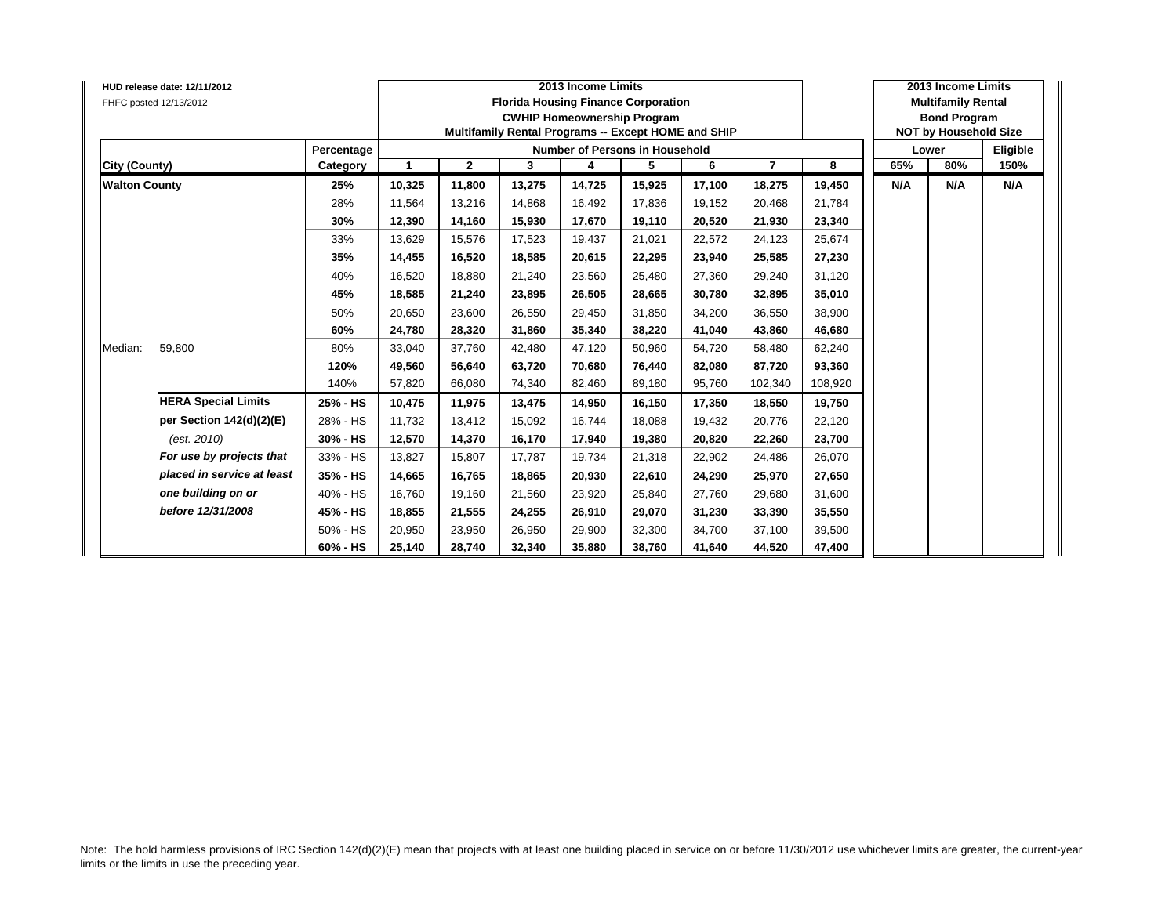|                      | HUD release date: 12/11/2012<br>FHFC posted 12/13/2012 |            |        |                | 2013 Income Limits<br><b>Florida Housing Finance Corporation</b><br><b>CWHIP Homeownership Program</b><br>Multifamily Rental Programs -- Except HOME and SHIP |        |                                       | 2013 Income Limits<br><b>Multifamily Rental</b><br><b>Bond Program</b><br><b>NOT by Household Size</b> |                |         |     |       |          |
|----------------------|--------------------------------------------------------|------------|--------|----------------|---------------------------------------------------------------------------------------------------------------------------------------------------------------|--------|---------------------------------------|--------------------------------------------------------------------------------------------------------|----------------|---------|-----|-------|----------|
|                      |                                                        | Percentage |        |                |                                                                                                                                                               |        | <b>Number of Persons in Household</b> |                                                                                                        |                |         |     | Lower | Eligible |
| City (County)        |                                                        | Category   | -1     | $\overline{2}$ | 3                                                                                                                                                             | 4      | 5                                     | 6                                                                                                      | $\overline{7}$ | 8       | 65% | 80%   | 150%     |
| <b>Walton County</b> |                                                        | 25%        | 10,325 | 11,800         | 13,275                                                                                                                                                        | 14,725 | 15,925                                | 17,100                                                                                                 | 18,275         | 19,450  | N/A | N/A   | N/A      |
|                      |                                                        | 28%        | 11,564 | 13,216         | 14,868                                                                                                                                                        | 16,492 | 17,836                                | 19,152                                                                                                 | 20,468         | 21,784  |     |       |          |
|                      |                                                        | 30%        | 12,390 | 14,160         | 15,930                                                                                                                                                        | 17,670 | 19,110                                | 20,520                                                                                                 | 21,930         | 23,340  |     |       |          |
|                      |                                                        | 33%        | 13,629 | 15,576         | 17,523                                                                                                                                                        | 19,437 | 21,021                                | 22,572                                                                                                 | 24,123         | 25,674  |     |       |          |
|                      |                                                        | 35%        | 14,455 | 16,520         | 18,585                                                                                                                                                        | 20,615 | 22,295                                | 23,940                                                                                                 | 25,585         | 27,230  |     |       |          |
|                      |                                                        | 40%        | 16,520 | 18,880         | 21,240                                                                                                                                                        | 23,560 | 25,480                                | 27,360                                                                                                 | 29,240         | 31,120  |     |       |          |
|                      |                                                        | 45%        | 18,585 | 21,240         | 23,895                                                                                                                                                        | 26,505 | 28,665                                | 30.780                                                                                                 | 32,895         | 35,010  |     |       |          |
|                      |                                                        | 50%        | 20,650 | 23,600         | 26,550                                                                                                                                                        | 29,450 | 31,850                                | 34,200                                                                                                 | 36,550         | 38,900  |     |       |          |
|                      |                                                        | 60%        | 24.780 | 28,320         | 31.860                                                                                                                                                        | 35,340 | 38,220                                | 41.040                                                                                                 | 43,860         | 46,680  |     |       |          |
| Median:              | 59,800                                                 | 80%        | 33,040 | 37,760         | 42,480                                                                                                                                                        | 47,120 | 50,960                                | 54,720                                                                                                 | 58,480         | 62,240  |     |       |          |
|                      |                                                        | 120%       | 49,560 | 56,640         | 63,720                                                                                                                                                        | 70,680 | 76,440                                | 82,080                                                                                                 | 87,720         | 93,360  |     |       |          |
|                      |                                                        | 140%       | 57,820 | 66,080         | 74,340                                                                                                                                                        | 82,460 | 89,180                                | 95,760                                                                                                 | 102,340        | 108,920 |     |       |          |
|                      | <b>HERA Special Limits</b>                             | 25% - HS   | 10,475 | 11,975         | 13,475                                                                                                                                                        | 14,950 | 16,150                                | 17,350                                                                                                 | 18,550         | 19,750  |     |       |          |
|                      | per Section 142(d)(2)(E)                               | 28% - HS   | 11,732 | 13,412         | 15,092                                                                                                                                                        | 16.744 | 18,088                                | 19.432                                                                                                 | 20,776         | 22,120  |     |       |          |
|                      | (est. 2010)                                            | 30% - HS   | 12,570 | 14,370         | 16,170                                                                                                                                                        | 17,940 | 19,380                                | 20,820                                                                                                 | 22,260         | 23,700  |     |       |          |
|                      | For use by projects that                               | 33% - HS   | 13,827 | 15,807         | 17,787                                                                                                                                                        | 19,734 | 21,318                                | 22,902                                                                                                 | 24,486         | 26,070  |     |       |          |
|                      | placed in service at least                             | 35% - HS   | 14,665 | 16,765         | 18,865                                                                                                                                                        | 20,930 | 22,610                                | 24,290                                                                                                 | 25,970         | 27,650  |     |       |          |
|                      | one building on or                                     | 40% - HS   | 16,760 | 19,160         | 21,560                                                                                                                                                        | 23,920 | 25,840                                | 27,760                                                                                                 | 29,680         | 31,600  |     |       |          |
|                      | before 12/31/2008                                      | 45% - HS   | 18,855 | 21,555         | 24,255                                                                                                                                                        | 26,910 | 29,070                                | 31,230                                                                                                 | 33,390         | 35,550  |     |       |          |
|                      |                                                        | 50% - HS   | 20,950 | 23,950         | 26,950                                                                                                                                                        | 29,900 | 32,300                                | 34,700                                                                                                 | 37,100         | 39,500  |     |       |          |
|                      |                                                        | 60% - HS   | 25,140 | 28,740         | 32,340                                                                                                                                                        | 35,880 | 38,760                                | 41,640                                                                                                 | 44,520         | 47,400  |     |       |          |